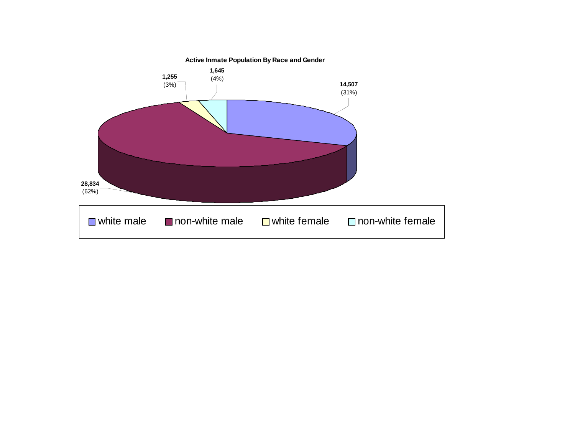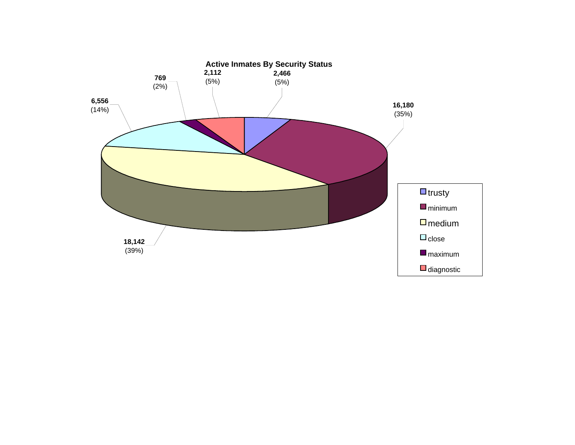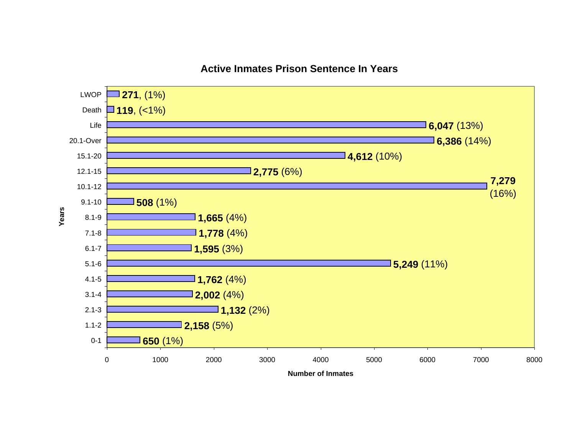#### **Active Inmates Prison Sentence In Years**

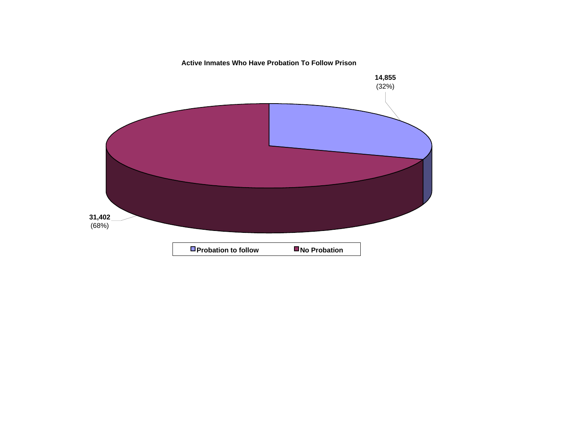**Active Inmates Who Have Probation To Follow Prison**

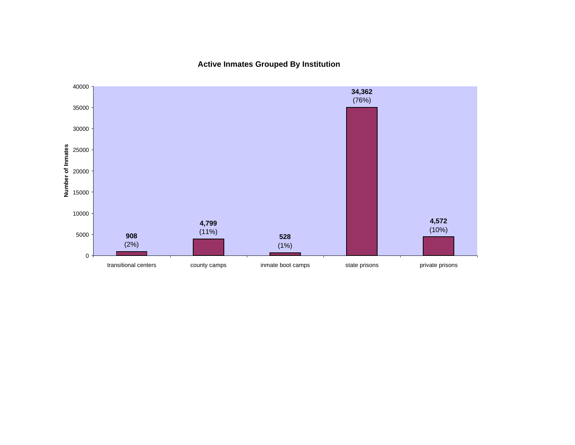**Active Inmates Grouped By Institution**

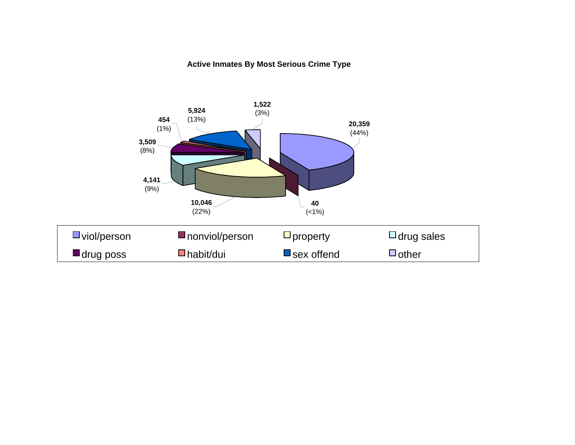#### **Active Inmates By Most Serious Crime Type**

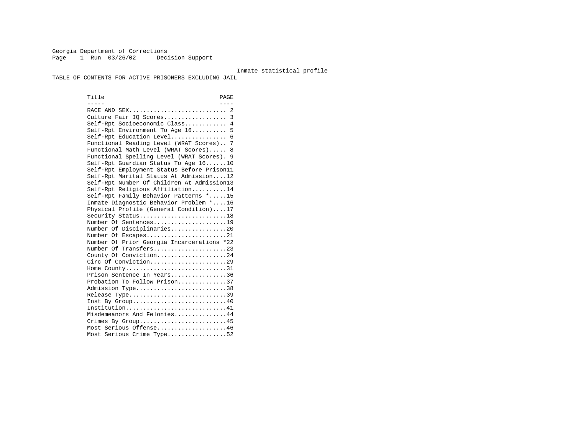Georgia Department of Corrections Page 1 Run 03/26/02 Decision Support

#### Inmate statistical profile

TABLE OF CONTENTS FOR ACTIVE PRISONERS EXCLUDING JAIL

Title PAGE ----- ---- RACE AND SEX............................ 2 Culture Fair IQ Scores.................. 3 Self-Rpt Socioeconomic Class............ 4 Self-Rpt Environment To Age 16.......... 5 Self-Rpt Education Level................ 6 Functional Reading Level (WRAT Scores).. 7 Functional Math Level (WRAT Scores)..... 8 Functional Spelling Level (WRAT Scores). 9 Self-Rpt Guardian Status To Age 16......10 Self-Rpt Employment Status Before Prison11 Self-Rpt Marital Status At Admission....12 Self-Rpt Number Of Children At Admission13 Self-Rpt Religious Affiliation..........14 Self-Rpt Family Behavior Patterns \*.....15 Inmate Diagnostic Behavior Problem \*....16 Physical Profile (General Condition)....17 Security Status...........................18 Number Of Sentences.....................19 Number Of Disciplinaries................20 Number Of Escapes........................21 Number Of Prior Georgia Incarcerations \*22 Number Of Transfers.....................23 County Of Conviction....................24 Circ Of Conviction......................29 Home County.............................31 Prison Sentence In Years................36 Probation To Follow Prison..............37Admission Type.............................38 Release Type...............................39 Inst By Group.............................40 Institution...............................41 Misdemeanors And Felonies...............44 Crimes By Group...........................45 Most Serious Offense....................46 Most Serious Crime Type.................52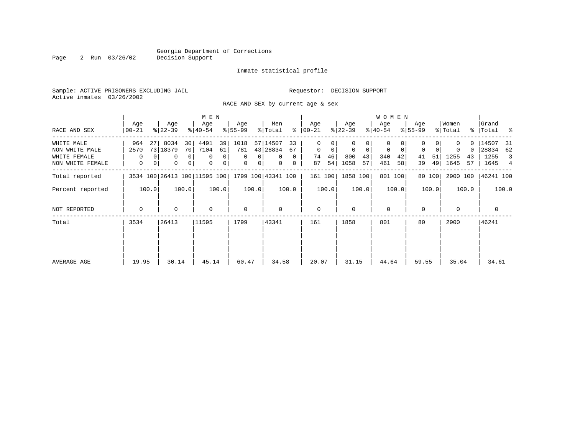Page 2 Run 03/26/02

#### Inmate statistical profile

Sample: ACTIVE PRISONERS EXCLUDING JAIL **Requestor: DECISION SUPPORT** Active inmates 03/26/2002

RACE AND SEX by current age & sex

|                  |                  |                              | M E N                           |                     |                      |                  |                            | <b>WOMEN</b>     |                  |                  |                        |
|------------------|------------------|------------------------------|---------------------------------|---------------------|----------------------|------------------|----------------------------|------------------|------------------|------------------|------------------------|
| RACE AND SEX     | Age<br>$00 - 21$ | Age<br>$ 22-39 $             | Age<br>$ 40-54 $                | Age<br>$8 55-99$    | Men<br>ႜ<br>% Total  | Age<br>  00-21   | Age<br>$ 22-39 $           | Age<br>$ 40-54 $ | Age<br>$8 55-99$ | Women<br>% Total | Grand<br>%   Total %   |
| WHITE MALE       | 964<br>27        | 8034<br>30                   | 4491<br>39                      | 1018                | 57 14507<br>33       | 0                |                            | 0                |                  | $\Omega$         | 14507<br>-31           |
| NON WHITE MALE   | 2570             | 73 18379<br>70               | 7104<br>61                      | 781                 | 43 28834<br>67       | $\mathbf 0$<br>0 | $\mathbf 0$<br>$\mathbf 0$ | 0<br>0           | 0<br>0           | 0<br>$\Omega$    | 28834<br>62            |
| WHITE FEMALE     | $\Omega$         | 0                            | 0<br>0 <sup>1</sup><br>$\Omega$ | $\Omega$<br>0       | $\Omega$<br>$\Omega$ | 46<br>74         | 800<br>43                  | 340<br>42        | 51<br>41         | 1255<br>43       | 1255<br>$\overline{3}$ |
| NON WHITE FEMALE | 0                | 0<br>0                       | 0 <br>$\mathbf 0$<br>0          | 0<br>0 <sup>1</sup> | $\mathbf{0}$<br>0    | 54<br>87         | 1058<br>57                 | 461<br>58        | 49<br>39         | 1645<br>57       | 1645<br>4              |
| Total reported   |                  | 3534 100 26413 100 11595 100 |                                 |                     | 1799 100 43341 100   | 161 100          | 1858 100                   | 801 100          | 80 100           | 2900 100         | 46241 100              |
| Percent reported | 100.0            | 100.0                        | 100.0                           | 100.0               | 100.0                | 100.0            | 100.0                      | 100.0            | 100.0            | 100.0            | 100.0                  |
| NOT REPORTED     | $\mathbf 0$      | 0                            | $\mathbf 0$                     | 0                   | 0                    | $\mathbf{0}$     | $\Omega$                   | $\mathbf 0$      | $\Omega$         | $\Omega$         | 0                      |
| Total            | 3534             | 26413                        | 11595                           | 1799                | 43341                | 161              | 1858                       | 801              | 80               | 2900             | 46241                  |
|                  |                  |                              |                                 |                     |                      |                  |                            |                  |                  |                  |                        |
| AVERAGE AGE      | 19.95            | 30.14                        | 45.14                           | 60.47               | 34.58                | 20.07            | 31.15                      | 44.64            | 59.55            | 35.04            | 34.61                  |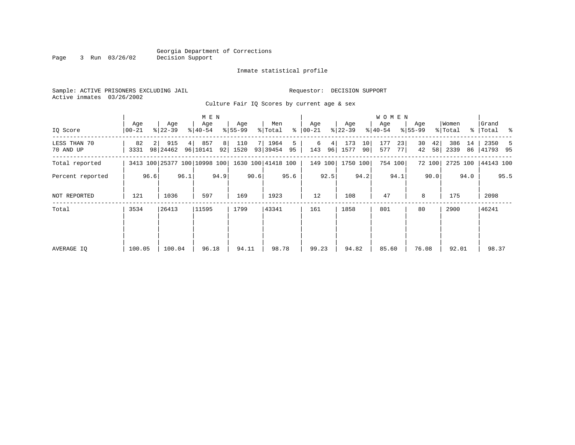#### Georgia Department of Corrections<br>Decision Support Page 3 Run 03/26/02

#### Inmate statistical profile

| Active inmates 03/26/2002 |  | Sample: ACTIVE PRISONERS EXCLUDING JAIL |  |  |
|---------------------------|--|-----------------------------------------|--|--|
|                           |  |                                         |  |  |

Requestor: DECISION SUPPORT

Culture Fair IQ Scores by current age & sex

|                           |                  |                |                   |      | M E N                        |      |                  |      |                    |         |                  |      |                  |          | W O M E N        |          |                  |          |                  |      |                      |      |
|---------------------------|------------------|----------------|-------------------|------|------------------------------|------|------------------|------|--------------------|---------|------------------|------|------------------|----------|------------------|----------|------------------|----------|------------------|------|----------------------|------|
| IQ Score                  | Age<br>$00 - 21$ |                | Age<br>$ 22-39 $  |      | Age<br>$ 40-54 $             |      | Age<br>$ 55-99 $ |      | Men<br>% Total     | ⊱       | Age<br>$ 00-21 $ |      | Age<br>$ 22-39 $ |          | Age<br>$8 40-54$ |          | Age<br>$8 55-99$ |          | Women<br>% Total |      | Grand<br>%   Total % |      |
| LESS THAN 70<br>70 AND UP | 82<br>3331       | 2 <sup>1</sup> | 915<br>98   24462 | 4    | 857<br>96 10141              | 8    | 110<br>92 1520   |      | 7 1964<br>93 39454 | 5<br>95 | 6<br>143         | 4    | 173<br>96 1577   | 10<br>90 | 177<br>577       | 23<br>77 | 30<br>42         | 42<br>58 | 386<br>2339      | 14   | 2350<br>86 41793 95  | -5   |
| Total reported            |                  |                |                   |      | 3413 100 25377 100 10998 100 |      |                  |      | 1630 100 41418 100 |         | 149 100          |      | 1750 100         |          |                  | 754 100  |                  | 72 100   |                  |      | 2725 100   44143 100 |      |
| Percent reported          |                  | 96.6           |                   | 96.1 |                              | 94.9 |                  | 90.6 |                    | 95.6    |                  | 92.5 |                  | 94.2     |                  | 94.1     |                  | 90.0     |                  | 94.0 |                      | 95.5 |
| NOT REPORTED              | 121              |                | 1036              |      | 597                          |      | 169              |      | 1923               |         | 12               |      | 108              |          | 47               |          | 8                |          | 175              |      | 2098                 |      |
| Total                     | 3534             |                | 26413             |      | 11595                        |      | 1799             |      | 43341              |         | 161              |      | 1858             |          | 801              |          | 80               |          | 2900             |      | 46241                |      |
|                           |                  |                |                   |      |                              |      |                  |      |                    |         |                  |      |                  |          |                  |          |                  |          |                  |      |                      |      |
|                           |                  |                |                   |      |                              |      |                  |      |                    |         |                  |      |                  |          |                  |          |                  |          |                  |      |                      |      |
| AVERAGE IQ                | 100.05           |                | 100.04            |      | 96.18                        |      | 94.11            |      | 98.78              |         | 99.23            |      | 94.82            |          | 85.60            |          | 76.08            |          | 92.01            |      | 98.37                |      |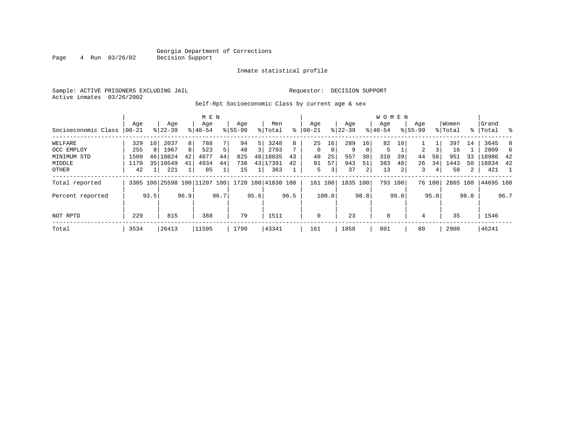#### Georgia Department of Corrections<br>4 Run 03/26/02 Decision Support Page 4 Run 03/26/02 Decision Support

#### Inmate statistical profile

Sample: ACTIVE PRISONERS EXCLUDING JAIL Requestor: DECISION SUPPORT Active inmates 03/26/2002

Self-Rpt Socioeconomic Class by current age & sex

|                     |          |                 |                              |      | M E N     |      |             |      |                    |      |              |          |             |          | <b>WOMEN</b> |      |             |        |          |             |           |      |
|---------------------|----------|-----------------|------------------------------|------|-----------|------|-------------|------|--------------------|------|--------------|----------|-------------|----------|--------------|------|-------------|--------|----------|-------------|-----------|------|
|                     | Age      |                 | Age                          |      | Age       |      | Age         |      | Men                |      | Age          |          | Age         |          | Age          |      | Age         |        | Women    |             | Grand     |      |
| Socioeconomic Class | $ 00-21$ |                 | $8 22-39$                    |      | $8 40-54$ |      | $8155 - 99$ |      | % Total            | ႜ    | $00 - 21$    |          | $8$   22-39 |          | $8 40-54$    |      | $8155 - 99$ |        | % Total  | $\approx$ 1 | Total     | ႜ    |
| WELFARE             | 329      | 10 <sup>1</sup> | 2037                         | 8    | 788       |      | 94          | 5    | 3248               | 8    | 25           | 16       | 289         | 16       | 82           | 10   |             |        | 397      | 14          | 3645      | 8    |
| OCC EMPLOY          | 255      | 8 <sup>1</sup>  | 1967                         | 8    | 523       | 5    | 48          | 3    | 2793               | 7    | $\Omega$     | $\Omega$ | 9           | $\Omega$ | 5            |      | 2           |        | 16       |             | 2809      | 6    |
| MINIMUM STD         | 1509     |                 | 46 10824                     | 42   | 4877      | 44   | 825         |      | 48 18035           | 43   | 40           | 25       | 557         | 30       | 310          | 39   | 44          | 58     | 951      | 33          | 18986     | 42   |
| MIDDLE              | 1170     |                 | 35 10549                     | 41   | 4934      | 44   | 738         |      | 43 17391           | 42   | 91           | 57       | 943         | 51       | 383          | 48   | 26          | 34     | 1443     | 50          | 18834     | 42   |
| OTHER               | 42       |                 | 221                          |      | 85        |      | 15          |      | 363                |      | 5            | 3        | 37          | 2        | 13           |      | 3           | 4      | 58       | 2           | 421       |      |
| Total reported      |          |                 | 3305 100 25598 100 11207 100 |      |           |      |             |      | 1720 100 41830 100 |      | 161 100      |          | 1835 100    |          | 793 100      |      |             | 76 100 | 2865 100 |             | 44695 100 |      |
| Percent reported    |          | 93.5            |                              | 96.9 |           | 96.7 |             | 95.6 |                    | 96.5 |              | 100.0    |             | 98.8     |              | 99.0 |             | 95.0   |          | 98.8        |           | 96.7 |
| NOT RPTD            | 229      |                 | 815                          |      | 388       |      | 79          |      | 1511               |      | $\mathbf{0}$ |          | 23          |          | 8            |      | 4           |        | 35       |             | 1546      |      |
| Total               | 3534     |                 | 26413                        |      | 11595     |      | 1799        |      | 43341              |      | 161          |          | 1858        |          | 801          |      | 80          |        | 2900     |             | 46241     |      |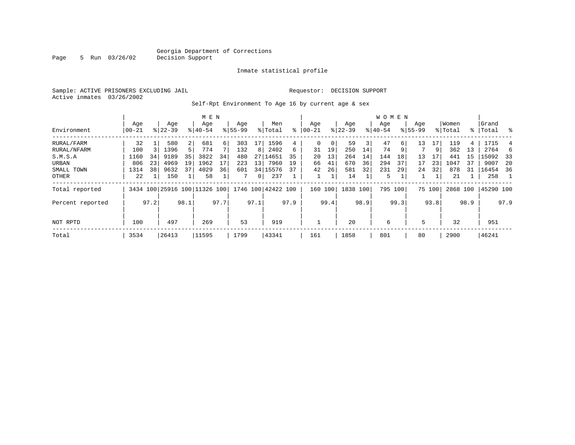Page 5 Run 03/26/02

#### Inmate statistical profile

Sample: ACTIVE PRISONERS EXCLUDING JAIL **Requestor: DECISION SUPPORT** Active inmates 03/26/2002

Self-Rpt Environment To Age 16 by current age & sex

|                  |                  |      |                  |                | M E N                        |      |                    |                |                    |      |                  |      |                  |      | <b>WOMEN</b>     |      |                    |        |                  |      |                 |      |
|------------------|------------------|------|------------------|----------------|------------------------------|------|--------------------|----------------|--------------------|------|------------------|------|------------------|------|------------------|------|--------------------|--------|------------------|------|-----------------|------|
| Environment      | Age<br>$00 - 21$ |      | Age<br>$8 22-39$ |                | Age<br>$8140 - 54$           |      | Age<br>$8155 - 99$ |                | Men<br>% Total     | ⊱    | Age<br>$00 - 21$ |      | Age<br>$ 22-39 $ |      | Age<br>$8 40-54$ |      | Age<br>$8155 - 99$ |        | Women<br>% Total | ႜႂ   | Grand<br> Total | ွေ   |
| RURAL/FARM       | 32               |      | 580              | $\overline{2}$ | 681                          | 6    | 303                | 17             | 1596               | 4    | 0                | 0    | 59               | 3    | 47               | 6    | 13                 | 17     | 119              | 4    | 1715            |      |
| RURAL/NFARM      | 100              |      | 1396             | 5              | 774                          |      | 132                | 8              | 2402               | б.   | 31               | 19   | 250              | 14   | 74               | 9    |                    | 9      | 362              | 13   | 2764            | 6    |
| S.M.S.A          | 1160             | 34   | 9189             | 35             | 3822                         | 34   | 480                |                | 27 14651           | 35   | 20               | 13   | 264              | 14   | 144              | 18   | 13                 | 17     | 441              | 15   | 15092           | 33   |
| URBAN            | 806              | 23   | 4969             | 19             | 1962                         |      | 223                | 13             | 7960               | 19   | 66               | 41   | 670              | 36   | 294              | 37   | 17                 | 23     | 1047             | 37   | 9007            | -20  |
| SMALL TOWN       | 1314             | 38   | 9632             | 37             | 4029                         | 36   | 601                |                | 34 15576           | 37   | 42               | 26   | 581              | 32   | 231              | 29   | 24                 | 32     | 878              | 31   | 16454           | 36   |
| OTHER            | 22               |      | 150              |                | 58                           |      |                    | 0 <sup>1</sup> | 237                |      |                  |      | 14               |      | 5                |      |                    |        | 21               |      | 258             |      |
| Total reported   |                  |      |                  |                | 3434 100 25916 100 11326 100 |      |                    |                | 1746 100 42422 100 |      | 160              | 100  | 1838 100         |      | 795 100          |      |                    | 75 100 | 2868 100         |      | 45290 100       |      |
| Percent reported |                  | 97.2 |                  | 98.1           |                              | 97.7 |                    | 97.1           |                    | 97.9 |                  | 99.4 |                  | 98.9 |                  | 99.3 |                    | 93.8   |                  | 98.9 |                 | 97.9 |
| NOT RPTD         | 100              |      | 497              |                | 269                          |      | 53                 |                | 919                |      |                  |      | 20               |      | 6                |      | 5                  |        | 32               |      | 951             |      |
| Total            | 3534             |      | 26413            |                | 11595                        |      | 1799               |                | 43341              |      | 161              |      | 1858             |      | 801              |      | 80                 |        | 2900             |      | 46241           |      |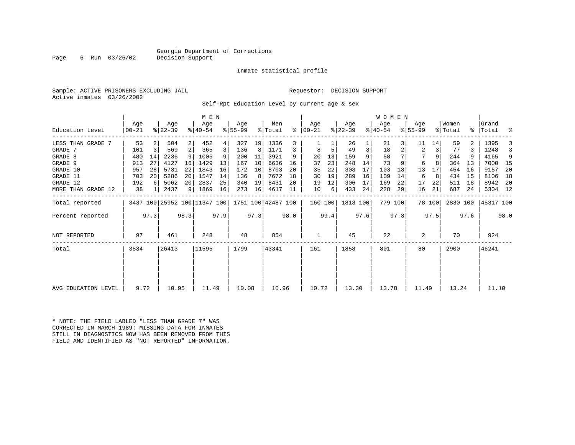#### Georgia Department of Corrections<br>Decision Support

Page 6 Run  $03/26/02$ 

#### Inmate statistical profile

Sample: ACTIVE PRISONERS EXCLUDING JAIL Requestor: DECISION SUPPORT Active inmates 03/26/2002

Self-Rpt Education Level by current age & sex

|                     |                 |      |                  |                | M E N                        |      |                  |      |                    |      |                      |      |                  |      | <b>WOMEN</b>     |         |                  |        |                  |      |                    |      |
|---------------------|-----------------|------|------------------|----------------|------------------------------|------|------------------|------|--------------------|------|----------------------|------|------------------|------|------------------|---------|------------------|--------|------------------|------|--------------------|------|
| Education Level     | Age<br>$ 00-21$ |      | Age<br>$ 22-39 $ |                | Age<br>$ 40-54 $             |      | Age<br>$8 55-99$ |      | Men<br>% Total     |      | Age<br>$8   00 - 21$ |      | Age<br>$ 22-39 $ |      | Age<br>$ 40-54 $ |         | Age<br>$8 55-99$ |        | Women<br>% Total |      | Grand<br>%   Total | ႜ    |
| LESS THAN GRADE 7   | 53              | 2    | 504              | 2              | 452                          | 4    | 327              | 19   | 1336               | 3    |                      |      | 26               |      | 21               |         | 11               | 14     | 59               |      | 1395               |      |
| GRADE 7             | 101             | 3    | 569              | $\overline{a}$ | 365                          | 3    | 136              | 8    | 1171               |      | 8                    | 5    | 49               | 3    | 18               |         | 2                | 3      | 77               | 3    | 1248               |      |
| GRADE 8             | 480             | 14   | 2236             | 9              | 1005                         | 9    | 200              | 11   | 3921               | 9    | 20                   | 13   | 159              | 9    | 58               |         |                  | 9      | 244              |      | 4165               | 9    |
| GRADE 9             | 913             | 27   | 4127             | 16             | 1429                         | 13   | 167              | 10   | 6636               | 16   | 37                   | 23   | 248              | 14   | 73               |         | 6                | 8      | 364              | 13   | 7000               | 15   |
| GRADE 10            | 957             | 28   | 5731             | 22             | 1843                         | 16   | 172              | 10   | 8703               | 20   | 35                   | 22   | 303              | 17   | 103              | 13      | 13               | 17     | 454              | 16   | 9157               | 20   |
| GRADE 11            | 703             | 20   | 5286             | 20             | 1547                         | 14   | 136              | 8    | 7672               | 18   | 30                   | 19   | 289              | 16   | 109              | 14      | 6                | 8      | 434              | 15   | 8106               | 18   |
| GRADE 12            | 192             |      | 5062             | 20             | 2837                         | 25   | 340              | 19   | 8431               | 20   | 19                   | 12   | 306              | 17   | 169              | 22      | 17               | 22     | 511              | 18   | 8942               | - 20 |
| MORE THAN GRADE 12  | 38              |      | 2437             | 9              | 1869                         | 16   | 273              | 16   | 4617               | 11   | 10                   | 6    | 433              | 24   | 228              | 29      | 16               | 21     | 687              | 24   | 5304 12            |      |
| Total reported      |                 |      |                  |                | 3437 100 25952 100 11347 100 |      |                  |      | 1751 100 42487 100 |      | 160 100              |      | 1813 100         |      |                  | 779 100 |                  | 78 100 | 2830 100         |      | 45317 100          |      |
| Percent reported    |                 | 97.3 |                  | 98.3           |                              | 97.9 |                  | 97.3 |                    | 98.0 |                      | 99.4 |                  | 97.6 |                  | 97.3    |                  | 97.5   |                  | 97.6 |                    | 98.0 |
| NOT REPORTED        | 97              |      | 461              |                | 248                          |      | 48               |      | 854                |      |                      |      | 45               |      | 22               |         | 2                |        | 70               |      | 924                |      |
| Total               | 3534            |      | 26413            |                | 11595                        |      | 1799             |      | 43341              |      | 161                  |      | 1858             |      | 801              |         | 80               |        | 2900             |      | 46241              |      |
|                     |                 |      |                  |                |                              |      |                  |      |                    |      |                      |      |                  |      |                  |         |                  |        |                  |      |                    |      |
| AVG EDUCATION LEVEL | 9.72            |      | 10.95            |                | 11.49                        |      | 10.08            |      | 10.96              |      | 10.72                |      | 13.30            |      | 13.78            |         | 11.49            |        | 13.24            |      | 11.10              |      |

\* NOTE: THE FIELD LABLED "LESS THAN GRADE 7" WAS CORRECTED IN MARCH 1989: MISSING DATA FOR INMATES STILL IN DIAGNOSTICS NOW HAS BEEN REMOVED FROM THIS FIELD AND IDENTIFIED AS "NOT REPORTED" INFORMATION.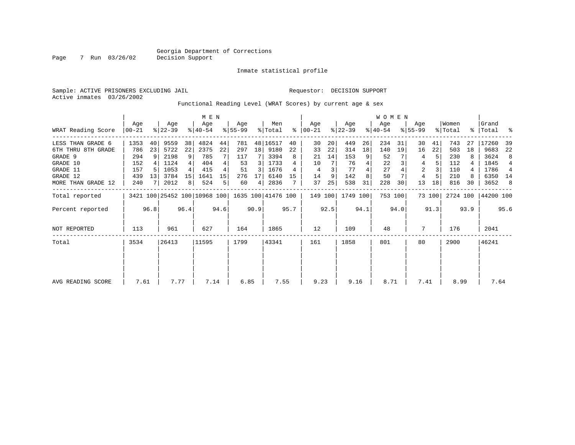Inmate statistical profile

Sample: ACTIVE PRISONERS EXCLUDING JAIL Requestor: DECISION SUPPORT Active inmates 03/26/2002

Functional Reading Level (WRAT Scores) by current age & sex

|                     |                 |      |                  |                | M E N                        |      |                  |      |                    |      |                 |      |                  |      | W O M E N        |         |                    |        |                  |      |                 |      |
|---------------------|-----------------|------|------------------|----------------|------------------------------|------|------------------|------|--------------------|------|-----------------|------|------------------|------|------------------|---------|--------------------|--------|------------------|------|-----------------|------|
| WRAT Reading Score  | Aqe<br>$ 00-21$ |      | Age<br>$ 22-39 $ |                | Age<br>$8 40-54$             |      | Aqe<br>$ 55-99 $ |      | Men<br>% Total     | ႜ    | Aqe<br>$ 00-21$ |      | Age<br>$ 22-39 $ |      | Age<br>$ 40-54 $ |         | Aqe<br>$8155 - 99$ |        | Women<br>% Total | ွေ   | Grand<br> Total | ႜ    |
| LESS THAN GRADE 6   | 1353            | 40   | 9559             | 38             | 4824                         | 44   | 781              |      | 48 16517           | 40   | 30              | 20   | 449              | 26   | 234              | 31      | 30                 | 41     | 743              | 27   | 17260           | 39   |
| 6TH THRU 8TH GRADE  | 786             | 23   | 5722             | 22             | 2375                         | 22   | 297              | 18   | 9180               | 22   | 33              | 22   | 314              | 18   | 140              | 19      | 16                 | 22     | 503              | 18   | 9683            | 22   |
| GRADE 9             | 294             |      | 2198             | 9              | 785                          |      | 117              |      | 3394               | 8    | 21              | 14   | 153              | 9    | 52               |         | 4                  | 5      | 230              |      | 3624            | 8    |
| GRADE 10            | 152             |      | 1124             |                | 404                          |      | 53               | 3    | 1733               |      | 10              |      | 76               |      | 22               |         | 4                  |        | 112              |      | 1845            | 4    |
| GRADE 11            | 157             |      | 1053             |                | 415                          |      | 51               | 3    | 1676               |      | 4               | 3    | 77               |      | 27               |         | $\overline{2}$     |        | 110              |      | 1786            | 4    |
| GRADE 12            | 439             | 13   | 3784             | 15             | 1641                         | 15   | 276              | 17   | 6140               | 15   | 14              | 9    | 142              | 8    | 50               |         | 4                  |        | 210              |      | 6350            | 14   |
| MORE THAN GRADE 12  | 240             |      | 2012             | 8 <sup>1</sup> | 524                          | 5    | 60               | 4    | 2836               |      | 37              | 25   | 538              | 31   | 228              | 30      | 13                 | 18     | 816              | 30   | 3652            | -8   |
| Total reported      |                 |      |                  |                | 3421 100 25452 100 10968 100 |      |                  |      | 1635 100 41476 100 |      | 149 100         |      | 1749 100         |      |                  | 753 100 |                    | 73 100 | 2724 100         |      | 44200 100       |      |
| Percent reported    |                 | 96.8 |                  | 96.4           |                              | 94.6 |                  | 90.9 |                    | 95.7 |                 | 92.5 |                  | 94.1 |                  | 94.0    |                    | 91.3   |                  | 93.9 |                 | 95.6 |
| <b>NOT REPORTED</b> | 113             |      | 961              |                | 627                          |      | 164              |      | 1865               |      | 12              |      | 109              |      | 48               |         | 7                  |        | 176              |      | 2041            |      |
| Total               | 3534            |      | 26413            |                | 11595                        |      | 1799             |      | 43341              |      | 161             |      | 1858             |      | 801              |         | 80                 |        | 2900             |      | 46241           |      |
|                     |                 |      |                  |                |                              |      |                  |      |                    |      |                 |      |                  |      |                  |         |                    |        |                  |      |                 |      |
|                     |                 |      |                  |                |                              |      |                  |      |                    |      |                 |      |                  |      |                  |         |                    |        |                  |      |                 |      |
| AVG READING SCORE   | 7.61            |      | 7.77             |                | 7.14                         |      | 6.85             |      | 7.55               |      | 9.23            |      | 9.16             |      | 8.71             |         | 7.41               |        | 8.99             |      | 7.64            |      |

Page 7 Run 03/26/02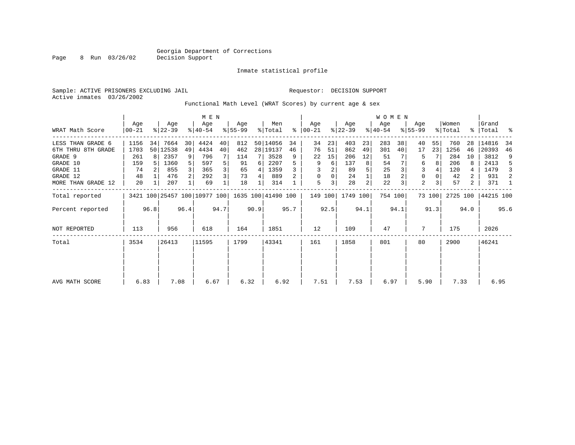Page 8 Run 03/26/02

#### Inmate statistical profile

Sample: ACTIVE PRISONERS EXCLUDING JAIL **Requestor: DECISION SUPPORT** Active inmates 03/26/2002

Functional Math Level (WRAT Scores) by current age & sex

|                    |                  |      |                  |                 | M E N                        |      |                  |      |                    |      |                      |      |                  |                | W O M E N        |         |                  |        |                  |      |                      |      |
|--------------------|------------------|------|------------------|-----------------|------------------------------|------|------------------|------|--------------------|------|----------------------|------|------------------|----------------|------------------|---------|------------------|--------|------------------|------|----------------------|------|
| WRAT Math Score    | Age<br>$00 - 21$ |      | Age<br>$ 22-39 $ |                 | Age<br>$ 40-54 $             |      | Age<br>$ 55-99 $ |      | Men<br>% Total     |      | Aqe<br>$8   00 - 21$ |      | Age<br>$ 22-39 $ |                | Aqe<br>$ 40-54 $ |         | Age<br>$8 55-99$ |        | Women<br>% Total |      | Grand<br>%   Total % |      |
| LESS THAN GRADE 6  | 1156             | 34   | 7664             | 30 <sup>1</sup> | 4424                         | 40   | 812              |      | 50 14056           | 34   | 34                   | 23   | 403              | 23             | 283              | 38      | 40               | 55     | 760              | 28   | 14816                | 34   |
| 6TH THRU 8TH GRADE | 1703             |      | 50 12538         | 49              | 4434                         | 40   | 462              |      | 28 19137           | 46   | 76                   | 51   | 862              | 49             | 301              | 40      | 17               | 23     | 1256             | 46   | 20393                | 46   |
| GRADE 9            | 261              | 8    | 2357             | 9 <sup>1</sup>  | 796                          |      | 114              | 7    | 3528               | 9    | 22                   | 15   | 206              | 12             | 51               |         | 5                |        | 284              | 10   | 3812                 | 9    |
| GRADE 10           | 159              |      | 1360             | 5               | 597                          | 5    | 91               | 6    | 2207               |      | 9                    | 6    | 137              | 8              | 54               |         | 6                |        | 206              | 8    | 2413                 | -5   |
| GRADE 11           | 74               |      | 855              |                 | 365                          | 3    | 65               | 4    | 1359               |      |                      |      | 89               |                | 25               |         |                  |        | 120              | 4    | 1479                 | 3    |
| GRADE 12           | 48               |      | 476              | 2 <sup>1</sup>  | 292                          | 3    | 73               | 4    | 889                |      | $\Omega$             | 0    | 24               |                | 18               |         | 0                |        | 42               | 2    | 931                  | 2    |
| MORE THAN GRADE 12 | 20               |      | 207              |                 | 69                           |      | 18               |      | 314                |      | 5                    |      | 28               | $\overline{c}$ | 22               |         | $\overline{a}$   |        | 57               | 2    | 371                  | 1    |
| Total reported     |                  |      |                  |                 | 3421 100 25457 100 10977 100 |      |                  |      | 1635 100 41490 100 |      | 149 100              |      | 1749 100         |                |                  | 754 100 |                  | 73 100 |                  |      | 2725 100   44215 100 |      |
| Percent reported   |                  | 96.8 |                  | 96.4            |                              | 94.7 |                  | 90.9 |                    | 95.7 |                      | 92.5 |                  | 94.1           |                  | 94.1    |                  | 91.3   |                  | 94.0 |                      | 95.6 |
| NOT REPORTED       | 113              |      | 956              |                 | 618                          |      | 164              |      | 1851               |      | 12                   |      | 109              |                | 47               |         | 7                |        | 175              |      | 2026                 |      |
| Total              | 3534             |      | 26413            |                 | 11595                        |      | 1799             |      | 43341              |      | 161                  |      | 1858             |                | 801              |         | 80               |        | 2900             |      | 46241                |      |
|                    |                  |      |                  |                 |                              |      |                  |      |                    |      |                      |      |                  |                |                  |         |                  |        |                  |      |                      |      |
|                    |                  |      |                  |                 |                              |      |                  |      |                    |      |                      |      |                  |                |                  |         |                  |        |                  |      |                      |      |
| AVG MATH SCORE     | 6.83             |      | 7.08             |                 | 6.67                         |      | 6.32             |      | 6.92               |      | 7.51                 |      | 7.53             |                | 6.97             |         | 5.90             |        | 7.33             |      | 6.95                 |      |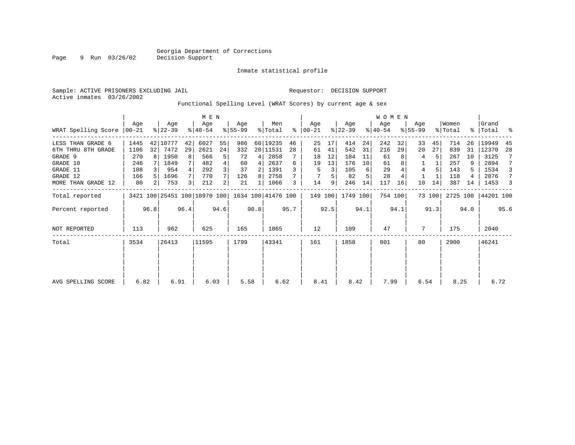# Georgia Department of Corrections<br>Page 9 Run 03/26/02 Decision Support

9 Run 03/26/02

#### Inmate statistical profile

|  | Sample: ACTIVE PRISONERS EXCLUDING JAIL |                                                              |  |  | Requestor: DECISION SUPPORT |  |  |
|--|-----------------------------------------|--------------------------------------------------------------|--|--|-----------------------------|--|--|
|  | Active inmates 03/26/2002               |                                                              |  |  |                             |  |  |
|  |                                         | Functional Spelling Level (WRAT Scores) by current age & sex |  |  |                             |  |  |

|                     |       |      |           |      | M E N                                           |                |           |      |          |      |               |      |           |      | <b>WOMEN</b> |         |             |        |          |      |           |      |
|---------------------|-------|------|-----------|------|-------------------------------------------------|----------------|-----------|------|----------|------|---------------|------|-----------|------|--------------|---------|-------------|--------|----------|------|-----------|------|
|                     | Age   |      | Age       |      | Age                                             |                | Age       |      | Men      |      | Age           |      | Age       |      | Age          |         | Age         |        | Women    |      | Grand     |      |
| WRAT Spelling Score | 00-21 |      | $ 22-39 $ |      | $ 40-54 $                                       |                | $8 55-99$ |      | % Total  |      | $8   00 - 21$ |      | $ 22-39 $ |      | $ 40-54 $    |         | $8155 - 99$ |        | % Total  |      | %   Total | ႜ    |
| LESS THAN GRADE 6   | 1445  |      | 42 10777  | 42   | 6027                                            | 55             | 986       |      | 60 19235 | 46   | 25            | 17   | 414       | 24   | 242          | 32      | 33          | 45     | 714      | 26   | 19949     | 45   |
| 6TH THRU 8TH GRADE  | 1106  | 32   | 7472      | 29   | 2621                                            | 24             | 332       |      | 20 11531 | 28   | 61            | 41   | 542       | 31   | 216          | 29      | 20          | 27     | 839      | 31   | 12370     | 28   |
| GRADE 9             | 270   |      | 1950      | 8    | 566                                             | 5 <sup>1</sup> | 72        | 4    | 2858     |      | 18            | 12   | 184       | 11   | 61           |         | 4           |        | 267      | 10   | 3125      | 7    |
| GRADE 10            | 246   |      | 1849      |      | 482                                             | 4 <sup>1</sup> | 60        | 4    | 2637     | 6    | 19            | 13   | 176       | 10   | 61           |         |             |        | 257      | 9    | 2894      | 7    |
| GRADE 11            | 108   |      | 954       |      | 292                                             | $\overline{3}$ | 37        | 2    | 1391     |      | 5             | 3    | 105       | 6    | 29           |         | 4           |        | 143      |      | 1534      | 3    |
| GRADE 12            | 166   |      | 1696      | 7    | 770                                             | 7              | 126       | 8    | 2758     |      |               |      | 82        |      | 28           |         |             |        | 118      | 4    | 2876      | 7    |
| MORE THAN GRADE 12  | 80    |      | 753       | 3 I  | 212                                             | 2              | 21        |      | 1066     | 3    | 14            | 9    | 246       | 14   | 117          | 16      | 10          | 14     | 387      | 14   | 1453      | 3    |
| Total reported      |       |      |           |      | 3421 100 25451 100 10970 100 1634 100 41476 100 |                |           |      |          |      | 149 100       |      | 1749 100  |      |              | 754 100 |             | 73 100 | 2725 100 |      | 44201 100 |      |
| Percent reported    |       | 96.8 |           | 96.4 |                                                 | 94.6           |           | 90.8 |          | 95.7 |               | 92.5 |           | 94.1 |              | 94.1    |             | 91.3   |          | 94.0 |           | 95.6 |
| NOT REPORTED        | 113   |      | 962       |      | 625                                             |                | 165       |      | 1865     |      | 12            |      | 109       |      | 47           |         | 7           |        | 175      |      | 2040      |      |
| Total               | 3534  |      | 26413     |      | 11595                                           |                | 1799      |      | 43341    |      | 161           |      | 1858      |      | 801          |         | 80          |        | 2900     |      | 46241     |      |
|                     |       |      |           |      |                                                 |                |           |      |          |      |               |      |           |      |              |         |             |        |          |      |           |      |
|                     |       |      |           |      |                                                 |                |           |      |          |      |               |      |           |      |              |         |             |        |          |      |           |      |
| AVG SPELLING SCORE  | 6.82  |      | 6.91      |      | 6.03                                            |                | 5.58      |      | 6.62     |      | 8.41          |      | 8.42      |      | 7.99         |         | 6.54        |        | 8.25     |      | 6.72      |      |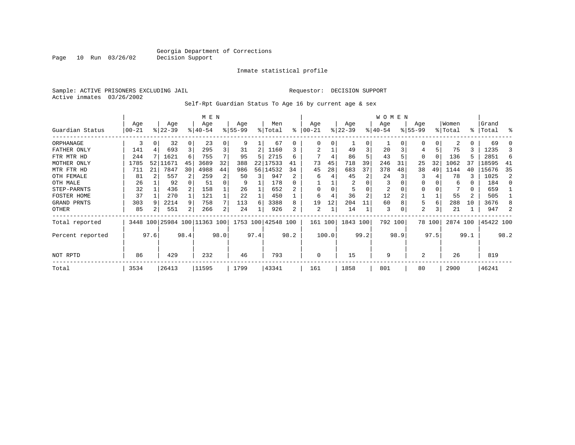Inmate statistical profile

Sample: ACTIVE PRISONERS EXCLUDING JAIL Requestor: DECISION SUPPORT Active inmates 03/26/2002

Page 10 Run 03/26/02

Self-Rpt Guardian Status To Age 16 by current age & sex

|                    |            |      |           |      | M E N                        |          |          |      |                    |      |                |       |                |                | WOMEN    |      |           |          |          |          |           |      |
|--------------------|------------|------|-----------|------|------------------------------|----------|----------|------|--------------------|------|----------------|-------|----------------|----------------|----------|------|-----------|----------|----------|----------|-----------|------|
|                    | Age        |      | Age       |      | Age                          |          | Age      |      | Men                |      | Age            |       | Age            |                | Age      |      | Age       |          | Women    |          | Grand     |      |
| Guardian Status    | $ 00 - 21$ |      | $ 22-39 $ |      | $8 40-54$                    |          | $ 55-99$ |      | % Total            | ి    | $ 00-21$       |       | $ 22-39 $      |                | $ 40-54$ |      | $ 55-99 $ |          | % Total  | ႜ        | Total     | ႜ    |
| ORPHANAGE          | 3          |      | 32        |      | 23                           | 0        | 9        |      | 67                 | 0    | $\Omega$       | 0     |                | $\Omega$       |          |      | 0         | 0        | 2        | 0        | 69        |      |
| FATHER ONLY        | 141        |      | 693       | 3    | 295                          | 3        | 31       |      | 1160               | 3    | $\overline{2}$ |       | 49             | 3              | 20       |      | 4         | 5        | 75       | 3        | 1235      |      |
| FTR MTR HD         | 244        |      | 1621      | 6    | 755                          | 7        | 95       |      | 2715               | 6    |                | 4     | 86             | 5              | 43       |      | $\Omega$  | $\Omega$ | 136      |          | 2851      |      |
| MOTHER ONLY        | 1785       | 521  | 11671     | 45   | 3689                         | 32       | 388      |      | 22 17533           | 41   | 73             | 45    | 718            | 39             | 246      | 31   | 25        | 32       | 1062     | 37       | 18595     | 41   |
| MTR FTR HD         | 711        | 21   | 7847      | 30   | 4988                         | 44       | 986      |      | 56 14532           | 34   | 45             | 28    | 683            | 37             | 378      | 48   | 38        | 49       | 1144     | 40       | 15676     | 35   |
| OTH FEMALE         | 81         |      | 557       |      | 259                          | 2        | 50       |      | 947                | 2    | 6              | 4     | 45             | 2              | 24       |      | 3         |          | 78       | 3        | 1025      |      |
| OTH MALE           | 26         |      | 92        |      | 51                           | $\Omega$ | 9        |      | 178                | 0    |                |       | $\overline{c}$ |                | 3        |      | $\Omega$  |          | 6        | $\Omega$ | 184       |      |
| STEP-PARNTS        | 32         |      | 436       | 2    | 158                          |          | 26       |      | 652                |      | 0              | 0     |                | $\Omega$       | 2        |      | 0         |          |          | 0        | 659       |      |
| <b>FOSTER HOME</b> | 37         |      | 270       |      | 121                          |          | 22       |      | 450                |      | 6              | 4     | 36             | $\overline{2}$ | 12       |      |           |          | 55       | 2        | 505       |      |
| GRAND PRNTS        | 303        |      | 2214      | 9    | 758                          | 7        | 113      | -6   | 3388               | 8    | 19             | 12    | 204            |                | 60       |      | 5         | 6        | 288      | 10       | 3676      |      |
| OTHER              | 85         |      | 551       | 2    | 266                          | 2        | 24       |      | 926                | 2    | 2              |       | 14             |                | 3        |      | 2         | 3        | 21       |          | 947       |      |
| Total reported     |            |      |           |      | 3448 100 25984 100 11363 100 |          |          |      | 1753 100 42548 100 |      | 161 100        |       | 1843 100       |                | 792 100  |      |           | 78 100   | 2874 100 |          | 45422 100 |      |
| Percent reported   |            | 97.6 |           | 98.4 |                              | 98.0     |          | 97.4 |                    | 98.2 |                | 100.0 |                | 99.2           |          | 98.9 |           | 97.5     |          | 99.1     |           | 98.2 |
| NOT RPTD           | 86         |      | 429       |      | 232                          |          | 46       |      | 793                |      | 0              |       | 15             |                | 9        |      | 2         |          | 26       |          | 819       |      |
| Total              | 3534       |      | 26413     |      | 11595                        |          | 1799     |      | 43341              |      | 161            |       | 1858           |                | 801      |      | 80        |          | 2900     |          | 46241     |      |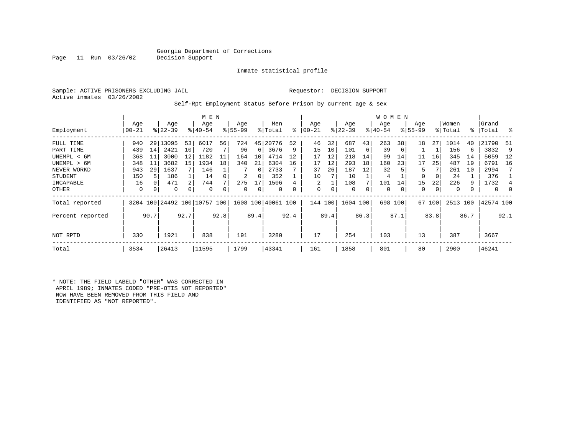### Georgia Department of Corrections<br>Decision Support

Page 11 Run 03/26/02

#### Inmate statistical profile

|  |                           | Sample: ACTIVE PRISONERS EXCLUDING JAIL |  |
|--|---------------------------|-----------------------------------------|--|
|  | Active inmates 03/26/2002 |                                         |  |

#### Requestor: DECISION SUPPORT

Self-Rpt Employment Status Before Prison by current age & sex

|                  |                  |      |                  |                | M E N                        |      |                  |          |                    |      |                |      |                  |      | <b>WOMEN</b>     |         |                    |        |                  |               |                |          |
|------------------|------------------|------|------------------|----------------|------------------------------|------|------------------|----------|--------------------|------|----------------|------|------------------|------|------------------|---------|--------------------|--------|------------------|---------------|----------------|----------|
| Employment       | Age<br>$00 - 21$ |      | Age<br>$8 22-39$ |                | Age<br>$8 40-54$             |      | Age<br>$8 55-99$ |          | Men<br>% Total     | ႜ    | Age<br>  00-21 |      | Age<br>$ 22-39 $ |      | Age<br>$ 40-54 $ |         | Age<br>$8155 - 99$ |        | Women<br>% Total | $\frac{8}{3}$ | Grand<br>Total | ႜ        |
| FULL TIME        | 940              |      | 29 13095         | 53             | 6017                         | 56   | 724              | 45       | 20776              | 52   | 46             | 32   | 687              | 43   | 263              | 38      | 18                 | 27     | 1014             | 40            | 21790          | 51       |
| PART TIME        | 439              | 14   | 2421             | 10             | 720                          |      | 96               | 6        | 3676               | 9    | 15             | 10   | 101              | 6    | 39               | 6       |                    |        | 156              | 6             | 3832           | 9        |
| UNEMPL < 6M      | 368              | 11   | 3000             | 12             | 1182                         | 11   | 164              | 10       | 4714               | 12   | 17             | 12   | 218              | 14   | 99               | 14      | 11                 | 16     | 345              | 14            | 5059           | -12      |
| UNEMPL > 6M      | 348              | 11   | 3682             | 15             | 1934                         | 18   | 340              | 21       | 6304               | 16   | 17             | 12   | 293              | 18   | 160              | 23      | 17                 | 25     | 487              | 19            | 6791           | 16       |
| NEVER WORKD      | 943              | 29   | 1637             |                | 146                          |      |                  | $\Omega$ | 2733               |      | 37             | 26   | 187              | 12   | 32               |         | 5                  |        | 261              | 10            | 2994           |          |
| <b>STUDENT</b>   | 150              | 5    | 186              |                | 14                           |      | 2                | 0        | 352                |      | 10             |      | 10               |      | 4                |         | 0                  | 0      | 24               |               | 376            |          |
| INCAPABLE        | 16               | 0    | 471              | $\mathfrak{D}$ | 744                          |      | 275              | 17       | 1506               |      | 2              |      | 108              |      | 101              | 14      | 15                 | 22     | 226              | 9             | 1732           |          |
| OTHER            | 0                | 0    | 0                | 0              | $\Omega$                     |      | $\Omega$         | 0        | $\Omega$           |      | $\Omega$       | 0    | 0                | 0    | $\Omega$         | 0       | 0                  | 0      | $\mathbf 0$      |               | $\mathbf{0}$   | $\Omega$ |
| Total reported   |                  |      |                  |                | 3204 100 24492 100 10757 100 |      |                  |          | 1608 100 40061 100 |      | 144 100        |      | 1604 100         |      |                  | 698 100 |                    | 67 100 | 2513 100         |               | 42574 100      |          |
| Percent reported |                  | 90.7 |                  | 92.7           |                              | 92.8 |                  | 89.4     |                    | 92.4 |                | 89.4 |                  | 86.3 |                  | 87.1    |                    | 83.8   |                  | 86.7          |                | 92.1     |
| NOT RPTD         | 330              |      | 1921             |                | 838                          |      | 191              |          | 3280               |      | 17             |      | 254              |      | 103              |         | 13                 |        | 387              |               | 3667           |          |
| Total            | 3534             |      | 26413            |                | 11595                        |      | 1799             |          | 43341              |      | 161            |      | 1858             |      | 801              |         | 80                 |        | 2900             |               | 46241          |          |

\* NOTE: THE FIELD LABELD "OTHER" WAS CORRECTED IN APRIL 1989; INMATES CODED "PRE-OTIS NOT REPORTED" NOW HAVE BEEN REMOVED FROM THIS FIELD AND IDENTIFIED AS "NOT REPORTED".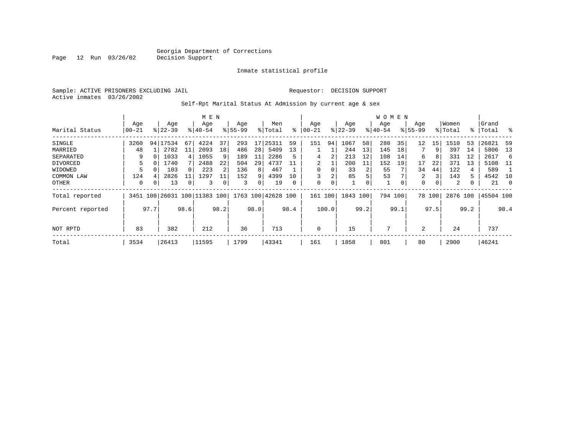Inmate statistical profile

Sample: ACTIVE PRISONERS EXCLUDING JAIL Requestor: DECISION SUPPORT Active inmates 03/26/2002

Page 12 Run 03/26/02

Self-Rpt Marital Status At Admission by current age & sex

|                  |           |          |                     |      | M E N     |      |           |      |                    |      |            |       |           |      | <b>WOMEN</b> |      |             |        |          |      |           |                |
|------------------|-----------|----------|---------------------|------|-----------|------|-----------|------|--------------------|------|------------|-------|-----------|------|--------------|------|-------------|--------|----------|------|-----------|----------------|
|                  | Age       |          | Age                 |      | Age       |      | Age       |      | Men                |      | Age        |       | Age       |      | Age          |      | Age         |        | Women    |      | Grand     |                |
| Marital Status   | $00 - 21$ |          | $ 22-39 $           |      | $8 40-54$ |      | $8 55-99$ |      | % Total            | ွေ   | $ 00 - 21$ |       | $ 22-39 $ |      | $ 40-54$     |      | $8155 - 99$ |        | % Total  |      | %   Total | ႜ              |
| SINGLE           | 3260      | 94       | 17534               | 67   | 4224      | 37   | 293       | 17   | 25311              | 59   | 151        | 94    | 1067      | 58   | 280          | 35   | 12          | 15     | 1510     | 53   | 26821     | 59             |
| MARRIED          | 48        |          | 2782                | 11   | 2093      | 18   | 486       | 28   | 5409               | 13   |            |       | 244       | 13   | 145          | 18   |             | 9      | 397      | 14   | 5806      | 13             |
| SEPARATED        | 9         | $\Omega$ | 1033                | 4    | 1055      | 9    | 189       | 11   | 2286               | 5    | 4          | 2     | 213       | 12   | 108          | 14   | 6           | 8      | 331      | 12   | 2617      | 6              |
| DIVORCED         | 5.        | $\Omega$ | 1740                |      | 2488      | 22   | 504       | 29   | 4737               | 11   | 2          |       | 200       | 11   | 152          | 19   | 17          | 22     | 371      | 13   | 5108      | - 11           |
| WIDOWED          |           |          | 103                 |      | 223       | 2    | 136       | 8    | 467                |      | 0          | 0     | 33        | 2    | 55           |      | 34          | 44     | 122      | 4    | 589       |                |
| COMMON LAW       | 124       |          | 2826                | 11   | 1297      |      | 152       | 9    | 4399               | 10   |            | 2     | 85        | 5    | 53           |      | 2           | 3      | 143      | 5.   | 4542      | 10             |
| OTHER            | 0         | 0        | 13                  | 0    | 3         |      | 3         | 0    | 19                 | 0    | 0          | 0     |           | 0    | $\mathbf{1}$ | 0    | 0           | 0      | 2        | 0    | 21        | $\overline{0}$ |
| Total reported   | 3451      |          | 100 26031 100 11383 |      |           | 100  |           |      | 1763 100 42628 100 |      | 161        | 100   | 1843      | 100  | 794          | 100  |             | 78 100 | 2876 100 |      | 45504 100 |                |
| Percent reported |           | 97.7     |                     | 98.6 |           | 98.2 |           | 98.0 |                    | 98.4 |            | 100.0 |           | 99.2 |              | 99.1 |             | 97.5   |          | 99.2 |           | 98.4           |
|                  |           |          |                     |      |           |      |           |      |                    |      |            |       |           |      |              |      |             |        |          |      |           |                |
| NOT RPTD         | 83        |          | 382                 |      | 212       |      | 36        |      | 713                |      | 0          |       | 15        |      | 7            |      | 2           |        | 24       |      | 737       |                |
| Total            | 3534      |          | 26413               |      | 11595     |      | 1799      |      | 43341              |      | 161        |       | 1858      |      | 801          |      | 80          |        | 2900     |      | 146241    |                |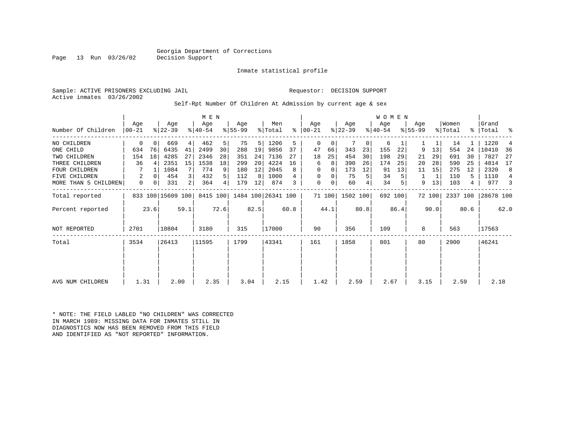#### Georgia Department of Corrections<br>Decision Support

Inmate statistical profile

Sample: ACTIVE PRISONERS EXCLUDING JAIL Requestor: DECISION SUPPORT Active inmates 03/26/2002

Self-Rpt Number Of Children At Admission by current age & sex

|                      |          |      |                   |                | M E N     |                |           |      |                    |      |          |        |           |      | <b>WOMEN</b> |      |           |        |          |           |           |      |
|----------------------|----------|------|-------------------|----------------|-----------|----------------|-----------|------|--------------------|------|----------|--------|-----------|------|--------------|------|-----------|--------|----------|-----------|-----------|------|
|                      | Age      |      | Age               |                | Age       |                | Age       |      | Men                |      | Age      |        | Age       |      | Age          |      | Age       |        | Women    |           | Grand     |      |
| Number Of Children   | $ 00-21$ |      | $ 22-39$          |                | $ 40-54 $ |                | $ 55-99 $ |      | % Total            | ႜ    | $ 00-21$ |        | $ 22-39 $ |      | $8 40-54$    |      | $ 55-99 $ |        | % Total  | $\approx$ | Total     | န္   |
| NO CHILDREN          | 0        |      | 669               | 4              | 462       | 5 <sup>1</sup> | 75        | 5    | 1206               | 5    | 0        | 0      |           | 0    | 6            |      |           | 1      | 14       |           | 1220      |      |
| ONE CHILD            | 634      | 76   | 6435              | 41             | 2499      | 30             | 288       | 19   | 9856               | 37   | 47       | 66     | 343       | 23   | 155          | 22   | 9         | 13     | 554      | 24        | 10410     | 36   |
| TWO CHILDREN         | 154      | 18   | 4285              | 27             | 2346      | 28             | 351       | 24   | 7136               | 27   | 18       | 25     | 454       | 30   | 198          | 29   | 21        | 29     | 691      | 30        | 7827      | 27   |
| THREE CHILDREN       | 36       |      | 2351              | 15             | 1538      | 18             | 299       | 20   | 4224               | 16   | 6        | 8      | 390       | 26   | 174          | 25   | 20        | 28     | 590      | 25        | 4814      | 17   |
| <b>FOUR CHILDREN</b> |          |      | 1084              |                | 774       | 9              | 180       | 12   | 2045               | 8    | 0        | 0      | 173       | 12   | 91           | 13   | 11        | 15     | 275      | 12        | 2320      | 8    |
| <b>FIVE CHILDREN</b> | 2        | 0    | 454               | $\overline{3}$ | 432       | 5 <sup>1</sup> | 112       | 8    | 1000               |      | 0        | 0      | 75        | 5    | 34           |      | 1         | 1      | 110      | 5         | 1110      |      |
| MORE THAN 5 CHILDREN | 0        | 0    | 331               | 2              | 364       | 4              | 179       | 12   | 874                |      | 0        | 0      | 60        | 4    | 34           |      | 9         | 13     | 103      | 4         | 977       |      |
| Total reported       |          |      | 833 100 15609 100 |                | 8415 100  |                |           |      | 1484 100 26341 100 |      |          | 71 100 | 1502 100  |      | 692 100      |      |           | 72 100 | 2337 100 |           | 28678 100 |      |
| Percent reported     |          | 23.6 |                   | 59.1           |           | 72.6           |           | 82.5 |                    | 60.8 |          | 44.1   |           | 80.8 |              | 86.4 |           | 90.0   |          | 80.6      |           | 62.0 |
| <b>NOT REPORTED</b>  | 2701     |      | 10804             |                | 3180      |                | 315       |      | 17000              |      | 90       |        | 356       |      | 109          |      | 8         |        | 563      |           | 17563     |      |
| Total                | 3534     |      | 26413             |                | 11595     |                | 1799      |      | 43341              |      | 161      |        | 1858      |      | 801          |      | 80        |        | 2900     |           | 46241     |      |
|                      |          |      |                   |                |           |                |           |      |                    |      |          |        |           |      |              |      |           |        |          |           |           |      |
|                      |          |      |                   |                |           |                |           |      |                    |      |          |        |           |      |              |      |           |        |          |           |           |      |
| AVG NUM CHILDREN     | 1.31     |      | 2.00              |                | 2.35      |                | 3.04      |      | 2.15               |      | 1.42     |        | 2.59      |      | 2.67         |      | 3.15      |        | 2.59     |           | 2.18      |      |

\* NOTE: THE FIELD LABLED "NO CHILDREN" WAS CORRECTED IN MARCH 1989: MISSING DATA FOR INMATES STILL IN DIAGNOSTICS NOW HAS BEEN REMOVED FROM THIS FIELD AND IDENTIFIED AS "NOT REPORTED" INFORMATION.

Page 13 Run 03/26/02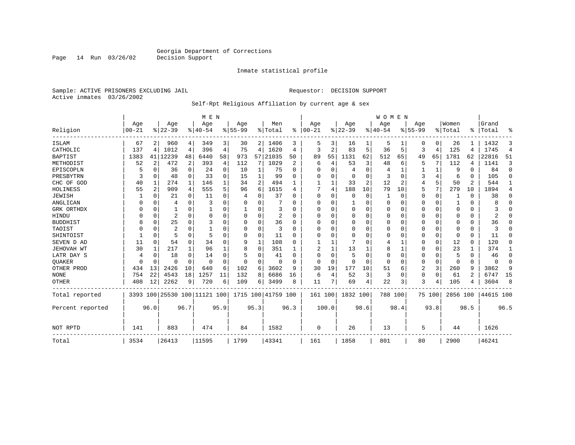Inmate statistical profile

Sample: ACTIVE PRISONERS EXCLUDING JAIL **Requestor: DECISION SUPPORT** Active inmates 03/26/2002

#### Self-Rpt Religious Affiliation by current age & sex

|                  |           |                |                              |              |           | M E N    |             |          |                    |          |          |          |                |      | <b>WOMEN</b> |                |             |                |          |                |                |             |
|------------------|-----------|----------------|------------------------------|--------------|-----------|----------|-------------|----------|--------------------|----------|----------|----------|----------------|------|--------------|----------------|-------------|----------------|----------|----------------|----------------|-------------|
|                  | Age       |                | Age                          |              | Age       |          | Age         |          | Men                |          | Age      |          | Age            |      | Aqe          |                | Age         |                | Women    |                | Grand          |             |
| Religion         | $00 - 21$ |                | $8 22-39$                    |              | $8 40-54$ |          | $8155 - 99$ |          | % Total            | %        | $ 00-21$ |          | $8 22-39$      |      | $ 40-54$     |                | $8155 - 99$ |                | % Total  | ፠              | Total          | ዱ           |
| <b>ISLAM</b>     | 67        | 2              | 960                          | 4            | 349       | 3        | 30          |          | 2 1406             | 3        | 5        | 3        | 16             |      | 5            |                | 0           | 0              | 26       |                | 1432           | 3           |
| CATHOLIC         | 137       | 4              | 1012                         | 4            | 396       | 4        | 75          | 4        | 1620               | 4        | 3        | 2        | 83             | 5    | 36           | 5              | 3           | $\overline{4}$ | 125      | 4              | 1745           | 4           |
| <b>BAPTIST</b>   | 1383      | 41             | 12239                        | 48           | 6440      | 58       | 973         | 57       | 21035              | 50       | 89       | 55       | 1131           | 62   | 512          | 65             | 49          | 65             | 1781     | 62             | 22816          | 51          |
| METHODIST        | 52        | $\overline{2}$ | 472                          | 2            | 393       | 4        | 112         | 7        | 1029               | 2        | 6        | 4        | 53             | 3    | 48           | 6              | 5           | 7              | 112      | 4              | 1141           | 3           |
| EPISCOPLN        |           | $\Omega$       | 36                           | $\Omega$     | 24        | $\Omega$ | 10          | 1        | 75                 | O        | 0        | 0        | $\overline{4}$ | 0    |              | 1              |             | 1              | 9        | $\Omega$       | 84             | $\mathbf 0$ |
| PRESBYTRN        | 3         | $\Omega$       | 48                           | $\Omega$     | 33        | $\Omega$ | 15          | 1        | 99                 | U        | U        | $\Omega$ | $\Omega$       | 0    | 3            | $\Omega$       | 3           | 4              | 6        | $\Omega$       | 105            | $\Omega$    |
| CHC OF GOD       | 40        | 1              | 274                          | $\mathbf{1}$ | 146       |          | 34          | 2        | 494                |          |          |          | 33             | 2    | 12           | $\overline{2}$ | 4           | 5              | 50       | $\overline{2}$ | 544            | 1           |
| HOLINESS         | 55        | $\overline{c}$ | 909                          | 4            | 555       |          | 96          | 6        | 1615               | 4        | 7        | 4        | 188            | 10   | 79           | 10             | 5           | 7              | 279      | 10             | 1894           | 4           |
| <b>JEWISH</b>    |           | 0              | 21                           | 0            | 11        | O        | 4           | U        | 37                 |          | $\Omega$ | O        | $\Omega$       | 0    |              | $\Omega$       | 0           | $\mathbf 0$    |          | $\Omega$       | 38             | 0           |
| ANGLICAN         |           | 0              | 4                            | $\Omega$     | 3         |          |             | U        |                    | U        | $\Omega$ | $\Omega$ |                | O    | $\Omega$     | 0              | 0           | $\Omega$       |          | 0              | 8              | $\Omega$    |
| GRK ORTHDX       |           | $\Omega$       |                              | $\Omega$     |           | $\Omega$ |             | 0        | 3                  | ∩        | U        | U        | $\Omega$       | 0    | $\Omega$     | 0              | 0           | $\Omega$       | $\Omega$ | $\Omega$       |                | $\Omega$    |
| HINDU            |           | 0              | $\overline{2}$               | $\Omega$     | $\Omega$  |          |             | 0        | $\overline{2}$     | U        | $\cap$   | U        | 0              | O    | $\Omega$     | 0              | 0           | $\Omega$       | ∩        | $\Omega$       | $\overline{a}$ | $\Omega$    |
| <b>BUDDHIST</b>  |           | $\mathbf 0$    | 25                           | $\Omega$     | 3         |          | U           | 0        | 36                 | O        | $\Omega$ | $\Omega$ | $\Omega$       | O    | $\Omega$     | $\Omega$       | O           | $\Omega$       | $\Omega$ | $\Omega$       | 36             | $\Omega$    |
| TAOIST           |           | $\Omega$       | 2                            | $\Omega$     |           |          |             | $\Omega$ | 3                  | $\Omega$ | $\Omega$ | $\cap$   | $\Omega$       | O    | $\Omega$     | $\Omega$       | 0           | $\Omega$       | $\Omega$ | $\Omega$       | ζ              | U           |
| SHINTOIST        |           | $\Omega$       | 5                            | $\Omega$     | 5         | $\Omega$ | O           | $\Omega$ | 11                 | U        | U        | $\cap$   | $\Omega$       | U    | $\Omega$     | $\Omega$       | 0           | $\Omega$       | $\Omega$ | $\Omega$       | 11             | O           |
| SEVEN D AD       | 11        | $\Omega$       | 54                           | $\Omega$     | 34        | O        | 9           | 1        | 108                | ∩        |          |          |                | O    | 4            | 1              | O           | 0              | 12       | $\Omega$       | 120            | $\Omega$    |
| JEHOVAH WT       | 30        | 1              | 217                          | 1            | 96        |          | 8           | $\Omega$ | 351                |          |          | 1        | 13             |      | 8            | 1              | 0           | 0              | 23       |                | 374            | 1           |
| LATR DAY S       | 4         | $\Omega$       | 18                           | 0            | 14        | $\Omega$ | 5           | 0        | 41                 | U        | $\Omega$ | U        | 5              | 0    | $\Omega$     | 0              | 0           | 0              | 5        | $\Omega$       | 46             | $\mathbf 0$ |
| <b>OUAKER</b>    | $\Omega$  | $\mathbf 0$    | O                            | $\Omega$     | $\Omega$  | $\Omega$ | O           | 0        | $\Omega$           | $\Omega$ | $\Omega$ | $\Omega$ | $\Omega$       | O    | $\Omega$     | $\Omega$       | 0           | $\mathbf 0$    | $\Omega$ | $\Omega$       | $\Omega$       | $\mathbf 0$ |
| OTHER PROD       | 434       | 13             | 2426                         | 10           | 640       | 6        | 102         | 6        | 3602               | 9        | 30       | 19       | 177            | 10   | 51           | 6              | 2           | 3              | 260      | 9              | 3862           | 9           |
| <b>NONE</b>      | 754       | 22             | 4543                         | 18           | 1257      | 11       | 132         | 8        | 6686               | 16       | 6        | 4        | 52             | 3    | 3            | 0              | 0           | $\Omega$       | 61       |                | 6747           | 15          |
| <b>OTHER</b>     | 408       | 12             | 2262                         | 9            | 720       | 6        | 109         | 6        | 3499               | 8        | 11       | 7        | 69             | 4    | 22           | 3              | 3           | 4              | 105      | 4              | 3604           | 8           |
| Total reported   |           |                | 3393 100 25530 100 11121 100 |              |           |          |             |          | 1715 100 41759 100 |          | 161 100  |          | 1832 100       |      | 788 100      |                |             | 75 100         | 2856 100 |                | 44615 100      |             |
| Percent reported |           | 96.0           |                              | 96.7         |           | 95.9     |             | 95.3     |                    | 96.3     |          | 100.0    |                | 98.6 |              | 98.4           |             | 93.8           |          | 98.5           |                | 96.5        |
| NOT RPTD         | 141       |                | 883                          |              | 474       |          | 84          |          | 1582               |          | $\Omega$ |          | 26             |      | 13           |                | 5           |                | 44       |                | 1626           |             |
| Total            | 3534      |                | 26413                        |              | 11595     |          | 1799        |          | 43341              |          | 161      |          | 1858           |      | 801          |                | 80          |                | 2900     |                | 46241          |             |

Page 14 Run 03/26/02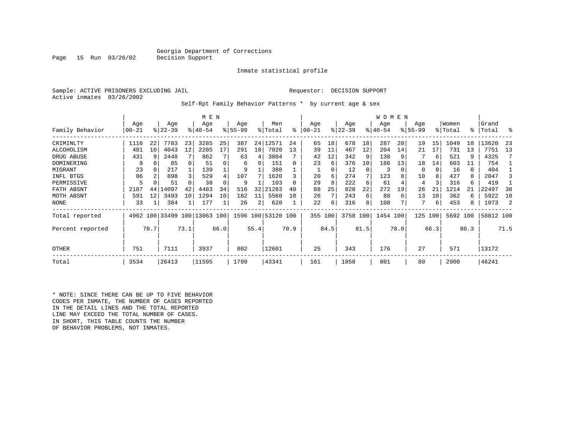#### Georgia Department of Corrections<br>Decision Support

#### Inmate statistical profile

|  |                           | Sample: ACTIVE PRISONERS EXCLUDING JAI |  |
|--|---------------------------|----------------------------------------|--|
|  | Active inmates 03/26/2002 |                                        |  |

Page 15 Run 03/26/02

IL Requestor: DECISION SUPPORT

Self-Rpt Family Behavior Patterns \* by current age & sex

|                  |           |      | M E N     |      |                              |      |          |      |                    | W O M E N    |           |               |           |          |          |          |             |      |          |      |           |      |
|------------------|-----------|------|-----------|------|------------------------------|------|----------|------|--------------------|--------------|-----------|---------------|-----------|----------|----------|----------|-------------|------|----------|------|-----------|------|
|                  | Age       |      | Age       |      | Age                          |      | Age      |      | Men                |              | Age       |               | Age       |          | Age      |          | Age         |      | Women    |      | Grand     |      |
| Family Behavior  | $00 - 21$ |      | $ 22-39 $ |      | $8140 - 54$                  |      | $ 55-99$ |      | % Total            | ⊱            | $00 - 21$ | $\frac{8}{3}$ | $22 - 39$ |          | $ 40-54$ |          | $8155 - 99$ |      | % Total  |      | %   Total | ႜ    |
| CRIMINLTY        | 1116      | 22   | 7783      | 23   | 3285                         | 25   | 387      |      | 24 12571           | 24           | 65        | 18            | 678       | 18       | 287      | 20       | 19          | 15   | 1049     | 18   | 13620     | 23   |
| ALCOHOLISM       | 481       | 10   | 4043      | 12   | 2205                         | 17   | 291      | 18   | 7020               | 13           | 39        | 11            | 467       | 12       | 204      | 14       | 21          | 17   | 731      | 13   | 7751      | 13   |
| DRUG ABUSE       | 431       | 9    | 2448      |      | 862                          |      | 63       | 4    | 3804               |              | 42        | 12            | 342       | 9        | 130      | -9       |             | 6    | 521      | 9    | 4325      |      |
| DOMINERING       | 9         |      | 85        |      | 51                           |      | 6        | 0    | 151                | 0            | 23        | 6             | 376       | 10       | 186      | 13       | 18          | 14   | 603      | 11   | 754       |      |
| MIGRANT          | 23        | 0    | 217       |      | 139                          |      | 9        |      | 388                |              |           | 0             | 12        | $\Omega$ | 3        | $\Omega$ | $\Omega$    |      | 16       | 0    | 404       |      |
| INFL BTGS        | 86        |      | 898       | 3    | 529                          |      | 107      |      | 1620               |              | 20        | 6             | 274       | 7        | 123      | 8        | 10          |      | 427      | 8    | 2047      |      |
| PERMISSIVE       | 5         |      | 51        |      | 38                           |      | 9        |      | 103                | <sup>0</sup> | 29        | 8             | 222       | 6        | 61       |          | 4           |      | 316      | 6    | 419       |      |
| FATH ABSNT       | 2187      | 44   | 14097     | 42   | 4483                         | 34   | 516      | 32   | 21283              | 40           | 88        | 25            | 828       | 22       | 272      | 19       | 26          | 21   | 1214     | 21   | 22497     | 38   |
| MOTH ABSNT       | 591       | 12   | 3493      | 10   | 1294                         | 10   | 182      | 11   | 5560               | 10           | 26        |               | 243       | 6        | 80       | 6        | 13          | 10   | 362      | 6    | 5922      | 10   |
| <b>NONE</b>      | 33        |      | 384       |      | 177                          |      | 26       | 2    | 620                |              | 22        | 6             | 316       | 8        | 108      |          |             | 6    | 453      | 8    | 1073      | 2    |
| Total reported   |           |      |           |      | 4962 100 33499 100 13063 100 |      |          |      | 1596 100 53120 100 |              | 355       | 100           | 3758 100  |          | 1454 100 |          | 125         | 100  | 5692 100 |      | 58812 100 |      |
| Percent reported |           | 78.7 |           | 73.1 |                              | 66.0 |          | 55.4 |                    | 70.9         |           | 84.5          |           | 81.5     |          | 78.0     |             | 66.3 |          | 80.3 |           | 71.5 |
| OTHER            | 751       |      | 7111      |      | 3937                         |      | 802      |      | 12601              |              | 25        |               | 343       |          | 176      |          | 27          |      | 571      |      | 13172     |      |
| Total            | 3534      |      | 26413     |      | 11595                        |      | 1799     |      | 43341              |              | 161       |               | 1858      |          | 801      |          | 80          |      | 2900     |      | 146241    |      |

\* NOTE: SINCE THERE CAN BE UP TO FIVE BEHAVIOR CODES PER INMATE, THE NUMBER OF CASES REPORTED IN THE DETAIL LINES AND THE TOTAL REPORTED LINE MAY EXCEED THE TOTAL NUMBER OF CASES. IN SHORT, THIS TABLE COUNTS THE NUMBER OF BEHAVIOR PROBLEMS, NOT INMATES.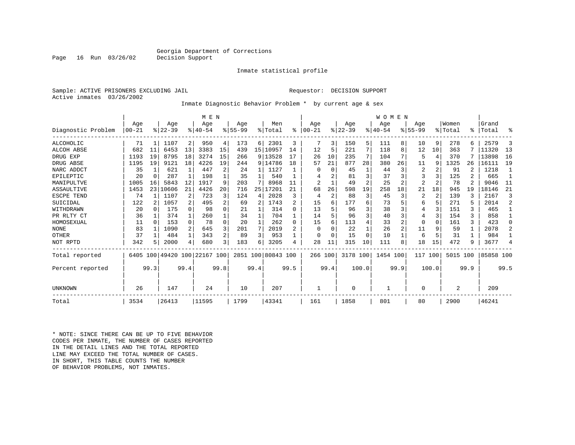#### Georgia Department of Corrections<br>Decision Support

Inmate statistical profile

Sample: ACTIVE PRISONERS EXCLUDING JAIL Requestor: DECISION SUPPORT Active inmates 03/26/2002

Inmate Diagnostic Behavior Problem \* by current age & sex

|                    | M E N      |          |           |              |                         |                |             |              |                    |                |                |                |           |                | <b>WOMEN</b> |      |                |                |                |      |           |                |
|--------------------|------------|----------|-----------|--------------|-------------------------|----------------|-------------|--------------|--------------------|----------------|----------------|----------------|-----------|----------------|--------------|------|----------------|----------------|----------------|------|-----------|----------------|
|                    | Age        |          | Age       |              | Age                     |                | Aqe         |              | Men                |                | Age            |                | Age       |                | Aqe          |      | Aqe            |                | Women          |      | Grand     |                |
| Diagnostic Problem | $100 - 21$ |          | $ 22-39 $ |              | $8140 - 54$             |                | $8155 - 99$ |              | % Total            | ፠              | $100 - 21$     | $\frac{8}{6}$  | $22 - 39$ |                | $ 40-54$     |      | $8155 - 99$    |                | % Total        | °≈   | Total     | ႜ              |
| ALCOHOLIC          | 71         |          | 1107      | 2            | 950                     | 4              | 173         | 6            | 2301               | 3              |                | 3              | 150       | 5              | 111          | 8    | 10             | 9              | 278            |      | 2579      | 3              |
| ALCOH ABSE         | 682        | 11       | 6453      | 13           | 3383                    | 15             | 439         |              | 15 10957           | 14             | 12             | 5              | 221       | 7              | 118          | 8    | 12             | 10             | 363            |      | 11320     | 13             |
| DRUG EXP           | 1193       | 19       | 8795      | 18           | 3274                    | 15             | 266         |              | 9 13528            |                | 26             | 10             | 235       | 7              | 104          | 7    | 5              | 4              | 370            |      | 13898     | 16             |
| DRUG ABSE          | 1195       | 19       | 9121      | 18           | 4226                    | 19             | 244         |              | 9 14786            | 18             | 57             | 21             | 877       | 28             | 380          | 26   | 11             | 9              | 1325           | 26   | 16111     | 19             |
| NARC ADDCT         | 35         |          | 621       | $\mathbf{1}$ | 447                     | 2              | 2.4         | 1            | 1127               |                |                | $\Omega$       | 45        |                | 44           | 3    | 2              |                | 91             |      | 1218      | $\overline{1}$ |
| EPILEPTIC          | 20         | $\Omega$ | 287       | $\mathbf{1}$ | 198                     |                | 35          |              | 540                |                |                |                | 81        | 3              | 37           |      | 3              | ζ              | 125            |      | 665       |                |
| MANIPULTVE         | 1005       | 16       | 5843      | 12           | 1917                    | 9              | 203         |              | 8968               |                | $\overline{2}$ |                | 49        | $\overline{a}$ | 25           |      | $\overline{2}$ |                | 78             |      | 9046      | 11             |
| <b>ASSAULTIVE</b>  | 1453       | 23       | 10606     | 21           | 4426                    | 20             | 716         | 25           | 17201              | 21             | 68             | 26             | 598       | 19             | 258          | 18   | 21             | 18             | 945            | 19   | 18146     | 21             |
| ESCPE TEND         | 74         |          | 1107      | 2            | 723                     | 3              | 124         | 4            | 2028               | 3              | 4              | $\overline{c}$ | 88        | 3              | 45           | 3    | 2              | $\mathfrak{D}$ | 139            |      | 2167      | 3              |
| SUICIDAL           | 122        | 2        | 1057      | $\mathbf{2}$ | 495                     | 2              | 69          | 2            | 1743               | $\mathfrak{D}$ | 15             |                | 177       | 6              | 73           |      | 6              | .5             | 271            |      | 2014      | $\overline{a}$ |
| WITHDRAWN          | 20         | $\Omega$ | 175       | $\Omega$     | 98                      | 0              | 21          |              | 314                | $\Omega$       | 13             |                | 96        | ς              | 38           |      | 4              | ζ              | 151            | 3    | 465       |                |
| PR RLTY CT         | 36         |          | 374       | $\mathbf{1}$ | 260                     |                | 34          | $\mathbf{1}$ | 704                |                | 14             |                | 96        | 3              | 40           |      | 4              | 3              | 154            | 3    | 858       | 1              |
| HOMOSEXUAL         | 11         | $\Omega$ | 153       | $\Omega$     | 78                      | $\Omega$       | 20          | $\mathbf{1}$ | 262                | $\Omega$       | 15             |                | 113       | 4              | 33           |      | 0              | $\Omega$       | 161            | 3    | 423       | $\Omega$       |
| <b>NONE</b>        | 83         |          | 1090      | 2            | 645                     | 3              | 201         | 7            | 2019               | 2              | $\Omega$       |                | 22        |                | 26           |      | 11             | 9              | 59             |      | 2078      | $\overline{a}$ |
| OTHER              | 37         |          | 484       | $\mathbf{1}$ | 343                     | $\overline{a}$ | 89          | 3            | 953                |                | O              | $\Omega$       | 15        | $\Omega$       | 10           |      | 6              | 5              | 31             |      | 984       |                |
| NOT RPTD           | 342        | 5        | 2000      | 4            | 680                     | 3              | 183         | 6            | 3205               | 4              | 28             | 11             | 315       | 10             | 111          | 8    | 18             | 15             | 472            | 9    | 3677      | 4              |
| Total reported     | 6405       |          |           |              | 100 49420 100 22167 100 |                |             |              | 2851 100 80843 100 |                | 266 100        |                | 3178 100  |                | 1454 100     |      | 117            | 100            | 5015           | 100  | 85858 100 |                |
| Percent reported   |            | 99.3     |           | 99.4         |                         | 99.8           |             | 99.4         |                    | 99.5           |                | 99.4           |           | 100.0          |              | 99.9 |                | 100.0          |                | 99.9 |           | 99.5           |
| UNKNOWN            | 26         | 147      |           |              | 24                      |                | 10          |              | 207                |                |                |                | $\Omega$  |                |              |      | 0              |                | $\overline{2}$ |      | 209       |                |
| Total              | 3534       |          | 26413     |              | 11595                   |                | 1799        |              | 43341              |                | 161            |                | 1858      |                | 801          |      | 80             |                | 2900           |      | 46241     |                |

\* NOTE: SINCE THERE CAN BE UP TO FIVE BEHAVIOR CODES PER INMATE, THE NUMBER OF CASES REPORTED IN THE DETAIL LINES AND THE TOTAL REPORTED LINE MAY EXCEED THE TOTAL NUMBER OF CASES.IN SHORT, THIS TABLE COUNTS THE NUMBER OF BEHAVIOR PROBLEMS, NOT INMATES.

Page 16 Run 03/26/02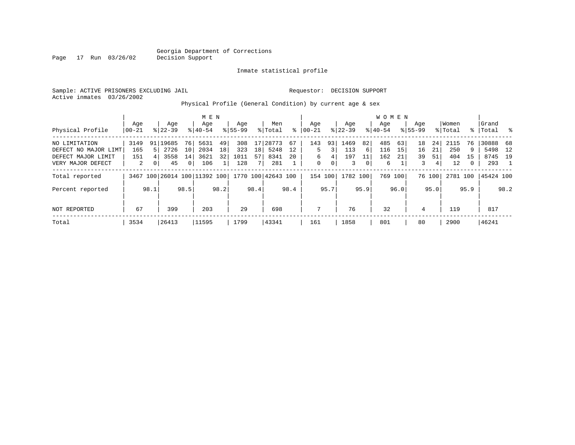Inmate statistical profile

Sample: ACTIVE PRISONERS EXCLUDING JAIL Requestor: DECISION SUPPORT Active inmates 03/26/2002

Page 17 Run 03/26/02

Physical Profile (General Condition) by current age & sex

|                      |       |                |           |                | M E N                        |      |             |                 |                    |      |           |      |           |      | W O M E N |         |             |        |          |              |           |              |
|----------------------|-------|----------------|-----------|----------------|------------------------------|------|-------------|-----------------|--------------------|------|-----------|------|-----------|------|-----------|---------|-------------|--------|----------|--------------|-----------|--------------|
|                      | Age   |                | Age       |                | Age                          |      | Age         |                 | Men                |      | Aqe       |      | Age       |      | Aqe       |         | Aqe         |        | Women    |              | Grand     |              |
| Physical Profile     | 00-21 |                | $8 22-39$ |                | $8 40-54$                    |      | $8155 - 99$ |                 | % Total            | ွေ   | $00 - 21$ |      | $ 22-39 $ |      | $8 40-54$ |         | $8155 - 99$ |        | % Total  | ွေ           | Total     | $\mathbb{R}$ |
| NO LIMITATION        | 3149  |                | 91 19685  | 76             | 5631                         | 49   | 308         | 17              | 28773              | 67   | 143       | 93   | 1469      | 82   | 485       | 63      | 18          | 24     | 2115     | 76           | 30888 68  |              |
| DEFECT NO MAJOR LIMT | 165   | 51             | 2726      | 10             | 2034                         | 18   | 323         | 18 <sup>1</sup> | 5248               | 12   | 5.        | 3    | 113       | 6    | 116       | 15      | 16          | 21     | 250      | 9            | 5498      | 12           |
| DEFECT MAJOR LIMIT   | 151   |                | 3558      | 14             | 3621                         | 32   | 1011        | 57              | 8341               | 20   | 6         | 4    | 197       | 11   | 162       | 21      | 39          | 51     | 404      | 15           | 8745 19   |              |
| VERY MAJOR DEFECT    | 2     | 0 <sup>1</sup> | 45        | $\overline{0}$ | 106                          |      | 128         |                 | 281                |      | 0         | 0    | 3         | 0    | 6         |         | 3           | 4      | 12       | $\mathbf{0}$ | 293       |              |
| Total reported       |       |                |           |                | 3467 100 26014 100 11392 100 |      |             |                 | 1770 100 42643 100 |      | 154 100   |      | 1782 100  |      |           | 769 100 |             | 76 100 | 2781 100 |              | 45424 100 |              |
| Percent reported     |       | 98.1           |           | 98.5           |                              | 98.2 |             | 98.4            |                    | 98.4 |           | 95.7 |           | 95.9 |           | 96.0    |             | 95.0   |          | 95.9         |           | 98.2         |
| NOT REPORTED         | 67    |                | 399       |                | 203                          |      | 29          |                 | 698                |      | 7         |      | 76        |      | 32        |         | 4           |        | 119      |              | 817       |              |
| Total                | 3534  |                | 26413     |                | 11595                        |      | 1799        |                 | 43341              |      | 161       |      | 1858      |      | 801       |         | 80          |        | 2900     |              | 46241     |              |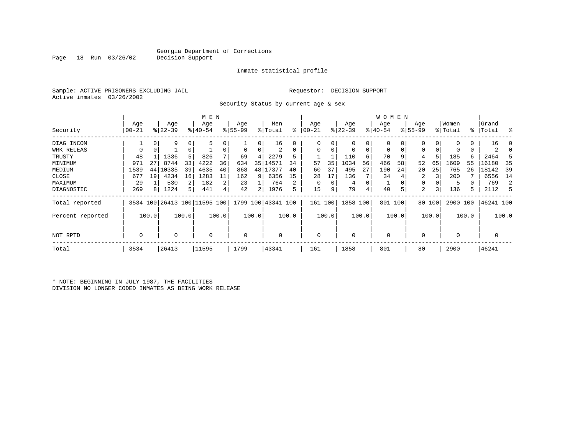Inmate statistical profile

Sample: ACTIVE PRISONERS EXCLUDING JAIL Requestor: DECISION SUPPORT Active inmates 03/26/2002

Security Status by current age & sex

|                  |                  |       |                  |                | M E N                        |       |                    |       |                    |       |                  |               |                  |       | W O M E N       |          |                    |        |                  |       |                    |       |
|------------------|------------------|-------|------------------|----------------|------------------------------|-------|--------------------|-------|--------------------|-------|------------------|---------------|------------------|-------|-----------------|----------|--------------------|--------|------------------|-------|--------------------|-------|
| Security         | Age<br>$00 - 21$ |       | Age<br>$ 22-39 $ |                | Age<br>$8140 - 54$           |       | Age<br>$8155 - 99$ |       | Men<br>% Total     | ႜ     | Age<br>$00 - 21$ | $\frac{1}{6}$ | Age<br>$22 - 39$ |       | Age<br>$ 40-54$ |          | Age<br>$8155 - 99$ |        | Women<br>% Total |       | Grand<br>%   Total | ွေ    |
| DIAG INCOM       |                  | 0     | 9                | 0              | 5                            |       |                    | 0     | 16                 | 0     | $\Omega$         | 0             | 0                |       | $\mathbf 0$     |          | 0                  |        |                  | 0     | 16                 | C     |
| WRK RELEAS       | $\Omega$         | 0     |                  | 0              |                              |       | 0                  | 0     | 2                  | 0     | $\Omega$         | 0             | 0                | 0     | 0               | 0        | 0                  |        | 0                | 0     | 2                  |       |
| TRUSTY           | 48               |       | 1336             | 5 <sup>1</sup> | 826                          |       | 69                 | 4     | 2279               | 5     |                  |               | 110              | 6     | 70              | 9        | 4                  |        | 185              | 6     | 2464               |       |
| MINIMUM          | 971              | 27    | 8744             | 33             | 4222                         | 36    | 634                | 35    | 14571              | 34    | 57               | 35            | 1034             | 56    | 466             | 58       | 52                 | 65     | 1609             | 55    | 16180              | 35    |
| MEDIUM           | 1539             | 44    | 10335            | 39             | 4635                         | 40    | 868                | 48    | 17377              | 40    | 60               | 37            | 495              | 27    | 190             | 24       | 20                 | 25     | 765              | 26    | 18142              | 39    |
| CLOSE            | 677              | 19    | 4234             | 16             | 1283                         | 11    | 162                | 9     | 6356               | 15    | 28               | 17            | 136              |       | 34              |          | 2                  |        | 200              |       | 6556               | 14    |
| MAXIMUM          | 29               |       | 530              | $\overline{2}$ | 182                          | 2     | 23                 |       | 764                | 2     |                  |               | 4                | 0     |                 | $\Omega$ | 0                  |        | 5                |       | 769                | 2     |
| DIAGNOSTIC       | 269              | 8     | 1224             | 5              | 441                          | 4     | 42                 | 2     | 1976               | 5     | 15               | 9             | 79               | 4     | 40              | 5        | 2                  | 3      | 136              | 5     | 2112               | 5     |
| Total reported   |                  |       |                  |                | 3534 100 26413 100 11595 100 |       |                    |       | 1799 100 43341 100 |       | 161 100          |               | 1858 100         |       | 801 100         |          |                    | 80 100 | 2900 100         |       | 46241 100          |       |
| Percent reported |                  | 100.0 |                  | 100.0          |                              | 100.0 |                    | 100.0 |                    | 100.0 |                  | 100.0         |                  | 100.0 |                 | 100.0    |                    | 100.0  |                  | 100.0 |                    | 100.0 |
| NOT RPTD         | $\Omega$         |       |                  |                | $\Omega$                     |       | 0                  |       | $\Omega$           |       | $\Omega$         |               | 0                |       | 0               |          | $\Omega$           |        | $\Omega$         |       | 0                  |       |
| Total            | 3534             |       | 26413            |                | 11595                        |       | 1799               |       | 43341              |       | 161              |               | 1858             |       | 801             |          | 80                 |        | 2900             |       | 46241              |       |

\* NOTE: BEGINNING IN JULY 1987, THE FACILITIES DIVISION NO LONGER CODED INMATES AS BEING WORK RELEASE

Page 18 Run 03/26/02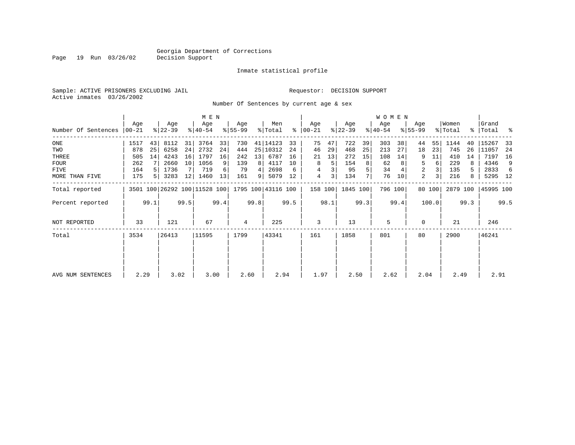Inmate statistical profile

Sample: ACTIVE PRISONERS EXCLUDING JAIL Requestor: DECISION SUPPORT Active inmates 03/26/2002

Page 19 Run 03/26/02

Number Of Sentences by current age & sex

|                     |              |      |                  |      | M E N                        |      |                  |                 |                    |      |                      |         |                  |      | W O M E N        |         |                    |                |                  |      |                 |      |
|---------------------|--------------|------|------------------|------|------------------------------|------|------------------|-----------------|--------------------|------|----------------------|---------|------------------|------|------------------|---------|--------------------|----------------|------------------|------|-----------------|------|
| Number Of Sentences | Age<br>00-21 |      | Age<br>$ 22-39 $ |      | Age<br>$ 40-54 $             |      | Age<br>$8 55-99$ |                 | Men<br>% Total     |      | Age<br>$8   00 - 21$ |         | Age<br>$ 22-39 $ |      | Age<br>$8 40-54$ |         | Age<br>$8155 - 99$ |                | Women<br>% Total | ႜၟ   | Grand<br> Total | ႜ    |
| $_{\rm ONE}$        | 1517         | 43   | 8112             | 31   | 3764                         | 33   | 730              |                 | 41   14123         | 33   | 75                   | 47      | 722              | 39   | 303              | 38      | 44                 | 55             | 1144             | 40   | 15267           | -33  |
| TWO                 | 878          | 25   | 6258             | 24   | 2732                         | 24   | 444              |                 | 25 10312           | 24   | 46                   | 29      | 468              | 25   | 213              | 27      | 18                 | 23             | 745              | 26   | 11057           | 24   |
| THREE               | 505          | 14   | 4243             | 16   | 1797                         | 16   | 242              | 13 <sup>1</sup> | 6787               | 16   | 21                   | 13      | 272              | 15   | 108              | 14      | 9                  | 11             | 410              | 14   | 7197            | 16   |
| <b>FOUR</b>         | 262          |      | 2660             | 10   | 1056                         | 9    | 139              | 8               | 4117               | 10   | 8                    | 5       | 154              | 8    | 62               |         | 5                  | 6              | 229              | 8    | 4346            | 9    |
| <b>FIVE</b>         | 164          |      | 1736             |      | 719                          | 6    | 79               | 4               | 2698               | 6    |                      |         | 95               |      | 34               |         | 2                  | 3              | 135              |      | 2833            | 6    |
| MORE THAN FIVE      | 175          | .5 I | 3283             | 12   | 1460                         | 13   | 161              | 91              | 5079               | 12   | 4                    | 3       | 134              |      | 76               | 10      | 2                  | 3 <sub>1</sub> | 216              | 8    | 5295 12         |      |
| Total reported      |              |      |                  |      | 3501 100 26292 100 11528 100 |      |                  |                 | 1795 100 43116 100 |      |                      | 158 100 | 1845 100         |      |                  | 796 100 |                    | 80 100         | 2879 100         |      | 45995 100       |      |
| Percent reported    |              | 99.1 |                  | 99.5 |                              | 99.4 |                  | 99.8            |                    | 99.5 |                      | 98.1    |                  | 99.3 |                  | 99.4    |                    | 100.0          |                  | 99.3 |                 | 99.5 |
| NOT REPORTED        | 33           |      | 121              |      | 67                           |      | 4                |                 | 225                |      | 3                    |         | 13               |      | 5                |         | $\Omega$           |                | 21               |      | 246             |      |
| Total               | 3534         |      | 26413            |      | 11595                        |      | 1799             |                 | 43341              |      | 161                  |         | 1858             |      | 801              |         | 80                 |                | 2900             |      | 46241           |      |
|                     |              |      |                  |      |                              |      |                  |                 |                    |      |                      |         |                  |      |                  |         |                    |                |                  |      |                 |      |
| AVG NUM SENTENCES   | 2.29         |      | 3.02             |      | 3.00                         |      | 2.60             |                 | 2.94               |      | 1.97                 |         | 2.50             |      | 2.62             |         | 2.04               |                | 2.49             |      | 2.91            |      |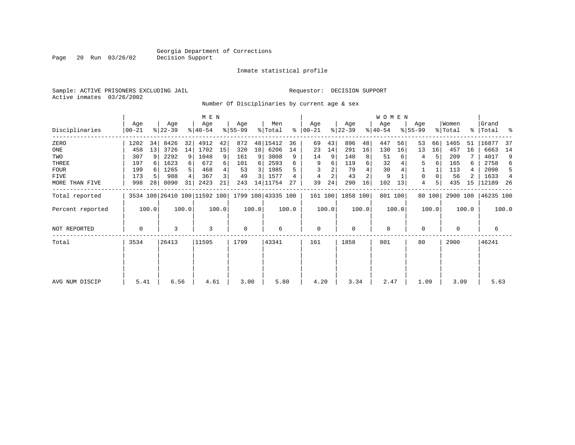Inmate statistical profile

Sample: ACTIVE PRISONERS EXCLUDING JAIL Requestor: DECISION SUPPORT Active inmates 03/26/2002

Page 20 Run 03/26/02

Number Of Disciplinaries by current age & sex

|                     |                  |       |                  |       | M E N                        |       |                  |       |                    |       |                  |       |                  |                | <b>WOMEN</b>    |       |                 |        |                  |       |                 |       |
|---------------------|------------------|-------|------------------|-------|------------------------------|-------|------------------|-------|--------------------|-------|------------------|-------|------------------|----------------|-----------------|-------|-----------------|--------|------------------|-------|-----------------|-------|
| Disciplinaries      | Age<br>$00 - 21$ |       | Age<br>$ 22-39 $ |       | Age<br>$ 40-54 $             |       | Age<br>$8 55-99$ |       | Men<br>% Total     | ి     | Age<br>$ 00-21 $ |       | Age<br>$ 22-39 $ |                | Age<br>$ 40-54$ |       | Age<br>$ 55-99$ |        | Women<br>% Total | ႜၟ    | Grand<br> Total | ႜ     |
| ZERO                | 1202             | 34    | 8426             | 32    | 4912                         | 42    | 872              |       | 48   15412         | 36    | 69               | 43    | 896              | 48             | 447             | 56    | 53              | 66     | 1465             | 51    | 16877           | 37    |
| ONE                 | 458              | 13    | 3726             | 14    | 1702                         | 15    | 320              | 18    | 6206               | 14    | 23               | 14    | 291              | 16             | 130             | 16    | 13              | 16     | 457              | 16    | 6663            | 14    |
| TWO                 | 307              |       | 2292             | 9     | 1048                         | 9     | 161              | 9     | 3808               | 9     | 14               | 9     | 140              | 8              | 51              |       |                 | 5      | 209              |       | 4017            | 9     |
| THREE               | 197              |       | 1623             |       | 672                          | 6     | 101              | 6     | 2593               |       | 9                | 6     | 119              | 6              | 32              |       | 5               | 6      | 165              | 6     | 2758            | 6     |
| <b>FOUR</b>         | 199              |       | 1265             |       | 468                          |       | 53               | 3     | 1985               |       |                  |       | 79               |                | 30              |       |                 |        | 113              |       | 2098            | .5    |
| FIVE                | 173              |       | 988              |       | 367                          | 3     | 49               | 3     | 1577               |       |                  | 2     | 43               | $\overline{2}$ | 9               |       | $\Omega$        |        | 56               |       | 1633            |       |
| MORE THAN FIVE      | 998              | 28    | 8090             | 31    | 2423                         | 21    | 243              |       | 14 11754           | 27    | 39               | 24    | 290              | 16             | 102             | 13    | 4               | 5      | 435              | 15    | 12189           | 26    |
| Total reported      |                  |       |                  |       | 3534 100 26410 100 11592 100 |       |                  |       | 1799 100 43335 100 |       | 161 100          |       | 1858 100         |                | 801 100         |       |                 | 80 100 | 2900 100         |       | 46235 100       |       |
| Percent reported    |                  | 100.0 |                  | 100.0 |                              | 100.0 |                  | 100.0 |                    | 100.0 |                  | 100.0 |                  | 100.0          |                 | 100.0 |                 | 100.0  |                  | 100.0 |                 | 100.0 |
| <b>NOT REPORTED</b> | 0                |       | 3                |       | 3                            |       | $\mathbf 0$      |       | 6                  |       | $\mathbf 0$      |       | 0                |                | 0               |       | $\mathbf 0$     |        | $\mathbf 0$      |       | 6               |       |
| Total               | 3534             |       | 26413            |       | 11595                        |       | 1799             |       | 43341              |       | 161              |       | 1858             |                | 801             |       | 80              |        | 2900             |       | 46241           |       |
|                     |                  |       |                  |       |                              |       |                  |       |                    |       |                  |       |                  |                |                 |       |                 |        |                  |       |                 |       |
| AVG NUM DISCIP      | 5.41             |       | 6.56             |       | 4.61                         |       | 3.00             |       | 5.80               |       | 4.20             |       | 3.34             |                | 2.47            |       | 1.09            |        | 3.09             |       | 5.63            |       |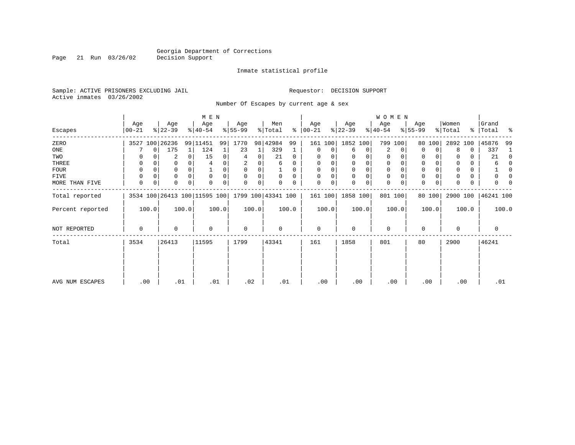Page 21 Run 03/26/02

#### Inmate statistical profile

Sample: ACTIVE PRISONERS EXCLUDING JAIL Requestor: DECISION SUPPORT Active inmates 03/26/2002

Number Of Escapes by current age & sex

|                  |                |       |                  |          | M E N                        |       |                  |       |                    |          |                   |       |                  |       | <b>WOMEN</b>     |          |                  |                |                  |       |                |          |
|------------------|----------------|-------|------------------|----------|------------------------------|-------|------------------|-------|--------------------|----------|-------------------|-------|------------------|-------|------------------|----------|------------------|----------------|------------------|-------|----------------|----------|
| Escapes          | Age<br>  00-21 |       | Age<br>$ 22-39 $ |          | Age<br>$8 40-54$             |       | Age<br>$ 55-99 $ |       | Men<br>% Total     | ွေ       | Age<br>$ 00 - 21$ |       | Age<br>$ 22-39 $ |       | Age<br>$ 40-54 $ |          | Age<br>$8 55-99$ |                | Women<br>% Total | ွေ    | Grand<br>Total | ႜ        |
| ZERO             |                |       | 3527 100 26236   |          | 99 11451                     | 99    | 1770             |       | 98 42984           | 99       | 161               | 100   | 1852 100         |       | 799 100          |          | 80               | 100            | 2892 100         |       | 45876          | 99       |
| ONE              |                | 0     | 175              |          | 124                          |       | 23               |       | 329                |          | 0                 | 0     | 6                | 0     | 2                | $\Omega$ | $\Omega$         | $\Omega$       | 8                | 0     | 337            |          |
| TWO              | 0              |       | 2                | $\Omega$ | 15                           | 0     | 4                | 0     | 21                 | $\Omega$ | $\Omega$          |       |                  | 0     | 0                |          | 0                |                |                  | 0     | 21             | $\Omega$ |
| THREE            | 0              |       | 0                |          |                              |       | 2                | 0     | 6                  | 0        | 0                 |       | 0                | 0     | 0                |          | 0                |                | 0                | 0     | 6              |          |
| <b>FOUR</b>      | 0              |       | 0                | $\Omega$ |                              |       | $\Omega$         | 0     |                    | 0        | $\Omega$          |       | $\Omega$         | 0     | $\Omega$         |          | $\Omega$         |                | $\Omega$         | 0     |                |          |
| FIVE             | 0              |       | 0                | $\Omega$ | $\Omega$                     |       | $\Omega$         | 0     | $\Omega$           | $\Omega$ | $\Omega$          | 0     | $\Omega$         | 0     | $\mathbf 0$      |          | $\Omega$         |                |                  | 0     |                |          |
| MORE THAN FIVE   | 0              | 0     | $\Omega$         | $\Omega$ | $\Omega$                     | 0     | $\Omega$         | 0     |                    | 0        | $\Omega$          | 0     | $\Omega$         | 0     | $\mathbf 0$      |          | $\Omega$         | $\overline{0}$ | $\Omega$         | 0     |                |          |
| Total reported   |                |       |                  |          | 3534 100 26413 100 11595 100 |       |                  |       | 1799 100 43341 100 |          | 161 100           |       | 1858 100         |       | 801 100          |          |                  | 80 100         | 2900 100         |       | 46241 100      |          |
| Percent reported |                | 100.0 |                  | 100.0    |                              | 100.0 |                  | 100.0 |                    | 100.0    |                   | 100.0 |                  | 100.0 |                  | 100.0    |                  | 100.0          |                  | 100.0 |                | 100.0    |
| NOT REPORTED     | 0              |       | 0                |          | $\Omega$                     |       | $\mathbf 0$      |       | $\Omega$           |          | $\mathbf 0$       |       | $\Omega$         |       | $\mathbf 0$      |          | $\Omega$         |                | $\mathbf 0$      |       | 0              |          |
| Total            | 3534           |       | 26413            |          | 11595                        |       | 1799             |       | 43341              |          | 161               |       | 1858             |       | 801              |          | 80               |                | 2900             |       | 46241          |          |
|                  |                |       |                  |          |                              |       |                  |       |                    |          |                   |       |                  |       |                  |          |                  |                |                  |       |                |          |
| AVG NUM ESCAPES  | .00            |       | .01              |          | .01                          |       | .02              |       | .01                |          | .00               |       | .00              |       | .00              |          | .00              |                | .00              |       | .01            |          |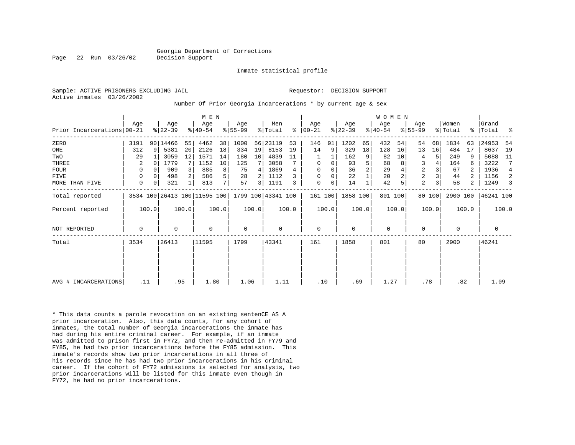Inmate statistical profile

Sample: ACTIVE PRISONERS EXCLUDING JAIL **Requestor: DECISION SUPPORT** Active inmates 03/26/2002

#### Number Of Prior Georgia Incarcerations \* by current age & sex

|                            | Age         |          | Age       |       | M E N<br>Age                 |                | Age         |       | Men                |       | Age           |       | Age       |                | <b>WOMEN</b><br>Age |       | Age            |        | Women    |       | Grand       |                |
|----------------------------|-------------|----------|-----------|-------|------------------------------|----------------|-------------|-------|--------------------|-------|---------------|-------|-----------|----------------|---------------------|-------|----------------|--------|----------|-------|-------------|----------------|
| Prior Incarcerations 00-21 |             |          | $ 22-39 $ |       | $8 40-54$                    |                | $8 55-99$   |       | % Total            |       | $8   00 - 21$ |       | $ 22-39 $ |                | $ 40-54 $           |       | $8155 - 99$    |        | % Total  |       | %   Total   | ್ಠಿ            |
| ZERO                       | 3191        |          | 90 14466  | 55    | 4462                         | 38             | 1000        |       | 56 23119           | 53    | 146           | 91    | 1202      | 65             | 432                 | 54    | 54             | 68     | 1834     | 63    | 24953       | -54            |
| ONE                        | 312         | 9        | 5381      | 20    | 2126                         | 18             | 334         | 19    | 8153               | 19    | 14            | 9     | 329       | 18             | 128                 | 16    | 13             | 16     | 484      | 17    | 8637        | 19             |
| TWO                        | 29          |          | 3059      | 12    | 1571                         | 14             | 180         | 10    | 4839               | 11    |               |       | 162       | 9              | 82                  | 10    | 4              | 5.     | 249      | 9     | 5088        | - 11           |
| THREE                      | 2           | 0        | 1779      |       | 1152                         | 10             | 125         |       | 3058               |       | $\mathbf 0$   | 0     | 93        | 5              | 68                  |       | 3              |        | 164      | 6     | 3222        | 7              |
| FOUR                       | 0           | $\Omega$ | 909       |       | 885                          | 8              | 75          | 4     | 1869               |       | $\Omega$      |       | 36        | $\overline{2}$ | 29                  |       | $\overline{2}$ |        | 67       |       | 1936        | $\overline{4}$ |
| FIVE                       | $\Omega$    |          | 498       |       | 586                          | 5              | 28          |       | 1112               |       | $\Omega$      | 0     | 22        |                | 20                  |       | $\overline{a}$ |        | 44       |       | 1156        | 2              |
| MORE THAN FIVE             | 0           | 0        | 321       |       | 813                          | 7 <sup>1</sup> | 57          | 3     | 1191               | 3     | $\mathbf 0$   | 0     | 14        |                | 42                  |       | 2              |        | 58       | 2     | 1249        | 3              |
| Total reported             |             |          |           |       | 3534 100 26413 100 11595 100 |                |             |       | 1799 100 43341 100 |       | 161 100       |       | 1858 100  |                | 801 100             |       |                | 80 100 | 2900 100 |       | 46241 100   |                |
| Percent reported           |             | 100.0    |           | 100.0 |                              | 100.0          |             | 100.0 |                    | 100.0 |               | 100.0 |           | 100.0          |                     | 100.0 |                | 100.0  |          | 100.0 |             | 100.0          |
| <b>NOT REPORTED</b>        | $\mathbf 0$ |          | $\Omega$  |       | $\Omega$                     |                | $\mathbf 0$ |       | 0                  |       | $\mathbf 0$   |       | $\Omega$  |                | 0                   |       | $\Omega$       |        | $\Omega$ |       | $\mathbf 0$ |                |
| Total                      | 3534        |          | 26413     |       | 11595                        |                | 1799        |       | 43341              |       | 161           |       | 1858      |                | 801                 |       | 80             |        | 2900     |       | 46241       |                |
|                            |             |          |           |       |                              |                |             |       |                    |       |               |       |           |                |                     |       |                |        |          |       |             |                |
|                            |             |          |           |       |                              |                |             |       |                    |       |               |       |           |                |                     |       |                |        |          |       |             |                |
| AVG # INCARCERATIONS       | .11         |          |           | .95   | 1.80                         |                | 1.06        |       | 1.11               |       | .10           |       | .69       |                | 1.27                |       | .78            |        | .82      |       | 1.09        |                |

\* This data counts a parole revocation on an existing sentenCE AS A prior incarceration. Also, this data counts, for any cohort of inmates, the total number of Georgia incarcerations the inmate has had during his entire criminal career. For example, if an inmate was admitted to prison first in FY72, and then re-admitted in FY79 and FY85, he had two prior incarcerations before the FY85 admission. This inmate's records show two prior incarcerations in all three of his records since he has had two prior incarcerations in his criminal career. If the cohort of FY72 admissions is selected for analysis, two prior incarcerations will be listed for this inmate even though in FY72, he had no prior incarcerations.

Page 22 Run 03/26/02 Decision Support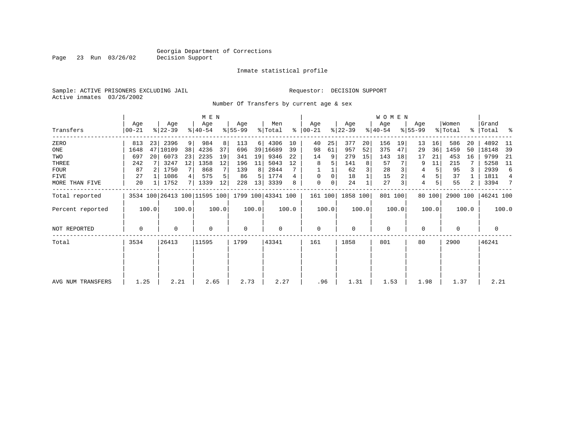Inmate statistical profile

Sample: ACTIVE PRISONERS EXCLUDING JAIL Requestor: DECISION SUPPORT Active inmates 03/26/2002

Page 23 Run 03/26/02

Number Of Transfers by current age & sex

|                   |                |       |                              |                   | M E N            |       |                  |       |                    |       |                      |       |                  |       | WOMEN            |       |                    |        |                  |       |                      |       |
|-------------------|----------------|-------|------------------------------|-------------------|------------------|-------|------------------|-------|--------------------|-------|----------------------|-------|------------------|-------|------------------|-------|--------------------|--------|------------------|-------|----------------------|-------|
| Transfers         | Age<br>  00-21 |       | Age<br>$ 22-39 $             |                   | Age<br>$8 40-54$ |       | Aqe<br>$ 55-99 $ |       | Men<br>% Total     |       | Aqe<br>$8   00 - 21$ |       | Age<br>$ 22-39 $ |       | Age<br>$ 40-54 $ |       | Age<br>$8155 - 99$ |        | Women<br>% Total |       | Grand<br>%   Total % |       |
| ZERO              | 813            | 231   | 2396                         | 9 <sup>1</sup>    | 984              | 8     | 113              | 6     | 4306               | 10    | 40                   | 25    | 377              | 20    | 156              | 19    | 13                 | 16     | 586              | 20    | 4892                 | -11   |
| ONE               | 1648           | 47    | 10109                        | 38                | 4236             | 37    | 696              |       | 39 16689           | 39    | 98                   | 61    | 957              | 52    | 375              | 47    | 29                 | 36     | 1459             | 50    | 18148                | 39    |
| TWO               | 697            | 20    | 6073                         | 23                | 2235             | 19    | 341              | 19    | 9346               | 22    | 14                   | 9     | 279              | 15    | 143              | 18    | 17                 | 21     | 453              | 16    | 9799                 | 21    |
| THREE             | 242            |       | 3247                         | $12 \overline{ }$ | 1358             | 12    | 196              | 11    | 5043               | 12    | 8                    |       | 141              | 8     | 57               |       |                    | 11     | 215              |       | 5258                 | 11    |
| <b>FOUR</b>       | 87             |       | 1750                         | 7 <sup>1</sup>    | 868              |       | 139              | 8     | 2844               |       |                      |       | 62               |       | 28               |       | 4                  | 5      | 95               |       | 2939                 | 6     |
| FIVE              | 27             |       | 1086                         |                   | 575              |       | 86               | 5     | 1774               | 4     | $\mathbf 0$          | 0     | 18               |       | 15               |       | 4                  |        | 37               |       | 1811                 | 4     |
| MORE THAN FIVE    | 20             |       | 1752                         | 71                | 1339             | 12    | 228              | 13    | 3339               | 8     | $\mathbf 0$          | 0     | 24               |       | 27               |       | 4                  | 5      | 55               | 2     | 3394                 | 7     |
| Total reported    |                |       | 3534 100 26413 100 11595 100 |                   |                  |       |                  |       | 1799 100 43341 100 |       | 161 100              |       | 1858 100         |       | 801 100          |       |                    | 80 100 | 2900 100         |       | 46241 100            |       |
| Percent reported  |                | 100.0 |                              | 100.0             |                  | 100.0 |                  | 100.0 |                    | 100.0 |                      | 100.0 |                  | 100.0 |                  | 100.0 |                    | 100.0  |                  | 100.0 |                      | 100.0 |
| NOT REPORTED      | 0              |       | $\Omega$                     |                   | $\Omega$         |       | 0                |       | $\Omega$           |       | $\mathbf 0$          |       | $\Omega$         |       | $\mathbf 0$      |       | $\Omega$           |        | $\Omega$         |       | 0                    |       |
| Total             | 3534           |       | 26413                        |                   | 11595            |       | 1799             |       | 43341              |       | 161                  |       | 1858             |       | 801              |       | 80                 |        | 2900             |       | 46241                |       |
|                   |                |       |                              |                   |                  |       |                  |       |                    |       |                      |       |                  |       |                  |       |                    |        |                  |       |                      |       |
|                   |                |       |                              |                   |                  |       |                  |       |                    |       |                      |       |                  |       |                  |       |                    |        |                  |       |                      |       |
| AVG NUM TRANSFERS | 1.25           |       | 2.21                         |                   | 2.65             |       | 2.73             |       | 2.27               |       | .96                  |       | 1.31             |       | 1.53             |       | 1.98               |        | 1.37             |       | 2.21                 |       |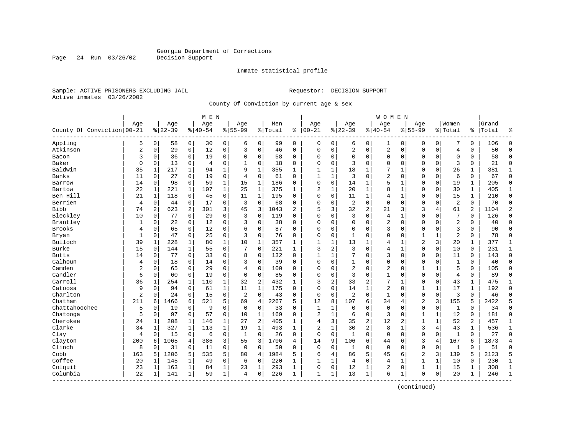Page 24 Run 03/26/02

#### Inmate statistical profile

Sample: ACTIVE PRISONERS EXCLUDING JAIL **Requestor: DECISION SUPPORT** Active inmates 03/26/2002

County Of Conviction by current age & sex

| Age<br>Age<br>Age<br>Men<br>Age<br>Women<br>Grand<br>Age<br>Age<br>Age<br>Aqe<br>$ 22-39$<br>County Of Conviction 00-21<br>$8 22-39$<br>$ 40-54$<br>$ 00-21$<br>$8140 - 54$<br>$8 55-99$<br>$8155 - 99$<br>% Total<br>ి<br>% Total<br>Total<br>ి<br>Appling<br>5<br>$\mathbf 0$<br>0<br>0<br>$\mathbf 0$<br>99<br>0<br>$\mathbf 0$<br>$\mathbf 0$<br>58<br>30<br>6<br>0<br>0<br>0<br>0<br>106<br>6<br>1<br>0<br>$\overline{2}$<br>Atkinson<br>$\mathbf 0$<br>12<br>$\mathbf 0$<br>3<br>$\sqrt{2}$<br>2<br>50<br>$\mathbf 0$<br>29<br>$\mathbf 0$<br>46<br>$\Omega$<br>$\Omega$<br>$\mathbf 0$<br>0<br>$\mathbf 0$<br>$\Omega$<br>0<br>$\overline{4}$<br>0<br>3<br>19<br>$\mathbf 0$<br>58<br>0<br>0<br>$\Omega$<br>58<br>Bacon<br>0<br>36<br>0<br>$\Omega$<br>0<br>0<br>$\Omega$<br>0<br>$\Omega$<br>0<br>$\mathbf 0$<br>$\Omega$<br>0<br>Baker<br>$\mathbf 0$<br>$\mathbf 0$<br>$\mathsf 0$<br>$\mathbf 0$<br>18<br>3<br>21<br>13<br>0<br>4<br>0<br>$\Omega$<br>0<br>3<br>$\Omega$<br>0<br>$\Omega$<br>$\Omega$<br>0<br>0<br>1<br>Baldwin<br>35<br>$\mathbf{1}$<br>$\mathbf{1}$<br>7<br>$\mathbf{1}$<br>1<br>217<br>1<br>94<br>9<br>355<br>1<br>1<br>1<br>18<br>1<br>$\Omega$<br>$\Omega$<br>26<br>381<br>1<br>Banks<br>11<br>19<br>$\mathbf 0$<br>3<br>2<br>6<br>0<br>27<br>0<br>4<br>0<br>61<br>0<br>$\mathbf{1}$<br>1<br>0<br>$\mathbf 0$<br>$\Omega$<br>0<br>0<br>67<br>$\mathbf{1}$<br>15<br>$\mathbf 0$<br>5<br>0<br>14<br>$\mathbf 0$<br>98<br>$\mathbf 0$<br>59<br>$\mathbf{1}$<br>186<br>0<br>$\Omega$<br>14<br>1<br>$\mathbf{1}$<br>$\Omega$<br>19<br>$\mathbf{1}$<br>205<br>Barrow<br>22<br>$\mathbf{1}$<br>$\mathbf{1}$<br>8<br>$\mathbf{1}$<br>$\mathbf{1}$<br>221<br>$\mathbf{1}$<br>107<br>25<br>375<br>$\mathbf{1}$<br>$\overline{2}$<br>1<br>20<br>1<br>$\mathbf{1}$<br>$\Omega$<br>0<br>30<br>405<br>Bartow<br>Ben Hill<br>21<br>$\mathbf{1}$<br>$\mathbf 0$<br>45<br>$\mathbf 0$<br>11<br>$\mathbf{1}$<br>195<br>$\Omega$<br>$\Omega$<br>0<br>11<br>1<br>$\overline{4}$<br>$\mathbf{1}$<br>$\Omega$<br>$\Omega$<br>15<br>$\mathbf{1}$<br>210<br>118<br>17<br>$\mathsf 0$<br>$\overline{2}$<br>Berrien<br>$\overline{4}$<br>$\mathbf 0$<br>3<br>$\mathbf 0$<br>0<br>$\overline{2}$<br>0<br>$\mathbf 0$<br>$\mathbf 0$<br>$\Omega$<br>0<br>70<br>0<br>44<br>68<br>0<br>$\Omega$<br>0<br><b>Bibb</b><br>2<br>301<br>3<br>3<br>2<br>5<br>3<br>2<br>21<br>3<br>61<br>2<br>74<br>2<br>623<br>45<br>1043<br>32<br>3<br>4<br>1104<br>Bleckley<br>10<br>$\mathbf 0$<br>3<br>0<br>7<br>126<br>0<br>77<br>0<br>29<br>0<br>119<br>0<br>$\Omega$<br>0<br>3<br>4<br>1<br>$\Omega$<br>$\Omega$<br>0<br>Brantley<br>12<br>$\mathbf 0$<br>3<br>0<br>2<br>2<br>1<br>0<br>22<br>0<br>0<br>38<br>0<br>0<br>$\mathbf 0$<br>0<br>0<br>0<br>40<br>0<br>$\Omega$<br><b>Brooks</b><br>12<br>3<br>3<br>$\Omega$<br>65<br>$\Omega$<br>$\mathbf 0$<br>6<br>$\mathbf 0$<br>87<br>$\Omega$<br>$\Omega$<br>0<br>$\Omega$<br>$\Omega$<br>$\Omega$<br>$\Omega$<br>90<br>4<br>$\Omega$<br>$\Omega$<br>$\overline{a}$<br>$\mathbf{1}$<br>$\Omega$<br>47<br>$\mathbf 0$<br>25<br>$\mathbf 0$<br>3<br>$\mathbf 0$<br>76<br>$\Omega$<br>0<br>$\Omega$<br>$\mathbf{1}$<br>78<br>Bryan<br>$\Omega$<br>1<br>$\Omega$<br>$\mathbf 0$<br>1<br>0<br>$\overline{2}$<br>Bulloch<br>39<br>$\mathbf 1$<br>10<br>357<br>13<br>3<br>20<br>377<br>1<br>228<br>80<br>1<br>1<br>$\mathbf{1}$<br>1<br>1<br>1<br>$\mathbf 1$<br>1<br>4<br><b>Burke</b><br>15<br>$\mathbf 0$<br>7<br>3<br>2<br>3<br>$\Omega$<br>$\mathbf{1}$<br>$\Omega$<br>$\Omega$<br>10<br>0<br>231<br>$\Omega$<br>144<br>1<br>55<br>$\mathbf 0$<br>221<br>$\mathbf{1}$<br>4<br>3<br>33<br>$\mathbf 0$<br>8<br>132<br><b>Butts</b><br>14<br>0<br>77<br>0<br>0<br>0<br>$\mathbf{1}$<br>1<br>7<br>$\Omega$<br>$\mathbf 0$<br>$\Omega$<br>0<br>11<br>0<br>143<br>Calhoun<br>$\mathbf 0$<br>3<br>$\mathbf 0$<br>0<br>0<br>0<br>$\mathbf{1}$<br>4<br>0<br>18<br>0<br>14<br>39<br>$\Omega$<br>1<br>0<br>$\mathbf 0$<br>0<br>0<br>0<br>40<br>Camden<br>$\overline{c}$<br>29<br>$\mathbf 0$<br>$\overline{2}$<br>2<br>5<br>$\Omega$<br>65<br>$\Omega$<br>4<br>$\mathbf 0$<br>100<br>0<br>$\Omega$<br>0<br>$\Omega$<br>$\Omega$<br>$\mathbf{1}$<br>$\mathbf{1}$<br>$\Omega$<br>105<br>Candler<br>$\mathbf 0$<br>3<br>6<br>$\mathbf 0$<br>19<br>$\mathbf 0$<br>$\mathbf 0$<br>85<br>$\Omega$<br>0<br>$\Omega$<br>$\mathbf{1}$<br>$\Omega$<br>$\Omega$<br>$\overline{4}$<br>0<br>89<br>0<br>60<br>$\Omega$<br>$\mathbf 0$<br>Carroll<br>7<br>36<br>110<br>$\mathbf{1}$<br>32<br>$\overline{c}$<br>3<br>2<br>33<br>2<br>$\Omega$<br>0<br>43<br>475<br>$\mathbf{1}$<br>254<br>1<br>432<br>$\mathbf{1}$<br>1<br>1<br>Catoosa<br>$\mathbf 1$<br>$\mathbf{1}$<br>1<br>2<br>$\mathbf{1}$<br>17<br>$\mathbf{1}$<br>192<br>9<br>$\Omega$<br>94<br>$\mathbf 0$<br>61<br>11<br>175<br>$\Omega$<br>$\Omega$<br>0<br>14<br>$\Omega$<br>1<br>Charlton<br>$\overline{2}$<br>15<br>0<br>$\overline{c}$<br>$\mathbf 0$<br>0<br>$\overline{2}$<br>$\Omega$<br>$\mathbf 1$<br>$\mathbf 0$<br>$\mathbf 0$<br>3<br>46<br>0<br>24<br>0<br>43<br>0<br>$\mathbf 0$<br>$\mathbf 0$<br>0<br>Chatham<br>5<br>211<br>6<br>521<br>69<br>2267<br>5<br>12<br>8<br>6<br>$\overline{2}$<br>3<br>155<br>5<br>2422<br>6<br>1466<br>4<br>107<br>34<br>4<br>Chattahoochee<br>5<br>9<br>$\mathbf 0$<br>33<br>$\mathbf{1}$<br>$\mathbf 0$<br>$\Omega$<br>$\Omega$<br>34<br>0<br>19<br>0<br>0<br>0<br>$\Omega$<br>1<br>$\Omega$<br>0<br>1<br>$\mathbf 0$<br>$\Omega$<br>5<br>57<br>$\mathbf 0$<br>Chatooga<br>$\Omega$<br>97<br>$\mathbf 0$<br>10<br>$\mathbf{1}$<br>169<br>2<br>$\mathbf{1}$<br>$\Omega$<br>3<br>$\mathbf{1}$<br>12<br>0<br>181<br>$\Omega$<br>6<br>$\mathbf 0$<br>1<br>Cherokee<br>$\mathbf{1}$<br>$\overline{c}$<br>3<br>2<br>12<br>$\mathbf{1}$<br>52<br>2<br>457<br>24<br>1<br>208<br>1<br>27<br>405<br>$\mathbf{1}$<br>4<br>35<br>2<br>1<br>146<br>Clarke<br>$\overline{2}$<br>3<br>$\mathbf{1}$<br>2<br>$\mathbf{1}$<br>30<br>8<br>43<br>$\mathbf{1}$<br>34<br>1<br>327<br>1<br>113<br>19<br>1<br>493<br>$\mathbf{1}$<br>-1<br>4<br>536<br>0<br>0<br>$\mathbf 0$<br>26<br>$\mathbf 0$<br>0<br>$\Omega$<br>$\mathbf{0}$<br>$\mathbf 0$<br>$\mathbf 0$<br>Clay<br>4<br>0<br>15<br>6<br>1<br>0<br>$\mathbf{1}$<br>$\mathbf 0$<br>1<br>0<br>27<br>3<br>200<br>4<br>386<br>55<br>3<br>1706<br>9<br>106<br>6<br>3<br>4<br>167<br>1873<br>Clayton<br>6<br>1065<br>4<br>14<br>44<br>6<br>6<br>Clinch<br>8<br>$\mathbf 0$<br>$\mathbf 0$<br>$\mathbf 0$<br>50<br>$\mathbf 0$<br>$\Omega$<br>51<br>0<br>31<br>0<br>11<br>$\Omega$<br>$\mathbf 0$<br>0<br>1<br>0<br>$\Omega$<br>0<br>1<br>0<br>Cobb<br>5<br>5<br>2123<br>163<br>1206<br>5<br>535<br>80<br>1984<br>5<br>6<br>4<br>86<br>45<br>$\overline{2}$<br>3<br>139<br>5<br>5<br>4<br>6 |        |  |  | M E N |  |  |  |  | W O M E N |  |  |  |                |
|--------------------------------------------------------------------------------------------------------------------------------------------------------------------------------------------------------------------------------------------------------------------------------------------------------------------------------------------------------------------------------------------------------------------------------------------------------------------------------------------------------------------------------------------------------------------------------------------------------------------------------------------------------------------------------------------------------------------------------------------------------------------------------------------------------------------------------------------------------------------------------------------------------------------------------------------------------------------------------------------------------------------------------------------------------------------------------------------------------------------------------------------------------------------------------------------------------------------------------------------------------------------------------------------------------------------------------------------------------------------------------------------------------------------------------------------------------------------------------------------------------------------------------------------------------------------------------------------------------------------------------------------------------------------------------------------------------------------------------------------------------------------------------------------------------------------------------------------------------------------------------------------------------------------------------------------------------------------------------------------------------------------------------------------------------------------------------------------------------------------------------------------------------------------------------------------------------------------------------------------------------------------------------------------------------------------------------------------------------------------------------------------------------------------------------------------------------------------------------------------------------------------------------------------------------------------------------------------------------------------------------------------------------------------------------------------------------------------------------------------------------------------------------------------------------------------------------------------------------------------------------------------------------------------------------------------------------------------------------------------------------------------------------------------------------------------------------------------------------------------------------------------------------------------------------------------------------------------------------------------------------------------------------------------------------------------------------------------------------------------------------------------------------------------------------------------------------------------------------------------------------------------------------------------------------------------------------------------------------------------------------------------------------------------------------------------------------------------------------------------------------------------------------------------------------------------------------------------------------------------------------------------------------------------------------------------------------------------------------------------------------------------------------------------------------------------------------------------------------------------------------------------------------------------------------------------------------------------------------------------------------------------------------------------------------------------------------------------------------------------------------------------------------------------------------------------------------------------------------------------------------------------------------------------------------------------------------------------------------------------------------------------------------------------------------------------------------------------------------------------------------------------------------------------------------------------------------------------------------------------------------------------------------------------------------------------------------------------------------------------------------------------------------------------------------------------------------------------------------------------------------------------------------------------------------------------------------------------------------------------------------------------------------------------------------------------------------------------------------------------------------------------------------------------------------------------------------------------------------------------------------------------------------------------------------------------------------------------------------------------------------------------------------------------------------------------------------------------------------------------------------------------------------------------------------------------------------------------------------------------------------------------------------------------------------------------------------------------------------------------------------------------------------------------------------------------------------------------------------------------------------------------------------------------------------------------------------------------------------------------------------------------------------------------------------------------------------------------------------------------------------------------------------------------------------------------------------------------------------------------------------------------------------------------------------------------------------------------------------------------------------------------------------------------------------------------------------------------------------------|--------|--|--|-------|--|--|--|--|-----------|--|--|--|----------------|
|                                                                                                                                                                                                                                                                                                                                                                                                                                                                                                                                                                                                                                                                                                                                                                                                                                                                                                                                                                                                                                                                                                                                                                                                                                                                                                                                                                                                                                                                                                                                                                                                                                                                                                                                                                                                                                                                                                                                                                                                                                                                                                                                                                                                                                                                                                                                                                                                                                                                                                                                                                                                                                                                                                                                                                                                                                                                                                                                                                                                                                                                                                                                                                                                                                                                                                                                                                                                                                                                                                                                                                                                                                                                                                                                                                                                                                                                                                                                                                                                                                                                                                                                                                                                                                                                                                                                                                                                                                                                                                                                                                                                                                                                                                                                                                                                                                                                                                                                                                                                                                                                                                                                                                                                                                                                                                                                                                                                                                                                                                                                                                                                                                                                                                                                                                                                                                                                                                                                                                                                                                                                                                                                                                                                                                                                                                                                                                                                                                                                                                                                                                                                                                                                                                                                      |        |  |  |       |  |  |  |  |           |  |  |  |                |
|                                                                                                                                                                                                                                                                                                                                                                                                                                                                                                                                                                                                                                                                                                                                                                                                                                                                                                                                                                                                                                                                                                                                                                                                                                                                                                                                                                                                                                                                                                                                                                                                                                                                                                                                                                                                                                                                                                                                                                                                                                                                                                                                                                                                                                                                                                                                                                                                                                                                                                                                                                                                                                                                                                                                                                                                                                                                                                                                                                                                                                                                                                                                                                                                                                                                                                                                                                                                                                                                                                                                                                                                                                                                                                                                                                                                                                                                                                                                                                                                                                                                                                                                                                                                                                                                                                                                                                                                                                                                                                                                                                                                                                                                                                                                                                                                                                                                                                                                                                                                                                                                                                                                                                                                                                                                                                                                                                                                                                                                                                                                                                                                                                                                                                                                                                                                                                                                                                                                                                                                                                                                                                                                                                                                                                                                                                                                                                                                                                                                                                                                                                                                                                                                                                                                      |        |  |  |       |  |  |  |  |           |  |  |  | ٩,             |
|                                                                                                                                                                                                                                                                                                                                                                                                                                                                                                                                                                                                                                                                                                                                                                                                                                                                                                                                                                                                                                                                                                                                                                                                                                                                                                                                                                                                                                                                                                                                                                                                                                                                                                                                                                                                                                                                                                                                                                                                                                                                                                                                                                                                                                                                                                                                                                                                                                                                                                                                                                                                                                                                                                                                                                                                                                                                                                                                                                                                                                                                                                                                                                                                                                                                                                                                                                                                                                                                                                                                                                                                                                                                                                                                                                                                                                                                                                                                                                                                                                                                                                                                                                                                                                                                                                                                                                                                                                                                                                                                                                                                                                                                                                                                                                                                                                                                                                                                                                                                                                                                                                                                                                                                                                                                                                                                                                                                                                                                                                                                                                                                                                                                                                                                                                                                                                                                                                                                                                                                                                                                                                                                                                                                                                                                                                                                                                                                                                                                                                                                                                                                                                                                                                                                      |        |  |  |       |  |  |  |  |           |  |  |  | $\Omega$       |
|                                                                                                                                                                                                                                                                                                                                                                                                                                                                                                                                                                                                                                                                                                                                                                                                                                                                                                                                                                                                                                                                                                                                                                                                                                                                                                                                                                                                                                                                                                                                                                                                                                                                                                                                                                                                                                                                                                                                                                                                                                                                                                                                                                                                                                                                                                                                                                                                                                                                                                                                                                                                                                                                                                                                                                                                                                                                                                                                                                                                                                                                                                                                                                                                                                                                                                                                                                                                                                                                                                                                                                                                                                                                                                                                                                                                                                                                                                                                                                                                                                                                                                                                                                                                                                                                                                                                                                                                                                                                                                                                                                                                                                                                                                                                                                                                                                                                                                                                                                                                                                                                                                                                                                                                                                                                                                                                                                                                                                                                                                                                                                                                                                                                                                                                                                                                                                                                                                                                                                                                                                                                                                                                                                                                                                                                                                                                                                                                                                                                                                                                                                                                                                                                                                                                      |        |  |  |       |  |  |  |  |           |  |  |  | $\Omega$       |
|                                                                                                                                                                                                                                                                                                                                                                                                                                                                                                                                                                                                                                                                                                                                                                                                                                                                                                                                                                                                                                                                                                                                                                                                                                                                                                                                                                                                                                                                                                                                                                                                                                                                                                                                                                                                                                                                                                                                                                                                                                                                                                                                                                                                                                                                                                                                                                                                                                                                                                                                                                                                                                                                                                                                                                                                                                                                                                                                                                                                                                                                                                                                                                                                                                                                                                                                                                                                                                                                                                                                                                                                                                                                                                                                                                                                                                                                                                                                                                                                                                                                                                                                                                                                                                                                                                                                                                                                                                                                                                                                                                                                                                                                                                                                                                                                                                                                                                                                                                                                                                                                                                                                                                                                                                                                                                                                                                                                                                                                                                                                                                                                                                                                                                                                                                                                                                                                                                                                                                                                                                                                                                                                                                                                                                                                                                                                                                                                                                                                                                                                                                                                                                                                                                                                      |        |  |  |       |  |  |  |  |           |  |  |  | $\Omega$       |
|                                                                                                                                                                                                                                                                                                                                                                                                                                                                                                                                                                                                                                                                                                                                                                                                                                                                                                                                                                                                                                                                                                                                                                                                                                                                                                                                                                                                                                                                                                                                                                                                                                                                                                                                                                                                                                                                                                                                                                                                                                                                                                                                                                                                                                                                                                                                                                                                                                                                                                                                                                                                                                                                                                                                                                                                                                                                                                                                                                                                                                                                                                                                                                                                                                                                                                                                                                                                                                                                                                                                                                                                                                                                                                                                                                                                                                                                                                                                                                                                                                                                                                                                                                                                                                                                                                                                                                                                                                                                                                                                                                                                                                                                                                                                                                                                                                                                                                                                                                                                                                                                                                                                                                                                                                                                                                                                                                                                                                                                                                                                                                                                                                                                                                                                                                                                                                                                                                                                                                                                                                                                                                                                                                                                                                                                                                                                                                                                                                                                                                                                                                                                                                                                                                                                      |        |  |  |       |  |  |  |  |           |  |  |  | $\mathbf{0}$   |
|                                                                                                                                                                                                                                                                                                                                                                                                                                                                                                                                                                                                                                                                                                                                                                                                                                                                                                                                                                                                                                                                                                                                                                                                                                                                                                                                                                                                                                                                                                                                                                                                                                                                                                                                                                                                                                                                                                                                                                                                                                                                                                                                                                                                                                                                                                                                                                                                                                                                                                                                                                                                                                                                                                                                                                                                                                                                                                                                                                                                                                                                                                                                                                                                                                                                                                                                                                                                                                                                                                                                                                                                                                                                                                                                                                                                                                                                                                                                                                                                                                                                                                                                                                                                                                                                                                                                                                                                                                                                                                                                                                                                                                                                                                                                                                                                                                                                                                                                                                                                                                                                                                                                                                                                                                                                                                                                                                                                                                                                                                                                                                                                                                                                                                                                                                                                                                                                                                                                                                                                                                                                                                                                                                                                                                                                                                                                                                                                                                                                                                                                                                                                                                                                                                                                      |        |  |  |       |  |  |  |  |           |  |  |  | 1              |
|                                                                                                                                                                                                                                                                                                                                                                                                                                                                                                                                                                                                                                                                                                                                                                                                                                                                                                                                                                                                                                                                                                                                                                                                                                                                                                                                                                                                                                                                                                                                                                                                                                                                                                                                                                                                                                                                                                                                                                                                                                                                                                                                                                                                                                                                                                                                                                                                                                                                                                                                                                                                                                                                                                                                                                                                                                                                                                                                                                                                                                                                                                                                                                                                                                                                                                                                                                                                                                                                                                                                                                                                                                                                                                                                                                                                                                                                                                                                                                                                                                                                                                                                                                                                                                                                                                                                                                                                                                                                                                                                                                                                                                                                                                                                                                                                                                                                                                                                                                                                                                                                                                                                                                                                                                                                                                                                                                                                                                                                                                                                                                                                                                                                                                                                                                                                                                                                                                                                                                                                                                                                                                                                                                                                                                                                                                                                                                                                                                                                                                                                                                                                                                                                                                                                      |        |  |  |       |  |  |  |  |           |  |  |  | $\mathbf 0$    |
|                                                                                                                                                                                                                                                                                                                                                                                                                                                                                                                                                                                                                                                                                                                                                                                                                                                                                                                                                                                                                                                                                                                                                                                                                                                                                                                                                                                                                                                                                                                                                                                                                                                                                                                                                                                                                                                                                                                                                                                                                                                                                                                                                                                                                                                                                                                                                                                                                                                                                                                                                                                                                                                                                                                                                                                                                                                                                                                                                                                                                                                                                                                                                                                                                                                                                                                                                                                                                                                                                                                                                                                                                                                                                                                                                                                                                                                                                                                                                                                                                                                                                                                                                                                                                                                                                                                                                                                                                                                                                                                                                                                                                                                                                                                                                                                                                                                                                                                                                                                                                                                                                                                                                                                                                                                                                                                                                                                                                                                                                                                                                                                                                                                                                                                                                                                                                                                                                                                                                                                                                                                                                                                                                                                                                                                                                                                                                                                                                                                                                                                                                                                                                                                                                                                                      |        |  |  |       |  |  |  |  |           |  |  |  | $\Omega$       |
|                                                                                                                                                                                                                                                                                                                                                                                                                                                                                                                                                                                                                                                                                                                                                                                                                                                                                                                                                                                                                                                                                                                                                                                                                                                                                                                                                                                                                                                                                                                                                                                                                                                                                                                                                                                                                                                                                                                                                                                                                                                                                                                                                                                                                                                                                                                                                                                                                                                                                                                                                                                                                                                                                                                                                                                                                                                                                                                                                                                                                                                                                                                                                                                                                                                                                                                                                                                                                                                                                                                                                                                                                                                                                                                                                                                                                                                                                                                                                                                                                                                                                                                                                                                                                                                                                                                                                                                                                                                                                                                                                                                                                                                                                                                                                                                                                                                                                                                                                                                                                                                                                                                                                                                                                                                                                                                                                                                                                                                                                                                                                                                                                                                                                                                                                                                                                                                                                                                                                                                                                                                                                                                                                                                                                                                                                                                                                                                                                                                                                                                                                                                                                                                                                                                                      |        |  |  |       |  |  |  |  |           |  |  |  | $\mathbf{1}$   |
|                                                                                                                                                                                                                                                                                                                                                                                                                                                                                                                                                                                                                                                                                                                                                                                                                                                                                                                                                                                                                                                                                                                                                                                                                                                                                                                                                                                                                                                                                                                                                                                                                                                                                                                                                                                                                                                                                                                                                                                                                                                                                                                                                                                                                                                                                                                                                                                                                                                                                                                                                                                                                                                                                                                                                                                                                                                                                                                                                                                                                                                                                                                                                                                                                                                                                                                                                                                                                                                                                                                                                                                                                                                                                                                                                                                                                                                                                                                                                                                                                                                                                                                                                                                                                                                                                                                                                                                                                                                                                                                                                                                                                                                                                                                                                                                                                                                                                                                                                                                                                                                                                                                                                                                                                                                                                                                                                                                                                                                                                                                                                                                                                                                                                                                                                                                                                                                                                                                                                                                                                                                                                                                                                                                                                                                                                                                                                                                                                                                                                                                                                                                                                                                                                                                                      |        |  |  |       |  |  |  |  |           |  |  |  | $\mathbf{0}$   |
|                                                                                                                                                                                                                                                                                                                                                                                                                                                                                                                                                                                                                                                                                                                                                                                                                                                                                                                                                                                                                                                                                                                                                                                                                                                                                                                                                                                                                                                                                                                                                                                                                                                                                                                                                                                                                                                                                                                                                                                                                                                                                                                                                                                                                                                                                                                                                                                                                                                                                                                                                                                                                                                                                                                                                                                                                                                                                                                                                                                                                                                                                                                                                                                                                                                                                                                                                                                                                                                                                                                                                                                                                                                                                                                                                                                                                                                                                                                                                                                                                                                                                                                                                                                                                                                                                                                                                                                                                                                                                                                                                                                                                                                                                                                                                                                                                                                                                                                                                                                                                                                                                                                                                                                                                                                                                                                                                                                                                                                                                                                                                                                                                                                                                                                                                                                                                                                                                                                                                                                                                                                                                                                                                                                                                                                                                                                                                                                                                                                                                                                                                                                                                                                                                                                                      |        |  |  |       |  |  |  |  |           |  |  |  | $\mathbf{0}$   |
|                                                                                                                                                                                                                                                                                                                                                                                                                                                                                                                                                                                                                                                                                                                                                                                                                                                                                                                                                                                                                                                                                                                                                                                                                                                                                                                                                                                                                                                                                                                                                                                                                                                                                                                                                                                                                                                                                                                                                                                                                                                                                                                                                                                                                                                                                                                                                                                                                                                                                                                                                                                                                                                                                                                                                                                                                                                                                                                                                                                                                                                                                                                                                                                                                                                                                                                                                                                                                                                                                                                                                                                                                                                                                                                                                                                                                                                                                                                                                                                                                                                                                                                                                                                                                                                                                                                                                                                                                                                                                                                                                                                                                                                                                                                                                                                                                                                                                                                                                                                                                                                                                                                                                                                                                                                                                                                                                                                                                                                                                                                                                                                                                                                                                                                                                                                                                                                                                                                                                                                                                                                                                                                                                                                                                                                                                                                                                                                                                                                                                                                                                                                                                                                                                                                                      |        |  |  |       |  |  |  |  |           |  |  |  | $\overline{2}$ |
|                                                                                                                                                                                                                                                                                                                                                                                                                                                                                                                                                                                                                                                                                                                                                                                                                                                                                                                                                                                                                                                                                                                                                                                                                                                                                                                                                                                                                                                                                                                                                                                                                                                                                                                                                                                                                                                                                                                                                                                                                                                                                                                                                                                                                                                                                                                                                                                                                                                                                                                                                                                                                                                                                                                                                                                                                                                                                                                                                                                                                                                                                                                                                                                                                                                                                                                                                                                                                                                                                                                                                                                                                                                                                                                                                                                                                                                                                                                                                                                                                                                                                                                                                                                                                                                                                                                                                                                                                                                                                                                                                                                                                                                                                                                                                                                                                                                                                                                                                                                                                                                                                                                                                                                                                                                                                                                                                                                                                                                                                                                                                                                                                                                                                                                                                                                                                                                                                                                                                                                                                                                                                                                                                                                                                                                                                                                                                                                                                                                                                                                                                                                                                                                                                                                                      |        |  |  |       |  |  |  |  |           |  |  |  | $\Omega$       |
|                                                                                                                                                                                                                                                                                                                                                                                                                                                                                                                                                                                                                                                                                                                                                                                                                                                                                                                                                                                                                                                                                                                                                                                                                                                                                                                                                                                                                                                                                                                                                                                                                                                                                                                                                                                                                                                                                                                                                                                                                                                                                                                                                                                                                                                                                                                                                                                                                                                                                                                                                                                                                                                                                                                                                                                                                                                                                                                                                                                                                                                                                                                                                                                                                                                                                                                                                                                                                                                                                                                                                                                                                                                                                                                                                                                                                                                                                                                                                                                                                                                                                                                                                                                                                                                                                                                                                                                                                                                                                                                                                                                                                                                                                                                                                                                                                                                                                                                                                                                                                                                                                                                                                                                                                                                                                                                                                                                                                                                                                                                                                                                                                                                                                                                                                                                                                                                                                                                                                                                                                                                                                                                                                                                                                                                                                                                                                                                                                                                                                                                                                                                                                                                                                                                                      |        |  |  |       |  |  |  |  |           |  |  |  | $\Omega$       |
|                                                                                                                                                                                                                                                                                                                                                                                                                                                                                                                                                                                                                                                                                                                                                                                                                                                                                                                                                                                                                                                                                                                                                                                                                                                                                                                                                                                                                                                                                                                                                                                                                                                                                                                                                                                                                                                                                                                                                                                                                                                                                                                                                                                                                                                                                                                                                                                                                                                                                                                                                                                                                                                                                                                                                                                                                                                                                                                                                                                                                                                                                                                                                                                                                                                                                                                                                                                                                                                                                                                                                                                                                                                                                                                                                                                                                                                                                                                                                                                                                                                                                                                                                                                                                                                                                                                                                                                                                                                                                                                                                                                                                                                                                                                                                                                                                                                                                                                                                                                                                                                                                                                                                                                                                                                                                                                                                                                                                                                                                                                                                                                                                                                                                                                                                                                                                                                                                                                                                                                                                                                                                                                                                                                                                                                                                                                                                                                                                                                                                                                                                                                                                                                                                                                                      |        |  |  |       |  |  |  |  |           |  |  |  | $\Omega$       |
|                                                                                                                                                                                                                                                                                                                                                                                                                                                                                                                                                                                                                                                                                                                                                                                                                                                                                                                                                                                                                                                                                                                                                                                                                                                                                                                                                                                                                                                                                                                                                                                                                                                                                                                                                                                                                                                                                                                                                                                                                                                                                                                                                                                                                                                                                                                                                                                                                                                                                                                                                                                                                                                                                                                                                                                                                                                                                                                                                                                                                                                                                                                                                                                                                                                                                                                                                                                                                                                                                                                                                                                                                                                                                                                                                                                                                                                                                                                                                                                                                                                                                                                                                                                                                                                                                                                                                                                                                                                                                                                                                                                                                                                                                                                                                                                                                                                                                                                                                                                                                                                                                                                                                                                                                                                                                                                                                                                                                                                                                                                                                                                                                                                                                                                                                                                                                                                                                                                                                                                                                                                                                                                                                                                                                                                                                                                                                                                                                                                                                                                                                                                                                                                                                                                                      |        |  |  |       |  |  |  |  |           |  |  |  | $\Omega$       |
|                                                                                                                                                                                                                                                                                                                                                                                                                                                                                                                                                                                                                                                                                                                                                                                                                                                                                                                                                                                                                                                                                                                                                                                                                                                                                                                                                                                                                                                                                                                                                                                                                                                                                                                                                                                                                                                                                                                                                                                                                                                                                                                                                                                                                                                                                                                                                                                                                                                                                                                                                                                                                                                                                                                                                                                                                                                                                                                                                                                                                                                                                                                                                                                                                                                                                                                                                                                                                                                                                                                                                                                                                                                                                                                                                                                                                                                                                                                                                                                                                                                                                                                                                                                                                                                                                                                                                                                                                                                                                                                                                                                                                                                                                                                                                                                                                                                                                                                                                                                                                                                                                                                                                                                                                                                                                                                                                                                                                                                                                                                                                                                                                                                                                                                                                                                                                                                                                                                                                                                                                                                                                                                                                                                                                                                                                                                                                                                                                                                                                                                                                                                                                                                                                                                                      |        |  |  |       |  |  |  |  |           |  |  |  | 1              |
|                                                                                                                                                                                                                                                                                                                                                                                                                                                                                                                                                                                                                                                                                                                                                                                                                                                                                                                                                                                                                                                                                                                                                                                                                                                                                                                                                                                                                                                                                                                                                                                                                                                                                                                                                                                                                                                                                                                                                                                                                                                                                                                                                                                                                                                                                                                                                                                                                                                                                                                                                                                                                                                                                                                                                                                                                                                                                                                                                                                                                                                                                                                                                                                                                                                                                                                                                                                                                                                                                                                                                                                                                                                                                                                                                                                                                                                                                                                                                                                                                                                                                                                                                                                                                                                                                                                                                                                                                                                                                                                                                                                                                                                                                                                                                                                                                                                                                                                                                                                                                                                                                                                                                                                                                                                                                                                                                                                                                                                                                                                                                                                                                                                                                                                                                                                                                                                                                                                                                                                                                                                                                                                                                                                                                                                                                                                                                                                                                                                                                                                                                                                                                                                                                                                                      |        |  |  |       |  |  |  |  |           |  |  |  | $\mathbf 1$    |
|                                                                                                                                                                                                                                                                                                                                                                                                                                                                                                                                                                                                                                                                                                                                                                                                                                                                                                                                                                                                                                                                                                                                                                                                                                                                                                                                                                                                                                                                                                                                                                                                                                                                                                                                                                                                                                                                                                                                                                                                                                                                                                                                                                                                                                                                                                                                                                                                                                                                                                                                                                                                                                                                                                                                                                                                                                                                                                                                                                                                                                                                                                                                                                                                                                                                                                                                                                                                                                                                                                                                                                                                                                                                                                                                                                                                                                                                                                                                                                                                                                                                                                                                                                                                                                                                                                                                                                                                                                                                                                                                                                                                                                                                                                                                                                                                                                                                                                                                                                                                                                                                                                                                                                                                                                                                                                                                                                                                                                                                                                                                                                                                                                                                                                                                                                                                                                                                                                                                                                                                                                                                                                                                                                                                                                                                                                                                                                                                                                                                                                                                                                                                                                                                                                                                      |        |  |  |       |  |  |  |  |           |  |  |  | $\Omega$       |
|                                                                                                                                                                                                                                                                                                                                                                                                                                                                                                                                                                                                                                                                                                                                                                                                                                                                                                                                                                                                                                                                                                                                                                                                                                                                                                                                                                                                                                                                                                                                                                                                                                                                                                                                                                                                                                                                                                                                                                                                                                                                                                                                                                                                                                                                                                                                                                                                                                                                                                                                                                                                                                                                                                                                                                                                                                                                                                                                                                                                                                                                                                                                                                                                                                                                                                                                                                                                                                                                                                                                                                                                                                                                                                                                                                                                                                                                                                                                                                                                                                                                                                                                                                                                                                                                                                                                                                                                                                                                                                                                                                                                                                                                                                                                                                                                                                                                                                                                                                                                                                                                                                                                                                                                                                                                                                                                                                                                                                                                                                                                                                                                                                                                                                                                                                                                                                                                                                                                                                                                                                                                                                                                                                                                                                                                                                                                                                                                                                                                                                                                                                                                                                                                                                                                      |        |  |  |       |  |  |  |  |           |  |  |  | $\Omega$       |
|                                                                                                                                                                                                                                                                                                                                                                                                                                                                                                                                                                                                                                                                                                                                                                                                                                                                                                                                                                                                                                                                                                                                                                                                                                                                                                                                                                                                                                                                                                                                                                                                                                                                                                                                                                                                                                                                                                                                                                                                                                                                                                                                                                                                                                                                                                                                                                                                                                                                                                                                                                                                                                                                                                                                                                                                                                                                                                                                                                                                                                                                                                                                                                                                                                                                                                                                                                                                                                                                                                                                                                                                                                                                                                                                                                                                                                                                                                                                                                                                                                                                                                                                                                                                                                                                                                                                                                                                                                                                                                                                                                                                                                                                                                                                                                                                                                                                                                                                                                                                                                                                                                                                                                                                                                                                                                                                                                                                                                                                                                                                                                                                                                                                                                                                                                                                                                                                                                                                                                                                                                                                                                                                                                                                                                                                                                                                                                                                                                                                                                                                                                                                                                                                                                                                      |        |  |  |       |  |  |  |  |           |  |  |  | $\Omega$       |
|                                                                                                                                                                                                                                                                                                                                                                                                                                                                                                                                                                                                                                                                                                                                                                                                                                                                                                                                                                                                                                                                                                                                                                                                                                                                                                                                                                                                                                                                                                                                                                                                                                                                                                                                                                                                                                                                                                                                                                                                                                                                                                                                                                                                                                                                                                                                                                                                                                                                                                                                                                                                                                                                                                                                                                                                                                                                                                                                                                                                                                                                                                                                                                                                                                                                                                                                                                                                                                                                                                                                                                                                                                                                                                                                                                                                                                                                                                                                                                                                                                                                                                                                                                                                                                                                                                                                                                                                                                                                                                                                                                                                                                                                                                                                                                                                                                                                                                                                                                                                                                                                                                                                                                                                                                                                                                                                                                                                                                                                                                                                                                                                                                                                                                                                                                                                                                                                                                                                                                                                                                                                                                                                                                                                                                                                                                                                                                                                                                                                                                                                                                                                                                                                                                                                      |        |  |  |       |  |  |  |  |           |  |  |  | $\Omega$       |
|                                                                                                                                                                                                                                                                                                                                                                                                                                                                                                                                                                                                                                                                                                                                                                                                                                                                                                                                                                                                                                                                                                                                                                                                                                                                                                                                                                                                                                                                                                                                                                                                                                                                                                                                                                                                                                                                                                                                                                                                                                                                                                                                                                                                                                                                                                                                                                                                                                                                                                                                                                                                                                                                                                                                                                                                                                                                                                                                                                                                                                                                                                                                                                                                                                                                                                                                                                                                                                                                                                                                                                                                                                                                                                                                                                                                                                                                                                                                                                                                                                                                                                                                                                                                                                                                                                                                                                                                                                                                                                                                                                                                                                                                                                                                                                                                                                                                                                                                                                                                                                                                                                                                                                                                                                                                                                                                                                                                                                                                                                                                                                                                                                                                                                                                                                                                                                                                                                                                                                                                                                                                                                                                                                                                                                                                                                                                                                                                                                                                                                                                                                                                                                                                                                                                      |        |  |  |       |  |  |  |  |           |  |  |  | $\mathbf{1}$   |
|                                                                                                                                                                                                                                                                                                                                                                                                                                                                                                                                                                                                                                                                                                                                                                                                                                                                                                                                                                                                                                                                                                                                                                                                                                                                                                                                                                                                                                                                                                                                                                                                                                                                                                                                                                                                                                                                                                                                                                                                                                                                                                                                                                                                                                                                                                                                                                                                                                                                                                                                                                                                                                                                                                                                                                                                                                                                                                                                                                                                                                                                                                                                                                                                                                                                                                                                                                                                                                                                                                                                                                                                                                                                                                                                                                                                                                                                                                                                                                                                                                                                                                                                                                                                                                                                                                                                                                                                                                                                                                                                                                                                                                                                                                                                                                                                                                                                                                                                                                                                                                                                                                                                                                                                                                                                                                                                                                                                                                                                                                                                                                                                                                                                                                                                                                                                                                                                                                                                                                                                                                                                                                                                                                                                                                                                                                                                                                                                                                                                                                                                                                                                                                                                                                                                      |        |  |  |       |  |  |  |  |           |  |  |  | $\Omega$       |
|                                                                                                                                                                                                                                                                                                                                                                                                                                                                                                                                                                                                                                                                                                                                                                                                                                                                                                                                                                                                                                                                                                                                                                                                                                                                                                                                                                                                                                                                                                                                                                                                                                                                                                                                                                                                                                                                                                                                                                                                                                                                                                                                                                                                                                                                                                                                                                                                                                                                                                                                                                                                                                                                                                                                                                                                                                                                                                                                                                                                                                                                                                                                                                                                                                                                                                                                                                                                                                                                                                                                                                                                                                                                                                                                                                                                                                                                                                                                                                                                                                                                                                                                                                                                                                                                                                                                                                                                                                                                                                                                                                                                                                                                                                                                                                                                                                                                                                                                                                                                                                                                                                                                                                                                                                                                                                                                                                                                                                                                                                                                                                                                                                                                                                                                                                                                                                                                                                                                                                                                                                                                                                                                                                                                                                                                                                                                                                                                                                                                                                                                                                                                                                                                                                                                      |        |  |  |       |  |  |  |  |           |  |  |  | ∩              |
|                                                                                                                                                                                                                                                                                                                                                                                                                                                                                                                                                                                                                                                                                                                                                                                                                                                                                                                                                                                                                                                                                                                                                                                                                                                                                                                                                                                                                                                                                                                                                                                                                                                                                                                                                                                                                                                                                                                                                                                                                                                                                                                                                                                                                                                                                                                                                                                                                                                                                                                                                                                                                                                                                                                                                                                                                                                                                                                                                                                                                                                                                                                                                                                                                                                                                                                                                                                                                                                                                                                                                                                                                                                                                                                                                                                                                                                                                                                                                                                                                                                                                                                                                                                                                                                                                                                                                                                                                                                                                                                                                                                                                                                                                                                                                                                                                                                                                                                                                                                                                                                                                                                                                                                                                                                                                                                                                                                                                                                                                                                                                                                                                                                                                                                                                                                                                                                                                                                                                                                                                                                                                                                                                                                                                                                                                                                                                                                                                                                                                                                                                                                                                                                                                                                                      |        |  |  |       |  |  |  |  |           |  |  |  | 5              |
|                                                                                                                                                                                                                                                                                                                                                                                                                                                                                                                                                                                                                                                                                                                                                                                                                                                                                                                                                                                                                                                                                                                                                                                                                                                                                                                                                                                                                                                                                                                                                                                                                                                                                                                                                                                                                                                                                                                                                                                                                                                                                                                                                                                                                                                                                                                                                                                                                                                                                                                                                                                                                                                                                                                                                                                                                                                                                                                                                                                                                                                                                                                                                                                                                                                                                                                                                                                                                                                                                                                                                                                                                                                                                                                                                                                                                                                                                                                                                                                                                                                                                                                                                                                                                                                                                                                                                                                                                                                                                                                                                                                                                                                                                                                                                                                                                                                                                                                                                                                                                                                                                                                                                                                                                                                                                                                                                                                                                                                                                                                                                                                                                                                                                                                                                                                                                                                                                                                                                                                                                                                                                                                                                                                                                                                                                                                                                                                                                                                                                                                                                                                                                                                                                                                                      |        |  |  |       |  |  |  |  |           |  |  |  | $\Omega$       |
|                                                                                                                                                                                                                                                                                                                                                                                                                                                                                                                                                                                                                                                                                                                                                                                                                                                                                                                                                                                                                                                                                                                                                                                                                                                                                                                                                                                                                                                                                                                                                                                                                                                                                                                                                                                                                                                                                                                                                                                                                                                                                                                                                                                                                                                                                                                                                                                                                                                                                                                                                                                                                                                                                                                                                                                                                                                                                                                                                                                                                                                                                                                                                                                                                                                                                                                                                                                                                                                                                                                                                                                                                                                                                                                                                                                                                                                                                                                                                                                                                                                                                                                                                                                                                                                                                                                                                                                                                                                                                                                                                                                                                                                                                                                                                                                                                                                                                                                                                                                                                                                                                                                                                                                                                                                                                                                                                                                                                                                                                                                                                                                                                                                                                                                                                                                                                                                                                                                                                                                                                                                                                                                                                                                                                                                                                                                                                                                                                                                                                                                                                                                                                                                                                                                                      |        |  |  |       |  |  |  |  |           |  |  |  | $\Omega$       |
|                                                                                                                                                                                                                                                                                                                                                                                                                                                                                                                                                                                                                                                                                                                                                                                                                                                                                                                                                                                                                                                                                                                                                                                                                                                                                                                                                                                                                                                                                                                                                                                                                                                                                                                                                                                                                                                                                                                                                                                                                                                                                                                                                                                                                                                                                                                                                                                                                                                                                                                                                                                                                                                                                                                                                                                                                                                                                                                                                                                                                                                                                                                                                                                                                                                                                                                                                                                                                                                                                                                                                                                                                                                                                                                                                                                                                                                                                                                                                                                                                                                                                                                                                                                                                                                                                                                                                                                                                                                                                                                                                                                                                                                                                                                                                                                                                                                                                                                                                                                                                                                                                                                                                                                                                                                                                                                                                                                                                                                                                                                                                                                                                                                                                                                                                                                                                                                                                                                                                                                                                                                                                                                                                                                                                                                                                                                                                                                                                                                                                                                                                                                                                                                                                                                                      |        |  |  |       |  |  |  |  |           |  |  |  | 1              |
|                                                                                                                                                                                                                                                                                                                                                                                                                                                                                                                                                                                                                                                                                                                                                                                                                                                                                                                                                                                                                                                                                                                                                                                                                                                                                                                                                                                                                                                                                                                                                                                                                                                                                                                                                                                                                                                                                                                                                                                                                                                                                                                                                                                                                                                                                                                                                                                                                                                                                                                                                                                                                                                                                                                                                                                                                                                                                                                                                                                                                                                                                                                                                                                                                                                                                                                                                                                                                                                                                                                                                                                                                                                                                                                                                                                                                                                                                                                                                                                                                                                                                                                                                                                                                                                                                                                                                                                                                                                                                                                                                                                                                                                                                                                                                                                                                                                                                                                                                                                                                                                                                                                                                                                                                                                                                                                                                                                                                                                                                                                                                                                                                                                                                                                                                                                                                                                                                                                                                                                                                                                                                                                                                                                                                                                                                                                                                                                                                                                                                                                                                                                                                                                                                                                                      |        |  |  |       |  |  |  |  |           |  |  |  | 1              |
|                                                                                                                                                                                                                                                                                                                                                                                                                                                                                                                                                                                                                                                                                                                                                                                                                                                                                                                                                                                                                                                                                                                                                                                                                                                                                                                                                                                                                                                                                                                                                                                                                                                                                                                                                                                                                                                                                                                                                                                                                                                                                                                                                                                                                                                                                                                                                                                                                                                                                                                                                                                                                                                                                                                                                                                                                                                                                                                                                                                                                                                                                                                                                                                                                                                                                                                                                                                                                                                                                                                                                                                                                                                                                                                                                                                                                                                                                                                                                                                                                                                                                                                                                                                                                                                                                                                                                                                                                                                                                                                                                                                                                                                                                                                                                                                                                                                                                                                                                                                                                                                                                                                                                                                                                                                                                                                                                                                                                                                                                                                                                                                                                                                                                                                                                                                                                                                                                                                                                                                                                                                                                                                                                                                                                                                                                                                                                                                                                                                                                                                                                                                                                                                                                                                                      |        |  |  |       |  |  |  |  |           |  |  |  | $\Omega$       |
|                                                                                                                                                                                                                                                                                                                                                                                                                                                                                                                                                                                                                                                                                                                                                                                                                                                                                                                                                                                                                                                                                                                                                                                                                                                                                                                                                                                                                                                                                                                                                                                                                                                                                                                                                                                                                                                                                                                                                                                                                                                                                                                                                                                                                                                                                                                                                                                                                                                                                                                                                                                                                                                                                                                                                                                                                                                                                                                                                                                                                                                                                                                                                                                                                                                                                                                                                                                                                                                                                                                                                                                                                                                                                                                                                                                                                                                                                                                                                                                                                                                                                                                                                                                                                                                                                                                                                                                                                                                                                                                                                                                                                                                                                                                                                                                                                                                                                                                                                                                                                                                                                                                                                                                                                                                                                                                                                                                                                                                                                                                                                                                                                                                                                                                                                                                                                                                                                                                                                                                                                                                                                                                                                                                                                                                                                                                                                                                                                                                                                                                                                                                                                                                                                                                                      |        |  |  |       |  |  |  |  |           |  |  |  | $\overline{4}$ |
|                                                                                                                                                                                                                                                                                                                                                                                                                                                                                                                                                                                                                                                                                                                                                                                                                                                                                                                                                                                                                                                                                                                                                                                                                                                                                                                                                                                                                                                                                                                                                                                                                                                                                                                                                                                                                                                                                                                                                                                                                                                                                                                                                                                                                                                                                                                                                                                                                                                                                                                                                                                                                                                                                                                                                                                                                                                                                                                                                                                                                                                                                                                                                                                                                                                                                                                                                                                                                                                                                                                                                                                                                                                                                                                                                                                                                                                                                                                                                                                                                                                                                                                                                                                                                                                                                                                                                                                                                                                                                                                                                                                                                                                                                                                                                                                                                                                                                                                                                                                                                                                                                                                                                                                                                                                                                                                                                                                                                                                                                                                                                                                                                                                                                                                                                                                                                                                                                                                                                                                                                                                                                                                                                                                                                                                                                                                                                                                                                                                                                                                                                                                                                                                                                                                                      |        |  |  |       |  |  |  |  |           |  |  |  | $\Omega$       |
|                                                                                                                                                                                                                                                                                                                                                                                                                                                                                                                                                                                                                                                                                                                                                                                                                                                                                                                                                                                                                                                                                                                                                                                                                                                                                                                                                                                                                                                                                                                                                                                                                                                                                                                                                                                                                                                                                                                                                                                                                                                                                                                                                                                                                                                                                                                                                                                                                                                                                                                                                                                                                                                                                                                                                                                                                                                                                                                                                                                                                                                                                                                                                                                                                                                                                                                                                                                                                                                                                                                                                                                                                                                                                                                                                                                                                                                                                                                                                                                                                                                                                                                                                                                                                                                                                                                                                                                                                                                                                                                                                                                                                                                                                                                                                                                                                                                                                                                                                                                                                                                                                                                                                                                                                                                                                                                                                                                                                                                                                                                                                                                                                                                                                                                                                                                                                                                                                                                                                                                                                                                                                                                                                                                                                                                                                                                                                                                                                                                                                                                                                                                                                                                                                                                                      |        |  |  |       |  |  |  |  |           |  |  |  | 5              |
| $\mathsf 0$<br>20<br>220<br>0<br>$\mathbf{1}$<br>0<br>230<br>145<br>1<br>49<br>6<br>0<br>$\mathbf{1}$<br>$\mathbf{1}$<br>1<br>4<br>1<br>1<br>10<br>1<br>4                                                                                                                                                                                                                                                                                                                                                                                                                                                                                                                                                                                                                                                                                                                                                                                                                                                                                                                                                                                                                                                                                                                                                                                                                                                                                                                                                                                                                                                                                                                                                                                                                                                                                                                                                                                                                                                                                                                                                                                                                                                                                                                                                                                                                                                                                                                                                                                                                                                                                                                                                                                                                                                                                                                                                                                                                                                                                                                                                                                                                                                                                                                                                                                                                                                                                                                                                                                                                                                                                                                                                                                                                                                                                                                                                                                                                                                                                                                                                                                                                                                                                                                                                                                                                                                                                                                                                                                                                                                                                                                                                                                                                                                                                                                                                                                                                                                                                                                                                                                                                                                                                                                                                                                                                                                                                                                                                                                                                                                                                                                                                                                                                                                                                                                                                                                                                                                                                                                                                                                                                                                                                                                                                                                                                                                                                                                                                                                                                                                                                                                                                                            | Coffee |  |  |       |  |  |  |  |           |  |  |  | $\mathbf 1$    |
| Colquit<br>$\mathbf 1$<br>2<br>$\mathbf{1}$<br>23<br>1<br>163<br>1<br>84<br>23<br>1<br>293<br>1<br>$\Omega$<br>0<br>12<br>1<br>$\Omega$<br>1<br>1<br>15<br>308                                                                                                                                                                                                                                                                                                                                                                                                                                                                                                                                                                                                                                                                                                                                                                                                                                                                                                                                                                                                                                                                                                                                                                                                                                                                                                                                                                                                                                                                                                                                                                                                                                                                                                                                                                                                                                                                                                                                                                                                                                                                                                                                                                                                                                                                                                                                                                                                                                                                                                                                                                                                                                                                                                                                                                                                                                                                                                                                                                                                                                                                                                                                                                                                                                                                                                                                                                                                                                                                                                                                                                                                                                                                                                                                                                                                                                                                                                                                                                                                                                                                                                                                                                                                                                                                                                                                                                                                                                                                                                                                                                                                                                                                                                                                                                                                                                                                                                                                                                                                                                                                                                                                                                                                                                                                                                                                                                                                                                                                                                                                                                                                                                                                                                                                                                                                                                                                                                                                                                                                                                                                                                                                                                                                                                                                                                                                                                                                                                                                                                                                                                       |        |  |  |       |  |  |  |  |           |  |  |  | $\mathbf{1}$   |
| Columbia<br>22<br>59<br>$\mathbf{1}$<br>226<br>13<br>$\mathbf 1$<br>6<br>$\Omega$<br>20<br>246<br>1<br>141<br>1<br>$\overline{4}$<br>$\mathbf 0$<br>1<br>$\mathbf{1}$<br>1<br>0<br>1<br>1<br>-----------                                                                                                                                                                                                                                                                                                                                                                                                                                                                                                                                                                                                                                                                                                                                                                                                                                                                                                                                                                                                                                                                                                                                                                                                                                                                                                                                                                                                                                                                                                                                                                                                                                                                                                                                                                                                                                                                                                                                                                                                                                                                                                                                                                                                                                                                                                                                                                                                                                                                                                                                                                                                                                                                                                                                                                                                                                                                                                                                                                                                                                                                                                                                                                                                                                                                                                                                                                                                                                                                                                                                                                                                                                                                                                                                                                                                                                                                                                                                                                                                                                                                                                                                                                                                                                                                                                                                                                                                                                                                                                                                                                                                                                                                                                                                                                                                                                                                                                                                                                                                                                                                                                                                                                                                                                                                                                                                                                                                                                                                                                                                                                                                                                                                                                                                                                                                                                                                                                                                                                                                                                                                                                                                                                                                                                                                                                                                                                                                                                                                                                                             |        |  |  |       |  |  |  |  |           |  |  |  | $\mathbf{1}$   |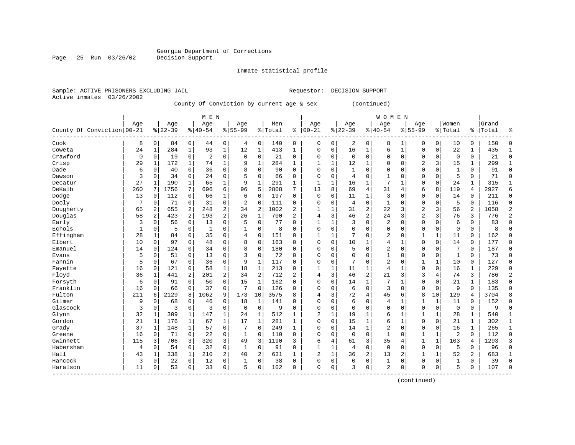Inmate statistical profile

Active inmates 03/26/2002

Page 25 Run 03/26/02

Sample: ACTIVE PRISONERS EXCLUDING JAIL Requestor: DECISION SUPPORT

County Of Conviction by current age & sex (continued)

|                            |     |                |           |                | M E N          |                |                |                |         |                |              |              |             |                | W O M E N      |              |                |              |                |                |       |                |
|----------------------------|-----|----------------|-----------|----------------|----------------|----------------|----------------|----------------|---------|----------------|--------------|--------------|-------------|----------------|----------------|--------------|----------------|--------------|----------------|----------------|-------|----------------|
|                            | Age |                | Age       |                | Age            |                | Age            |                | Men     |                | Age          |              | Age         |                | Age            |              | Age            |              | Women          |                | Grand |                |
| County Of Conviction 00-21 |     |                | $8 22-39$ |                | $8 40-54$      |                | $8155 - 99$    |                | % Total | နွ             | $00 - 21$    | %            | $22 - 39$   |                | $8 40-54$      | %            | $55 - 99$      |              | % Total        | ႜၟ             | Total | ႜ              |
| Cook                       | 8   | 0              | 84        | $\mathbf 0$    | 44             | 0              | 4              | $\mathbf 0$    | 140     | 0              | 0            | 0            | 2           | 0              | 8              | 1            | 0              | 0            | 10             | 0              | 150   | $\Omega$       |
| Coweta                     | 24  | 1              | 284       | $\mathbf{1}$   | 93             | $\mathbf{1}$   | 12             | $\mathbf{1}$   | 413     | 1              | $\Omega$     | 0            | 16          | 1              | 6              | $\mathbf{1}$ | $\Omega$       | $\mathbf 0$  | 22             | 1              | 435   | $\mathbf{1}$   |
| Crawford                   | 0   | $\Omega$       | 19        | $\mathbf 0$    | $\overline{2}$ | $\mathbf 0$    | $\mathbf 0$    | $\mathbf 0$    | 21      | 0              | 0            | 0            | $\mathbf 0$ | $\Omega$       | $\Omega$       | $\Omega$     | $\Omega$       | $\mathbf 0$  | $\mathbf 0$    | 0              | 21    | $\Omega$       |
| Crisp                      | 29  | 1              | 172       | 1              | 74             | $\mathbf 1$    | 9              | $\mathbf{1}$   | 284     | $\mathbf{1}$   |              | 1            | 12          |                | 0              | $\Omega$     | $\overline{c}$ | 3            | 15             | 1              | 299   | $\mathbf{1}$   |
| Dade                       | 6   | 0              | 40        | 0              | 36             | $\mathbf 0$    | 8              | $\mathbf 0$    | 90      | $\Omega$       | $\Omega$     | $\Omega$     | 1           | $\Omega$       | $\Omega$       | $\Omega$     | $\Omega$       | $\Omega$     | 1              | 0              | 91    | $\bigcap$      |
| Dawson                     | 3   | $\Omega$       | 34        | $\Omega$       | 24             | $\mathbf 0$    | 5              | $\mathbf 0$    | 66      | $\Omega$       | $\Omega$     | $\Omega$     | 4           | $\Omega$       | 1              | $\Omega$     | $\Omega$       | $\Omega$     | 5              | $\Omega$       | 71    | $\Omega$       |
| Decatur                    | 27  | $\mathbf{1}$   | 190       | 1              | 65             | 1              | 9              | 1              | 291     | $\mathbf{1}$   | $\mathbf{1}$ | 1            | 16          | 1              | 7              | -1           | $\Omega$       | 0            | 24             | 1              | 315   | 1              |
| DeKalb                     | 260 | 7              | 1756      | 7              | 696            | 6              | 96             | 5              | 2808    | 7              | 13           | 8            | 69          | $\overline{4}$ | 31             | 4            | 6              | 8            | 119            | 4              | 2927  | 6              |
| Dodge                      | 13  | 0              | 112       | 0              | 66             | $\mathbf 1$    | 6              | $\mathbf 0$    | 197     | $\Omega$       | 0            | 0            | 11          | 1              | 3              | O            | $\mathbf 0$    | $\mathbf 0$  | 14             | 0              | 211   | $\mathbf 0$    |
| Dooly                      | 7   | 0              | 71        | $\mathbf 0$    | 31             | $\mathbf 0$    | $\overline{2}$ | $\mathbf 0$    | 111     | 0              | O            | 0            | 4           | $\Omega$       | $\mathbf{1}$   | C            | $\Omega$       | $\Omega$     | 5              | 0              | 116   | $\Omega$       |
| Dougherty                  | 65  | 2              | 655       | $\overline{a}$ | 248            | $\overline{c}$ | 34             | $\overline{2}$ | 1002    | $\overline{a}$ | -1           | 1            | 31          | $\overline{2}$ | 22             | 3            | $\overline{2}$ | 3            | 56             | $\overline{2}$ | 1058  | $\overline{2}$ |
| Douglas                    | 58  | $\overline{a}$ | 423       | $\overline{a}$ | 193            | $\overline{2}$ | 26             | $\mathbf{1}$   | 700     | $\overline{a}$ | 4            | 3            | 46          | $\overline{2}$ | 24             | 3            | $\overline{2}$ | 3            | 76             | 3              | 776   | $\overline{c}$ |
| Early                      | 3   | $\Omega$       | 56        | $\mathbf 0$    | 13             | $\mathbf 0$    | 5              | $\mathbf 0$    | 77      | $\Omega$       |              | 1            | 3           | $\Omega$       | 2              | $\Omega$     | $\Omega$       | $\Omega$     | 6              | $\Omega$       | 83    | $\Omega$       |
| Echols                     | 1   | 0              | 5         | $\mathbf 0$    | $\mathbf{1}$   | $\mathbf 0$    |                | $\mathbf 0$    | 8       | $\Omega$       | $\Omega$     | $\Omega$     | $\Omega$    | $\Omega$       | $\Omega$       | 0            | $\Omega$       | $\mathbf 0$  | $\mathbf 0$    | 0              | 8     | $\Omega$       |
| Effingham                  | 28  | $\mathbf{1}$   | 84        | 0              | 35             | $\mathbf 0$    | 4              | $\mathbf 0$    | 151     | $\Omega$       | $\mathbf{1}$ | 1            | 7           | $\Omega$       | 2              | 0            | 1              | $\mathbf{1}$ | 11             | $\Omega$       | 162   | $\Omega$       |
| Elbert                     | 10  | $\Omega$       | 97        | 0              | 48             | 0              | 8              | $\mathbf 0$    | 163     | $\Omega$       | $\Omega$     | $\Omega$     | 10          | 1              | 4              | 1            | $\Omega$       | $\Omega$     | 14             | 0              | 177   | $\Omega$       |
| Emanuel                    | 14  | 0              | 124       | $\Omega$       | 34             | 0              | 8              | $\mathbf 0$    | 180     | $\Omega$       | $\Omega$     | 0            | 5           | $\Omega$       | $\overline{2}$ | $\Omega$     | $\Omega$       | $\mathbf 0$  | 7              | 0              | 187   | $\Omega$       |
| Evans                      | 5   | 0              | 51        | 0              | 13             | 0              | 3              | $\mathbf 0$    | 72      | $\Omega$       | $\Omega$     | 0            | $\Omega$    | $\Omega$       | 1              | $\Omega$     | $\Omega$       | $\mathbf 0$  | -1             | 0              | 73    | $\Omega$       |
| Fannin                     | 5   | $\Omega$       | 67        | 0              | 36             | $\mathbf 0$    | 9              | $\mathbf{1}$   | 117     | $\Omega$       | $\Omega$     | $\Omega$     |             | $\Omega$       | $\overline{2}$ | $\sqrt{ }$   |                | $\mathbf{1}$ | 10             | 0              | 127   | $\Omega$       |
| Fayette                    | 16  | 0              | 121       | 0              | 58             | $\mathbf 1$    | 18             | $\mathbf{1}$   | 213     | 0              |              | $\mathbf{1}$ | 11          | 1              | 4              | -1           | $\mathbf 0$    | $\mathbf 0$  | 16             | $\mathbf 1$    | 229   | $\Omega$       |
| Floyd                      | 36  | 1              | 441       | 2              | 201            | 2              | 34             | $\overline{2}$ | 712     | $\overline{a}$ | 4            | 3            | 46          | $\overline{2}$ | 21             | 3            | 3              | 4            | 74             | 3              | 786   | 2              |
| Forsyth                    | 6   | $\Omega$       | 91        | $\Omega$       | 50             | $\mathbf 0$    | 15             | 1              | 162     | $\Omega$       | 0            | $\Omega$     | 14          | $\mathbf{1}$   | 7              | -1           | $\Omega$       | $\Omega$     | 21             | $\mathbf{1}$   | 183   | $\Omega$       |
| Franklin                   | 16  | 0              | 66        | $\mathbf 0$    | 37             | $\mathbf 0$    | 7              | $\mathbf 0$    | 126     | $\Omega$       | $\Omega$     | 0            | 6           | $\Omega$       | 3              | $\Omega$     | $\Omega$       | $\mathbf 0$  | 9              | $\Omega$       | 135   | $\Omega$       |
| Fulton                     | 211 | 6              | 2129      | 8              | 1062           | 9              | 173            | 10             | 3575    | 8              | 4            | 3            | 72          | $\overline{4}$ | 45             | 6            | 8              | 10           | 129            | 4              | 3704  | 8              |
| Gilmer                     | 9   | 0              | 68        | 0              | 46             | $\mathbf 0$    | 18             | 1              | 141     | $\Omega$       | $\Omega$     | 0            | 6           | $\Omega$       | 4              | -1           | $\mathbf{1}$   | 1            | 11             | 0              | 152   | $\Omega$       |
| Glascock                   | 3   | 0              | 3         | 0              | 3              | 0              | $\mathbf 0$    | 0              | 9       | $\Omega$       | $\Omega$     | 0            | $\Omega$    | $\Omega$       | 0              | $\Omega$     | $\Omega$       | $\mathbf 0$  | $\mathbf 0$    | 0              | 9     | $\mathbf 0$    |
| Glynn                      | 32  | 1              | 309       | 1              | 147            | 1              | 24             | 1              | 512     | 1              | 2            | 1            | 19          | 1              | 6              | $\mathbf{1}$ |                | 1            | 28             | 1              | 540   | $\mathbf{1}$   |
| Gordon                     | 21  | 1              | 176       | 1              | 67             | $\mathbf{1}$   | 17             | $\mathbf{1}$   | 281     | 1              | $\Omega$     | 0            | 15          | 1              | 6              | $\mathbf{1}$ | $\Omega$       | $\mathbf 0$  | 21             | $\mathbf{1}$   | 302   | 1              |
| Grady                      | 37  | 1              | 148       | 1              | 57             | $\mathbf 0$    | 7              | $\mathbf 0$    | 249     | 1              | O            | $\Omega$     | 14          | $\mathbf 1$    | $\overline{2}$ | $\Omega$     | $\Omega$       | $\Omega$     | 16             | $\mathbf{1}$   | 265   | $\mathbf{1}$   |
| Greene                     | 16  | 0              | 71        | 0              | 22             | $\mathbf 0$    | $\mathbf{1}$   | 0              | 110     | 0              | 0            | 0            | $\mathbf 0$ | $\Omega$       | $\mathbf{1}$   | O            |                | 1            | $\overline{2}$ | 0              | 112   | $\Omega$       |
| Gwinnett                   | 115 | 3              | 706       | 3              | 320            | 3              | 49             | 3              | 1190    | 3              | 6            | 4            | 61          | 3              | 35             | 4            |                | $\mathbf{1}$ | 103            | 4              | 1293  | 3              |
| Habersham                  | 4   | 0              | 54        | $\mathbf 0$    | 32             | $\mathbf 0$    | 1              | 0              | 91      | $\Omega$       | $\mathbf{1}$ | $\mathbf 1$  | 4           | $\Omega$       | $\mathbf 0$    | $\Omega$     | $\Omega$       | $\mathbf 0$  | 5              | $\Omega$       | 96    | $\Omega$       |
| Hall                       | 43  | 1              | 338       | $\mathbf{1}$   | 210            | 2              | 40             | 2              | 631     | $\mathbf{1}$   | 2            | $\mathbf{1}$ | 36          | 2              | 13             | 2            | $\mathbf{1}$   | $\mathbf{1}$ | 52             | $\overline{a}$ | 683   | $\mathbf{1}$   |
| Hancock                    | 3   | $\Omega$       | 22        | $\mathbf 0$    | 12             | $\mathbf 0$    | 1              | $\mathbf 0$    | 38      | $\Omega$       | $\Omega$     | 0            | $\Omega$    | 0              | 1              | $\Omega$     | $\Omega$       | 0            | $\mathbf{1}$   | 0              | 39    | $\Omega$       |
| Haralson                   | 11  | 0              | 53        | 0              | 33             | 0              | 5              | 0              | 102     | 0              | $\Omega$     | 0            | 3           | 0              | 2              | $\Omega$     | $\Omega$       | 0            | 5              | 0              | 107   | $\bigcap$      |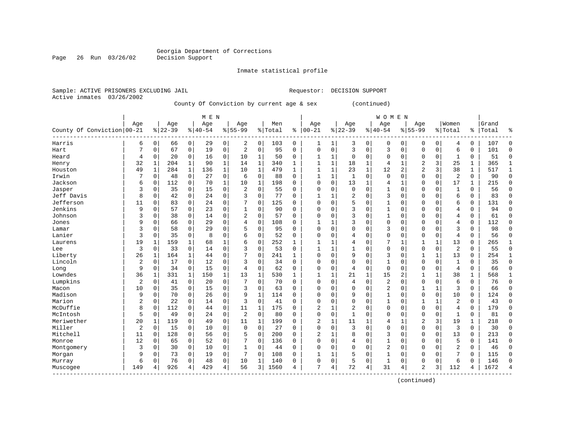Inmate statistical profile

Active inmates 03/26/2002

Page 26 Run 03/26/02

Sample: ACTIVE PRISONERS EXCLUDING JAIL Requestor: DECISION SUPPORT

County Of Conviction by current age & sex (continued)

|                            |                |              |           |              | M E N     |              |                |              |         |              |              |             |              |              | <b>WOMEN</b>   |              |                |             |                |          |       |              |
|----------------------------|----------------|--------------|-----------|--------------|-----------|--------------|----------------|--------------|---------|--------------|--------------|-------------|--------------|--------------|----------------|--------------|----------------|-------------|----------------|----------|-------|--------------|
|                            | Age            |              | Age       |              | Age       |              | Age            |              | Men     |              | Age          |             | Age          |              | Age            |              | Age            |             | Women          |          | Grand |              |
| County Of Conviction 00-21 |                |              | $8 22-39$ |              | $8 40-54$ |              | $8155 - 99$    |              | % Total | ి            | $00 - 21$    | %           | $22 - 39$    |              | $ 40-54$       | %            | $55 - 99$      |             | % Total        | ႜ        | Total | ႜ            |
| Harris                     | 6              | 0            | 66        | 0            | 29        | 0            | 2              | 0            | 103     | 0            | 1            | 1           | 3            | 0            | 0              | 0            | 0              | 0           | 4              | 0        | 107   | C            |
| Hart                       | 7              | 0            | 67        | 0            | 19        | 0            | $\overline{2}$ | $\mathbf 0$  | 95      | $\mathbf 0$  | $\Omega$     | $\mathbf 0$ | 3            | $\mathbf 0$  | 3              | $\Omega$     | $\Omega$       | $\mathbf 0$ | 6              | 0        | 101   | $\Omega$     |
| Heard                      | 4              | $\Omega$     | 20        | 0            | 16        | 0            | 10             | 1            | 50      | $\Omega$     |              | 1           | $\Omega$     | $\Omega$     | $\Omega$       | $\Omega$     | $\Omega$       | $\mathbf 0$ | -1             | 0        | 51    | $\Omega$     |
| Henry                      | 32             | 1            | 204       | $\mathbf{1}$ | 90        | $\mathbf 1$  | 14             | $\mathbf{1}$ | 340     | 1            |              | 1           | 18           | 1            | 4              |              | 2              | 3           | 25             | 1        | 365   |              |
| Houston                    | 49             | $\mathbf{1}$ | 284       | $\mathbf{1}$ | 136       | 1            | 10             | $1\,$        | 479     | $\mathbf{1}$ |              | 1           | 23           | 1            | 12             | 2            | $\overline{2}$ | 3           | 38             | 1        | 517   | $\mathbf{1}$ |
| Irwin                      | 7              | 0            | 48        | 0            | 27        | 0            | 6              | 0            | 88      | $\Omega$     | $\mathbf{1}$ | 1           | $\mathbf{1}$ | $\Omega$     | 0              | $\sqrt{ }$   | $\Omega$       | $\Omega$    | $\overline{2}$ | 0        | 90    | $\Omega$     |
| Jackson                    | 6              | 0            | 112       | 0            | 70        | $\mathbf 1$  | 10             | 1            | 198     | $\Omega$     | $\Omega$     | 0           | 13           | $\mathbf{1}$ | 4              | -1           | $\Omega$       | 0           | 17             | 1        | 215   | $\mathbf 0$  |
| Jasper                     | 3              | 0            | 35        | 0            | 15        | 0            | $\overline{2}$ | $\mathbf 0$  | 55      | 0            | $\Omega$     | 0           | $\Omega$     | $\Omega$     | 1              | $\mathsf{C}$ | $\Omega$       | 0           | -1             | 0        | 56    | $\mathbf 0$  |
| Jeff Davis                 | 8              | 0            | 42        | 0            | 24        | 0            | 3              | $\mathbf 0$  | 77      | O            |              |             | 2            | $\Omega$     | 3              | C            | $\Omega$       | $\Omega$    | 6              | $\Omega$ | 83    | $\mathbf 0$  |
| Jefferson                  | 11             | 0            | 83        | 0            | 24        | 0            |                | $\mathbf 0$  | 125     | O            | C            | O           |              | $\Omega$     |                | C            | $\Omega$       | $\Omega$    | 6              | 0        | 131   | $\bigcap$    |
| Jenkins                    | 9              | 0            | 57        | 0            | 23        | 0            | 1              | $\mathbf 0$  | 90      | 0            | C            | O           | 3            | $\Omega$     | 1              | C            | $\Omega$       | $\Omega$    | 4              | 0        | 94    | $\Omega$     |
| Johnson                    | 3              | 0            | 38        | 0            | 14        | 0            | 2              | 0            | 57      | 0            | C            | O           | 3            | $\Omega$     |                | C            | $\Omega$       | 0           | 4              | 0        | 61    | $\Omega$     |
| Jones                      | 9              | $\Omega$     | 66        | $\Omega$     | 29        | 0            | 4              | $\mathbf 0$  | 108     | 0            |              |             | 3            | $\Omega$     | 0              | $\Omega$     | $\Omega$       | $\Omega$    | 4              | 0        | 112   | $\Omega$     |
| Lamar                      | 3              | 0            | 58        | 0            | 29        | 0            | 5              | $\mathbf 0$  | 95      | 0            | C            | 0           |              | $\Omega$     | 3              | C            | $\Omega$       | $\Omega$    | 3              | $\Omega$ | 98    | $\bigcap$    |
| Lanier                     | 3              | 0            | 35        | $\mathbf 0$  | 8         | 0            | 6              | $\mathbf 0$  | 52      | 0            | C            | 0           | 4            | $\Omega$     | $\Omega$       | C            | $\Omega$       | $\Omega$    | 4              | $\Omega$ | 56    | $\Omega$     |
| Laurens                    | 19             | 1            | 159       | 1            | 68        | 1            | б              | 0            | 252     | 1            |              |             |              | $\Omega$     | 7              | 1            | $\mathbf{1}$   | 1           | 13             | 0        | 265   | $\mathbf{1}$ |
| Lee                        | 3              | 0            | 33        | 0            | 14        | 0            | 3              | $\mathbf 0$  | 53      | 0            |              |             |              | $\Omega$     | 0              | $\Omega$     | $\Omega$       | $\mathbf 0$ | 2              | 0        | 55    | $\mathbf 0$  |
| Liberty                    | 26             | 1            | 164       | 1            | 44        | 0            |                | $\mathbf 0$  | 241     | 1            | C            | 0           | 9            | $\Omega$     | 3              | $\Omega$     |                |             | 13             | 0        | 254   | $\mathbf{1}$ |
| Lincoln                    | 2              | 0            | 17        | $\mathbf 0$  | 12        | 0            | 3              | $\mathbf 0$  | 34      | O            | C            | O           | ∩            | $\Omega$     |                | C            | $\Omega$       | $\Omega$    | $\mathbf{1}$   | 0        | 35    | $\Omega$     |
| Long                       | 9              | 0            | 34        | $\mathbf 0$  | 15        | 0            | $\overline{4}$ | $\mathbf 0$  | 62      | $\Omega$     | O            | 0           | 4            | $\mathbf 0$  | $\mathbf 0$    | C            | $\Omega$       | $\Omega$    | 4              | 0        | 66    | n            |
| Lowndes                    | 36             | 1            | 331       | $\mathbf{1}$ | 150       | $\mathbf{1}$ | 13             | $\mathbf{1}$ | 530     | $\mathbf{1}$ |              | 1           | 21           | 1            | 15             | 2            |                |             | 38             | 1        | 568   | -1           |
| Lumpkins                   | $\overline{2}$ | $\Omega$     | 41        | $\mathbf 0$  | 20        | 0            |                | $\mathbf 0$  | 70      | $\Omega$     | 0            | 0           | 4            | $\mathbf 0$  | $\overline{2}$ | $\Omega$     | $\Omega$       | $\mathbf 0$ | 6              | 0        | 76    | $\Omega$     |
| Macon                      | 10             | 0            | 35        | 0            | 15        | 0            | 3              | $\mathbf 0$  | 63      | 0            | C            | 0           | $\Omega$     | $\Omega$     | 2              | $\Omega$     |                |             | 3              | 0        | 66    | C            |
| Madison                    | 9              | 0            | 70        | 0            | 26        | 0            | 9              | $\mathbf 1$  | 114     | 0            | C            | 0           | 9            | $\Omega$     |                | C            | $\Omega$       | $\mathbf 0$ | 10             | 0        | 124   | $\Omega$     |
| Marion                     | 2              | 0            | 22        | 0            | 14        | 0            | 3              | 0            | 41      | $\Omega$     | $\Omega$     | O           | $\Omega$     | $\Omega$     | 1              | $\sqrt{ }$   | 1              |             | 2              | 0        | 43    | $\Omega$     |
| McDuffie                   | 8              | 0            | 112       | 0            | 44        | 0            | 11             | 1            | 175     | 0            | 2            |             | 2            | $\Omega$     | $\Omega$       | $\Omega$     | $\Omega$       | $\Omega$    | 4              | 0        | 179   | $\mathbf 0$  |
| McIntosh                   | 5              | 0            | 49        | 0            | 24        | 0            | 2              | 0            | 80      | O            | $\Omega$     | 0           | $\mathbf{1}$ | $\Omega$     | $\Omega$       | $\sqrt{ }$   | $\Omega$       | 0           | $\mathbf{1}$   | 0        | 81    | $\Omega$     |
| Meriwether                 | 20             | 1            | 119       | 0            | 49        | 0            | 11             | 1            | 199     | O            | 2            |             | 11           |              | 4              |              | 2              | 3           | 19             | 1        | 218   | $\Omega$     |
| Miller                     | $\overline{2}$ | 0            | 15        | 0            | 10        | 0            | 0              | $\mathbf 0$  | 27      | 0            | C            | O           | 3            | $\Omega$     | $\Omega$       | $\sqrt{ }$   | $\Omega$       | $\Omega$    | 3              | 0        | 30    | $\Omega$     |
| Mitchell                   | 11             | 0            | 128       | 0            | 56        | 0            | 5              | 0            | 200     | 0            | 2            |             | 8            | $\Omega$     | 3              | C            | $\Omega$       | $\mathbf 0$ | 13             | 0        | 213   | $\Omega$     |
| Monroe                     | 12             | 0            | 65        | 0            | 52        | 0            |                | 0            | 136     | 0            | 0            | 0           | 4            | 0            |                | $\Omega$     | $\Omega$       | 0           | 5              | 0        | 141   | $\Omega$     |
| Montgomery                 | 3              | 0            | 30        | 0            | 10        | 0            | $\mathbf{1}$   | 0            | 44      | 0            | C            | 0           | $\Omega$     | $\Omega$     | $\overline{2}$ | $\Omega$     | $\Omega$       | $\Omega$    | $\overline{2}$ | $\Omega$ | 46    | $\Omega$     |
| Morgan                     | 9              | 0            | 73        | 0            | 19        | 0            |                | 0            | 108     | 0            |              | 1           |              | $\Omega$     | 1              | $\sqrt{ }$   | $\Omega$       | $\Omega$    |                | $\Omega$ | 115   | $\cap$       |
| Murray                     | 6              | 0            | 76        | 0            | 48        | 0            | 10             | 1            | 140     | 0            | $\Omega$     | 0           | 5            | $\Omega$     | 1              | C            | $\Omega$       | $\Omega$    | 6              | $\Omega$ | 146   | $\bigcap$    |
| Muscogee                   | 149            | 4            | 926       | 4            | 429       | 4            | 56             | 3            | 1560    | 4            | 7            | 4           | 72           | 4            | 31             | 4            | $\mathfrak{D}$ | 3           | 112            | 4        | 1672  |              |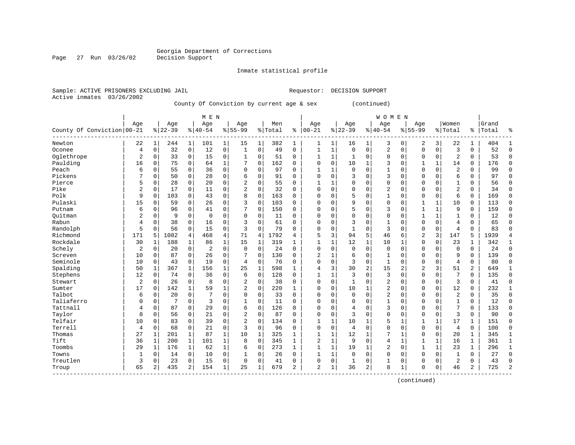Inmate statistical profile

Sample: ACTIVE PRISONERS EXCLUDING JAIL Requestor: DECISION SUPPORT Active inmates 03/26/2002

Page 27 Run 03/26/02

County Of Conviction by current age & sex (continued)

|                            |                |              |           |             | M E N          |             |              |              |           |          |                |              |                |              | WOMEN          |              |                |              |              |                |       |               |
|----------------------------|----------------|--------------|-----------|-------------|----------------|-------------|--------------|--------------|-----------|----------|----------------|--------------|----------------|--------------|----------------|--------------|----------------|--------------|--------------|----------------|-------|---------------|
|                            | Age            |              | Age       |             | Age            |             | Age          |              | Men       |          | Age            |              | Age            |              | Age            |              | Age            |              | Women        |                | Grand |               |
| County Of Conviction 00-21 |                |              | $8 22-39$ |             | $ 40-54$       |             | $8155 - 99$  |              | %   Total | ి        | $ 00 - 21$     |              | $8 22-39$      |              | $8140 - 54$    |              | $8155 - 99$    |              | % Total      | ႜ              | Total | ٩,            |
| Newton                     | 22             | 1            | 244       | 1           | 101            | 1           | 15           | 1            | 382       | 1        | 1              | 1            | 16             | 1            | 3              | 0            | 2              | 3            | 22           | $\mathbf{1}$   | 404   |               |
| Oconee                     | $\overline{4}$ | $\Omega$     | 32        | 0           | 12             | $\mathbf 0$ | $\mathbf 1$  | $\Omega$     | 49        | $\Omega$ | 1              | $\mathbf{1}$ | $\Omega$       | $\Omega$     | $\overline{2}$ | $\Omega$     | $\Omega$       | $\Omega$     | 3            | $\Omega$       | 52    | $\Omega$      |
| Oglethrope                 | $\overline{2}$ | $\Omega$     | 33        | 0           | 15             | 0           | $\mathbf{1}$ | $\Omega$     | 51        | 0        | 1              | 1            | 1              | $\Omega$     | $\Omega$       | $\Omega$     | $\Omega$       | $\Omega$     | 2            | $\Omega$       | 53    | $\cap$        |
| Paulding                   | 16             | $\Omega$     | 75        | 0           | 64             | 1           | 7            | 0            | 162       | 0        | 0              | $\Omega$     | 10             | $\mathbf{1}$ | 3              | $\Omega$     | $\mathbf{1}$   | $\mathbf{1}$ | 14           | 0              | 176   | <sup>0</sup>  |
| Peach                      | 6              | $\mathbf 0$  | 55        | $\mathbf 0$ | 36             | $\mathbf 0$ | $\Omega$     | $\mathbf 0$  | 97        | $\Omega$ | $\mathbf{1}$   | $\mathbf{1}$ | $\Omega$       | $\Omega$     | $\mathbf{1}$   | O            | $\mathbf{0}$   | $\mathbf 0$  | 2            | $\mathbf 0$    | 99    | $\cap$        |
| Pickens                    | 7              | $\Omega$     | 50        | $\mathbf 0$ | 28             | $\mathbf 0$ | 6            | $\mathbf 0$  | 91        | $\Omega$ | $\Omega$       | 0            | 3              | $\Omega$     | 3              | 0            | $\mathbf{0}$   | $\Omega$     | 6            | $\mathbf 0$    | 97    | $\cap$        |
| Pierce                     | 5              | 0            | 28        | $\mathbf 0$ | 20             | $\mathbf 0$ | 2            | 0            | 55        | 0        | $\mathbf{1}$   | 1            | $\Omega$       | $\Omega$     | $\mathbf 0$    | U            | $\Omega$       | $\mathbf 0$  | $\mathbf{1}$ | 0              | 56    | $\Omega$      |
| Pike                       | $\overline{2}$ | 0            | 17        | $\mathbf 0$ | 11             | $\mathbf 0$ | 2            | 0            | 32        | 0        | $\Omega$       | 0            | $\Omega$       | 0            | 2              | 0            | $\mathbf 0$    | $\mathbf 0$  | 2            | $\mathbf 0$    | 34    | $\Omega$      |
| Polk                       | 9              | $\Omega$     | 103       | 0           | 43             | $\mathbf 0$ | 8            | $\Omega$     | 163       | 0        | U              | 0            | 5              | $\Omega$     | 1              | 0            | $\Omega$       | $\Omega$     | 6            | 0              | 169   | $\Omega$      |
| Pulaski                    | 15             | 0            | 59        | 0           | 26             | $\mathbf 0$ | 3            | $\Omega$     | 103       | 0        | $\Omega$       | 0            | 9              | $\Omega$     | $\mathbf 0$    | 0            | $\mathbf{1}$   | $\mathbf{1}$ | 10           | $\mathbf 0$    | 113   | $\Omega$      |
| Putnam                     | 6              | $\Omega$     | 96        | $\Omega$    | 41             | $\Omega$    | 7            | $\Omega$     | 150       | 0        | $\Omega$       | O            | 5              | $\Omega$     | 3              | U            | $\mathbf{1}$   | $\mathbf{1}$ | 9            | $\Omega$       | 159   | <sup>0</sup>  |
| Ouitman                    | $\overline{c}$ | $\Omega$     | 9         | $\Omega$    | $\Omega$       | $\Omega$    | $\Omega$     | $\Omega$     | 11        | 0        | $\Omega$       | 0            | $\Omega$       | $\Omega$     | $\Omega$       | U            | $\mathbf{1}$   | $\mathbf{1}$ | $\mathbf{1}$ | $\Omega$       | 12    | ∩             |
| Rabun                      | 4              | $\Omega$     | 38        | 0           | 16             | $\mathbf 0$ | 3            | $\Omega$     | 61        | $\Omega$ | U              | $\Omega$     | 3              | $\Omega$     | $\mathbf{1}$   | O            | $\mathbf 0$    | $\Omega$     | 4            | 0              | 65    | ∩             |
| Randolph                   | 5              | $\Omega$     | 56        | $\mathbf 0$ | 15             | $\mathbf 0$ | 3            | $\mathbf 0$  | 79        | $\Omega$ | O              | 0            | $\mathbf{1}$   | $\Omega$     | 3              | 0            | $\mathbf 0$    | $\mathbf 0$  | 4            | $\Omega$       | 83    | ſ             |
| Richmond                   | 171            | 5            | 1082      | 4           | 468            | 4           | 71           | 4            | 1792      | 4        | 5              | 3            | 94             | 5            | 46             | 6            | $\overline{2}$ | 3            | 147          | 5              | 1939  |               |
| Rockdale                   | 30             | 1            | 188       | $\mathbf 1$ | 86             | 1           | 15           | 1            | 319       | 1        | 1              | 1            | 12             | $\mathbf{1}$ | 10             | 1            | $\mathbf 0$    | $\mathbf 0$  | 23           | 1              | 342   | $\mathbf{1}$  |
| Schely                     | $\overline{2}$ | 0            | 20        | 0           | $\overline{2}$ | $\mathbf 0$ | 0            | $\mathbf 0$  | 24        | 0        | $\Omega$       | 0            | $\mathbf 0$    | $\Omega$     | 0              | 0            | $\mathbf 0$    | $\mathbf 0$  | $\mathbf 0$  | $\mathbf 0$    | 24    | $\Omega$      |
| Screven                    | 10             | 0            | 87        | 0           | 26             | $\mathbf 0$ |              | $\mathbf 0$  | 130       | 0        | $\overline{2}$ | 1            | 6              | $\Omega$     | 1              | U            | $\mathbf 0$    | $\mathbf 0$  | 9            | $\mathbf 0$    | 139   | $\Omega$      |
| Seminole                   | 10             | 0            | 43        | 0           | 19             | $\mathbf 0$ | 4            | $\mathbf 0$  | 76        | 0        | $\Omega$       | 0            | 3              | $\Omega$     | $\mathbf{1}$   | 0            | $\mathbf{0}$   | $\mathbf 0$  | 4            | $\mathbf 0$    | 80    | <sup>0</sup>  |
| Spalding                   | 50             | 1            | 367       | $\mathbf 1$ | 156            | $\mathbf 1$ | 25           | $\mathbf{1}$ | 598       | 1        | 4              | 3            | 30             | 2            | 15             | 2            | $\overline{2}$ | 3            | 51           | $\overline{a}$ | 649   |               |
| Stephens                   | 12             | $\Omega$     | 74        | 0           | 36             | $\Omega$    | 6            | $\Omega$     | 128       | $\Omega$ | 1              | $\mathbf{1}$ | 3              | $\Omega$     | 3              | $\Omega$     | $\Omega$       | $\Omega$     | 7            | $\Omega$       | 135   | $\Omega$      |
| Stewart                    | 2              | $\Omega$     | 26        | 0           | 8              | $\Omega$    | 2            | $\Omega$     | 38        | 0        | 0              | 0            | -1             | $\Omega$     | 2              | $\Omega$     | $\mathbf 0$    | $\mathbf 0$  | 3            | 0              | 41    | ſ             |
| Sumter                     | 17             | 0            | 142       | 1           | 59             | 1           | 2            | $\mathbf 0$  | 220       | 1        | 0              | $\Omega$     | 10             | 1            | 2              | 0            | $\Omega$       | $\Omega$     | 12           | 0              | 232   |               |
| Talbot                     | 6              | 0            | 20        | $\mathbf 0$ | 7              | $\mathbf 0$ | 0            | $\mathbf 0$  | 33        | $\Omega$ | 0              | 0            | $\Omega$       | $\Omega$     | $\overline{2}$ | 0            | $\Omega$       | $\mathbf 0$  | 2            | 0              | 35    | $\Omega$      |
| Taliaferro                 | $\Omega$       | 0            | 7         | $\mathbf 0$ | 3              | $\Omega$    | $\mathbf{1}$ | $\Omega$     | 11        | $\Omega$ | $\Omega$       | $\Omega$     | $\Omega$       | $\Omega$     | $\mathbf{1}$   | O            | $\Omega$       | $\Omega$     | $\mathbf{1}$ | $\Omega$       | 12    | $\Omega$      |
| Tattnall                   | 4              | 0            | 87        | 0           | 29             | $\mathbf 0$ | 6            | $\mathbf 0$  | 126       | 0        | $\Omega$       | 0            | $\overline{4}$ | $\Omega$     | 3              | U            | $\mathbf{0}$   | $\mathbf 0$  | 7            | $\mathbf 0$    | 133   | $\Omega$      |
| Taylor                     | 8              | 0            | 56        | 0           | 21             | 0           | 2            | $\mathbf 0$  | 87        | $\Omega$ | $\Omega$       | 0            | 3              | $\Omega$     | 0              | O            | $\mathbf 0$    | $\mathbf 0$  | 3            | 0              | 90    | $\mathbf 0$   |
| Telfair                    | 10             | $\Omega$     | 83        | 0           | 39             | $\mathbf 0$ | 2            | $\Omega$     | 134       | 0        | $\mathbf{1}$   | 1            | 10             | 1            | 5              | 1            |                | 1            | 17           | 1              | 151   | $\Omega$      |
| Terrell                    | 4              | $\Omega$     | 68        | 0           | 21             | $\mathbf 0$ | 3            | $\Omega$     | 96        | $\Omega$ | $\Omega$       | $\Omega$     | $\overline{4}$ | $\Omega$     | $\Omega$       | $\Omega$     | $\Omega$       | $\mathbf 0$  | 4            | $\mathbf 0$    | 100   | $\Omega$      |
| Thomas                     | 27             | 1            | 201       | 1           | 87             | $\mathbf 1$ | 10           | $\mathbf{1}$ | 325       | 1        | $\mathbf{1}$   | $\mathbf{1}$ | 12             | $\mathbf{1}$ | 7              | 1            | $\Omega$       | $\Omega$     | 2.0          | $\mathbf{1}$   | 345   | -1            |
| Tift                       | 36             | $\mathbf{1}$ | 200       | 1           | 101            | $\mathbf 1$ | 8            | $\Omega$     | 345       | 1        | 2              | $\mathbf 1$  | 9              | $\Omega$     | $\overline{4}$ | $\mathbf{1}$ | $\mathbf{1}$   | $\mathbf{1}$ | 16           | 1              | 361   |               |
| Toombs                     | 29             | $\mathbf 1$  | 176       | $\mathbf 1$ | 62             | $\mathbf 1$ | 6            | $\mathbf 0$  | 273       | 1        | 1              | $\mathbf 1$  | 19             | 1            | $\overline{2}$ | $\Omega$     | $\mathbf{1}$   | $\mathbf{1}$ | 23           | $\mathbf{1}$   | 296   |               |
| Towns                      | 1              | 0            | 14        | 0           | 10             | $\mathbf 0$ | 1            | 0            | 26        | 0        | $\mathbf{1}$   | $\mathbf 1$  | $\Omega$       | $\Omega$     | 0              | 0            | $\mathbf 0$    | $\mathbf 0$  | $\mathbf{1}$ | 0              | 27    | $\cap$        |
| Treutlen                   | 3              | 0            | 23        | $\mathbf 0$ | 15             | 0           | $\Omega$     | $\mathbf 0$  | 41        | 0        | 0              | 0            | $\mathbf{1}$   | $\mathbf 0$  | 1              | 0            | $\mathbf 0$    | $\mathbf 0$  | 2            | $\mathbf 0$    | 43    | $\sqrt{ }$    |
| Troup                      | 65             | 2            | 435       | 2           | 154            | $\mathbf 1$ | 25           | $\mathbf{1}$ | 679       | 2        | $\overline{a}$ | $\mathbf 1$  | 36             | 2            | 8              | 1            | $\Omega$       | $\mathbf 0$  | 46           | 2              | 725   | $\mathcal{D}$ |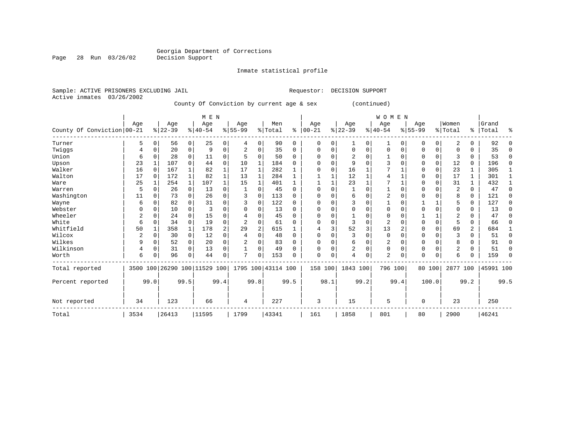# Georgia Department of Corrections<br>Decision Support

#### Inmate statistical profile

| Sample: ACTIVE PRISONERS EXCLUDING JAIL |     |         |     |             |             |                                           |   | Requestor: | DECISION SUPPORT |              |             |         |       |
|-----------------------------------------|-----|---------|-----|-------------|-------------|-------------------------------------------|---|------------|------------------|--------------|-------------|---------|-------|
| Active inmates 03/26/2002               |     |         |     |             |             |                                           |   |            |                  |              |             |         |       |
|                                         |     |         |     |             |             | County Of Conviction by current age & sex |   |            |                  | (continued)  |             |         |       |
|                                         |     |         |     | M E N       |             |                                           |   |            |                  | <b>WOMEN</b> |             |         |       |
|                                         | Age |         | Aqe | Aqe         | Aqe         | Men                                       |   | Aqe        | Age              | Age          | Age         | Women   | Grand |
| County Of Conviction 00-21              |     | % 22-39 |     | $8140 - 54$ | $8155 - 99$ | % Total                                   | ႜ | $ 00-21 $  | $8122 - 39$      | $8140 - 54$  | $8155 - 99$ | % Total | Total |

|                            | $-$  |      | $1 - 9 -$               |          | $1 - 9 -$             |                | $1 - 9 -$      |          |                    |          | $119 -$    |             | $-1 - 9 -$     |             | $-1 - 9$       |      | $-$         |             |          |                |           |      |
|----------------------------|------|------|-------------------------|----------|-----------------------|----------------|----------------|----------|--------------------|----------|------------|-------------|----------------|-------------|----------------|------|-------------|-------------|----------|----------------|-----------|------|
| County Of Conviction 00-21 |      |      | $ 22-39 $               |          | $\frac{1}{6}$   40-54 |                | $8 55-99$      |          | % Total            |          | $% 100-21$ |             | $ 22-39$       |             | $ 40-54 $      |      | $8 55-99$   |             | % Total  | ႜ              | Total     |      |
| Turner                     | 5    | O    | 56                      | 0        | 25                    | 0              | 4              | $\Omega$ | 90                 | $\Omega$ | 0          | 0           |                | $\Omega$    |                | 0    | $\mathbf 0$ | 0           | 2        | 0              | 92        |      |
| Twiggs                     | 4    |      | 20                      | 0        | 9                     | $\mathbf 0$    | $\overline{2}$ | $\Omega$ | 35                 | $\Omega$ | $\Omega$   | 0           | $\Omega$       | 0           | $\Omega$       |      | $\Omega$    | 0           | $\Omega$ | 0              | 35        | n    |
| Union                      | 6    |      | 28                      | 0        | 11                    | 0              |                | ∩        | 50                 | $\Omega$ | O          | O           |                | $\Omega$    |                |      | $\Omega$    | 0           |          | 0              | 53        | O    |
| Upson                      | 23   |      | 107                     |          | 44                    | $\mathbf 0$    | 10             |          | 184                |          |            |             |                | $\Omega$    |                |      | $\Omega$    | $\Omega$    | 12       | 0              | 196       | ∩    |
| Walker                     | 16   |      | 167                     |          | 82                    |                | 17             |          | 282                |          |            | O           | 16             |             |                |      | $\Omega$    | $\Omega$    | 23       | 1              | 305       |      |
| Walton                     | 17   |      | 172                     |          | 82                    | $\mathbf{1}$   | 13             |          | 284                |          |            |             | 12             |             |                |      | $\cap$      | $\Omega$    | 17       | $\mathbf{1}$   | 301       |      |
| Ware                       | 25   |      | 254                     |          | 107                   |                | 15             |          | 401                |          |            |             | 23             |             | 7              |      | $\Omega$    | 0           | 31       |                | 432       |      |
| Warren                     |      |      | 26                      | 0        | 13                    | 0              |                |          | 45                 | U        |            | O           |                | $\Omega$    |                |      |             |             | 2        | 0              | 47        |      |
| Washington                 | 11   |      | 73                      |          | 26                    | $\Omega$       | ζ              | n        | 113                | U        |            | O           |                | $\Omega$    | 2              |      | $\cap$      |             | 8        | 0              | 121       |      |
| Wayne                      | 6    |      | 82                      |          | 31                    | $\Omega$       |                | $\Omega$ | 122                | U        |            | O           |                | $\Omega$    |                |      |             |             |          | 0              | 127       | n    |
| Webster                    |      |      | 10                      |          |                       | $\Omega$       | N              |          | 13                 |          |            |             |                | $\Omega$    | U              |      |             |             |          | 0              | 13        |      |
| Wheeler                    |      |      | 24                      |          | 15                    | $\Omega$       |                |          | 45                 |          |            | O           |                | $\Omega$    |                |      |             |             |          | U              | 47        |      |
| White                      | 6    |      | 34                      | U        | 19                    | $\Omega$       | $\overline{a}$ |          | 61                 |          |            | O           |                | $\Omega$    | $\overline{2}$ |      | $\Omega$    | 0           |          | 0              | 66        |      |
| Whitfield                  | 50   |      | 358                     |          | 178                   | $\overline{2}$ | 29             |          | 615                |          |            | 3           | 52             | 3           | 13             |      | O           | $\Omega$    | 69       | $\overline{2}$ | 684       |      |
| Wilcox                     |      |      | 30                      | $\Omega$ | 12                    | $\Omega$       |                | n        | 48                 | U        | $\Omega$   |             |                | $\Omega$    | $\Omega$       |      | $\Omega$    |             |          | 0              | 51        | ∩    |
| Wilkes                     | 9    |      | 52                      | 0        | 20                    | $\Omega$       |                | $\Omega$ | 83                 | U        | O          | 0           | 6              | $\Omega$    | 2              |      | $\Omega$    | $\Omega$    | 8        | 0              | 91        | O    |
| Wilkinson                  | 4    |      | 31                      | 0        | 13                    | $\Omega$       |                | $\Omega$ | 49                 | U        |            | $\Omega$    | $\overline{2}$ | $\Omega$    | $\Omega$       | U    | $\Omega$    | $\Omega$    | 2        | 0              | 51        | ∩    |
| Worth                      | 6    |      | 96                      | 0        | 44                    | $\mathbf 0$    | 7              | $\Omega$ | 153                |          | $\Omega$   | $\mathbf 0$ | 4              | $\mathbf 0$ | $\overline{2}$ |      | $\Omega$    | $\mathbf 0$ | 6        | 0              | 159       |      |
| Total reported             | 3500 |      | 100 26290 100 11529 100 |          |                       |                |                |          | 1795 100 43114 100 |          |            | 158 100     | 1843 100       |             | 796 100        |      |             | 80 100      | 2877 100 |                | 45991 100 |      |
| Percent reported           |      | 99.0 |                         | 99.5     |                       | 99.4           |                | 99.8     |                    | 99.5     |            | 98.1        |                | 99.2        |                | 99.4 |             | 100.0       |          | 99.2           |           | 99.5 |
| Not reported               | 34   |      | 123                     |          | 66                    |                | 4              |          | 227                |          | 3          |             | 15             |             | 5              |      | $\mathbf 0$ |             | 23       |                | 250       |      |
| Total                      | 3534 |      | 26413                   |          | 11595                 |                | 1799           |          | 43341              |          | 161        |             | 1858           |             | 801            |      | 80          |             | 2900     |                | 46241     |      |

Page 28 Run 03/26/02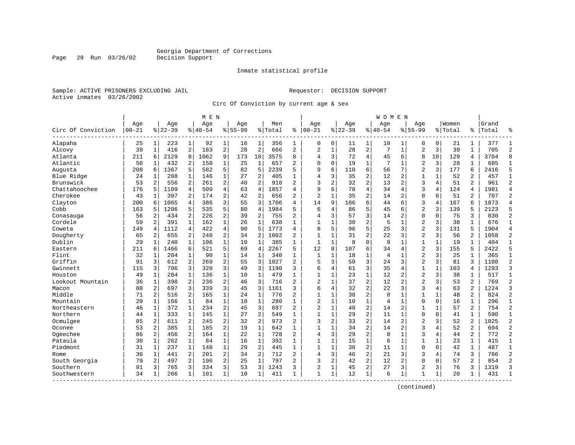Inmate statistical profile

Sample: ACTIVE PRISONERS EXCLUDING JAIL Requestor: DECISION SUPPORT Active inmates 03/26/2002

Page 29 Run 03/26/02

Circ Of Conviction by current age & sex

|                    |           |                |           |                | M E N         |                |             |                |         |                |                |              |           |                | W O M E N      |                |                |              |         |                |       |                |
|--------------------|-----------|----------------|-----------|----------------|---------------|----------------|-------------|----------------|---------|----------------|----------------|--------------|-----------|----------------|----------------|----------------|----------------|--------------|---------|----------------|-------|----------------|
|                    | Age       |                | Age       |                | Age           |                | Aqe         |                | Men     |                | Age            |              | Age       |                | Age            |                | Aqe            |              | Women   |                | Grand |                |
| Circ Of Conviction | $00 - 21$ |                | $8 22-39$ |                | $8   40 - 54$ |                | $8155 - 99$ |                | % Total | ి              | $ 00-21$       |              | $8 22-39$ |                | $8140 - 54$    |                | $8155 - 99$    |              | % Total | ႜၟ             | Total | န္             |
| Alapaha            | 25        | $1\vert$       | 223       | $\mathbf{1}$   | 92            | 1              | 16          | 1              | 356     | 1              | 0              | 0            | 11        | 1              | 10             | 1              | 0              | 0            | 21      | 1              | 377   |                |
| Alcovy             | 39        | 1              | 416       | $\overline{2}$ | 183           | $\overline{a}$ | 28          | $\overline{c}$ | 666     | 2              | $\overline{2}$ | $1\,$        | 28        | $\overline{2}$ | 7              | $\mathbf{1}$   | $\overline{2}$ | 3            | 39      | $\mathbf{1}$   | 705   | $\overline{c}$ |
| Atlanta            | 211       | 6              | 2129      | 8              | 1062          | 9              | 173         | 10             | 3575    | 8              | 4              | 3            | 72        | $\overline{4}$ | 45             | 6              | 8              | 10           | 129     | 4              | 3704  | 8              |
| Atlantic           | 50        | 1              | 432       | 2              | 150           | $\mathbf 1$    | 25          | 1              | 657     | 2              | $\Omega$       | 0            | 19        | 1              |                | 1              | $\overline{2}$ | 3            | 28      | 1              | 685   | 1              |
| Augusta            | 208       | 6              | 1367      | 5              | 582           | 5.             | 82          | 5              | 2239    | 5              | 9              | 6            | 110       | 6              | 56             | 7              | $\overline{c}$ | 3            | 177     | 6              | 2416  | 5              |
| Blue Ridge         | 24        | $\mathbf{1}$   | 208       | $\mathbf{1}$   | 146           | $\mathbf{1}$   | 27          | 2              | 405     | $\mathbf{1}$   | 4              | 3            | 35        | $\overline{2}$ | 12             | $\overline{2}$ | $\mathbf{1}$   | 1            | 52      | $\overline{a}$ | 457   | $\mathbf{1}$   |
| Brunswick          | 53        | $\overline{a}$ | 556       | 2              | 261           | 2              | 40          | 2              | 910     | $\overline{a}$ | 3              | 2            | 32        | 2              | 13             | $\overline{c}$ | 3              | 4            | 51      | $\overline{a}$ | 961   | $\overline{2}$ |
| Chattahoochee      | 176       | 5              | 1109      | $\overline{4}$ | 509           | $\overline{4}$ | 63          | 4              | 1857    | 4              | 9              | 6            | 78        | $\overline{4}$ | 34             | 4              | 3              | 4            | 124     | 4              | 1981  | $\overline{4}$ |
| Cherokee           | 43        | $\mathbf{1}$   | 397       | 2              | 174           | $\overline{a}$ | 42          | 2              | 656     | $\overline{a}$ | $\overline{2}$ | $\mathbf{1}$ | 35        | $\overline{2}$ | 14             | 2              | $\Omega$       | $\Omega$     | 51      | 2              | 707   | $\overline{2}$ |
| Clayton            | 200       | 6              | 1065      | 4              | 386           | 3              | 55          | 3              | 1706    | 4              | 14             | 9            | 106       | 6              | 44             | 6              | 3              | 4            | 167     | 6              | 1873  | $\overline{4}$ |
| Cobb               | 163       | 5              | 1206      | 5              | 535           | 5              | 80          | $\overline{4}$ | 1984    | 5              | 6              | 4            | 86        | 5              | 45             | 6              | $\overline{a}$ | 3            | 139     | 5              | 2123  | 5              |
| Conasauga          | 56        | 2              | 434       | 2              | 226           | 2              | 39          | 2              | 755     | $\overline{2}$ | $\overline{4}$ | 3            | 57        | 3              | 14             | $\overline{2}$ | $\mathbf 0$    | $\Omega$     | 75      | 3              | 830   | $\overline{2}$ |
| Cordele            | 59        | $\overline{a}$ | 391       | $\mathbf{1}$   | 162           | $\mathbf 1$    | 26          | $\mathbf 1$    | 638     | $\mathbf{1}$   | $\mathbf{1}$   | 1            | 30        | $\overline{c}$ | 5              | $\mathbf 1$    | $\overline{2}$ | 3            | 38      | $\mathbf{1}$   | 676   | $\mathbf{1}$   |
| Coweta             | 149       | 4              | 1112      | 4              | 422           | $\overline{4}$ | 90          | 5              | 1773    | 4              | 8              | 5            | 96        | 5              | 25             | 3              | $\overline{2}$ | 3            | 131     | 5              | 1904  | $\overline{4}$ |
| Dougherty          | 65        | 2              | 655       | 2              | 248           | 2              | 34          | 2              | 1002    | 2              | $\mathbf{1}$   | 1            | 31        | 2              | 22             | 3              | $\overline{2}$ | 3            | 56      | 2              | 1058  | $\overline{2}$ |
| Dublin             | 29        | 1              | 240       | $\mathbf{1}$   | 106           | $\mathbf{1}$   | 10          | $\mathbf{1}$   | 385     | $\mathbf{1}$   | $\mathbf{1}$   | $\mathbf{1}$ | 8         | $\Omega$       | 9              | $\mathbf{1}$   | $\mathbf{1}$   | $\mathbf 1$  | 19      | 1              | 404   | $\mathbf{1}$   |
| Eastern            | 211       | 6              | 1466      | 6              | 521           | 5              | 69          | $\overline{4}$ | 2267    | 5              | 12             | 8            | 107       | 6              | 34             | $\overline{4}$ | $\overline{2}$ | 3            | 155     | 5              | 2422  | 5              |
| Flint              | 32        | 1              | 204       | $\mathbf{1}$   | 90            | $\mathbf{1}$   | 14          | $\mathbf{1}$   | 340     | $\mathbf{1}$   | 1              | 1            | 18        | 1              | 4              | 1              | $\overline{2}$ | 3            | 25      | $\mathbf{1}$   | 365   | $\mathbf{1}$   |
| Griffin            | 91        | 3              | 612       | 2              | 269           | 2              | 55          | 3              | 1027    | $\overline{a}$ | 5              | 3            | 50        | 3              | 24             | 3              | $\overline{2}$ | 3            | 81      | 3              | 1108  | $\overline{c}$ |
| Gwinnett           | 115       | 3              | 706       | 3              | 320           | 3              | 49          | 3              | 1190    | 3              | 6              | 4            | 61        | 3              | 35             | 4              | $\overline{1}$ | 1            | 103     | 4              | 1293  | $\overline{3}$ |
| Houston            | 49        | 1              | 284       | 1              | 136           | 1              | 10          | 1              | 479     | $\mathbf{1}$   | $\mathbf{1}$   | 1            | 23        | 1              | 12             | 2              | $\overline{2}$ | 3            | 38      | 1              | 517   | 1              |
| Lookout Mountain   | 36        | 1              | 398       | 2              | 236           | $\overline{a}$ | 46          | 3              | 716     | $\overline{2}$ | $\overline{a}$ | 1            | 37        | $\overline{a}$ | 12             | $\overline{2}$ | $\overline{2}$ | 3            | 53      | $\overline{2}$ | 769   | $\overline{2}$ |
| Macon              | 80        | $\overline{a}$ | 697       | 3              | 339           | 3              | 45          | 3              | 1161    | ς              | 6              | 4            | 32        | $\overline{a}$ | 22             | 3              | 3              | 4            | 63      | $\overline{2}$ | 1224  | $\mathbf{3}$   |
| Middle             | 71        | 2              | 516       | 2              | 165           | $\mathbf 1$    | 24          | $\mathbf 1$    | 776     | $\overline{2}$ | $\mathbf{1}$   | $\mathbf{1}$ | 38        | $\overline{2}$ | 8              | 1              | $\mathbf{1}$   | $\mathbf{1}$ | 48      | $\overline{a}$ | 824   | $\overline{2}$ |
| Mountain           | 20        | 1              | 166       | $\mathbf{1}$   | 84            | $\mathbf 1$    | 10          | $\mathbf 1$    | 280     | $\mathbf{1}$   | 2              | 1            | 10        | $\mathbf 1$    | $\overline{4}$ | $\mathbf 1$    | 0              | $\mathbf 0$  | 16      | $\mathbf{1}$   | 296   | $\mathbf{1}$   |
| Northeastern       | 46        | $\mathbf{1}$   | 372       | $\mathbf{1}$   | 234           | $\overline{a}$ | 45          | 3              | 697     | 2              | $\overline{2}$ | $\mathbf{1}$ | 40        | 2              | 14             | 2              | 1              | 1            | 57      | 2              | 754   | $\overline{2}$ |
| Northern           | 44        | 1              | 333       | 1              | 145           | 1              | 27          | 2              | 549     | 1              | $\mathbf{1}$   | 1            | 29        | 2              | 11             | 1              | 0              | 0            | 41      | 1              | 590   | 1              |
| Ocmulgee           | 85        | 2              | 611       | 2              | 245           | $2^{\circ}$    | 32          | 2              | 973     | $\overline{2}$ | 3              | 2            | 33        | $\overline{a}$ | 14             | $\overline{2}$ | $\overline{2}$ | 3            | 52      | $\overline{a}$ | 1025  | $\overline{2}$ |
| Oconee             | 53        | 2              | 385       | $\mathbf{1}$   | 185           | $\overline{2}$ | 19          | $\mathbf{1}$   | 642     | 1              | $\mathbf{1}$   | $\mathbf{1}$ | 34        | $\overline{2}$ | 14             | 2              | 3              | 4            | 52      | 2              | 694   | $\overline{2}$ |
| Ogeechee           | 86        | 2              | 456       | 2              | 164           | $\mathbf 1$    | 22          | $\mathbf 1$    | 728     | $\overline{a}$ | $\overline{4}$ | 3            | 29        | $\overline{2}$ | 8              | 1              | 3              | 4            | 44      | 2              | 772   | $\overline{2}$ |
| Pataula            | 30        | $\mathbf{1}$   | 262       | $\mathbf{1}$   | 84            | $\mathbf{1}$   | 16          | $\mathbf{1}$   | 392     | 1              | 1              | 1            | 15        | $\mathbf 1$    | 6              | $\mathbf{1}$   | $\mathbf{1}$   | $\mathbf{1}$ | 23      | $\mathbf 1$    | 415   | 1              |
| Piedmont           | 31        | $1\vert$       | 237       | $\mathbf{1}$   | 148           | $\mathbf{1}$   | 29          | 2              | 445     | $\mathbf{1}$   | $\mathbf{1}$   | 1            | 30        | 2              | 11             | 1              | $\Omega$       | 0            | 42      | $\mathbf{1}$   | 487   | $\mathbf{1}$   |
| Rome               | 36        | 1              | 441       | 2              | 201           | $\overline{a}$ | 34          | 2              | 712     | $\overline{2}$ | $\overline{4}$ | 3            | 46        | $\overline{a}$ | 21             | 3              | 3              | 4            | 74      | 3              | 786   | $\overline{2}$ |
| South Georgia      | 79        | 2              | 497       | 2              | 196           | $2^{\circ}$    | 25          | $\mathbf 1$    | 797     | $\overline{2}$ | ζ              | 2            | 42        | $\overline{c}$ | 12             | $\overline{2}$ | $\Omega$       | $\Omega$     | 57      | 2              | 854   | $\overline{2}$ |
| Southern           | 91        | 3              | 765       | 3              | 334           | 3 <sup>1</sup> | 53          | 3              | 1243    | 3              | $\overline{2}$ | $\mathbf{1}$ | 45        | 2              | 27             | 3              | $\overline{2}$ | 3            | 76      | 3              | 1319  | 3              |
| Southwestern       | 34        | 1              | 266       | 1              | 101           | $1\vert$       | 10          | 1              | 411     | 1              | $\mathbf{1}$   | 1            | 12        | $\mathbf 1$    | 6              | $\mathbf{1}$   | 1              | 1            | 20      | 1              | 431   | $\mathbf{1}$   |
|                    |           |                |           |                |               |                |             |                |         |                |                |              |           |                |                |                |                |              |         |                |       |                |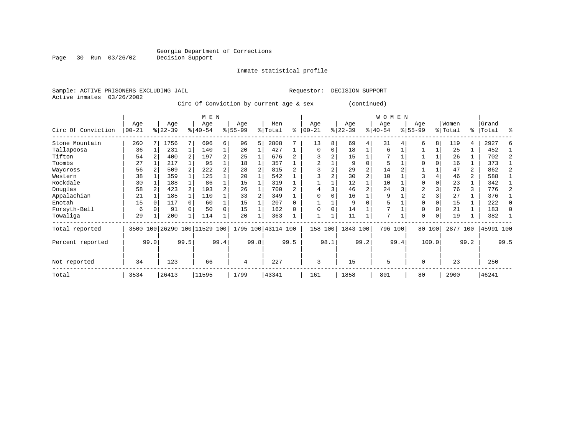Inmate statistical profile

Active inmates 03/26/2002

Sample: ACTIVE PRISONERS EXCLUDING JAIL Requestor: DECISION SUPPORT

Circ Of Conviction by current age & sex (continued)

|                    |            |      |           |      | M E N                   |      |           |      |                    |      |          |      |           |                | WOMEN     |      |                |          |          |                |           |      |
|--------------------|------------|------|-----------|------|-------------------------|------|-----------|------|--------------------|------|----------|------|-----------|----------------|-----------|------|----------------|----------|----------|----------------|-----------|------|
|                    | Age        |      | Age       |      | Age                     |      | Age       |      | Men                |      | Age      |      | Age       |                | Age       |      | Age            |          | Women    |                | Grand     |      |
| Circ Of Conviction | $ 00 - 21$ |      | $8 22-39$ |      | $8 40-54$               |      | $8 55-99$ |      | % Total            | ి    | $ 00-21$ | %    | $22 - 39$ |                | $ 40-54 $ |      | $8155 - 99$    |          | % Total  | ႜႂ             | Total     | ႜ    |
| Stone Mountain     | 260        |      | 1756      |      | 696                     | 6    | 96        | 5    | 2808               |      | 13       | 8    | 69        | 4              | 31        |      | 6              | 8        | 119      | 4              | 2927      |      |
| Tallapoosa         | 36         |      | 231       |      | 140                     |      | 20        |      | 427                |      | $\Omega$ | 0    | 18        |                | 6         |      |                |          | 25       |                | 452       |      |
| Tifton             | 54         |      | 400       |      | 197                     | 2    | 25        |      | 676                |      |          | 2    | 15        |                |           |      |                |          | 26       |                | 702       |      |
| Toombs             | 27         |      | 217       |      | 95                      |      | 18        |      | 357                |      |          |      | 9         |                | 5         |      |                |          | 16       |                | 373       |      |
| Waycross           | 56         |      | 509       |      | 222                     | 2    | 28        |      | 815                |      |          |      | 29        | $\overline{2}$ | 14        |      |                |          | 47       | $\overline{2}$ | 862       |      |
| Western            | 38         |      | 359       |      | 125                     |      | 20        |      | 542                |      |          |      | 30        | $\overline{2}$ | 10        |      |                |          | 46       | $\overline{a}$ | 588       |      |
| Rockdale           | 30         |      | 188       |      | 86                      |      | 15        |      | 319                |      |          |      | 12        |                | 10        |      | $\Omega$       |          | 23       |                | 342       |      |
| Douglas            | 58         |      | 423       |      | 193                     | 2    | 26        |      | 700                |      |          |      | 46        |                | 24        |      | $\overline{a}$ |          | 76       | 3              | 776       |      |
| Appalachian        | 21         |      | 185       |      | 110                     |      | 33        |      | 349                |      |          |      | 16        |                | 9         |      | $\overline{2}$ |          | 27       |                | 376       |      |
| Enotah             | 15         |      | 117       |      | 60                      |      | 15        |      | 207                |      |          |      | 9         |                | 5         |      | $\Omega$       |          | 15       |                | 222       |      |
| Forsyth-Bell       | 6          |      | 91        |      | 50                      | 0    | 15        |      | 162                |      | $\Omega$ | 0    | 14        |                |           |      | $\Omega$       |          | 21       |                | 183       | 0    |
| Towaliga           | 29         |      | 200       |      | 114                     |      | 20        |      | 363                |      |          |      | 11        |                | 7         |      | $\Omega$       | $\Omega$ | 19       |                | 382       |      |
| Total reported     | 3500       |      |           |      | 100 26290 100 11529 100 |      |           |      | 1795 100 43114 100 |      | 158      | 100  | 1843 100  |                | 796 100   |      |                | 80 100   | 2877 100 |                | 45991 100 |      |
| Percent reported   |            | 99.0 |           | 99.5 |                         | 99.4 |           | 99.8 |                    | 99.5 |          | 98.1 |           | 99.2           |           | 99.4 |                | 100.0    |          | 99.2           |           | 99.5 |
| Not reported       | 34         |      | 123       |      | 66                      |      | 4         |      | 227                |      | 3        |      | 15        |                | 5         |      | $\Omega$       |          | 23       |                | 250       |      |
| Total              | 3534       |      | 26413     |      | 11595                   |      | 1799      |      | 43341              |      | 161      |      | 1858      |                | 801       |      | 80             |          | 2900     |                | 46241     |      |

Page 30 Run 03/26/02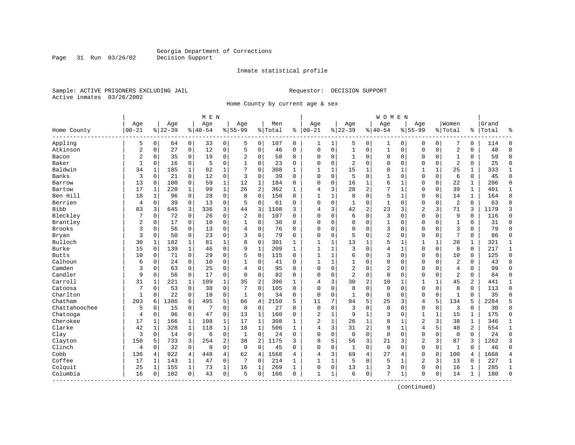Inmate statistical profile

Sample: ACTIVE PRISONERS EXCLUDING JAIL Requestor: DECISION SUPPORT Active inmates 03/26/2002

Page 31 Run 03/26/02

Home County by current age & sex

|                         |                |              |           |              | M E N     |                |                |              |         |              |                |   |                |                | <b>WOMEN</b> |              |                |             |                |                |       |                |
|-------------------------|----------------|--------------|-----------|--------------|-----------|----------------|----------------|--------------|---------|--------------|----------------|---|----------------|----------------|--------------|--------------|----------------|-------------|----------------|----------------|-------|----------------|
|                         | Age            |              | Age       |              | Age       |                | Age            |              | Men     |              | Age            |   | Age            |                | Age          |              | Age            |             | Women          |                | Grand |                |
| Home County<br>-------- | $00 - 21$      |              | $8 22-39$ |              | $8 40-54$ |                | $8155 - 99$    |              | % Total | ి            | $ 00-21$       |   | $8 22-39$      |                | $8 40-54$    |              | $8155 - 99$    |             | % Total        | °ະ ∣           | Total | န္             |
| Appling                 | 5              | 0            | 64        | 0            | 33        | 0              | 5              | 0            | 107     | 0            | 1              | 1 | 5              | 0              | 1            | 0            | 0              | $\mathbf 0$ | 7              | 0              | 114   | $\Omega$       |
| Atkinson                | $\overline{2}$ | $\mathsf 0$  | 27        | 0            | 12        | $\mathsf 0$    | 5              | $\mathsf 0$  | 46      | 0            | $\Omega$       | 0 | $\mathbf{1}$   | 0              | $\mathbf{1}$ | 0            | $\Omega$       | 0           | $\overline{a}$ | 0              | 48    | $\Omega$       |
| Bacon                   | $\overline{2}$ | 0            | 35        | $\mathbf 0$  | 19        | 0              | 2              | 0            | 58      | 0            | 0              | 0 | 1              | 0              | 0            | 0            | 0              | 0           | $\mathbf{1}$   | 0              | 59    | $\Omega$       |
| Baker                   | 1              | 0            | 16        | 0            | 5         | 0              | 1              | 0            | 23      | 0            | $\Omega$       | 0 | 2              | 0              | 0            | $\mathbf 0$  | $\Omega$       | 0           | $\overline{2}$ | 0              | 25    | $\mathbf 0$    |
| Baldwin                 | 34             | 1            | 185       | 1            | 82        | 1              | 7              | $\mathbf 0$  | 308     | $\mathbf{1}$ | $\mathbf{1}$   | 1 | 15             | 1              | 8            | 1            | 1              | 1           | 25             | 1              | 333   | 1              |
| Banks                   | 3              | $\Omega$     | 21        | $\Omega$     | 12        | $\Omega$       | 3              | $\Omega$     | 39      | $\Omega$     | $\Omega$       | 0 | 5              | $\Omega$       | $\mathbf{1}$ | $\Omega$     | $\Omega$       | $\Omega$    | 6              | $\Omega$       | 45    | $\Omega$       |
| Barrow                  | 13             | $\Omega$     | 100       | $\mathbf 0$  | 59        | $\mathbf{1}$   | 12             | $\mathbf{1}$ | 184     | $\Omega$     | $\Omega$       | 0 | 16             | 1              | 6            | $\mathbf{1}$ | $\Omega$       | $\Omega$    | 22             | $\mathbf{1}$   | 206   | $\Omega$       |
| Bartow                  | 17             | $\mathbf{1}$ | 220       | 1            | 99        | $\mathbf{1}$   | 26             | 2            | 362     | $\mathbf{1}$ | 4              | 3 | 28             | $\overline{c}$ | 7            | $\mathbf{1}$ | $\Omega$       | 0           | 39             | $\mathbf{1}$   | 401   | $\mathbf{1}$   |
| Ben Hill                | 18             | $\mathbf{1}$ | 96        | $\mathbf 0$  | 28        | 0              | 8              | $\mathbf 0$  | 150     | $\Omega$     | $\mathbf{1}$   | 1 | 8              | 0              | 5            | $\mathbf 1$  | $\Omega$       | 0           | 14             | $\mathbf{1}$   | 164   | $\Omega$       |
| Berrien                 | 4              | $\mathbf 0$  | 39        | 0            | 13        | 0              | 5              | $\mathbf 0$  | 61      | $\Omega$     | $\Omega$       | 0 | 1              | 0              | $\mathbf{1}$ | $\mathbf 0$  | $\Omega$       | 0           | $\overline{2}$ | 0              | 63    | $\Omega$       |
| <b>Bibb</b>             | 83             | 3            | 645       | 3            | 336       | 3              | 44             | 3            | 1108    | 3            | 4              | 3 | 42             | 2              | 23           | 3            | $\overline{2}$ | 3           | 71             | 3              | 1179  | 3              |
| Bleckley                | 7              | 0            | 72        | $\mathbf 0$  | 26        | $\mathbf 0$    | $\overline{2}$ | $\mathbf 0$  | 107     | 0            | $\Omega$       | 0 | 6              | 0              | 3            | $\Omega$     | $\Omega$       | $\Omega$    | 9              | 0              | 116   | $\Omega$       |
| Brantley                | $\overline{2}$ | 0            | 17        | $\mathbf 0$  | 10        | $\mathbf 0$    | 1              | 0            | 30      | 0            | 0              | 0 | $\Omega$       | 0              | 1            | $\mathbf 0$  | 0              | $\Omega$    | $\mathbf{1}$   | 0              | 31    | $\Omega$       |
| <b>Brooks</b>           | 3              | $\mathbf 0$  | 56        | $\mathbf 0$  | 13        | $\mathbf 0$    | 4              | $\mathbf 0$  | 76      | 0            | $\Omega$       | 0 | $\Omega$       | $\Omega$       | 3            | 0            | $\mathbf 0$    | 0           | 3              | 0              | 79    | $\Omega$       |
| Bryan                   | 3              | $\Omega$     | 50        | $\mathbf 0$  | 23        | $\mathbf 0$    | 3              | $\mathbf 0$  | 79      | $\Omega$     | $\Omega$       | 0 | 5              | $\Omega$       | 2            | $\mathbf 0$  | $\Omega$       | 0           | 7              | $\Omega$       | 86    | $\Omega$       |
| Bulloch                 | 30             | 1            | 182       | 1            | 81        | $\mathbf 1$    | 8              | $\mathbf 0$  | 301     | 1            | $\mathbf{1}$   | 1 | 13             | 1              | 5            | 1            | 1              | 1           | 20             | 1              | 321   | 1              |
| Burke                   | 15             | 0            | 139       | 1            | 46        | 0              | 9              | $\mathbf 1$  | 209     | $\mathbf{1}$ | $\mathbf{1}$   | 1 | 3              | $\Omega$       | 4            | $\mathbf{1}$ | $\Omega$       | 0           | 8              | $\Omega$       | 217   | $\mathbf{1}$   |
| <b>Butts</b>            | 10             | 0            | 71        | 0            | 29        | $\mathbf 0$    | 5              | $\mathbf 0$  | 115     | $\Omega$     | $\mathbf{1}$   | 1 | 6              | $\Omega$       | 3            | $\Omega$     | $\Omega$       | $\Omega$    | 10             | 0              | 125   | $\Omega$       |
| Calhoun                 | 6              | 0            | 24        | $\mathbf 0$  | 10        | 0              | 1              | 0            | 41      | $\Omega$     | 1              | 1 |                | 0              | 0            | $\mathbf 0$  | $\Omega$       | 0           | $\overline{2}$ | 0              | 43    | $\Omega$       |
| Camden                  | 3              | 0            | 63        | 0            | 25        | 0              | 4              | $\mathbf 0$  | 95      | $\Omega$     | $\Omega$       | 0 | $\overline{2}$ | 0              | 2            | 0            | $\Omega$       | 0           | $\overline{4}$ | 0              | 99    | $\Omega$       |
| Candler                 | 9              | 0            | 56        | 0            | 17        | $\mathbf 0$    | $\mathbf 0$    | $\mathbf 0$  | 82      | 0            | $\Omega$       | 0 | $\overline{2}$ | 0              | 0            | $\mathbf 0$  | $\Omega$       | 0           | $\overline{2}$ | 0              | 84    | $\Omega$       |
| Carroll                 | 31             | 1            | 221       | $\mathbf{1}$ | 109       | $\mathbf 1$    | 35             | 2            | 396     | 1            | $\overline{4}$ | 3 | 30             | 2              | 10           | 1            | 1              |             | 45             | 2              | 441   | 1              |
| Catoosa                 | 7              | 0            | 53        | $\mathbf 0$  | 38        | $\mathbf 0$    | 7              | $\mathbf 0$  | 105     | 0            | $\Omega$       | 0 | 8              | $\Omega$       | $\mathbf{0}$ | $\Omega$     | $\Omega$       | $\Omega$    | 8              | $\Omega$       | 113   | $\Omega$       |
| Charlton                | $\mathbf{1}$   | $\Omega$     | 22        | $\mathbf 0$  | 10        | $\mathbf 0$    | $\mathbf{1}$   | $\mathbf 0$  | 34      | $\Omega$     | $\Omega$       | 0 | $\mathbf{1}$   | $\Omega$       | $\Omega$     | $\Omega$     | $\Omega$       | $\Omega$    | $\mathbf{1}$   | $\Omega$       | 35    | $\Omega$       |
| Chatham                 | 203            | 6            | 1386      | 6            | 495       | 5              | 66             | 4            | 2150    | 5            | 11             | 7 | 94             | 5              | 25           | 3            | $\overline{4}$ | 5           | 134            | 5              | 2284  | 5              |
| Chattahoochee           | 5              | 0            | 15        | $\mathbf 0$  | 7         | 0              | $\mathbf 0$    | $\mathbf 0$  | 27      | 0            | $\Omega$       | 0 | $\overline{3}$ | 0              | $\Omega$     | $\Omega$     | $\Omega$       | 0           | 3              | 0              | 30    | $\Omega$       |
| Chatooga                | 4              | 0            | 96        | $\mathbf 0$  | 47        | 0              | 13             | 1            | 160     | 0            | $\overline{2}$ | 1 | 9              | 1              | 3            | $\Omega$     | $\mathbf{1}$   | 1           | 15             | 1              | 175   | $\mathbf 0$    |
| Cherokee                | 17             | $\mathbf{1}$ | 166       | 1            | 108       | $\mathbf 1$    | 17             | 1            | 308     | 1            | 2              | 1 | 26             | 1              | 8            | 1            | $\overline{2}$ | 3           | 38             | 1              | 346   | 1              |
| Clarke                  | 42             | $\mathbf{1}$ | 328       | $\mathbf{1}$ | 118       | $\mathbf{1}$   | 18             | $\mathbf{1}$ | 506     | $\mathbf{1}$ | 4              | 3 | 31             | $\overline{2}$ | 9            | $\mathbf{1}$ | $\overline{4}$ | 5           | 48             | $\overline{a}$ | 554   | $\mathbf{1}$   |
| Clay                    | 3              | $\Omega$     | 14        | $\mathbf 0$  | 6         | $\mathbf 0$    | $\mathbf{1}$   | $\mathbf 0$  | 24      | $\Omega$     | $\Omega$       | 0 | $\Omega$       | $\Omega$       | $\Omega$     | $\Omega$     | $\Omega$       | $\Omega$    | $\mathbf 0$    | $\Omega$       | 24    | $\Omega$       |
| Clayton                 | 150            | 5            | 733       | 3            | 254       | $\sqrt{2}$     | 38             | 2            | 1175    | 3            | 8              | 5 | 56             | 3              | 21           | 3            | $\overline{2}$ | 3           | 87             | 3              | 1262  | 3              |
| Clinch                  | 4              | $\Omega$     | 32        | $\mathbf 0$  | 9         | $\mathbf 0$    | $\Omega$       | $\mathbf 0$  | 45      | 0            | $\Omega$       | 0 | $\mathbf{1}$   | 0              | $\mathbf{0}$ | $\Omega$     | $\Omega$       | 0           | $\mathbf{1}$   | $\Omega$       | 46    | $\Omega$       |
| Cobb                    | 136            | 4            | 922       | 4            | 448       | $\overline{4}$ | 62             | 4            | 1568    | 4            | 4              | 3 | 69             | 4              | 27           | 4            | $\Omega$       | $\mathbf 0$ | 100            | 4              | 1668  | $\overline{4}$ |
| Coffee                  | 17             | 1            | 143       | 1            | 47        | 0              | 7              | 0            | 214     | 1            | $\mathbf{1}$   | 1 | 5              | 0              | 5            | 1            | $\overline{2}$ | 3           | 13             | 0              | 227   | 1              |
| Colquit                 | 25             | 1            | 155       | 1            | 73        | $\mathbf 1$    | 16             | 1            | 269     | 1            | 0              | 0 | 13             | 1              | 3            | 0            | $\Omega$       | 0           | 16             | 1              | 285   | 1              |
| Columbia<br>----------  | 16             | 0            | 102       | 0            | 43        | $\mathbf 0$    | 5              | $\mathbf 0$  | 166     | 0            | $\mathbf{1}$   | 1 | 6              | 0              | 7            | 1            | $\Omega$       | 0           | 14             | $\mathbf 1$    | 180   | $\Omega$       |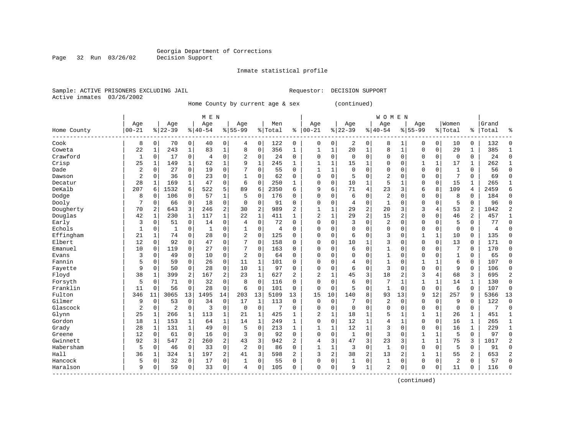Inmate statistical profile

Sample: ACTIVE PRISONERS EXCLUDING JAIL Requestor: DECISION SUPPORT Active inmates 03/26/2002

Page 32 Run 03/26/02

Home County by current age & sex (continued)

|                         |                |              |           |                | M E N       |              |                |                |         |                |              |              |                |                | WOMEN        |              |              |              |              |                |       |              |
|-------------------------|----------------|--------------|-----------|----------------|-------------|--------------|----------------|----------------|---------|----------------|--------------|--------------|----------------|----------------|--------------|--------------|--------------|--------------|--------------|----------------|-------|--------------|
|                         | Age            |              | Age       |                | Age         |              | Age            |                | Men     |                | Age          |              | Age            |                | Age          |              | Age          |              | Women        |                | Grand |              |
| Home County<br>------   | $00 - 21$      |              | $8 22-39$ |                | $8 40-54$   |              | $8155 - 99$    |                | % Total | ి              | $00 - 21$    |              | $ 22-39$       |                | $8140 - 54$  |              | $8155 - 99$  |              | % Total      | ి              | Total | 우            |
| Cook                    | 8              | 0            | 70        | 0              | 40          | 0            | 4              | $\mathbf 0$    | 122     | 0              | 0            | 0            | 2              | 0              | 8            | 1            | 0            | 0            | 10           | 0              | 132   | Ω            |
| Coweta                  | 22             | $\mathbf{1}$ | 243       | 1              | 83          | $\mathbf 1$  | 8              | $\mathbf 0$    | 356     | 1              | $\mathbf{1}$ | $\mathbf{1}$ | 20             | 1              | 8            | $\mathbf{1}$ | $\Omega$     | $\mathbf 0$  | 29           | $\mathbf{1}$   | 385   |              |
| Crawford                | 1              | $\Omega$     | 17        | 0              | 4           | $\mathbf 0$  | $\overline{2}$ | 0              | 24      | 0              | $\Omega$     | 0            | $\Omega$       | $\Omega$       | 0            | $\Omega$     | $\Omega$     | $\mathbf 0$  | $\mathbf 0$  | 0              | 24    | $\Omega$     |
| Crisp                   | 25             | 1            | 149       | 1              | 62          | $\mathbf 1$  | 9              | $\mathbf{1}$   | 245     | 1              |              | 1            | 15             | $\mathbf{1}$   | 0            | $\Omega$     |              | $\mathbf{1}$ | 17           | 1              | 262   |              |
| Dade                    | $\overline{2}$ | $\mathbf 0$  | 27        | $\mathbf 0$    | 19          | 0            |                | $\mathbf 0$    | 55      | $\mathbf 0$    | $\mathbf{1}$ | $\mathbf 1$  | $\Omega$       | $\Omega$       | $\Omega$     | 0            | $\Omega$     | $\mathbf 0$  | $\mathbf{1}$ | 0              | 56    | $\cap$       |
| Dawson                  | $\overline{2}$ | 0            | 36        | $\mathbf 0$    | 23          | $\mathsf 0$  | 1              | $\mathbf 0$    | 62      | $\Omega$       | $\Omega$     | 0            | 5              | $\cap$         | 2            | $\Omega$     | $\Omega$     | 0            | 7            | 0              | 69    | $\Omega$     |
| Decatur                 | 28             | 1            | 169       | $\mathbf{1}$   | 47          | $\mathbf 0$  | 6              | $\mathbf 0$    | 250     | 1              | $\Omega$     | 0            | 10             | 1              | 5            | 1            | $\Omega$     | $\mathbf 0$  | 15           | 1              | 265   | -1           |
| DeKalb                  | 207            | 6            | 1532      | 6              | 522         | 5            | 89             | 6              | 2350    | 6              | 9            | 6            | 71             | $\overline{4}$ | 23           | 3            | 6            | 8            | 109          | 4              | 2459  | б            |
| Dodge                   | 8              | $\Omega$     | 106       | 0              | 57          | 1            | 5              | $\mathbf 0$    | 176     | 0              | 0            | 0            | 6              | $\Omega$       | 2            | 0            | $\Omega$     | $\Omega$     | 8            | 0              | 184   | 0            |
| Dooly                   | 7              | 0            | 66        | 0              | 18          | $\mathbf 0$  | $\Omega$       | 0              | 91      | $\Omega$       | O            | 0            | $\overline{4}$ | $\Omega$       | $\mathbf{1}$ | U            | $\Omega$     | 0            | 5            | 0              | 96    | ∩            |
| Dougherty               | 70             | 2            | 643       | 3              | 246         | $\sqrt{2}$   | 30             | $\overline{c}$ | 989     | $\overline{2}$ | $\mathbf{1}$ | 1            | 29             | 2              | 20           | 3            | 3            | 4            | 53           | $\overline{2}$ | 1042  |              |
| Douglas                 | 42             | -1           | 230       | 1              | 117         | $\mathbf{1}$ | 22             | 1              | 411     | $\mathbf{1}$   | 2            | $\mathbf{1}$ | 29             | 2              | 15           | 2            | $\mathbf 0$  | $\Omega$     | 46           | 2              | 457   |              |
| Early                   | 3              | $\mathbf 0$  | 51        | $\mathbf 0$    | 14          | 0            | $\overline{4}$ | $\mathbf 0$    | 72      | $\Omega$       | 0            | $\Omega$     | 3              | $\Omega$       | 2            | O            | $\mathbf 0$  | $\Omega$     | 5            | 0              | 77    | $\Omega$     |
| Echols                  | $\mathbf{1}$   | 0            | 1         | $\mathbf 0$    | $\mathbf 1$ | 0            | 1              | $\mathbf 0$    | 4       | $\mathbf 0$    | 0            | 0            | $\Omega$       | $\Omega$       | 0            | 0            | $\Omega$     | $\mathbf 0$  | $\Omega$     | 0              | 4     | ſ            |
| Effingham               | 21             | $\mathbf{1}$ | 74        | $\mathbf 0$    | 28          | $\mathbf 0$  | 2              | $\mathbf 0$    | 125     | $\Omega$       | $\Omega$     | 0            | 6              | $\Omega$       | 3            | 0            | 1            | $\mathbf{1}$ | 10           | 0              | 135   | $\Omega$     |
| Elbert                  | 12             | $\Omega$     | 92        | $\Omega$       | 47          | $\mathbf 0$  | 7              | $\mathbf 0$    | 158     | $\Omega$       | $\Omega$     | $\Omega$     | 10             | 1              | 3            | 0            | $\Omega$     | $\Omega$     | 13           | $\Omega$       | 171   | $\Omega$     |
| Emanuel                 | 10             | $\Omega$     | 119       | $\mathbf 0$    | 27          | $\mathbf 0$  | 7              | $\mathbf 0$    | 163     | $\Omega$       | 0            | $\Omega$     | 6              | $\Omega$       | 1            | 0            | $\Omega$     | 0            | 7            | 0              | 170   | $\Omega$     |
| Evans                   | 3              | 0            | 49        | 0              | 10          | $\mathsf 0$  | $\overline{2}$ | 0              | 64      | $\Omega$       | $\Omega$     | $\Omega$     |                | $\Omega$       | 1            | O            | $\Omega$     | $\Omega$     | $\mathbf{1}$ | 0              | 65    | $\Omega$     |
| Fannin                  | 5              | 0            | 59        | 0              | 26          | 0            | 11             | 1              | 101     | $\Omega$       | $\Omega$     | $\Omega$     | 4              | $\Omega$       | 1            | O            | $\mathbf{1}$ | 1            | 6            | 0              | 107   | $\Omega$     |
| Fayette                 | 9              | $\Omega$     | 50        | $\mathbf 0$    | 28          | $\mathbf 0$  | 10             | 1              | 97      | $\Omega$       | $\Omega$     | $\Omega$     | 6              | $\Omega$       | 3            | $\Omega$     | $\Omega$     | $\Omega$     | 9            | 0              | 106   | $\Omega$     |
| Floyd                   | 38             | 1            | 399       | 2              | 167         | 2            | 23             | $\mathbf{1}$   | 627     | 2              | 2            | 1            | 45             | 3              | 18           | 2            | 3            | 4            | 68           | 3              | 695   | 2            |
| Forsyth                 | 5              | 0            | 71        | $\mathbf 0$    | 32          | $\mathbf 0$  | 8              | $\mathbf 0$    | 116     | 0              | 0            | 0            | 6              | $\Omega$       | 7            | 1            | 1            | 1            | 14           | 1              | 130   | $\Omega$     |
| Franklin                | 11             | $\Omega$     | 56        | $\mathbf 0$    | 28          | $\mathbf 0$  | 6              | $\mathbf 0$    | 101     | $\Omega$       | 0            | $\Omega$     | 5              | $\Omega$       | $\mathbf{1}$ | 0            | $\Omega$     | $\Omega$     | 6            | 0              | 107   | $\Omega$     |
| Fulton                  | 346            | 11           | 3065      | 13             | 1495        | 14           | 203            | 13             | 5109    | 13             | 15           | 10           | 140            | 8              | 93           | 13           | 9            | 12           | 257          | 9              | 5366  | 13           |
| Gilmer                  | 9              | 0            | 53        | $\mathbf 0$    | 34          | $\mathbf 0$  | 17             | 1              | 113     | $\Omega$       | $\Omega$     | 0            |                | $\Omega$       | 2            | 0            | $\Omega$     | $\Omega$     | 9            | $\Omega$       | 122   | $\Omega$     |
| Glascock                | 2              | 0            | 2         | $\mathbf 0$    | 3           | $\mathbf 0$  | $\mathbf 0$    | 0              | 7       | 0              | $\Omega$     | 0            | $\Omega$       | $\Omega$       | 0            | $\Omega$     | $\mathbf 0$  | 0            | $\mathbf 0$  | 0              | 7     | $\Omega$     |
| Glynn                   | 25             | 1            | 266       | 1              | 113         | 1            | 21             | 1              | 425     | 1              | 2            | 1            | 18             | 1              | 5            |              |              | 1            | 26           | 1              | 451   | $\mathbf{1}$ |
| Gordon                  | 18             | 1            | 153       | 1              | 64          | $\mathbf 1$  | 14             | 1              | 249     | 1              | $\Omega$     | 0            | 12             | 1              | 4            | 1            | $\Omega$     | $\mathbf 0$  | 16           | 1              | 265   | $\mathbf{1}$ |
| Grady                   | 28             | 1            | 131       | 1              | 49          | $\mathbf 0$  | 5              | $\mathbf 0$    | 213     | 1              | $\mathbf{1}$ | 1            | 12             | 1              | 3            | $\Omega$     | $\mathbf 0$  | $\Omega$     | 16           | 1              | 229   | $\mathbf{1}$ |
| Greene                  | 12             | 0            | 61        | $\mathbf 0$    | 16          | $\mathbf 0$  | 3              | $\mathbf 0$    | 92      | $\Omega$       | $\Omega$     | 0            | 1              | $\Omega$       | 3            | 0            | $\mathbf{1}$ | 1            | 5            | 0              | 97    | $\Omega$     |
| Gwinnett                | 92             | 3            | 547       | $\overline{a}$ | 260         | 2            | 43             | 3              | 942     | $\overline{a}$ | 4            | 3            | 47             | 3              | 23           | 3            | $\mathbf{1}$ | $\mathbf{1}$ | 75           | 3              | 1017  |              |
| Habersham               | 5              | $\Omega$     | 46        | $\mathbf 0$    | 33          | $\mathbf 0$  | $\overline{2}$ | $\mathbf 0$    | 86      | $\Omega$       | 1            | 1            | 3              | $\Omega$       | $\mathbf{1}$ | $\Omega$     | $\Omega$     | $\Omega$     | 5            | 0              | 91    | Ω            |
| Hall                    | 36             | 1            | 324       | 1              | 197         | 2            | 41             | 3              | 598     | 2              | 3            | 2            | 38             | 2              | 13           | 2            |              | 1            | 55           | 2              | 653   |              |
| Hancock                 | 5              | 0            | 32        | $\mathbf 0$    | 17          | 0            | 1              | $\mathbf 0$    | 55      | $\Omega$       | $\Omega$     | 0            | 1              | $\mathbf 0$    | $\mathbf{1}$ | 0            | $\mathbf 0$  | $\mathbf 0$  | 2            | 0              | 57    | $\cap$       |
| Haralson<br>$- - - - -$ | 9              | 0            | 59        | 0              | 33          | 0            | 4              | $\mathbf 0$    | 105     | $\Omega$       | $\Omega$     | 0            | q              | 1              | 2            | 0            | $\Omega$     | 0            | 11           | 0              | 116   | $\cap$       |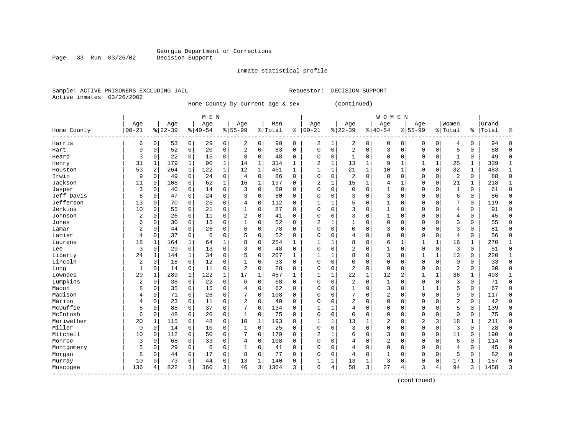Inmate statistical profile

Sample: ACTIVE PRISONERS EXCLUDING JAIL Requestor: DECISION SUPPORT Active inmates 03/26/2002

Page 33 Run 03/26/02

Home County by current age & sex (continued)

|                                                  |                |             |           |              | M E N     |                |                |                |         |              |                |              |                |             | <b>WOMEN</b>   |              |                |              |                |              |       |              |
|--------------------------------------------------|----------------|-------------|-----------|--------------|-----------|----------------|----------------|----------------|---------|--------------|----------------|--------------|----------------|-------------|----------------|--------------|----------------|--------------|----------------|--------------|-------|--------------|
|                                                  | Age            |             | Age       |              | Age       |                | Age            |                | Men     |              | Age            |              | Age            |             | Age            |              | Age            |              | Women          |              | Grand |              |
| Home County                                      | $00 - 21$      |             | $8 22-39$ |              | $8 40-54$ |                | $8155 - 99$    |                | % Total | န့           | $ 00 - 21$     |              | $8 22-39$      |             | $8 40-54$      |              | $8155 - 99$    |              | % Total        | ႜ            | Total |              |
| Harris                                           | 6              | 0           | 53        | 0            | 29        | $\overline{0}$ | 2              | 0              | 90      | 0            | 2              | 1            | 2              | 0           | 0              | 0            | 0              | 0            | 4              | 0            | 94    | ∩            |
| Hart                                             | 9              | 0           | 52        | $\mathbf 0$  | 20        | 0              | 2              | $\mathbf 0$    | 83      | 0            | 0              | 0            | $\overline{2}$ | $\mathbf 0$ | 3              | 0            | $\mathbf{0}$   | $\mathbf 0$  | 5              | 0            | 88    | <sup>0</sup> |
| Heard                                            | 3              | $\Omega$    | 22        | $\mathbf 0$  | 15        | 0              | 8              | $\mathbf 0$    | 48      | $\Omega$     | $\Omega$       | 0            | -1             | $\Omega$    | 0              | $\Omega$     | $\Omega$       | $\Omega$     | 1              | 0            | 49    | $\Omega$     |
| Henry                                            | 31             | 1           | 179       | 1            | 90        | $\mathbf{1}$   | 14             | $\mathbf{1}$   | 314     | $\mathbf{1}$ | 2              | $\mathbf{1}$ | 13             | 1           | 9              | 1            |                | 1            | 25             | 1            | 339   | $\mathbf{1}$ |
| Houston                                          | 53             | 2           | 264       | $\mathbf{1}$ | 122       | $\mathbf{1}$   | 12             | $\mathbf{1}$   | 451     | $\mathbf{1}$ | $\overline{1}$ | $\mathbf{1}$ | 21             | $\mathbf 1$ | 10             | $\mathbf{1}$ | $\Omega$       | $\mathbf 0$  | 32             | $\mathbf{1}$ | 483   | $\mathbf{1}$ |
| Irwin                                            | 9              | $\mathbf 0$ | 49        | $\mathbf 0$  | 24        | 0              | 4              | $\mathbf 0$    | 86      | $\Omega$     | $\Omega$       | 0            | $\overline{c}$ | $\Omega$    | 0              | $\Omega$     | $\Omega$       | $\mathbf 0$  | 2              | 0            | 88    | $\Omega$     |
| Jackson                                          | 11             | 0           | 108       | $\mathbf 0$  | 62        | $\mathbf{1}$   | 16             | 1              | 197     | $\Omega$     | $\overline{2}$ | 1            | 15             | 1           | 4              | 1            | $\mathbf 0$    | 0            | 21             | 1            | 218   | $\mathbf{1}$ |
| Jasper                                           | 3              | 0           | 40        | $\Omega$     | 14        | 0              | 3              | 0              | 60      | 0            | $\Omega$       | 0            | 0              | $\Omega$    | 1              | 0            | $\Omega$       | $\Omega$     | $\mathbf{1}$   | 0            | 61    | $\Omega$     |
| Jeff Davis                                       | 6              | 0           | 47        | $\Omega$     | 24        | 0              | ζ              | $\mathbf 0$    | 80      | O            | $\Omega$       | $\Omega$     | 3              | $\Omega$    | 3              | $\Omega$     | $\Omega$       | $\Omega$     | 6              | 0            | 86    | $\Omega$     |
| Jefferson                                        | 13             | $\Omega$    | 70        | $\Omega$     | 25        | 0              | 4              | $\Omega$       | 112     | O            | $\mathbf{1}$   | 1            |                | $\Omega$    | $\mathbf{1}$   | $\Omega$     | $\Omega$       | $\Omega$     | 7              | 0            | 119   | $\Omega$     |
| Jenkins                                          | 10             | $\Omega$    | 55        | $\Omega$     | 21        | 0              | 1              | $\Omega$       | 87      | $\Omega$     | $\Omega$       | $\Omega$     | 3              | $\Omega$    | $\mathbf{1}$   | U            | $\Omega$       | $\Omega$     | 4              | 0            | 91    | $\cap$       |
| Johnson                                          | 2              | $\Omega$    | 26        | $\Omega$     | 11        | 0              | 2              | $\mathbf 0$    | 41      | $\Omega$     | $\Omega$       | 0            | 3              | $\Omega$    | 1              | $\Omega$     | $\Omega$       | $\Omega$     | 4              | 0            | 45    | $\cap$       |
| Jones                                            | 6              | 0           | 30        | $\mathbf 0$  | 15        | 0              | 1              | $\mathbf 0$    | 52      | 0            | $\overline{2}$ | 1            |                | $\Omega$    | 0              | 0            | $\Omega$       | $\Omega$     | 3              | 0            | 55    | $\cap$       |
| Lamar                                            | 2              | 0           | 44        | $\mathbf 0$  | 26        | 0              | 6              | $\mathbf 0$    | 78      | $\mathbf 0$  | $\Omega$       | 0            | $\Omega$       | $\Omega$    | 3              | $\Omega$     | $\Omega$       | $\mathbf 0$  | 3              | 0            | 81    | $\sqrt{ }$   |
| Lanier                                           | 4              | 0           | 37        | $\Omega$     | 6         | 0              | 5              | $\mathbf 0$    | 52      | $\Omega$     | $\Omega$       | $\Omega$     | 4              | $\Omega$    | $\Omega$       | 0            | $\Omega$       | $\Omega$     | 4              | $\Omega$     | 56    | $\Omega$     |
| Laurens                                          | 18             | 1           | 164       | 1            | 64        | $\mathbf 1$    | 8              | 0              | 254     | $\mathbf{1}$ | -1             | 1            | 8              | $\Omega$    | 6              | 1            | $\mathbf{1}$   | 1            | 16             | 1            | 270   | $\mathbf{1}$ |
| Lee                                              | 3              | 0           | 29        | $\mathbf 0$  | 13        | 0              | 3              | $\mathbf 0$    | 48      | $\Omega$     | $\Omega$       | 0            | $\overline{2}$ | $\Omega$    | 1              | $\Omega$     | $\Omega$       | $\mathbf 0$  | 3              | 0            | 51    | $\Omega$     |
| Liberty                                          | 24             | 1           | 144       | 1            | 34        | 0              | 5              | $\mathbf 0$    | 207     | $\mathbf{1}$ | 1              |              | 8              | $\Omega$    | 3              | $\Omega$     | $\mathbf{1}$   | $\mathbf{1}$ | 13             | 0            | 220   |              |
| Lincoln                                          | $\overline{2}$ | $\Omega$    | 18        | $\mathbf 0$  | 12        | 0              |                | $\mathbf 0$    | 33      | 0            | $\Omega$       | $\Omega$     | $\Omega$       | $\Omega$    | 0              | O            | $\Omega$       | $\mathbf 0$  | 0              | 0            | 33    | $\Omega$     |
| Long                                             | $\mathbf{1}$   | 0           | 14        | $\mathbf 0$  | 11        | 0              | $\overline{2}$ | $\mathbf 0$    | 28      | $\Omega$     | $\Omega$       | $\Omega$     | $\overline{2}$ | $\Omega$    | 0              | O            | $\Omega$       | $\Omega$     | $\overline{2}$ | 0            | 30    | ſ            |
| Lowndes                                          | 29             | 1           | 289       | $\mathbf{1}$ | 122       | $\mathbf{1}$   | 17             | $\mathbf{1}$   | 457     | $\mathbf{1}$ |                | 1            | 22             | 1           | 12             | 2            |                | $\mathbf{1}$ | 36             | 1            | 493   |              |
| Lumpkins                                         | 2              | 0           | 38        | $\Omega$     | 22        | 0              | 6              | $\mathbf 0$    | 68      | $\Omega$     | $\Omega$       | $\Omega$     | 2              | $\Omega$    | 1              | $\Omega$     | $\mathbf 0$    | $\Omega$     | 3              | 0            | 71    | $\Omega$     |
| Macon                                            | 8              | 0           | 35        | $\mathbf 0$  | 15        | 0              | 4              | $\mathbf 0$    | 62      | 0            | $\Omega$       | 0            |                | $\Omega$    | 3              | 0            |                | $\mathbf{1}$ | 5              | 0            | 67    | $\Omega$     |
| Madison                                          | 4              | $\Omega$    | 71        | $\mathbf 0$  | 26        | 0              | 7              | $\mathbf 0$    | 108     | 0            | $\Omega$       | $\Omega$     |                | $\Omega$    | 2              | $\Omega$     | $\Omega$       | $\Omega$     | 9              | 0            | 117   | $\sqrt{ }$   |
| Marion                                           | 4              | $\Omega$    | 23        | 0            | 11        | 0              | $\overline{2}$ | $\mathbf 0$    | 40      | $\Omega$     | $\Omega$       | $\Omega$     | $\overline{2}$ | $\Omega$    | $\Omega$       | O            | $\Omega$       | $\Omega$     | $\overline{2}$ | 0            | 42    | $\Omega$     |
| McDuffie                                         | 5              | $\Omega$    | 85        | 0            | 37        | 0              | 7              | $\mathbf 0$    | 134     | 0            |                |              | 4              | $\Omega$    | 0              | 0            | $\Omega$       | 0            | 5              | 0            | 139   | $\Omega$     |
| McIntosh                                         | 6              | $\Omega$    | 48        | 0            | 20        | 0              | $\mathbf{1}$   | $\mathbf 0$    | 75      | 0            | $\Omega$       | 0            | $\Omega$       | $\Omega$    | $\Omega$       | 0            | $\Omega$       | $\Omega$     | $\Omega$       | 0            | 75    | $\Omega$     |
| Meriwether                                       | 20             | 1           | 115       | 0            | 48        | 0              | 10             | 1              | 193     | O            | 1              | 1            | 13             |             | 2              | O            | $\overline{2}$ | 3            | 18             | 1            | 211   | $\Omega$     |
| Miller                                           | $\mathbf 0$    | $\Omega$    | 14        | $\Omega$     | 10        | 0              | $\mathbf{1}$   | $\mathbf 0$    | 25      | 0            | $\Omega$       | $\Omega$     | 3              | $\Omega$    | 0              | $\Omega$     | $\Omega$       | $\Omega$     | 3              | 0            | 28    | $\Omega$     |
| Mitchell                                         | 10             | O           | 112       | $\Omega$     | 50        | 0              | 7              | $\mathbf 0$    | 179     | $\Omega$     | $\overline{2}$ | $\mathbf{1}$ | 6              | $\Omega$    | 3              | U            | $\Omega$       | $\Omega$     | 11             | 0            | 190   | $\cap$       |
| Monroe                                           | 3              | 0           | 68        | $\mathbf 0$  | 33        | 0              | 4              | $\mathbf 0$    | 108     | 0            | $\Omega$       | 0            | 4              | $\Omega$    | $\overline{2}$ | O            | $\Omega$       | $\Omega$     | 6              | 0            | 114   | ∩            |
| Montgomery                                       | 5              | 0           | 29        | $\Omega$     | 6         | 0              | 1              | $\mathbf 0$    | 41      | 0            | C              | $\Omega$     | 4              | $\Omega$    | $\Omega$       | 0            | $\Omega$       | $\Omega$     | 4              | 0            | 45    | $\Omega$     |
| Morgan                                           | 8              | 0           | 44        | $\Omega$     | 17        | 0              | 8              | $\mathbf 0$    | 77      | 0            | $\Omega$       | 0            | 4              | 0           | 1              | O            | $\Omega$       | $\mathbf 0$  | 5              | 0            | 82    | O            |
| Murray                                           | 10             | 0           | 73        | 0            | 44        | 0              | 13             | 1              | 140     | 0            |                | 1            | 13             | 1           | 3              | 0            | $\mathbf 0$    | 0            | 17             | 1            | 157   | $\sqrt{ }$   |
| Muscogee<br>$\cdots \cdots \cdots \cdots \cdots$ | 136            |             | 822       | 3            | 360       | 3              | 46             | $\overline{3}$ | 1364    | 3            | 6              | 4            | 58             | 3           | 27             | 4            | 3              | 4            | 94             | 3            | 1458  | κ            |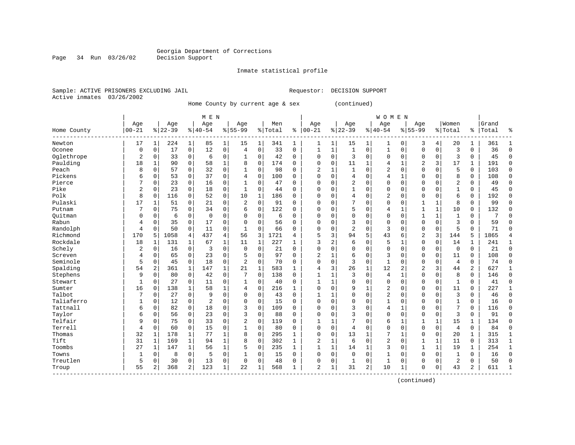Inmate statistical profile

Sample: ACTIVE PRISONERS EXCLUDING JAIL Requestor: DECISION SUPPORT Active inmates 03/26/2002

Page 34 Run 03/26/02

Home County by current age & sex (continued)

|             |                |              |           |              | M E N          |              |                |             |         |              |                |   |                |                | <b>WOMEN</b>   |              |                |              |                |          |       |              |
|-------------|----------------|--------------|-----------|--------------|----------------|--------------|----------------|-------------|---------|--------------|----------------|---|----------------|----------------|----------------|--------------|----------------|--------------|----------------|----------|-------|--------------|
|             | Age            |              | Age       |              | Age            |              | Age            |             | Men     |              | Age            |   | Age            |                | Age            |              | Age            |              | Women          |          | Grand |              |
| Home County | $00 - 21$      |              | $8 22-39$ |              | $8 40-54$      |              | $8155 - 99$    |             | % Total | ి            | $ 00 - 21$     |   | $8 22-39$      |                | $8140 - 54$    |              | $8155 - 99$    |              | % Total        | ႜ        | Total | 우            |
| Newton      | 17             |              | 224       | 1            | 85             | 1            | 15             | 1           | 341     | 1            | 1              | 1 | 15             | 1              | 1              | 0            | 3              | 4            | 20             | 1        | 361   |              |
| Oconee      | 0              | $\mathbf 0$  | 17        | $\mathbf 0$  | 12             | 0            | 4              | $\Omega$    | 33      | $\Omega$     | $\mathbf{1}$   | 1 | $\mathbf{1}$   | $\Omega$       | $\mathbf{1}$   | $\Omega$     | $\Omega$       | 0            | 3              | $\Omega$ | 36    | $\Omega$     |
| Oglethrope  | 2              | $\mathbf 0$  | 33        | $\Omega$     | 6              | 0            | 1              | $\Omega$    | 42      | $\Omega$     | $\Omega$       | 0 | 3              | $\Omega$       | 0              | $\Omega$     | $\Omega$       | $\Omega$     | 3              | $\Omega$ | 45    | $\Omega$     |
| Paulding    | 18             | $\mathbf{1}$ | 90        | $\Omega$     | 58             | 1            | 8              | $\Omega$    | 174     | $\Omega$     | $\Omega$       | 0 | 11             | 1              | 4              | $\mathbf{1}$ | 2              | 3            | 17             | 1        | 191   | $\Omega$     |
| Peach       | 8              | $\mathbf 0$  | 57        | $\mathbf 0$  | 32             | 0            | $\mathbf{1}$   | $\mathbf 0$ | 98      | $\Omega$     | $\overline{2}$ | 1 |                | $\Omega$       | 2              | $\Omega$     | $\Omega$       | $\Omega$     | 5              | 0        | 103   | $\cap$       |
| Pickens     | 6              | $\mathbf 0$  | 53        | $\mathbf 0$  | 37             | 0            | 4              | $\mathbf 0$ | 100     | $\Omega$     | $\Omega$       | 0 | 4              | $\Omega$       | $\overline{4}$ | 1            | $\Omega$       | $\Omega$     | 8              | 0        | 108   | $\cap$       |
| Pierce      | 7              | $\Omega$     | 23        | $\mathbf 0$  | 16             | 0            | $\mathbf{1}$   | $\mathbf 0$ | 47      | $\Omega$     | $\Omega$       | 0 | 2              | $\Omega$       | $\Omega$       | $\Omega$     | $\Omega$       | $\Omega$     | 2              | 0        | 49    | $\cap$       |
| Pike        | $\overline{2}$ | $\mathbf 0$  | 23        | $\mathbf 0$  | 18             | $\mathbf 0$  | 1              | 0           | 44      | $\Omega$     | $\Omega$       | 0 | 1              | $\Omega$       | $\Omega$       | $\Omega$     | $\Omega$       | $\Omega$     | $\mathbf{1}$   | 0        | 45    | $\Omega$     |
| Polk        | 8              | $\mathbf 0$  | 116       | 0            | 52             | 0            | 10             | 1           | 186     | $\Omega$     | $\Omega$       | 0 | 4              | 0              | $\overline{2}$ | $\Omega$     | $\Omega$       | 0            | 6              | 0        | 192   | $\Omega$     |
| Pulaski     | 17             | 1            | 51        | 0            | 21             | 0            | 2              | $\mathbf 0$ | 91      | O            | $\Omega$       | 0 |                | $\Omega$       | 0              | 0            |                | 1            | 8              | 0        | 99    | $\Omega$     |
| Putnam      | 7              | $\Omega$     | 75        | 0            | 34             | 0            | 6              | $\Omega$    | 122     | O            | $\Omega$       | O | 5              | $\Omega$       | 4              | $\mathbf{1}$ | $\mathbf{1}$   | 1            | 10             | 0        | 132   | ∩            |
| Ouitman     | 0              | $\mathbf 0$  | 6         | 0            | $\overline{0}$ | 0            | n              | $\Omega$    | 6       | $\Omega$     | $\Omega$       | 0 | $\Omega$       | $\Omega$       | $\Omega$       | $\Omega$     | $\mathbf{1}$   | 1            | 1              | 0        | 7     |              |
| Rabun       | 4              | $\Omega$     | 35        | $\Omega$     | 17             | $\Omega$     | 0              | $\Omega$    | 56      | $\Omega$     | 0              | 0 | 3              | $\Omega$       | $\Omega$       | O            | $\Omega$       | $\Omega$     | 3              | $\Omega$ | 59    | ∩            |
| Randolph    | 4              | 0            | 50        | $\mathbf 0$  | 11             | 0            | $\mathbf{1}$   | $\Omega$    | 66      | $\Omega$     | $\Omega$       | 0 | 2              | $\Omega$       | 3              | $\Omega$     | $\mathbf 0$    | $\Omega$     | 5              | $\Omega$ | 71    | ſ            |
| Richmond    | 170            | 5            | 1058      | 4            | 437            | 4            | 56             | 3           | 1721    | 4            | 5              | 3 | 94             | 5              | 43             | 6            | $\overline{2}$ | 3            | 144            | 5        | 1865  |              |
| Rockdale    | 18             | 1            | 131       | 1            | 67             | $\mathbf 1$  | 11             | 1           | 227     | 1            | 3              | 2 | 6              | $\Omega$       | 5              | $\mathbf{1}$ | $\mathbf 0$    | $\mathbf 0$  | 14             | 1        | 241   | $\mathbf{1}$ |
| Schely      | 2              | $\mathbf 0$  | 16        | $\mathbf 0$  | 3              | $\mathbf 0$  | $\Omega$       | 0           | 21      | $\Omega$     | $\Omega$       | 0 | $\Omega$       | $\Omega$       | $\Omega$       | $\Omega$     | $\Omega$       | 0            | $\mathbf 0$    | 0        | 21    | $\Omega$     |
| Screven     | 4              | $\mathbf 0$  | 65        | $\Omega$     | 23             | 0            |                | 0           | 97      | $\Omega$     | 2              |   | 6              | 0              | 3              | $\Omega$     | $\Omega$       | 0            | 11             | 0        | 108   | $\Omega$     |
| Seminole    | 5              | $\mathbf 0$  | 45        | 0            | 18             | 0            | $\overline{2}$ | $\mathbf 0$ | 70      | $\Omega$     | $\Omega$       | 0 | 3              | $\mathbf 0$    | 1              | $\Omega$     | $\Omega$       | 0            | 4              | 0        | 74    | $\Omega$     |
| Spalding    | 54             | 2            | 361       | 1            | 147            | 1            | 21             | 1           | 583     | $\mathbf{1}$ | 4              | 3 | 26             | 1              | 12             | 2            | $\overline{c}$ | 3            | 44             | 2        | 627   | $\mathbf{1}$ |
| Stephens    | 9              | $\mathbf 0$  | 80        | $\Omega$     | 42             | 0            | 7              | $\Omega$    | 138     | $\Omega$     | $\mathbf{1}$   | 1 | ζ              | $\Omega$       | 4              | $\mathbf{1}$ | $\Omega$       | $\Omega$     | 8              | 0        | 146   | $\cap$       |
| Stewart     | $\mathbf{1}$   | $\Omega$     | 27        | $\mathbf 0$  | 11             | 0            | 1              | $\mathbf 0$ | 40      | 0            | 1              | 1 | $\Omega$       | $\Omega$       | $\Omega$       | $\Omega$     | $\mathbf 0$    | $\mathbf 0$  | 1              | 0        | 41    | ∩            |
| Sumter      | 16             | $\mathbf 0$  | 138       |              | 58             | $\mathbf{1}$ | 4              | $\mathbf 0$ | 216     | 1            | 0              | 0 | 9              |                | 2              | 0            | $\Omega$       | $\mathbf 0$  | 11             | 0        | 227   | -1           |
| Talbot      |                | $\mathbf 0$  | 27        | $\mathbf 0$  | 9              | 0            | $\Omega$       | $\mathbf 0$ | 43      | 0            | $\mathbf{1}$   | 1 |                | $\mathbf 0$    | $\overline{2}$ | $\Omega$     | $\Omega$       | $\mathbf 0$  | 3              | 0        | 46    | $\Omega$     |
| Taliaferro  |                | $\mathbf 0$  | 12        | $\mathbf 0$  | $\overline{2}$ | 0            | $\Omega$       | $\mathbf 0$ | 15      | $\Omega$     | $\Omega$       | 0 | $\Omega$       | $\Omega$       | $\mathbf{1}$   | 0            | $\Omega$       | $\Omega$     | $\mathbf{1}$   | 0        | 16    | $\Omega$     |
| Tattnall    | б              | $\mathbf 0$  | 82        | $\mathbf 0$  | 18             | 0            | 3              | 0           | 109     | $\Omega$     | $\Omega$       | 0 | 3              | $\Omega$       | 4              | -1           | $\Omega$       | 0            | 7              | 0        | 116   | $\Omega$     |
| Taylor      | 6              | $\mathbf 0$  | 56        | 0            | 23             | 0            | 3              | 0           | 88      | 0            | $\Omega$       | 0 | 3              | $\Omega$       | 0              | $\Omega$     | $\Omega$       | 0            | 3              | 0        | 91    | $\mathbf 0$  |
| Telfair     | 9              | $\mathbf 0$  | 75        | $\Omega$     | 33             | 0            | 2              | $\Omega$    | 119     | U            | 1              | 1 |                | $\Omega$       | 6              | 1            |                | 1            | 15             | 1        | 134   | <sup>0</sup> |
| Terrell     | 4              | $\Omega$     | 60        | $\Omega$     | 15             | 0            | 1              | $\Omega$    | 80      | $\Omega$     | $\Omega$       | 0 | $\overline{4}$ | $\Omega$       | $\Omega$       | $\Omega$     | $\Omega$       | $\mathbf 0$  | 4              | 0        | 84    | $\Omega$     |
| Thomas      | 32             | $\mathbf{1}$ | 178       | $\mathbf{1}$ | 77             | 1            | $\mathsf{R}$   | $\Omega$    | 295     | $\mathbf{1}$ | $\Omega$       | 0 | 13             | 1              | 7              | $\mathbf{1}$ | $\Omega$       | $\Omega$     | 20             | 1        | 315   | $\mathbf{1}$ |
| Tift        | 31             | $\mathbf{1}$ | 169       | $\mathbf{1}$ | 94             | $\mathbf{1}$ | 8              | $\Omega$    | 302     | $\mathbf{1}$ | 2              | 1 | 6              | $\Omega$       | 2              | $\Omega$     | $\mathbf{1}$   | 1            | 11             | 0        | 313   |              |
| Toombs      | 27             | 1            | 147       | 1            | 56             | $\mathbf 1$  | 5              | $\mathbf 0$ | 235     | 1            | $\mathbf{1}$   | 1 | 14             | 1              | 3              | $\Omega$     |                | $\mathbf{1}$ | 19             | 1        | 254   |              |
| Towns       | 1              | 0            | 8         | $\mathbf 0$  | 5              | 0            |                | $\mathbf 0$ | 15      | 0            | $\Omega$       | 0 | $\mathbf 0$    | $\mathbf 0$    | 1              | O            | $\Omega$       | $\Omega$     | $\mathbf{1}$   | 0        | 16    | $\cap$       |
| Treutlen    | 5              | $\mathbf 0$  | 30        | $\mathbf 0$  | 13             | 0            | $\Omega$       | $\mathbf 0$ | 48      | 0            | $\Omega$       | 0 | $\mathbf{1}$   | $\mathbf 0$    | $\mathbf{1}$   | $\Omega$     | $\Omega$       | $\mathbf 0$  | $\overline{2}$ | 0        | 50    | $\sqrt{ }$   |
| Troup       | 55             | 2            | 368       | 2            | 123            | 1            | 22             | 1           | 568     | 1            | $\overline{a}$ | 1 | 31             | $\overline{2}$ | 10             | 1            | $\Omega$       | 0            | 43             | 2        | 611   | -1           |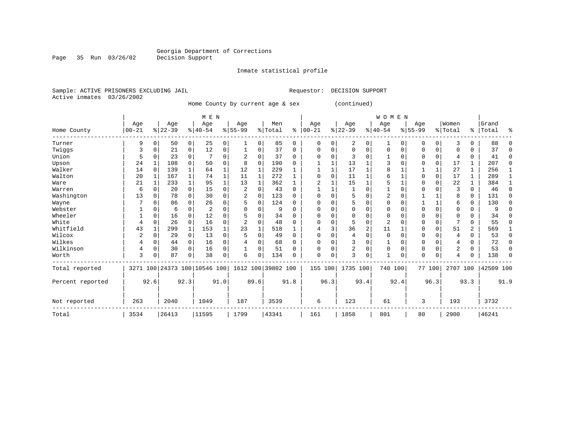Inmate statistical profile

Sample: ACTIVE PRISONERS EXCLUDING JAIL Requestor: DECISION SUPPORT Active inmates 03/26/2002

Page 35 Run 03/26/02

Home County by current age & sex (continued)

|                  |            |              |           |              | M E N                        |          |              |              |                    |             |            |             |                |          | <b>WOMEN</b>   |          |           |          |          |          |           |              |
|------------------|------------|--------------|-----------|--------------|------------------------------|----------|--------------|--------------|--------------------|-------------|------------|-------------|----------------|----------|----------------|----------|-----------|----------|----------|----------|-----------|--------------|
|                  | Age        |              | Age       |              | Age                          |          | Age          |              | Men                |             | Age        |             | Age            |          | Age            |          | Age       |          | Women    |          | Grand     |              |
| Home County      | $ 00 - 21$ |              | $ 22-39 $ |              | $ 40-54$                     |          | $8 55-99$    |              | %   Total          | ៖           | $ 00 - 21$ |             | $ 22-39 $      |          | $ 40-54$       |          | $8 55-99$ |          | % Total  | ႜ        | Total     | ిక           |
| Turner           | 9          | 0            | 50        | 0            | 25                           | 0        | $\mathbf{1}$ | 0            | 85                 | $\mathbf 0$ | $\Omega$   | $\Omega$    | 2              | 0        |                | 0        | 0         | 0        | 3        | $\Omega$ | 88        | $\Omega$     |
| Twiggs           | 3          | 0            | 21        | 0            | 12                           | 0        |              | 0            | 37                 | $\Omega$    | $\Omega$   | 0           | $\Omega$       | $\Omega$ | $\Omega$       | 0        | 0         | 0        | $\Omega$ | $\Omega$ | 37        | $\Omega$     |
| Union            | 5          | $\mathbf 0$  | 23        | 0            |                              | 0        |              | 0            | 37                 | $\Omega$    |            | $\Omega$    | 3              | $\Omega$ |                | $\Omega$ | 0         | $\Omega$ | 4        | $\Omega$ | 41        | $\Omega$     |
| Upson            | 24         |              | 108       | $\Omega$     | 50                           | $\Omega$ | 8            | $\Omega$     | 190                | $\Omega$    |            |             | 13             |          |                | $\Omega$ | 0         | $\Omega$ | 17       |          | 207       | $\Omega$     |
| Walker           | 14         | 0            | 139       | $\mathbf{1}$ | 64                           |          | 12           | 1            | 229                |             |            |             | 17             |          | 8              |          |           |          | 27       |          | 256       |              |
| Walton           | 20         | 1            | 167       | $\mathbf{1}$ | 74                           |          | 11           | 1            | 272                |             |            | $\Omega$    | 11             |          |                |          |           | 0        | 17       |          | 289       | $\mathbf{1}$ |
| Ware             | 21         | 1            | 233       | $\mathbf{1}$ | 95                           | 1        | 13           | $\mathbf 1$  | 362                | 1           |            |             | 15             |          | 5              |          | $\Omega$  | $\Omega$ | 22       |          | 384       | 1            |
| Warren           | 6          | $\mathbf 0$  | 20        | $\mathbf 0$  | 15                           | 0        | 2            | 0            | 43                 | $\mathbf 0$ |            |             |                | $\Omega$ |                | $\Omega$ | U         | $\Omega$ | 3        | $\Omega$ | 46        | 0            |
| Washington       | 13         | $\mathbf 0$  | 78        | $\Omega$     | 30                           | 0        |              | 0            | 123                | $\Omega$    | O          |             | 5              | O        | 2              | $\Omega$ |           |          | 8        | $\Omega$ | 131       | 0            |
| Wayne            |            | 0            | 86        | 0            | 26                           | 0        | 5            | 0            | 124                | $\Omega$    |            |             | 5              | 0        |                | $\Omega$ |           |          | 6        | $\Omega$ | 130       | $\Omega$     |
| Webster          |            | $\Omega$     | 6         | $\Omega$     | 2                            | 0        |              | 0            | 9                  | $\Omega$    |            |             |                | 0        |                |          | Ω         | $\Omega$ | $\Omega$ | O        | 9         | $\Omega$     |
| Wheeler          |            | 0            | 16        | $\Omega$     | 12                           | 0        |              | 0            | 34                 | $\Omega$    | $\Omega$   |             | $\Omega$       | $\Omega$ | $\Omega$       | $\Omega$ | 0         | $\Omega$ | $\Omega$ | $\Omega$ | 34        | $\Omega$     |
| White            | 4          | $\mathbf 0$  | 26        | $\mathbf 0$  | 16                           | 0        | 2            | 0            | 48                 | $\Omega$    | $\Omega$   |             | 5              | 0        | $\overline{2}$ | $\Omega$ | O         | $\Omega$ |          | $\Omega$ | 55        | $\Omega$     |
| Whitfield        | 43         | $\mathbf{1}$ | 299       | $\mathbf{1}$ | 153                          |          | 23           | $\mathbf{1}$ | 518                |             |            |             | 36             | 2        | 11             |          | 0         | $\Omega$ | 51       | 2        | 569       | 1            |
| Wilcox           | 2          | $\mathbf 0$  | 29        | $\Omega$     | 13                           | 0        |              | 0            | 49                 | $\Omega$    | $\Omega$   |             | 4              | $\Omega$ | $\Omega$       | $\Omega$ | 0         | $\Omega$ | 4        | $\Omega$ | 53        | $\Omega$     |
| Wilkes           |            | $\mathbf 0$  | 44        | 0            | 16                           | 0        |              | 0            | 68                 | 0           |            |             | 3              | 0        |                | $\Omega$ | 0         | $\Omega$ | 4        | 0        | 72        | 0            |
| Wilkinson        | 4          | 0            | 30        | $\Omega$     | 16                           | 0        |              | 0            | 51                 | $\Omega$    | $\Omega$   |             | $\overline{2}$ | 0        | 0              | $\Omega$ | $\Omega$  | $\Omega$ | 2        | $\Omega$ | 53        | 0            |
| Worth            | 3          | $\Omega$     | 87        | $\Omega$     | 38                           | 0        | 6            | 0            | 134                | $\Omega$    | $\Omega$   | $\mathbf 0$ | 3              | 0        | $\mathbf{1}$   | 0        | $\Omega$  | $\Omega$ | 4        | U        | 138       | $\Omega$     |
| Total reported   |            |              |           |              | 3271 100 24373 100 10546 100 |          |              |              | 1612 100 39802 100 |             | 155        | 100         | 1735 100       |          | 740 100        |          |           | 77 100   | 2707 100 |          | 42509 100 |              |
| Percent reported |            | 92.6         |           | 92.3         |                              | 91.0     |              | 89.6         |                    | 91.8        |            | 96.3        |                | 93.4     |                | 92.4     |           | 96.3     |          | 93.3     |           | 91.9         |
| Not reported     | 263        |              | 2040      |              | 1049                         |          | 187          |              | 3539               |             | 6          |             | 123            |          | 61             |          | 3         |          | 193      |          | 3732      |              |
| Total            | 3534       |              | 26413     |              | 11595                        |          | 1799         |              | 43341              |             | 161        |             | 1858           |          | 801            |          | 80        |          | 2900     |          | 46241     |              |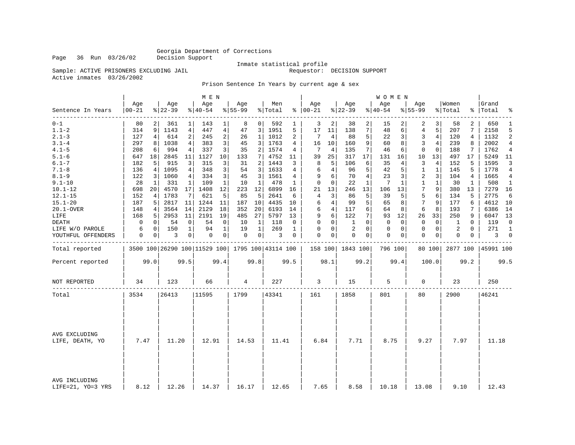Page 36 Run 03/26/02

# Inmate statistical profile<br>Requestor: DECISION SUPPORT

Sample: ACTIVE PRISONERS EXCLUDING JAIL Active inmates 03/26/2002

#### Prison Sentence In Years by current age & sex

|                                    |              |          |                 |                | M E N           |                |                  |                |                                                 |                |                      |          |                  |                 | W O M E N       |              |                    |              |                  |              |                |                |
|------------------------------------|--------------|----------|-----------------|----------------|-----------------|----------------|------------------|----------------|-------------------------------------------------|----------------|----------------------|----------|------------------|-----------------|-----------------|--------------|--------------------|--------------|------------------|--------------|----------------|----------------|
| Sentence In Years<br>--------      | Age<br>00-21 |          | Age<br>$ 22-39$ |                | Age<br>$ 40-54$ |                | Age<br>$8 55-99$ |                | Men<br>% Total                                  |                | Age<br>$8   00 - 21$ |          | Age<br>$ 22-39$  |                 | Age<br>$ 40-54$ |              | Age<br>$8 55 - 99$ |              | Women<br>% Total | ႜႂ           | Grand<br>Total | န္             |
| $0 - 1$                            | 80           |          | 361             | 1              | 143             | 1              | 8                | $\overline{0}$ | 592                                             | 1              | 3                    | 2        | 38               | 2               | 15              |              | 2                  | 3            | 58               | 2            | 650            | 1              |
| $1.1 - 2$                          | 314          | 9        | 1143            | 4              | 447             | $\overline{4}$ | 47               | 3              | 1951                                            | 5              | 17                   | 11       | 138              | $7\phantom{.}$  | 48              | б.           | 4                  | 5            | 207              | 7            | 2158           | 5              |
| $2.1 - 3$                          | 127          | 4        | 614             | $\overline{a}$ | 245             | $\overline{c}$ | 26               | $\mathbf{1}$   | 1012                                            | $\overline{a}$ | 7                    | 4        | 88               | 5               | 22              | 3            | $\overline{3}$     | 4            | 120              | 4            | 1132           | 2              |
| $3.1 - 4$                          | 297          | 8        | 1038            | 4              | 383             | 3              | 45               | 3              | 1763                                            | 4              | 16                   | 10       | 160              | 9               | 60              | 8            | 3                  | 4            | 239              | 8            | 2002           | 4              |
| $4.1 - 5$                          | 208          | 6        | 994             | 4              | 337             | 3              | 35               | 2              | 1574                                            | 4              | 7                    | 4        | 135              | 7               | 46              | 6            | $\mathbf 0$        | $\mathbf 0$  | 188              | 7            | 1762           | 4              |
| $5.1 - 6$                          | 647          | 18       | 2845            | 11             | 1127            | 10             | 133              | 7              | 4752                                            | 11             | 39                   | 25       | 317              | 17 <sub>1</sub> | 131             | 16           | 10                 | 13           | 497              | 17           | 5249           | 11             |
| $6.1 - 7$                          | 182          | 5        | 915             | 3              | 315             | 3              | 31               | 2              | 1443                                            | 3              | 8                    | 5        | 106              | 6               | 35              | 4            | 3                  | 4            | 152              | 5            | 1595           | 3              |
| $7.1 - 8$                          | 136          | 4        | 1095            | 4              | 348             | 3              | 54               | 3              | 1633                                            | 4              | 6                    | 4        | 96               | 5               | 42              | 5            | 1                  | $\mathbf{1}$ | 145              | 5            | 1778           | $\overline{4}$ |
| $8.1 - 9$                          | 122          | 3        | 1060            | 4              | 334             | 3              | 45               | 3              | 1561                                            | 4              | 9                    | 6        | 70               | $\overline{4}$  | 23              | 3            | 2                  | 3            | 104              | 4            | 1665           | $\overline{4}$ |
| $9.1 - 10$                         | 28           | 1        | 331             | 1              | 109             | 1              | 10               | 1              | 478                                             | 1              | $\mathbf 0$          | $\Omega$ | 22               | $\mathbf{1}$    | 7               | $\mathbf{1}$ | 1                  | $\mathbf 1$  | 30               | $\mathbf{1}$ | 508            | 1              |
| $10.1 - 12$                        | 698          | 20       | 4570            | 17             | 1408            | 12             | 223              | 12             | 6899                                            | 16             | 21                   | 13       | 246              | 13              | 106             | 13           | 7                  | 9            | 380              | 13           | 7279           | 16             |
| $12.1 - 15$                        | 152          | 4        | 1783            | 7              | 621             | 5              | 85               | 5              | 2641                                            | 6              | 4                    | 3        | 86               | 5               | 39              | 5            | 5                  | 6            | 134              | 5            | 2775           | 6              |
| $15.1 - 20$                        | 187          | 5        | 2817            | 11             | 1244            | 11             | 187              | 10             | 4435                                            | 10             | 6                    | 4        | 99               | 5               | 65              | 8            | 7                  | 9            | 177              | 6            | 4612           | 10             |
| 20.1-OVER                          | 148          | 4        | 3564            | 14             | 2129            | 18             | 352              | 20             | 6193                                            | 14             | 6                    | 4        | 117              | 6               | 64              | 8            | 6                  | 8            | 193              | 7            | 6386           | 14             |
| LIFE                               | 168          | 5        | 2953            | 11             | 2191            | 19             | 485              | 27             | 5797                                            | 13             | 9                    | 6        | 122              | 7               | 93              | 12           | 26                 | 33           | 250              | 9            | 6047           | 13             |
| <b>DEATH</b>                       | $\mathbf 0$  | $\Omega$ | -54             | $\mathbf 0$    | 54              | 0              | 10               | 1              | 118                                             | 0              | $\Omega$             | 0        | 1                | $\Omega$        | $\Omega$        | $\Omega$     | $\Omega$           | $\Omega$     | 1                | $\Omega$     | 119            | $\Omega$       |
| LIFE W/O PAROLE                    | 6            | 0        | 150             | 1              | 94              | $\mathbf 1$    | 19               | $\mathbf{1}$   | 269                                             | 1              | 0                    | 0        | 2                | $\Omega$        | 0               | 0            | $\mathbf 0$        | $\mathbf 0$  | 2                | $\mathbf 0$  | 271            | $\mathbf{1}$   |
| YOUTHFUL OFFENDERS                 | 0            | 0        | 3               | $\overline{0}$ | 0               | 0 <sup>1</sup> | 0                | 0 <sup>1</sup> | 3                                               | 0              | $\Omega$             | 0        | $\Omega$         | $\mathbf{0}$    | 0               | 0            | $\Omega$           | 0            | $\Omega$         | 0            | 3              | $\mathbf 0$    |
| Total reported                     |              |          |                 |                |                 |                |                  |                | 3500 100 26290 100 11529 100 1795 100 43114 100 |                |                      |          | 158 100 1843 100 |                 | 796 100         |              |                    | 80 100       | 2877 100         |              | 45991 100      |                |
| Percent reported                   |              | 99.0     |                 | 99.5           |                 | 99.4           |                  | 99.8           |                                                 | 99.5           |                      | 98.1     |                  | 99.2            |                 | 99.4         |                    | 100.0        |                  | 99.2         |                | 99.5           |
| NOT REPORTED                       | 34           |          | 123             |                | 66              |                | 4                |                | 227                                             |                | 3                    |          | 15               |                 | 5               |              | $\mathbf 0$        |              | 23               |              | 250            |                |
| Total                              | 3534         |          | 26413           |                | 11595           |                | 1799             |                | 43341                                           |                | 161                  |          | 1858             |                 | 801             |              | 80                 |              | 2900             |              | 46241          |                |
|                                    |              |          |                 |                |                 |                |                  |                |                                                 |                |                      |          |                  |                 |                 |              |                    |              |                  |              |                |                |
| AVG EXCLUDING<br>LIFE, DEATH, YO   | 7.47         |          | 11.20           |                | 12.91           |                | 14.53            |                | 11.41                                           |                | 6.84                 |          | 7.71             |                 | 8.75            |              | 9.27               |              | 7.97             |              | 11.18          |                |
| AVG INCLUDING<br>LIFE=21, YO=3 YRS | 8.12         |          | 12.26           |                | 14.37           |                | 16.17            |                | 12.65                                           |                | 7.65                 |          | 8.58             |                 | 10.18           |              | 13.08              |              | 9.10             |              | 12.43          |                |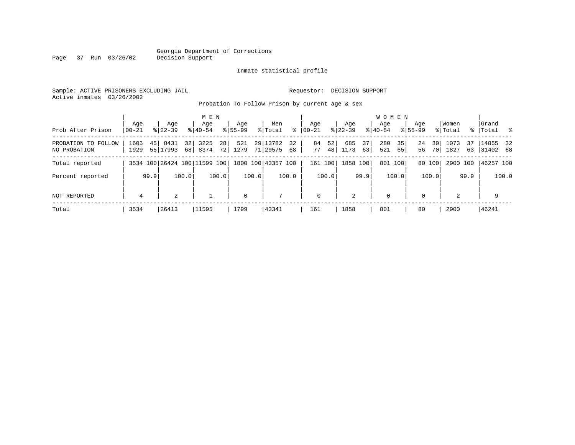#### Georgia Department of Corrections Page 37 Run 03/26/02

#### Inmate statistical profile

Sample: ACTIVE PRISONERS EXCLUDING JAIL Requestor: DECISION SUPPORT Active inmates 03/26/2002

Probation To Follow Prison by current age & sex

|                                     | Aqe            |      | Age                          |          | M E N<br>Age |                       | Aqe         |       | Men                  |          | Aqe         |          | Age         |          | <b>WOMEN</b><br>Aqe |          | Age         |          | Women        |          | Grand                 |       |
|-------------------------------------|----------------|------|------------------------------|----------|--------------|-----------------------|-------------|-------|----------------------|----------|-------------|----------|-------------|----------|---------------------|----------|-------------|----------|--------------|----------|-----------------------|-------|
| Prob After Prison                   | $ 00-21$       |      | $8122 - 39$                  |          | $8140 - 54$  |                       | $8155 - 99$ |       | % Total              | ႜ        | $00 - 21$   |          | $ 22-39 $   |          | $8140 - 54$         |          | $8155 - 99$ |          | % Total      |          | % Total %             |       |
| PROBATION TO FOLLOW<br>NO PROBATION | 1605<br>1929   | 45   | 8431<br>55 17993             | 32<br>68 | 3225<br>8374 | 28 <sup>1</sup><br>72 | 521<br>1279 |       | 29 13782<br>71 29575 | 32<br>68 | 84<br>77    | 52<br>48 | 685<br>1173 | 37<br>63 | 280<br>521          | 35<br>65 | 24<br>56    | 30<br>70 | 1073<br>1827 | 37<br>63 | 14855 32<br> 31402 68 |       |
| Total reported                      |                |      | 3534 100 26424 100 11599 100 |          |              |                       |             |       | 1800 100 43357 100   |          | 161 100     |          | 1858 100    |          | 801 100             |          |             | 80 100   | 2900 100     |          | 46257 100             |       |
| Percent reported                    |                | 99.9 |                              | 100.0    |              | 100.0                 |             | 100.0 |                      | 100.0    |             | 100.0    |             | 99.9     |                     | 100.0    |             | 100.0    |              | 99.9     |                       | 100.0 |
| NOT REPORTED                        | $\overline{4}$ |      | 2                            |          |              |                       | $\mathbf 0$ |       | 7                    |          | $\mathbf 0$ |          | 2           |          | $\mathbf 0$         |          | $\Omega$    |          | 2            |          | 9                     |       |
| Total                               | 3534           |      | 26413                        |          | 11595        |                       | 1799        |       | 43341                |          | 161         |          | 1858        |          | 801                 |          | 80          |          | 2900         |          | 46241                 |       |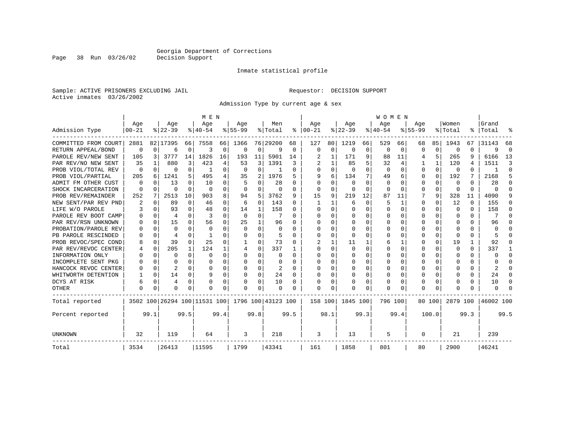Inmate statistical profile

Sample: ACTIVE PRISONERS EXCLUDING JAIL Requestor: DECISION SUPPORT Active inmates 03/26/2002

Admission Type by current age & sex

|                      |                  |          |                  |              | M E N                        |          |                  |              |                    |             |                      |             |                  |          | <b>WOMEN</b>     |          |                 |          |                  |      |                    |          |
|----------------------|------------------|----------|------------------|--------------|------------------------------|----------|------------------|--------------|--------------------|-------------|----------------------|-------------|------------------|----------|------------------|----------|-----------------|----------|------------------|------|--------------------|----------|
| Admission Type       | Age<br>$00 - 21$ |          | Age<br>$8 22-39$ |              | Age<br>$8 40-54$             |          | Age<br>$8 55-99$ |              | Men<br>% Total     |             | Age<br>$8   00 - 21$ |             | Age<br>$ 22-39 $ |          | Age<br>$8 40-54$ |          | Age<br>$ 55-99$ |          | Women<br>% Total |      | Grand<br>%   Total | န္       |
|                      |                  |          |                  |              |                              |          |                  |              |                    |             |                      |             |                  |          |                  |          |                 |          |                  |      |                    |          |
| COMMITTED FROM COURT | 2881             |          | 82 17395         | 66           | 7558                         | 66       | 1366             |              | 76 29200           | 68          | 127                  | 80          | 1219             | 66       | 529              | 66       | 68              | 85       | 1943             | 67   | 31143              | 68       |
| RETURN APPEAL/BOND   | $\mathbf 0$      | 0        | 6                | 0            | 3                            | 0        | $\Omega$         | 0            | 9                  | $\mathbf 0$ | $\mathbf 0$          | $\mathbf 0$ | 0                | 0        | 0                | 0        | $\Omega$        | $\Omega$ | 0                | 0    | 9                  | $\Omega$ |
| PAROLE REV/NEW SENT  | 105              | 3        | 3777             | 14           | 1826                         | 16       | 193              | 11           | 5901               | 14          |                      | 1           | 171              | 9        | 88               | 11       |                 | 5        | 265              | 9    | 6166               | 13       |
| PAR REV/NO NEW SENT  | 35               |          | 880              | 3            | 423                          | 4        | 53               | 3            | 1391               | 3           |                      | 1           | 85               | 5        | 32               |          |                 |          | 120              | 4    | 1511               | p        |
| PROB VIOL/TOTAL REV  | 0                | $\Omega$ | 0                | 0            |                              | $\Omega$ | $\Omega$         | $\Omega$     |                    | 0           | $\Omega$             | 0           | $\Omega$         | $\Omega$ | $\Omega$         | $\Omega$ | $\Omega$        | $\Omega$ | $\Omega$         | 0    |                    | ∩        |
| PROB VIOL/PARTIAL    | 205              | 6        | 1241             | 5.           | 495                          | 4        | 35               | 2            | 1976               | 5           | 9                    | 6           | 134              | 7        | 49               | 6        | 0               | $\Omega$ | 192              | 7    | 2168               | 5        |
| ADMIT FM OTHER CUST  | $\Omega$         | $\Omega$ | 13               | 0            | 10                           | 0        |                  | $\Omega$     | 28                 | 0           | $\Omega$             | $\Omega$    | $\Omega$         | $\Omega$ | $\Omega$         | O        | 0               | $\Omega$ | 0                | 0    | 28                 | ∩        |
| SHOCK INCARCERATION  | $\Omega$         | $\Omega$ | O                | 0            | $\Omega$                     | 0        | $\Omega$         | 0            | 0                  | 0           | $\Omega$             | 0           | 0                | 0        | 0                | $\Omega$ | $\Omega$        | $\Omega$ | $\Omega$         | 0    | U                  | ∩        |
| PROB REV/REMAINDER   | 252              | 7        | 2513             | 10           | 903                          | 8        | 94               | 5            | 3762               | 9           | 15                   | 9           | 219              | 12       | 87               | 11       |                 | 9        | 328              | 11   | 4090               |          |
| NEW SENT/PAR REV PND | 2                | 0        | 89               | $\Omega$     | 46                           | 0        | 6                | $\mathbf 0$  | 143                | 0           |                      | 1           | 6                | 0        | 5                | 1        | $\Omega$        | $\Omega$ | 12               | 0    | 155                | n        |
| LIFE W/O PAROLE      |                  | $\Omega$ | 93               | 0            | 48                           | 0        | 14               | 1            | 158                | 0           | <sup>0</sup>         | $\Omega$    | $\Omega$         | $\Omega$ | Ω                | O        | $\Omega$        | $\Omega$ | $\Omega$         | 0    | 158                | n        |
| PAROLE REV BOOT CAMP |                  | $\Omega$ | 4                | $\cap$       | 3                            | $\Omega$ | $\Omega$         | 0            |                    | U           | ∩                    | $\Omega$    | $\Omega$         | $\Omega$ | Ω                | n        | ∩               | $\Omega$ | $\Omega$         | 0    |                    | n        |
| PAR REV/RSN UNKNOWN  |                  | $\Omega$ | 15               | <sup>n</sup> | 56                           | $\Omega$ | 25               | $\mathbf{1}$ | 96                 | U           | ∩                    | 0           | <sup>0</sup>     | $\Omega$ | U                | O        | ∩               | $\Omega$ | U                | U    | 96                 |          |
| PROBATION/PAROLE REV |                  | $\Omega$ | $\Omega$         | U            | $\Omega$                     | $\Omega$ | $\Omega$         | $\Omega$     | $\Omega$           | U           | ∩                    | O           | U                | $\Omega$ | U                | O        | ∩               | U        | U                | U    | U                  |          |
| PB PAROLE RESCINDED  |                  | $\Omega$ | 4                | U            |                              | 0        | U                | $\Omega$     | 5                  | U           | $\Omega$             | 0           | ∩                | $\Omega$ | U                | O        | ∩               | $\Omega$ | n                | U    | 5                  |          |
| PROB REVOC/SPEC COND |                  | $\Omega$ | 39               | 0            | 25                           | 0        |                  | 0            | 73                 | O           |                      |             | 11               |          | 6                |          | $\Omega$        | $\Omega$ | 19               | 1    | 92                 | n        |
| PAR REV/REVOC CENTER |                  | 0        | 205              | 1            | 124                          |          |                  | 0            | 337                |             | <sup>0</sup>         | 0           | <sup>0</sup>     | O        | U                | O        | $\Omega$        | U        | <sup>0</sup>     | 0    | 337                |          |
| INFORMATION ONLY     |                  | $\Omega$ | O                | 0            | $\Omega$                     | 0        | O                | 0            | 0                  | 0           | $\Omega$             | 0           | 0                | O        | U                | $\Omega$ | $\Omega$        | $\Omega$ | O                | 0    | U                  | ∩        |
| INCOMPLETE SENT PKG  |                  | $\Omega$ | O                | 0            | $\Omega$                     | 0        | O                | $\Omega$     | 0                  | O           | <sup>0</sup>         | $\Omega$    | 0                | O        | O                | $\Omega$ | O               | $\Omega$ | O                | 0    | U                  | ∩        |
| HANCOCK REVOC CENTER |                  | $\Omega$ | 2                | 0            | $\cap$                       | 0        |                  | $\Omega$     | 2                  | $\Omega$    | ∩                    | $\Omega$    | 0                | O        | 0                | $\Omega$ | $\Omega$        | $\Omega$ |                  | 0    | 2                  | ∩        |
| WHITWORTH DETENTION  |                  | $\Omega$ | 14               | 0            | 9                            | 0        | U                | 0            | 24                 | $\Omega$    | <sup>0</sup>         | 0           | $\Omega$         | 0        | 0                | $\Omega$ | $\Omega$        | $\Omega$ |                  | 0    | 24                 | ∩        |
| DCYS AT RISK         | 6                | $\Omega$ | 4                | $\Omega$     | O                            | 0        |                  | $\Omega$     | 10                 | 0           |                      | $\Omega$    | 0                | $\Omega$ | 0                | 0        | $\Omega$        | $\Omega$ |                  | 0    | 10                 | ∩        |
| <b>OTHER</b>         | $\Omega$         | $\Omega$ | O                | U            | O                            | 0        | O                | $\Omega$     | O                  | O           | $\Omega$             | O           | O                | $\Omega$ | O                | O        | $\Omega$        | $\Omega$ |                  | U    | U                  |          |
| Total reported       |                  |          |                  |              | 3502 100 26294 100 11531 100 |          |                  |              | 1796 100 43123 100 |             | 158 100              |             | 1845 100         |          | 796 100          |          | 80 100          |          | 2879 100         |      | 46002 100          |          |
| Percent reported     |                  | 99.1     |                  | 99.5         |                              | 99.4     |                  | 99.8         |                    | 99.5        |                      | 98.1        |                  | 99.3     |                  | 99.4     |                 | 100.0    |                  | 99.3 |                    | 99.5     |
| UNKNOWN              | 32               |          | 119              |              | 64                           |          | 3                |              | 218                |             | 3                    |             | 13               |          | 5                |          | 0               |          | 21               |      | 239                |          |
| Total                | 3534             |          | 26413            |              | 11595                        |          | 1799             |              | 43341              |             | 161                  |             | 1858             |          | 801              |          | 80              |          | 2900             |      | 46241              |          |

Page 38 Run 03/26/02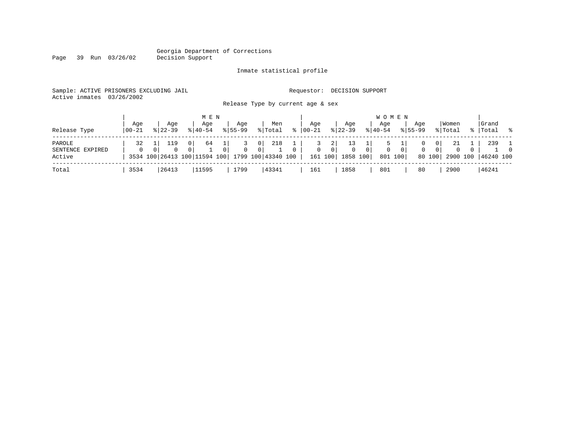# Georgia Department of Corrections<br>Decision Support

Page 39 Run 03/26/02

#### Inmate statistical profile

|  | Sample: ACTIVE PRISONERS EXCLUDING JAIL |  |  |                                   |  | Requestor: DECISION SUPPORT |  |
|--|-----------------------------------------|--|--|-----------------------------------|--|-----------------------------|--|
|  | Active inmates 03/26/2002               |  |  |                                   |  |                             |  |
|  |                                         |  |  | Release Type by current age & sex |  |                             |  |

| Release Type                         | Aqe<br>  00-21 | Aqe<br>$8122 - 39$ | M E N<br>Aqe<br>$8140 - 54$                                      | Aqe<br>$8155 - 99$  | Men<br>% Total                                                |          | Aqe<br>$8   00 - 21$ |                                  | Aqe<br>$8 \mid 22 - 39$    | Age<br>$8 40-54$              | W O M E N          | Aqe<br>$8155 - 99$ |                                | Women<br>% Total |          | Grand<br>%   Total %      |                            |
|--------------------------------------|----------------|--------------------|------------------------------------------------------------------|---------------------|---------------------------------------------------------------|----------|----------------------|----------------------------------|----------------------------|-------------------------------|--------------------|--------------------|--------------------------------|------------------|----------|---------------------------|----------------------------|
| PAROLE<br>SENTENCE EXPIRED<br>Active | 32<br>$\Omega$ | 119<br>$\Omega$    | 64<br>0 <sup>1</sup><br>$\Omega$<br>3534 100 26413 100 11594 100 | $\overline{0}$<br>0 | 218<br>0 <sup>1</sup><br>0 <sup>1</sup><br>1799 100 43340 100 | $\Omega$ | $\Omega$<br>161 100  | 2 <sup>1</sup><br>0 <sup>1</sup> | $\overline{0}$<br>1858 100 | 0 <sup>1</sup><br>$\mathbf 0$ | $\circ$<br>801 100 | 0                  | $\sigma$<br>$\Omega$<br>80 100 | -21<br>$\Omega$  | $\Omega$ | 239<br>2900 100 46240 100 | $\overline{1}$<br>$\Omega$ |
| Total                                | 3534           | 26413              | 11595                                                            | 1799                | 43341                                                         |          | 161                  |                                  | 1858                       | 801                           |                    | 80                 |                                | 2900             |          | 46241                     |                            |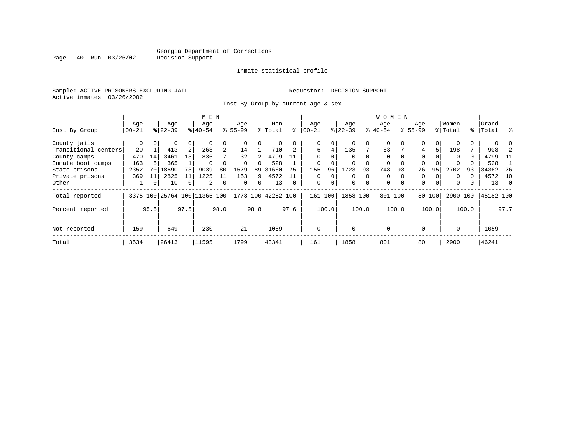Inmate statistical profile

Sample: ACTIVE PRISONERS EXCLUDING JAIL **Requestor: DECISION SUPPORT** Active inmates 03/26/2002

Inst By Group by current age & sex

|                      |            |          |                              |                | M E N     |                |           |          |                    |          |             |          |          |          | <b>WOMEN</b> |          |             |          |          |          |           |      |
|----------------------|------------|----------|------------------------------|----------------|-----------|----------------|-----------|----------|--------------------|----------|-------------|----------|----------|----------|--------------|----------|-------------|----------|----------|----------|-----------|------|
|                      | Age        |          | Age                          |                | Age       |                | Age       |          | Men                |          | Age         |          | Age      |          | Age          |          | Age         |          | Women    |          | Grand     |      |
| Inst By Group        | $00 - 21$  |          | $8 22-39$                    |                | $8 40-54$ |                | $8 55-99$ |          | % Total            | ႜ        | $00 - 21$   |          | $ 22-39$ |          | $ 40-54 $    |          | $8155 - 99$ |          | % Total  |          | %   Total | ႜ    |
| County jails         | 0          | $\Omega$ | 0                            | 0              | $\Omega$  | 0              |           | 0        | 0                  |          | 0           | 0        |          | 0        | $\Omega$     |          | $\Omega$    | 0        |          | 0        |           |      |
| Transitional centers | 20         |          | 413                          | 2              | 263       | $\overline{a}$ | 14        |          | 710                |          | 6           | 4        | 135      | 7        | 53           |          | 4           | 5.       | 198      |          | 908       |      |
| County camps         | 470        | 14       | 3461                         | 13             | 836       |                | 32        | 2        | 4799               | 11       | $\Omega$    | 0        | $\Omega$ | $\Omega$ | $\Omega$     |          | $\Omega$    |          | $\Omega$ | $\Omega$ | 4799      | -11  |
| Inmate boot camps    | 163        |          | 365                          |                | $\Omega$  |                | $\Omega$  |          | 528                |          |             |          |          |          | 0            |          | 0           |          |          |          | 528       |      |
| State prisons        | 2352       | 70       | 18690                        | 73             | 9039      | 80             | 1579      | 89       | 31660              | 75       | 155         | 96       | 1723     | 93       | 748          | 93       | 76          | 95       | 2702     | 93       | 34362     | -76  |
| Private prisons      | 369        | 11       | 2825                         | 11             | 1225      | 11             | 153       | 9        | 4572               |          | $\Omega$    | $\Omega$ | $\Omega$ | $\Omega$ | $\Omega$     |          | $\Omega$    | $\Omega$ | $\Omega$ | 0        | 4572      | 10   |
| Other                | ┸          | 0        | 10                           | 0 <sup>1</sup> | 2         | $\mathbf 0$    | $\Omega$  | $\Omega$ | 13                 | $\Omega$ | 0           | 0        | $\Omega$ | 0        | 0            | $\Omega$ | $\Omega$    | $\Omega$ | $\Omega$ |          | 13        | - 0  |
| Total reported       |            |          | 3375 100 25764 100 11365 100 |                |           |                |           |          | 1778 100 42282 100 |          | 161 100     |          | 1858     | 100      | 801 100      |          |             | 80 100   | 2900     | 100      | 45182 100 |      |
| Percent reported     |            | 95.5     |                              | 97.5           |           | 98.0           |           | 98.8     |                    | 97.6     |             | 100.0    |          | 100.0    |              | 100.0    |             | 100.0    |          | 100.0    |           | 97.7 |
|                      |            |          |                              |                | 230       |                | 21        |          | 1059               |          | $\mathbf 0$ |          | $\Omega$ |          | $\mathbf 0$  |          | $\Omega$    |          | $\Omega$ |          | 1059      |      |
| Not reported         | 649<br>159 |          |                              |                |           |                |           |          |                    |          |             |          |          |          |              |          |             |          |          |          |           |      |
| Total                | 3534       |          | 26413                        |                | 11595     |                | 1799      |          | 43341              |          | 161         |          | 1858     |          | 801          |          | 80          |          | 2900     |          | 46241     |      |

Page 40 Run 03/26/02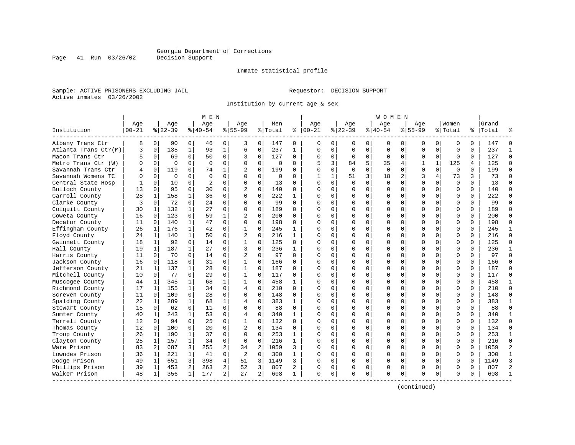Inmate statistical profile

Sample: ACTIVE PRISONERS EXCLUDING JAIL **Requestor: DECISION SUPPORT** Active inmates 03/26/2002

Page 41 Run 03/26/02

Institution by current age & sex

|                      |             |                |          |              | M E N          |                |                |                |          |              |             |              |             |             | W O M E N   |             |             |              |             |          |           |                |
|----------------------|-------------|----------------|----------|--------------|----------------|----------------|----------------|----------------|----------|--------------|-------------|--------------|-------------|-------------|-------------|-------------|-------------|--------------|-------------|----------|-----------|----------------|
|                      | Age         |                | Age      |              | Aqe            |                | Aqe            |                | Men      |              | Age         |              | Aqe         |             | Aqe         |             | Aqe         |              | Women       |          | Grand     |                |
| Institution          | $ 00 - 21 $ |                | $ 22-39$ |              | $8 40-54$      |                | $8155 - 99$    |                | % Total  | ႜ            | $ 00-21$    |              | $ 22-39$    |             | $ 40-54$    |             | $8155 - 99$ |              | % Total     |          | %   Total |                |
| Albany Trans Ctr     | 8           | $\overline{0}$ | 90       | 0            | 46             | 0              | 3              | 0              | 147      | 0            | 0           | 0            | 0           | 0           | 0           | 0           | 0           | 0            | 0           | 0        | 147       | $\Omega$       |
| Atlanta Trans Ctr(M) | 3           | $\mathbf 0$    | 135      | $\mathbf{1}$ | 93             | $1\,$          | 6              | $\mathbf 0$    | 237      | $\mathbf{1}$ | $\mathbf 0$ | $\mathbf 0$  | $\mathbf 0$ | $\mathbf 0$ | 0           | $\mathbf 0$ | 0           | $\mathbf 0$  | $\mathbf 0$ | $\Omega$ | 237       | $\mathbf{1}$   |
| Macon Trans Ctr      | 5           | $\mathbf 0$    | 69       | 0            | 50             | 0              | 3              | 0              | 127      | 0            | $\Omega$    | 0            | $\mathbf 0$ | 0           | $\mathbf 0$ | 0           | 0           | $\mathbf 0$  | $\mathbf 0$ | 0        | 127       | $\Omega$       |
| Metro Trans Ctr (W)  | O           | $\Omega$       | $\Omega$ | $\Omega$     | $\Omega$       | $\Omega$       | $\Omega$       | $\Omega$       | $\Omega$ | 0            | 5           | 3            | 84          | 5           | 35          | 4           | 1           | $\mathbf{1}$ | 125         | 4        | 125       | $\Omega$       |
| Savannah Trans Ctr   | 4           | $\Omega$       | 119      | $\Omega$     | 74             | $\mathbf 1$    | $\overline{2}$ | $\Omega$       | 199      | 0            | $\Omega$    | $\Omega$     | $\Omega$    | $\Omega$    | $\Omega$    | $\Omega$    | $\Omega$    | $\Omega$     | $\Omega$    | $\Omega$ | 199       | $\Omega$       |
| Savannah Womens TC   | U           | $\Omega$       | $\Omega$ | $\Omega$     | $\Omega$       | 0              | $\Omega$       | $\Omega$       | 0        | 0            | 1           | $\mathbf{1}$ | 51          | 3           | 18          | 2           | 3           | 4            | 73          | 3        | 73        | $\Omega$       |
| Central State Hosp   |             | $\mathbf 0$    | 10       | $\Omega$     | $\overline{c}$ | 0              | 0              | $\mathbf 0$    | 13       | 0            | $\Omega$    | $\mathbf 0$  | $\Omega$    | $\mathbf 0$ | $\mathbf 0$ | $\mathbf 0$ | $\mathbf 0$ | $\Omega$     | $\Omega$    | $\Omega$ | 13        | $\Omega$       |
| Bulloch County       | 13          | $\Omega$       | 95       | $\Omega$     | 30             | 0              | $\overline{c}$ | $\Omega$       | 140      | 0            | $\Omega$    | $\Omega$     | $\Omega$    | $\Omega$    | $\Omega$    | 0           | $\Omega$    | $\Omega$     | $\mathbf 0$ | $\Omega$ | 140       | $\Omega$       |
| Carroll County       | 28          | 1              | 158      | $\mathbf{1}$ | 36             | $\Omega$       | $\Omega$       | $\Omega$       | 222      | $\mathbf{1}$ | $\Omega$    | $\Omega$     | $\Omega$    | $\Omega$    | $\Omega$    | $\Omega$    | $\Omega$    | $\Omega$     | $\Omega$    | $\Omega$ | 222       | $\Omega$       |
| Clarke County        | 3           | $\mathbf 0$    | 72       | $\Omega$     | 2.4            | 0              | $\Omega$       | $\Omega$       | 99       | $\Omega$     | $\Omega$    | $\Omega$     | $\Omega$    | $\Omega$    | $\Omega$    | 0           | $\Omega$    | $\Omega$     | $\Omega$    | $\Omega$ | 99        | $\Omega$       |
| Colquitt County      | 30          | 1              | 132      | $\mathbf{1}$ | 27             | 0              | $\Omega$       | $\Omega$       | 189      | 0            | $\cap$      | $\Omega$     | $\Omega$    | $\Omega$    | $\Omega$    | $\Omega$    | $\cap$      | $\Omega$     | $\Omega$    | $\Omega$ | 189       | $\Omega$       |
| Coweta County        | 16          | $\Omega$       | 123      | $\Omega$     | 59             | 1              | 2              | $\Omega$       | 200      | 0            | $\Omega$    | $\Omega$     | $\Omega$    | $\mathbf 0$ | $\Omega$    | $\Omega$    | $\Omega$    | $\Omega$     | $\mathbf 0$ | $\Omega$ | 200       | $\Omega$       |
| Decatur County       | 11          | $\mathbf 0$    | 140      | $\mathbf 1$  | 47             | 0              | $\Omega$       | $\mathbf 0$    | 198      | 0            | $\Omega$    | $\mathbf 0$  | $\Omega$    | $\mathbf 0$ | $\Omega$    | 0           | $\Omega$    | $\Omega$     | $\mathbf 0$ | $\Omega$ | 198       | $\Omega$       |
| Effingham County     | 26          | $\mathbf{1}$   | 176      | $\mathbf{1}$ | 42             | $\Omega$       | $\mathbf{1}$   | $\Omega$       | 245      | $\mathbf{1}$ | $\Omega$    | $\Omega$     | $\Omega$    | $\Omega$    | $\Omega$    | $\Omega$    | $\Omega$    | $\Omega$     | $\Omega$    | $\Omega$ | 245       | $\mathbf{1}$   |
| Floyd County         | 24          | 1              | 140      | $\mathbf{1}$ | 50             | 0              | $\overline{2}$ | $\Omega$       | 216      | $\mathbf{1}$ | $\Omega$    | 0            | $\Omega$    | $\mathbf 0$ | $\Omega$    | 0           | $\Omega$    | $\Omega$     | $\mathbf 0$ | $\Omega$ | 216       | $\Omega$       |
| Gwinnett County      | 18          | 1              | 92       | 0            | 14             | 0              |                | 0              | 125      | 0            | n           | $\Omega$     | $\Omega$    | 0           | $\Omega$    | 0           | $\Omega$    | $\Omega$     | 0           | 0        | 125       | $\Omega$       |
| Hall County          | 19          | 1              | 187      | $\mathbf{1}$ | 27             | 0              | 3              | $\Omega$       | 236      | $\mathbf{1}$ | $\cap$      | $\Omega$     | $\Omega$    | $\Omega$    | $\Omega$    | $\Omega$    | $\Omega$    | $\Omega$     | $\Omega$    | $\Omega$ | 236       | $\mathbf{1}$   |
| Harris County        | 11          | $\Omega$       | 70       | $\Omega$     | 14             | 0              | $\overline{2}$ | $\Omega$       | 97       | $\Omega$     | $\cap$      | $\Omega$     | $\Omega$    | $\Omega$    | $\Omega$    | $\Omega$    | $\Omega$    | $\Omega$     | $\Omega$    | $\Omega$ | 97        | $\Omega$       |
| Jackson County       | 16          | $\Omega$       | 118      | $\Omega$     | 31             | 0              | 1              | $\Omega$       | 166      | 0            | $\Omega$    | $\Omega$     | $\Omega$    | $\Omega$    | $\Omega$    | $\Omega$    | $\Omega$    | $\Omega$     | $\Omega$    | $\Omega$ | 166       | $\Omega$       |
| Jefferson County     | 21          | $\mathbf{1}$   | 137      | $\mathbf{1}$ | 28             | $\Omega$       | $\mathbf{1}$   | $\Omega$       | 187      | $\Omega$     | $\cap$      | $\Omega$     | $\Omega$    | $\Omega$    | $\Omega$    | $\Omega$    | $\Omega$    | $\Omega$     | $\Omega$    | $\Omega$ | 187       | $\Omega$       |
| Mitchell County      | 10          | $\mathbf{0}$   | 77       | 0            | 29             | 0              | 1              | 0              | 117      | 0            | $\Omega$    | 0            | $\Omega$    | 0           | U           | 0           | $\Omega$    | $\Omega$     | $\Omega$    | $\Omega$ | 117       | $\Omega$       |
| Muscogee County      | 44          | 1              | 345      | 1            | 68             | 1              |                | $\Omega$       | 458      | $\mathbf{1}$ | $\cap$      | $\Omega$     | $\Omega$    | $\Omega$    | $\Omega$    | $\Omega$    | $\Omega$    | $\Omega$     | $\Omega$    | $\Omega$ | 458       | $\mathbf{1}$   |
| Richmond County      | 17          | 1              | 155      | $\mathbf{1}$ | 34             | 0              | $\overline{4}$ | $\Omega$       | 210      | 0            | $\cap$      | $\Omega$     | $\Omega$    | $\Omega$    | $\Omega$    | $\Omega$    | $\Omega$    | $\Omega$     | $\Omega$    | $\Omega$ | 210       | $\Omega$       |
| Screven County       | 11          | $\Omega$       | 109      | $\Omega$     | 28             | $\Omega$       | $\Omega$       | $\Omega$       | 148      | 0            | $\Omega$    | $\Omega$     | $\Omega$    | $\Omega$    | $\Omega$    | $\Omega$    | $\Omega$    | $\Omega$     | $\Omega$    | $\Omega$ | 148       | $\Omega$       |
| Spalding County      | 22          | 1              | 289      | 1            | 68             | 1              | 4              | $\mathbf 0$    | 383      | $\mathbf{1}$ | $\Omega$    | $\Omega$     | $\Omega$    | $\mathbf 0$ | U           | 0           | $\Omega$    | $\Omega$     | $\mathbf 0$ | $\Omega$ | 383       | -1             |
| Stewart County       | 15          | $\Omega$       | 62       | 0            | 11             | $\Omega$       | $\Omega$       | $\Omega$       | 88       | $\Omega$     | $\cap$      | $\mathbf 0$  | $\Omega$    | $\mathbf 0$ | U           | $\mathbf 0$ | $\Omega$    | $\Omega$     | $\mathbf 0$ | $\Omega$ | 88        | $\Omega$       |
| Sumter County        | 40          | 1              | 243      | 1            | 53             | 0              | 4              | 0              | 340      | 1            | $\Omega$    | 0            | $\Omega$    | 0           | $\Omega$    | 0           | $\Omega$    | $\Omega$     | $\Omega$    | $\Omega$ | 340       | $\mathbf{1}$   |
| Terrell County       | 12          | $\Omega$       | 94       | $\Omega$     | 25             | 0              |                | $\Omega$       | 132      | $\Omega$     | $\cap$      | $\Omega$     | $\Omega$    | $\Omega$    | $\Omega$    | $\Omega$    | $\Omega$    | $\Omega$     | $\Omega$    | $\Omega$ | 132       | $\Omega$       |
| Thomas County        | 12          | 0              | 100      | 0            | 20             | 0              | 2              | $\Omega$       | 134      | 0            | n           | $\Omega$     | $\Omega$    | $\Omega$    | $\Omega$    | $\mathbf 0$ | $\Omega$    | 0            | $\Omega$    | $\Omega$ | 134       | $\Omega$       |
| Troup County         | 26          | 1              | 190      | 1            | 37             | 0              | $\Omega$       | $\Omega$       | 253      | 1            | n           | $\Omega$     | $\Omega$    | $\Omega$    | $\Omega$    | $\Omega$    | $\Omega$    | $\Omega$     | $\Omega$    | $\Omega$ | 253       | 1              |
| Clayton County       | 25          | 1              | 157      | 1            | 34             | 0              | 0              | $\mathbf 0$    | 216      | 1            | $\cap$      | $\Omega$     | $\Omega$    | $\mathbf 0$ | $\Omega$    | 0           | $\Omega$    | $\Omega$     | $\mathbf 0$ | $\Omega$ | 216       | $\Omega$       |
| Ware Prison          | 83          | $\overline{2}$ | 687      | 3            | 255            | 2              | 34             | $\overline{2}$ | 1059     | 3            | $\cap$      | $\Omega$     | $\Omega$    | $\Omega$    | $\Omega$    | $\mathbf 0$ | $\Omega$    | $\Omega$     | $\Omega$    | $\Omega$ | 1059      | $\overline{2}$ |
| Lowndes Prison       | 36          | 1              | 221      | $\mathbf{1}$ | 41             | 0              | $\overline{2}$ | $\mathbf 0$    | 300      | $\mathbf{1}$ | $\cap$      | $\Omega$     | $\Omega$    | $\Omega$    | $\Omega$    | $\mathbf 0$ | $\Omega$    | $\Omega$     | $\Omega$    | $\Omega$ | 300       | $\mathbf{1}$   |
| Dodge Prison         | 49          | 1              | 651      | 3            | 398            | 4              | 51             | 3              | 1149     | 3            | $\Omega$    | 0            | $\Omega$    | 0           | 0           | $\mathbf 0$ | $\Omega$    | $\Omega$     | $\mathbf 0$ | $\Omega$ | 1149      | 3              |
| Phillips Prison      | 39          | 1              | 453      | 2            | 263            | $\overline{a}$ | 52             | 3              | 807      | 2            | O           | 0            | 0           | 0           | 0           | 0           | $\Omega$    | 0            | 0           | 0        | 807       | $\overline{2}$ |
| Walker Prison        | 48          | 1              | 356      | 1            | 177            | $\overline{a}$ | 27             | 2              | 608      | $\mathbf{1}$ | $\Omega$    | 0            | $\Omega$    | 0           | $\Omega$    | $\mathbf 0$ | $\Omega$    | 0            | $\Omega$    | $\Omega$ | 608       |                |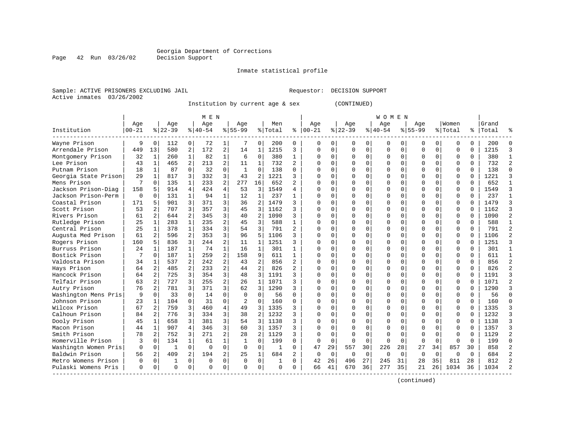Page 42 Run 03/26/02

#### Inmate statistical profile

Sample: ACTIVE PRISONERS EXCLUDING JAIL Requestor: DECISION SUPPORT Active inmates 03/26/2002

Institution by current age & sex (CONTINUED)

|                      |           |                |              |                | M E N     |                |                |                |              |                |              |             |             |             | W O M E N |          |             |              |          |              |       |                |
|----------------------|-----------|----------------|--------------|----------------|-----------|----------------|----------------|----------------|--------------|----------------|--------------|-------------|-------------|-------------|-----------|----------|-------------|--------------|----------|--------------|-------|----------------|
|                      | Age       |                | Age          |                | Age       |                | Aqe            |                | Men          |                | Aqe          |             | Age         |             | Age       |          | Aqe         |              | Women    |              | Grand |                |
| Institution          | $00 - 21$ |                | $ 22-39$     |                | $8 40-54$ |                | $8155 - 99$    |                | % Total      | ి              | $ 00-21$     |             | $8$   22-39 |             | $ 40-54$  |          | $8155 - 99$ |              | % Total  | ႜ            | Total |                |
| Wayne Prison         | 9         | $\Omega$       | 112          | 0              | 72        | 1              |                | $\Omega$       | 200          | 0              | 0            | 0           | O           | 0           | 0         | O        | n           | 0            | U        | 0            | 200   |                |
| Arrendale Prison     | 449       | 13             | 580          | 2              | 172       | $\overline{a}$ | 14             | 1              | 1215         | 3              | $\Omega$     | 0           | ∩           | $\mathbf 0$ | 0         | O        | $\Omega$    | 0            | $\Omega$ | 0            | 1215  |                |
| Montgomery Prison    | 32        | -1             | 260          | $\mathbf{1}$   | 82        | $\mathbf{1}$   | 6              | $\Omega$       | 380          | $\mathbf{1}$   | Ω            | 0           | $\Omega$    | $\Omega$    | 0         | $\Omega$ | $\Omega$    | $\Omega$     | 0        | $\Omega$     | 380   |                |
| Lee Prison           | 43        | $\mathbf{1}$   | 465          | $\overline{2}$ | 213       | $\overline{a}$ | 11             | $\mathbf{1}$   | 732          | $\overline{2}$ | Ω            | 0           |             | $\Omega$    | 0         | 0        |             | $\Omega$     | 0        | 0            | 732   |                |
| Putnam Prison        | 18        | $\mathbf{1}$   | 87           | $\Omega$       | 32        | $\Omega$       | $\mathbf{1}$   | $\Omega$       | 138          | O              | O            | 0           |             | $\Omega$    |           | $\Omega$ |             | $\Omega$     | $\Omega$ | $\Omega$     | 138   | ſ              |
| Georgia State Prison | 29        | $\mathbf{1}$   | 817          | 3              | 332       | 3              | 43             | 2              | 1221         | 3              | U            | 0           |             | $\Omega$    | N         | O        | $\Omega$    | $\Omega$     | $\Omega$ | $\Omega$     | 1221  |                |
| Mens Prison          | 7         | $\Omega$       | 135          | $\mathbf{1}$   | 233       | 2              | 277            | 16             | 652          | $\mathfrak{D}$ | $\cap$       | 0           |             | $\Omega$    | O         | O        | $\Omega$    | $\Omega$     | $\Omega$ | $\Omega$     | 652   |                |
| Jackson Prison-Diag  | 158       | 5              | 914          | 4              | 424       | 4              | 53             | 3              | 1549         | 4              | ∩            | 0           |             | $\Omega$    | 0         | O        | ∩           | 0            | U        | 0            | 1549  | κ              |
| Jackson Prison-Perm  | $\Omega$  | O              | 131          |                | 94        | 1              | 12             | $\mathbf{1}$   | 237          |                | Λ            | 0           |             | $\Omega$    | O         |          |             | U            | U        | O            | 237   |                |
| Coastal Prison       | 171       | 5              | 901          | 3              | 371       | 3              | 36             | 2              | 1479         | 3              | Λ            | 0           |             | $\Omega$    | ი         |          |             | <sup>n</sup> | $\Omega$ | U            | 1479  |                |
| Scott Prison         | 53        | $\overline{a}$ | 707          | 3              | 357       | 3              | 45             | 3              | 1162         | ς              | Λ            | 0           |             | $\Omega$    | O         | n        | ∩           | 0            | $\Omega$ | $\Omega$     | 1162  |                |
| Rivers Prison        | 61        | 2              | 644          | 2              | 345       | 3              | 40             | $\overline{2}$ | 1090         | ς              | U            | 0           |             | $\Omega$    | 0         | U        | $\Omega$    | $\Omega$     | $\Omega$ | $\Omega$     | 1090  |                |
| Rutledge Prison      | 25        | $\mathbf{1}$   | 283          |                | 235       | $\overline{a}$ | 45             | 3              | 588          | $\mathbf{1}$   | Ω            | 0           |             | $\Omega$    | 0         | O        |             | $\Omega$     | 0        | O            | 588   |                |
| Central Prison       | 25        | $\mathbf{1}$   | 378          | $\mathbf{1}$   | 334       | 3              | 54             | 3              | 791          | $\overline{a}$ | Λ            | 0           |             | $\Omega$    | Ω         | O        |             | $\Omega$     | $\Omega$ | $\Omega$     | 791   | $\overline{c}$ |
| Augusta Med Prison   | 61        | 2              | 596          | 2              | 353       | 3              | 96             | 5              | 1106         | ς              | Λ            | 0           |             | $\Omega$    | 0         | O        | ∩           | 0            | 0        | 0            | 1106  |                |
| Rogers Prison        | 160       | 5              | 836          | 3              | 244       | 2              | 11             | $\mathbf{1}$   | 1251         | ς              | $\cap$       | 0           |             | $\Omega$    | O         | O        | $\Omega$    | $\Omega$     | $\Omega$ | $\Omega$     | 1251  |                |
| Burruss Prison       | 24        | -1             | 187          | $\mathbf{1}$   | 74        | $\mathbf{1}$   | 16             | $\mathbf{1}$   | 301          | 1              | ∩            | 0           |             | $\Omega$    | O         | O        | ∩           | $\Omega$     | $\cap$   | $\Omega$     | 301   | $\mathbf{1}$   |
| Bostick Prison       |           | $\Omega$       | 187          | $\mathbf{1}$   | 259       | $\overline{a}$ | 158            | 9              | 611          | 1              | Λ            | 0           |             | $\Omega$    | O         | U        |             | $\Omega$     | $\cap$   | O            | 611   | $\mathbf{1}$   |
| Valdosta Prison      | 34        | -1             | 537          |                | 242       | $\overline{a}$ | 43             | $\overline{2}$ | 856          | $\overline{2}$ | ∩            | 0           |             | $\Omega$    | U         | U        | $\Omega$    | $\Omega$     | $\cap$   | $\Omega$     | 856   |                |
| Hays Prison          | 64        | $\overline{2}$ | 485          | $\overline{2}$ | 233       | $\overline{a}$ | 44             | $\overline{2}$ | 826          | $\overline{a}$ | ∩            | 0           |             | $\Omega$    | O         | U        | ∩           | $\Omega$     | $\Omega$ | $\Omega$     | 826   |                |
| Hancock Prison       | 64        | 2              | 725          | 3              | 354       | 3              | 48             | $\overline{3}$ | 1191         | ς              | <sup>0</sup> | 0           |             | $\Omega$    | 0         | U        |             | $\Omega$     | $\Omega$ | $\Omega$     | 1191  |                |
| Telfair Prison       | 63        | 2              | 727          | 3              | 255       | $\overline{a}$ | 26             | 1              | 1071         | 3              | 0            | 0           |             | $\Omega$    | 0         | O        |             | 0            | 0        | $\Omega$     | 1071  |                |
| Autry Prison         | 76        | 2              | 781          | 3              | 371       | 3              | 62             | 3              | 1290         | 3              | Ω            | 0           |             | $\Omega$    | 0         | 0        |             | $\Omega$     | $\Omega$ | $\Omega$     | 1290  | 3              |
| Washington Mens Pris | 9         | $\Omega$       | 33           | $\Omega$       | 14        | $\Omega$       | $\Omega$       | $\Omega$       | 56           | 0              | Ω            | 0           |             | $\Omega$    | 0         | O        |             | 0            | $\Omega$ | $\Omega$     | 56    | $\cap$         |
| Johnson Prison       | 23        | $\mathbf{1}$   | 104          | $\Omega$       | 31        | $\Omega$       | $\mathfrak{D}$ | $\Omega$       | 160          | $\Omega$       | $\cap$       | 0           |             | $\Omega$    | O         | O        | $\Omega$    | $\Omega$     | $\Omega$ | $\Omega$     | 160   | $\cap$         |
| Wilcox Prison        | 67        | 2              | 759          | 3              | 460       | 4              | 49             | 3              | 1335         | ς              | O            | 0           |             | $\Omega$    | O         | O        | $\Omega$    | $\Omega$     | $\Omega$ | $\Omega$     | 1335  |                |
| Calhoun Prison       | 84        | 2              | 776          | 3              | 334       | 3              | 38             | 2              | 1232         | ς              | Ω            | 0           |             | $\Omega$    | O         |          |             | $\Omega$     | $\Omega$ | O            | 1232  |                |
| Dooly Prison         | 45        | 1              | 658          | 3              | 381       | 3              | 54             | 3              | 1138         | ς              | U            | 0           |             | $\Omega$    | ი         |          |             | 0            | $\Omega$ | O            | 1138  |                |
| Macon Prison         | 44        | 1              | 907          | 4              | 346       | 3              | 60             | 3              | 1357         | 3              | Λ            | 0           |             | $\Omega$    | U         | U        | ∩           | <sup>n</sup> | $\Omega$ | U            | 1357  |                |
| Smith Prison         | 78        | 2              | 752          | 3              | 271       | $\overline{2}$ | 28             | 2              | 1129         | 3              | n            | 0           | $\Omega$    | $\Omega$    | O         | U        | ∩           | 0            | U        | <sup>0</sup> | 1129  | 2              |
| Homerville Prison    | 3         | $\Omega$       | 134          |                | 61        | $\mathbf{1}$   | 1              | $\Omega$       | 199          | 0              | 0            | $\mathbf 0$ | $\Omega$    | $\Omega$    | 0         | $\Omega$ | $\Omega$    | $\Omega$     | U        | $\Omega$     | 199   | Λ              |
| Washingtn Women Pris | 0         | 0              | $\mathbf{1}$ | $\Omega$       | $\Omega$  | $\Omega$       | $\Omega$       | $\Omega$       | -1           | O              | 47           | 29          | 557         | 30          | 226       | 28       | 27          | 34           | 857      | 30           | 858   |                |
| Baldwin Prison       | 56        | 2              | 409          | 2              | 194       | 2              | 25             | $\mathbf{1}$   | 684          | 2              | $\Omega$     | $\mathbf 0$ | $\mathbf 0$ | 0           | 0         | $\Omega$ | $\Omega$    | $\Omega$     | $\Omega$ | $\Omega$     | 684   |                |
| Metro Womens Prison  | $\Omega$  | 0              | $\mathbf{1}$ | $\Omega$       | $\Omega$  | 0              | $\Omega$       | $\Omega$       | $\mathbf{1}$ | $\Omega$       | 42           | 26          | 496         | 27          | 245       | 31       | 28          | 35           | 811      | 28           | 812   |                |
| Pulaski Womens Pris  | U         | 0              | $\Omega$     | 0              | $\Omega$  | 0              | $\Omega$       | $\Omega$       | $\Omega$     | 0              | 66           | 41          | 670         | 36          | 277       | 35       | 21          | 26           | 1034     | 36           | 1034  |                |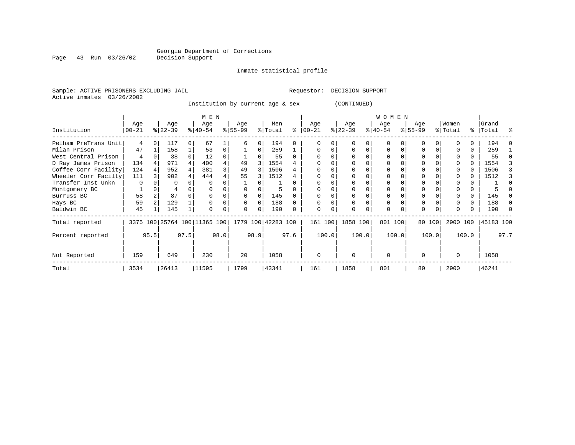Inmate statistical profile

Sample: ACTIVE PRISONERS EXCLUDING JAIL **Requestor: DECISION SUPPORT** Active inmates 03/26/2002

Institution by current age & sex (CONTINUED)

|                      |            |              | M E N     |   |                              |      |                    |                  |         |      | <b>WOMEN</b> |       |           |       |           |       |           |        |          |       |           |          |
|----------------------|------------|--------------|-----------|---|------------------------------|------|--------------------|------------------|---------|------|--------------|-------|-----------|-------|-----------|-------|-----------|--------|----------|-------|-----------|----------|
|                      | Age        |              | Age       |   | Age                          |      | Age                |                  | Men     |      | Age          |       | Age       |       | Age       |       | Age       |        | Women    |       | Grand     |          |
| Institution          | $00 - 21$  |              | $ 22-39 $ |   | $ 40-54 $                    |      | $ 55-99 $          |                  | % Total | ႜ    | $ 00 - 21 $  |       | $ 22-39 $ |       | $ 40-54 $ |       | $ 55-99 $ |        | % Total  |       | %   Total | ႜ        |
| Pelham PreTrans Unit | 4          |              | 117       | 0 | 67                           |      |                    | $\left( \right)$ | 194     |      |              |       |           |       | O         |       |           |        |          |       | 194       |          |
| Milan Prison         | 47         |              | 158       |   | 53                           | 0    |                    | $\Omega$         | 259     |      |              |       |           | 0     | $\Omega$  |       |           |        |          | 0     | 259       |          |
| West Central Prison  | 4          |              | 38        |   | 12                           | 0    |                    |                  | 55      |      |              |       |           |       | 0         |       |           |        |          |       | 55        |          |
| D Ray James Prison   | 134        |              | 971       |   | 400                          |      | 49                 | 3                | 1554    |      |              |       |           |       | 0         |       |           |        |          |       | 1554      |          |
| Coffee Corr Facility | 124        |              | 952       |   | 381                          | 3    | 49                 | 3                | 1506    |      |              |       |           |       |           |       |           |        |          |       | 1506      |          |
| Wheeler Corr Facilty | 111        |              | 902       |   | 444                          |      | 55                 |                  | 1512    |      |              |       |           |       | O         |       |           |        |          |       | 1512      |          |
| Transfer Inst Unkn   | $\Omega$   |              | O         |   | $\Omega$                     |      |                    |                  |         |      |              |       |           |       | O         |       |           |        |          |       |           |          |
| Montgomery BC        |            |              |           |   |                              |      |                    |                  | 5       |      |              |       |           |       | O         |       |           |        |          |       |           |          |
| Burruss BC           | 58         |              | 87        |   |                              |      |                    |                  | 145     |      |              |       |           |       | O         |       | 0         |        |          | 0     | 145       |          |
| Hays BC              | 59         |              | 129       |   |                              | 0    |                    | $\Omega$         | 188     |      |              |       |           |       | $\Omega$  |       | $\Omega$  |        |          | 0     | 188       | $\Omega$ |
| Baldwin BC           | 45         |              | 145       |   | $\Omega$                     | 0    | $\Omega$           | $\Omega$         | 190     |      | $\Omega$     | 0     |           |       | 0         |       | $\Omega$  |        |          |       | 190       | - 0      |
| Total reported       |            |              |           |   | 3375 100 25764 100 11365 100 |      | 1779 100 42283 100 |                  |         |      | 161 100      |       | 1858 100  |       | 801 100   |       |           | 80 100 | 2900 100 |       | 45183 100 |          |
| Percent reported     |            | 97.5<br>95.5 |           |   |                              | 98.0 |                    | 98.9             |         | 97.6 |              | 100.0 |           | 100.0 |           | 100.0 |           | 100.0  |          | 100.0 |           | 97.7     |
| Not Reported         | 159<br>649 |              |           |   | 230                          |      | 20                 |                  | 1058    |      | $\Omega$     |       | $\Omega$  |       | $\Omega$  |       | $\Omega$  |        | $\Omega$ |       | 1058      |          |
| Total                | 3534       |              | 26413     |   | 11595                        |      | 1799               |                  | 43341   |      | 161          |       | 1858      |       | 801       |       | 80        |        | 2900     |       | 46241     |          |

Page 43 Run 03/26/02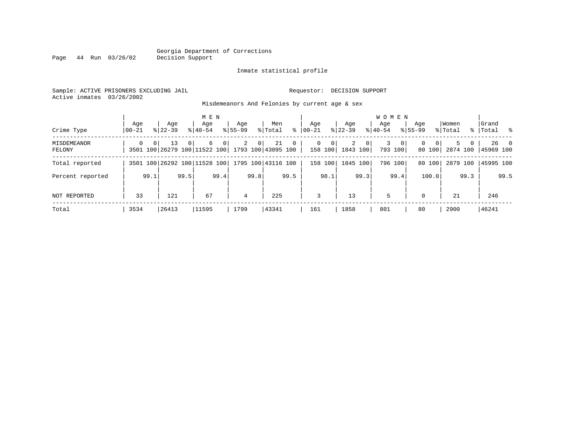#### Georgia Department of Corrections Page 44 Run 03/26/02

#### Inmate statistical profile

Sample: ACTIVE PRISONERS EXCLUDING JAIL Requestor: DECISION SUPPORT Active inmates 03/26/2002

Misdemeanors And Felonies by current age & sex

| Crime Type            | Aqe<br>  00-21 |                | Age<br>$8122 - 39$                                    |          | M E N<br>Aqe<br>$8140 - 54$ |                | Age<br>$8155 - 99$ |                | Men<br>% Total | ႜ           | Age<br>$00 - 21$ |                        | Age<br>$8122 - 39$ |                | <b>WOMEN</b><br>Aqe<br>$8140 - 54$ |                         | Age<br>$8155 - 99$ |                    | Women<br>% Total |        | Grand<br>%   Total % |           |
|-----------------------|----------------|----------------|-------------------------------------------------------|----------|-----------------------------|----------------|--------------------|----------------|----------------|-------------|------------------|------------------------|--------------------|----------------|------------------------------------|-------------------------|--------------------|--------------------|------------------|--------|----------------------|-----------|
| MISDEMEANOR<br>FELONY | $\Omega$       | 0 <sup>1</sup> | 13<br>3501 100 26279 100 11522 100 1793 100 43095 100 | $\Omega$ | 6                           | $\overline{0}$ | $\overline{2}$     | 0 <sup>1</sup> | 21             | $\mathbf 0$ | $\Omega$         | $\mathbf 0$<br>158 100 | 2<br>1843 100      | 0 <sup>1</sup> | 3                                  | $\mathbf{0}$<br>793 100 | $\Omega$           | $\Omega$<br>80 100 | 2874 100         | 5<br>0 | 45969 100            | $26 \t 0$ |
| Total reported        |                |                | 3501 100 26292 100 11528 100 1795 100 43116 100       |          |                             |                |                    |                |                |             |                  | 158 100                | 1845 100           |                |                                    | 796 100                 |                    | 80 100             | 2879 100         |        | 45995 100            |           |
| Percent reported      |                | 99.1           |                                                       | 99.5     |                             | 99.4           |                    | 99.8           |                | 99.5        |                  | 98.1                   |                    | 99.3           |                                    | 99.4                    |                    | 100.0              |                  | 99.3   |                      | 99.5      |
| NOT REPORTED          | 33             |                | 121                                                   |          | 67                          |                | 4                  |                | 225            |             | 3                |                        | 13                 |                | 5                                  |                         | $\Omega$           |                    | 21               |        | 246                  |           |
| Total                 | 3534           |                | 26413                                                 |          | 11595                       |                | 1799               |                | 43341          |             | 161              |                        | 1858               |                | 801                                |                         | 80                 |                    | 2900             |        | 46241                |           |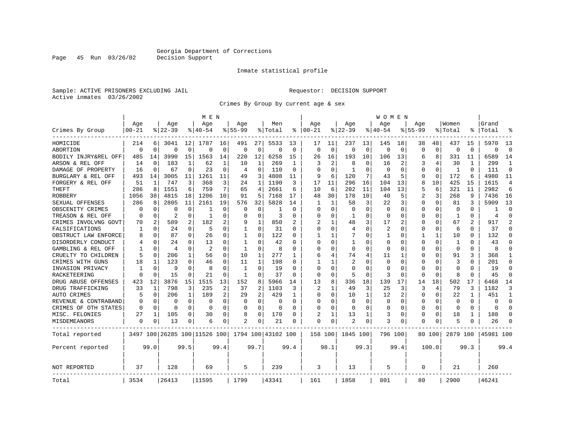Page 45 Run 03/26/02

#### Inmate statistical profile

Sample: ACTIVE PRISONERS EXCLUDING JAIL Requestor: DECISION SUPPORT Active inmates 03/26/2002

Crimes By Group by current age & sex

|                      |             |             |                |              | M E N                        |             |             |                |                    |             |                         |              |              |              | W O M E N   |             |             |              |             |          |           |                |
|----------------------|-------------|-------------|----------------|--------------|------------------------------|-------------|-------------|----------------|--------------------|-------------|-------------------------|--------------|--------------|--------------|-------------|-------------|-------------|--------------|-------------|----------|-----------|----------------|
|                      | Age         |             | Age            |              | Age                          |             | Aqe         |                | Men                |             | Aqe                     |              | Aqe          |              | Aqe         |             | Aqe         |              | Women       |          | Grand     |                |
| Crimes By Group      | $00 - 21$   |             | $8 22-39$      |              | % 40-54                      |             | $8155 - 99$ |                | % Total            | ႜ           | $ 00-21$                |              | $ 22-39$     |              | $8140 - 54$ |             | $8155 - 99$ |              | % Total     | ႜ        | Total     |                |
| HOMICIDE             | 214         | 6           | 3041           | 12           | 1787                         | 16          | 491         | 27             | 5533               | 13          | 17                      | 11           | 237          | 13           | 145         | 18          | 38          | 48           | 437         | 15       | 5970      | 13             |
| ABORTION             | $\Omega$    | $\mathbf 0$ | $\Omega$       | $\mathbf 0$  | $\Omega$                     | $\mathbf 0$ | $\Omega$    | $\mathbf 0$    | $\Omega$           | $\mathbf 0$ | $\Omega$                | $\mathbf 0$  | $\Omega$     | $\mathbf 0$  | $\Omega$    | $\mathbf 0$ | $\Omega$    | $\Omega$     | $\mathbf 0$ | $\Omega$ | $\Omega$  | $\Omega$       |
| BODILY INJRY&REL OFF | 485         | 14          | 3990           | 15           | 1563                         | 14          | 220         | 12             | 6258               | 15          | 26                      | 16           | 193          | 10           | 106         | 13          | 6           | 8            | 331         | 11       | 6589      | 14             |
| ARSON & REL OFF      | 14          | 0           | 183            | 1            | 62                           | 1           | 10          | 1              | 269                | 1           | 3                       | 2            | 8            | 0            | 16          | 2           | 3           | 4            | 30          | 1        | 299       | 1              |
| DAMAGE OF PROPERTY   | 16          | $\mathbf 0$ | 67             | 0            | 23                           | 0           | 4           | 0              | 110                | 0           | $\Omega$                | $\Omega$     | $\mathbf{1}$ | $\Omega$     | $\Omega$    | 0           | $\Omega$    | $\Omega$     | 1           | $\Omega$ | 111       | $\Omega$       |
| BURGLARY & REL OFF   | 493         | 14          | 3005           | 11           | 1261                         | 11          | 49          | 3              | 4808               | 11          | 9                       | 6            | 120          | 7            | 43          | 5           | $\Omega$    | $\mathbf 0$  | 172         | 6        | 4980      | 11             |
| FORGERY & REL OFF    | 51          | 1           | 747            | 3            | 368                          | 3           | 24          | $\mathbf{1}$   | 1190               | 3           | 17                      | 11           | 296          | 16           | 104         | 13          | 8           | 10           | 425         | 15       | 1615      | $\overline{4}$ |
| THEFT                | 286         | 8           | 1551           | 6            | 759                          | 7           | 65          | 4              | 2661               | 6           | 10                      | 6            | 202          | 11           | 104         | 13          | 5           | 6            | 321         | 11       | 2982      | 6              |
| ROBBERY              | 1056        | 30          | 4815           | 18           | 1206                         | 10          | 91          | 5              | 7168               | 17          | 48                      | 30           | 178          | 10           | 40          | 5           | 2           | 3            | 268         | 9        | 7436      | 16             |
| SEXUAL OFFENSES      | 286         | 8           | 2805           | 11           | 2161                         | 19          | 576         | 32             | 5828               | 14          |                         | 1            | 58           | 3            | 22          | 3           | $\Omega$    | $\Omega$     | 81          | 3        | 5909      | 13             |
| OBSCENITY CRIMES     | $\Omega$    | 0           | $\Omega$       | 0            |                              | $\Omega$    | 0           | 0              |                    | $\Omega$    | <sup>0</sup>            | $\Omega$     | $\Omega$     | O            | 0           | 0           | $\Omega$    | $\Omega$     | $\Omega$    | $\Omega$ | -1        | $\Omega$       |
| TREASON & REL OFF    | $\Omega$    | 0           | $\overline{2}$ | $\Omega$     | 1                            | $\Omega$    | O           | $\Omega$       | 3                  | $\Omega$    | 0                       | $\Omega$     | -1           | 0            | $\Omega$    | $\Omega$    | $\Omega$    | $\Omega$     | 1           | $\Omega$ | 4         | $\Omega$       |
| CRIMES INVOLVNG GOVT | 70          | 2           | 589            | 2            | 182                          | 2           | 9           | $\mathbf{1}$   | 850                |             | $\overline{\mathbf{c}}$ | $\mathbf{1}$ | 48           | 3            | 17          | 2           | $\Omega$    | $\Omega$     | 67          |          | 917       | $\mathcal{D}$  |
| FALSIFICATIONS       | 1           | 0           | 24             | $\Omega$     | -5                           | $\Omega$    | 1           | 0              | 31                 | O           | $\Omega$                | $\Omega$     | 4            | O            | 2           | 0           | 0           | $\Omega$     | 6           | 0        | 37        | $\Omega$       |
| OBSTRUCT LAW ENFORCE | 8           | 0           | 87             | $\Omega$     | 26                           | 0           | 1           | 0              | 122                | O           | -1                      | 1            | 7            | U            | 1           | 0           | 1           | $\mathbf{1}$ | 10          | 0        | 132       | ∩              |
| DISORDERLY CONDUCT   | 4           | $\mathbf 0$ | 24             | O            | 13                           | 0           | 1           | $\Omega$       | 42                 | U           | <sup>0</sup>            | 0            | -1           | 0            | $\Omega$    | 0           | $\Omega$    | $\Omega$     | -1          |          | 43        | $\Omega$       |
| GAMBLING & REL OFF   |             | $\Omega$    | 4              | O            | $\mathfrak{D}$               | $\Omega$    | 1           | $\Omega$       | 8                  | O           | $\Omega$                | $\Omega$     | $\Omega$     | O            | $\Omega$    | $\Omega$    | $\Omega$    | $\Omega$     | $\Omega$    | $\Omega$ | 8         |                |
| CRUELTY TO CHILDREN  | 5           | $\mathbf 0$ | 206            | $\mathbf{1}$ | 56                           | 0           | 10          | 1              | 277                | 1           | 6                       | 4            | 74           | 4            | 11          | 1           | $\Omega$    | $\Omega$     | 91          | 3        | 368       |                |
| CRIMES WITH GUNS     | 18          | 1           | 123            | 0            | 46                           | 0           | 11          | $\mathbf 1$    | 198                | O           |                         | $\mathbf{1}$ | 2            | O            | 0           | $\mathbf 0$ | 0           | 0            | 3           | $\Omega$ | 201       | $\Omega$       |
| INVASION PRIVACY     | 1           | 0           | 9              | $\Omega$     | 8                            | 0           | 1           | $\mathbf 0$    | 19                 | $\Omega$    | $\Omega$                | $\Omega$     | $\Omega$     | U            | $\Omega$    | 0           | 0           | $\Omega$     | $\Omega$    | 0        | 19        | $\Omega$       |
| RACKETEERING         | $\Omega$    | 0           | 15             | 0            | 21                           | 0           | 1           | 0              | 37                 | $\Omega$    | $\Omega$                | $\Omega$     | 5            | 0            | 3           | 0           | $\Omega$    | $\Omega$     | 8           | $\Omega$ | 45        | ∩              |
| DRUG ABUSE OFFENSES  | 423         | 12          | 3876           | 15           | 1515                         | 13          | 152         | 8              | 5966               | 14          | 13                      | 8            | 336          | 18           | 139         | 17          | 14          | 18           | 502         | 17       | 6468      | 14             |
| DRUG TRAFFICKING     | 33          | 1           | 798            | 3            | 235                          | 2           | 37          | $\overline{2}$ | 1103               | 3           | 2                       | 1            | 49           | 3            | 25          | 3           | 3           | 4            | 79          | 3        | 1182      | 3              |
| AUTO CRIMES          | 5           | $\mathbf 0$ | 206            | 1            | 189                          | 2           | 29          | $\overline{2}$ | 429                | 1           | 0                       | $\Omega$     | 10           | $\mathbf{1}$ | 12          | 2           | $\Omega$    | $\Omega$     | 22          | 1        | 451       | -1             |
| REVENUE & CONTRABAND | $\Omega$    | 0           | 0              | 0            | 0                            | 0           | 0           | $\mathbf 0$    | 0                  | $\Omega$    | 0                       | 0            | 0            | $\mathbf 0$  | 0           | $\mathbf 0$ | $\Omega$    | 0            | $\mathbf 0$ | $\Omega$ | $\Omega$  | $\Omega$       |
| CRIMES OF OTH STATES | 0           | 0           | 0              | $\Omega$     | $\Omega$                     | 0           | $\Omega$    | 0              | 0                  | $\Omega$    | $\Omega$                | 0            | 0            | $\Omega$     | $\Omega$    | 0           | 0           | $\Omega$     | $\Omega$    | $\Omega$ | $\Omega$  | ∩              |
| MISC. FELONIES       | 27          | 1           | 105            | 0            | 30                           | 0           | 8           | 0              | 170                | O           | 2                       | 1            | 13           | 1            | 3           | 0           | 0           | 0            | 18          | 1        | 188       | ∩              |
| <b>MISDEMEANORS</b>  | $\mathbf 0$ | 0           | 13             | 0            | 6                            | 0           | 2           | 0              | 21                 | 0           | $\Omega$                | 0            | 2            | 0            | 3           | 0           | $\Omega$    | 0            | 5           | 0        | 26        |                |
| Total reported       |             |             |                |              | 3497 100 26285 100 11526 100 |             |             |                | 1794 100 43102 100 |             | 158 100                 |              | 1845 100     |              | 796 100     |             |             | 80 100       | 2879 100    |          | 45981 100 |                |
| Percent reported     |             | 99.0        |                | 99.5         |                              | 99.4        |             | 99.7           |                    | 99.4        |                         | 98.1         |              | 99.3         |             | 99.4        |             | 100.0        |             | 99.3     |           | 99.4           |
| NOT REPORTED         | 37          |             | 128            |              | 69                           |             | 5           |                | 239                |             | 3                       |              | 13           |              | 5           |             | $\Omega$    |              | 21          |          | 260       |                |
| Total                | 3534        |             | 26413          |              | 11595                        |             | 1799        |                | 43341              |             | 161                     |              | 1858         |              | 801         |             | 80          |              | 2900        |          | 46241     |                |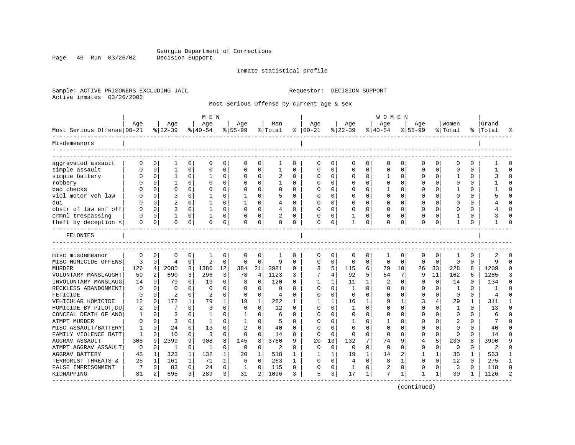Page 46 Run 03/26/02

#### Inmate statistical profile

Sample: ACTIVE PRISONERS EXCLUDING JAIL Requestor: DECISION SUPPORT Active inmates 03/26/2002

Most Serious Offense by current age & sex

| Age<br>Women<br>Grand<br>Age<br>Age<br>Age<br>Men<br>Age<br>Age<br>Age<br>Age<br>Most Serious Offense 00-21<br>$ 22-39$<br>% Total<br>$ 22-39$<br>$8 40-54$<br>$8155 - 99$<br>$8 40-54$<br>$8 55-99$<br>⊱<br>$ 00-21$<br>% Total<br>%   Total<br>Misdemeanors<br>aggravated assault<br>$\Omega$<br>0<br>0<br>0<br>0<br>0<br>0<br>0<br>$\Omega$<br>0<br>0<br>0<br>0<br>1<br>0<br>$\Omega$<br>0<br>0<br>0<br>$\Omega$<br>simple assault<br>0<br>0<br>$\Omega$<br>0<br>1<br>$\Omega$<br>0<br>$\Omega$<br>$\Omega$<br>$\Omega$<br>O<br>$\mathbf{1}$<br>$\mathbf 0$<br>$\Omega$<br>$\Omega$<br>$\Omega$<br>$\Omega$<br>$\Omega$<br>$\Omega$<br>simple battery<br>$\mathbf 0$<br>$\Omega$<br>$\Omega$<br>O<br>$\Omega$<br>1<br>$\Omega$<br>$\Omega$<br><sup>0</sup><br>$\Omega$<br>0<br>U<br>0<br>U<br>robbery<br>$\Omega$<br>$\Omega$<br>$\Omega$<br>$\Omega$<br>$\Omega$<br>1<br>$\Omega$<br>$\Omega$<br>-1<br>0<br>$\Omega$<br>$\Omega$<br>0<br>O<br>$\Omega$<br>$\Omega$<br>O<br>0<br>O<br>bad checks<br>$\Omega$<br>$\Omega$<br>0<br>$\Omega$<br>$\Omega$<br>$\Omega$<br>$\Omega$<br>$\Omega$<br>0<br>$\Omega$<br>$\Omega$<br>$\Omega$<br>$\Omega$<br>O<br>0<br>$\mathbf 0$<br>$\Omega$<br>viol motor veh law<br>$\mathbf 0$<br>3<br>0<br>0<br>5<br>$\Omega$<br>0<br>$\mathbf 0$<br>$\Omega$<br>$\Omega$<br>$\Omega$<br>$\Omega$<br>$\Omega$<br>$\Omega$<br>dui<br>$\overline{c}$<br>$\mathbf 0$<br>0<br>0<br>$\Omega$<br>$\Omega$<br>0<br>-1<br>4<br>$\Omega$<br><sup>0</sup><br>0<br>$\Omega$<br>$\Omega$<br>0<br>O<br><sup>0</sup><br>$\Omega$<br>obstr of law enf off<br>$\mathbf 0$<br>3<br>0<br>$\Omega$<br>O<br>$\Omega$<br>$\Omega$<br>0<br>U<br>4<br>∩<br>$\Omega$<br>$\Omega$<br>0<br>O<br>$\Omega$<br>0<br>O<br>0<br>crmnl trespassing<br>0<br>0<br>1<br>0<br><sup>0</sup><br>0<br>1<br>0<br>$\Omega$<br>0<br>0<br>O<br>0<br>0<br>O<br>theft by deception <<br>$\mathbf 0$<br>0<br>0<br>$\Omega$<br>0<br>$\mathbf 0$<br>0<br>$\Omega$<br>0<br>0<br>1<br>0<br>$\Omega$<br>$\Omega$<br>0<br>1<br>0<br>0<br>0<br>0<br>FELONIES<br>misc misdemeanor<br>$\mathbf 0$<br>$\mathbf 0$<br>0<br>0<br>0<br>0<br>$\Omega$<br>$\Omega$<br>0<br>$\Omega$<br>0<br>-1<br>0<br>$\Omega$<br>0<br>$\Omega$<br>1<br>0<br>3<br>2<br>$\mathbf 0$<br>9<br>$\mathbf 0$<br>$\Omega$<br>$\Omega$<br>$\Omega$<br>$\Omega$<br>MISC HOMICIDE OFFENS<br>$\mathbf 0$<br>$\Omega$<br>$\Omega$<br>$\Omega$<br>$\Omega$<br>$\Omega$<br>$\Omega$<br>$\Omega$<br>$\mathbf 0$<br>$\Omega$<br>9<br>4<br><b>MURDER</b><br>126<br>4<br>2085<br>8<br>1386<br>12<br>384<br>21<br>3981<br>5<br>115<br>6<br>79<br>10<br>26<br>33<br>8<br>4209<br>9<br>8<br>228 |              |
|------------------------------------------------------------------------------------------------------------------------------------------------------------------------------------------------------------------------------------------------------------------------------------------------------------------------------------------------------------------------------------------------------------------------------------------------------------------------------------------------------------------------------------------------------------------------------------------------------------------------------------------------------------------------------------------------------------------------------------------------------------------------------------------------------------------------------------------------------------------------------------------------------------------------------------------------------------------------------------------------------------------------------------------------------------------------------------------------------------------------------------------------------------------------------------------------------------------------------------------------------------------------------------------------------------------------------------------------------------------------------------------------------------------------------------------------------------------------------------------------------------------------------------------------------------------------------------------------------------------------------------------------------------------------------------------------------------------------------------------------------------------------------------------------------------------------------------------------------------------------------------------------------------------------------------------------------------------------------------------------------------------------------------------------------------------------------------------------------------------------------------------------------------------------------------------------------------------------------------------------------------------------------------------------------------------------------------------------------------------------------------------------------------------------------------------------------------------------------------------------------------------------------------------------------------------------------------------------------------------------------|--------------|
|                                                                                                                                                                                                                                                                                                                                                                                                                                                                                                                                                                                                                                                                                                                                                                                                                                                                                                                                                                                                                                                                                                                                                                                                                                                                                                                                                                                                                                                                                                                                                                                                                                                                                                                                                                                                                                                                                                                                                                                                                                                                                                                                                                                                                                                                                                                                                                                                                                                                                                                                                                                                                              |              |
|                                                                                                                                                                                                                                                                                                                                                                                                                                                                                                                                                                                                                                                                                                                                                                                                                                                                                                                                                                                                                                                                                                                                                                                                                                                                                                                                                                                                                                                                                                                                                                                                                                                                                                                                                                                                                                                                                                                                                                                                                                                                                                                                                                                                                                                                                                                                                                                                                                                                                                                                                                                                                              |              |
|                                                                                                                                                                                                                                                                                                                                                                                                                                                                                                                                                                                                                                                                                                                                                                                                                                                                                                                                                                                                                                                                                                                                                                                                                                                                                                                                                                                                                                                                                                                                                                                                                                                                                                                                                                                                                                                                                                                                                                                                                                                                                                                                                                                                                                                                                                                                                                                                                                                                                                                                                                                                                              |              |
|                                                                                                                                                                                                                                                                                                                                                                                                                                                                                                                                                                                                                                                                                                                                                                                                                                                                                                                                                                                                                                                                                                                                                                                                                                                                                                                                                                                                                                                                                                                                                                                                                                                                                                                                                                                                                                                                                                                                                                                                                                                                                                                                                                                                                                                                                                                                                                                                                                                                                                                                                                                                                              |              |
|                                                                                                                                                                                                                                                                                                                                                                                                                                                                                                                                                                                                                                                                                                                                                                                                                                                                                                                                                                                                                                                                                                                                                                                                                                                                                                                                                                                                                                                                                                                                                                                                                                                                                                                                                                                                                                                                                                                                                                                                                                                                                                                                                                                                                                                                                                                                                                                                                                                                                                                                                                                                                              | $\Omega$     |
|                                                                                                                                                                                                                                                                                                                                                                                                                                                                                                                                                                                                                                                                                                                                                                                                                                                                                                                                                                                                                                                                                                                                                                                                                                                                                                                                                                                                                                                                                                                                                                                                                                                                                                                                                                                                                                                                                                                                                                                                                                                                                                                                                                                                                                                                                                                                                                                                                                                                                                                                                                                                                              |              |
|                                                                                                                                                                                                                                                                                                                                                                                                                                                                                                                                                                                                                                                                                                                                                                                                                                                                                                                                                                                                                                                                                                                                                                                                                                                                                                                                                                                                                                                                                                                                                                                                                                                                                                                                                                                                                                                                                                                                                                                                                                                                                                                                                                                                                                                                                                                                                                                                                                                                                                                                                                                                                              | ∩            |
|                                                                                                                                                                                                                                                                                                                                                                                                                                                                                                                                                                                                                                                                                                                                                                                                                                                                                                                                                                                                                                                                                                                                                                                                                                                                                                                                                                                                                                                                                                                                                                                                                                                                                                                                                                                                                                                                                                                                                                                                                                                                                                                                                                                                                                                                                                                                                                                                                                                                                                                                                                                                                              |              |
|                                                                                                                                                                                                                                                                                                                                                                                                                                                                                                                                                                                                                                                                                                                                                                                                                                                                                                                                                                                                                                                                                                                                                                                                                                                                                                                                                                                                                                                                                                                                                                                                                                                                                                                                                                                                                                                                                                                                                                                                                                                                                                                                                                                                                                                                                                                                                                                                                                                                                                                                                                                                                              |              |
|                                                                                                                                                                                                                                                                                                                                                                                                                                                                                                                                                                                                                                                                                                                                                                                                                                                                                                                                                                                                                                                                                                                                                                                                                                                                                                                                                                                                                                                                                                                                                                                                                                                                                                                                                                                                                                                                                                                                                                                                                                                                                                                                                                                                                                                                                                                                                                                                                                                                                                                                                                                                                              | $\Omega$     |
|                                                                                                                                                                                                                                                                                                                                                                                                                                                                                                                                                                                                                                                                                                                                                                                                                                                                                                                                                                                                                                                                                                                                                                                                                                                                                                                                                                                                                                                                                                                                                                                                                                                                                                                                                                                                                                                                                                                                                                                                                                                                                                                                                                                                                                                                                                                                                                                                                                                                                                                                                                                                                              |              |
|                                                                                                                                                                                                                                                                                                                                                                                                                                                                                                                                                                                                                                                                                                                                                                                                                                                                                                                                                                                                                                                                                                                                                                                                                                                                                                                                                                                                                                                                                                                                                                                                                                                                                                                                                                                                                                                                                                                                                                                                                                                                                                                                                                                                                                                                                                                                                                                                                                                                                                                                                                                                                              |              |
|                                                                                                                                                                                                                                                                                                                                                                                                                                                                                                                                                                                                                                                                                                                                                                                                                                                                                                                                                                                                                                                                                                                                                                                                                                                                                                                                                                                                                                                                                                                                                                                                                                                                                                                                                                                                                                                                                                                                                                                                                                                                                                                                                                                                                                                                                                                                                                                                                                                                                                                                                                                                                              |              |
|                                                                                                                                                                                                                                                                                                                                                                                                                                                                                                                                                                                                                                                                                                                                                                                                                                                                                                                                                                                                                                                                                                                                                                                                                                                                                                                                                                                                                                                                                                                                                                                                                                                                                                                                                                                                                                                                                                                                                                                                                                                                                                                                                                                                                                                                                                                                                                                                                                                                                                                                                                                                                              |              |
|                                                                                                                                                                                                                                                                                                                                                                                                                                                                                                                                                                                                                                                                                                                                                                                                                                                                                                                                                                                                                                                                                                                                                                                                                                                                                                                                                                                                                                                                                                                                                                                                                                                                                                                                                                                                                                                                                                                                                                                                                                                                                                                                                                                                                                                                                                                                                                                                                                                                                                                                                                                                                              |              |
|                                                                                                                                                                                                                                                                                                                                                                                                                                                                                                                                                                                                                                                                                                                                                                                                                                                                                                                                                                                                                                                                                                                                                                                                                                                                                                                                                                                                                                                                                                                                                                                                                                                                                                                                                                                                                                                                                                                                                                                                                                                                                                                                                                                                                                                                                                                                                                                                                                                                                                                                                                                                                              | $\cap$       |
|                                                                                                                                                                                                                                                                                                                                                                                                                                                                                                                                                                                                                                                                                                                                                                                                                                                                                                                                                                                                                                                                                                                                                                                                                                                                                                                                                                                                                                                                                                                                                                                                                                                                                                                                                                                                                                                                                                                                                                                                                                                                                                                                                                                                                                                                                                                                                                                                                                                                                                                                                                                                                              |              |
| 2<br>3<br>92<br>5<br>7<br>11<br>VOLUNTARY MANSLAUGHT<br>59<br>690<br>3<br>296<br>78<br>4<br>1123<br>3<br>4<br>9<br>162<br>6<br>1285<br>54                                                                                                                                                                                                                                                                                                                                                                                                                                                                                                                                                                                                                                                                                                                                                                                                                                                                                                                                                                                                                                                                                                                                                                                                                                                                                                                                                                                                                                                                                                                                                                                                                                                                                                                                                                                                                                                                                                                                                                                                                                                                                                                                                                                                                                                                                                                                                                                                                                                                                    | 3            |
| 79<br>$\Omega$<br>120<br>11<br>$\Omega$<br>134<br>INVOLUNTARY MANSLAUG<br>14<br>0<br>$\Omega$<br>19<br>$\Omega$<br>1<br>2<br>$\Omega$<br>14<br>$\Omega$<br>8<br>$\Omega$<br>1<br>0                                                                                                                                                                                                                                                                                                                                                                                                                                                                                                                                                                                                                                                                                                                                                                                                                                                                                                                                                                                                                                                                                                                                                                                                                                                                                                                                                                                                                                                                                                                                                                                                                                                                                                                                                                                                                                                                                                                                                                                                                                                                                                                                                                                                                                                                                                                                                                                                                                           | $\cap$       |
| RECKLESS ABANDONMENT<br>0<br>0<br>$\Omega$<br>$\Omega$<br>0<br>0<br>$\Omega$<br>$\Omega$<br>$\Omega$<br>$\Omega$<br>$\Omega$<br><sup>0</sup><br>1<br>$\Omega$<br>0<br>O<br>1<br>$\Omega$<br><sup>0</sup><br>O                                                                                                                                                                                                                                                                                                                                                                                                                                                                                                                                                                                                                                                                                                                                                                                                                                                                                                                                                                                                                                                                                                                                                                                                                                                                                                                                                                                                                                                                                                                                                                                                                                                                                                                                                                                                                                                                                                                                                                                                                                                                                                                                                                                                                                                                                                                                                                                                                | ∩            |
| FETICIDE<br>2<br>$\overline{2}$<br>0<br>0<br>0<br>U<br>0<br><sup>0</sup><br>0<br>$\Omega$<br>U<br>$\Omega$<br>0<br>U<br>0<br>$\Omega$<br>$\Omega$<br>$\Omega$<br>$\overline{4}$<br>O                                                                                                                                                                                                                                                                                                                                                                                                                                                                                                                                                                                                                                                                                                                                                                                                                                                                                                                                                                                                                                                                                                                                                                                                                                                                                                                                                                                                                                                                                                                                                                                                                                                                                                                                                                                                                                                                                                                                                                                                                                                                                                                                                                                                                                                                                                                                                                                                                                         |              |
| VEHICULAR HOMICIDE<br>12<br>172<br>$\mathbf{1}$<br>79<br>1<br>282<br>3<br>29<br>1<br>$\mathbf 0$<br>1<br>19<br>$\mathbf{1}$<br>16<br>1<br>g<br>1<br>4<br>311<br>1                                                                                                                                                                                                                                                                                                                                                                                                                                                                                                                                                                                                                                                                                                                                                                                                                                                                                                                                                                                                                                                                                                                                                                                                                                                                                                                                                                                                                                                                                                                                                                                                                                                                                                                                                                                                                                                                                                                                                                                                                                                                                                                                                                                                                                                                                                                                                                                                                                                            | -1           |
| $\overline{3}$<br>$\Omega$<br>$\Omega$<br>0<br>HOMICIDE BY PILOT, DU<br>2<br>$\Omega$<br>7<br>$\Omega$<br>$\Omega$<br>$\Omega$<br>12<br>$\mathbf{1}$<br>$\Omega$<br>$\Omega$<br>$\Omega$<br>13<br>$\Omega$<br><sup>0</sup><br>$\Omega$<br>$\Omega$<br>1                                                                                                                                                                                                                                                                                                                                                                                                                                                                                                                                                                                                                                                                                                                                                                                                                                                                                                                                                                                                                                                                                                                                                                                                                                                                                                                                                                                                                                                                                                                                                                                                                                                                                                                                                                                                                                                                                                                                                                                                                                                                                                                                                                                                                                                                                                                                                                      | $\Omega$     |
| $\mathbf 0$<br>CONCEAL DEATH OF ANO<br>$\mathbf 0$<br>3<br>0<br>1<br>6<br>0<br>O<br>$\mathbf 0$<br>$\Omega$<br>$\Omega$<br>$\mathbf 0$<br>$\Omega$<br>6<br>1<br>$\Omega$<br>1<br>O<br>0                                                                                                                                                                                                                                                                                                                                                                                                                                                                                                                                                                                                                                                                                                                                                                                                                                                                                                                                                                                                                                                                                                                                                                                                                                                                                                                                                                                                                                                                                                                                                                                                                                                                                                                                                                                                                                                                                                                                                                                                                                                                                                                                                                                                                                                                                                                                                                                                                                      | $\Omega$     |
| $\mathbf 0$<br>3<br>1<br>0<br>2<br>ATMPT MURDER<br>$\Omega$<br>0<br>$\Omega$<br>1<br>5<br>$\Omega$<br>∩<br>0<br>-1<br>U<br>0<br>U<br>0<br>$\Omega$                                                                                                                                                                                                                                                                                                                                                                                                                                                                                                                                                                                                                                                                                                                                                                                                                                                                                                                                                                                                                                                                                                                                                                                                                                                                                                                                                                                                                                                                                                                                                                                                                                                                                                                                                                                                                                                                                                                                                                                                                                                                                                                                                                                                                                                                                                                                                                                                                                                                           | $\cap$       |
| 24<br>13<br>0<br>MISC ASSAULT/BATTERY<br>$\mathbf 0$<br>$\Omega$<br>0<br>40<br>$\cap$<br>$\Omega$<br>$\Omega$<br>$\Omega$<br>$\mathbf 0$<br>$\Omega$<br>$\mathbf 0$<br>40<br>1<br>$\Omega$<br>0<br>0<br>$\Omega$                                                                                                                                                                                                                                                                                                                                                                                                                                                                                                                                                                                                                                                                                                                                                                                                                                                                                                                                                                                                                                                                                                                                                                                                                                                                                                                                                                                                                                                                                                                                                                                                                                                                                                                                                                                                                                                                                                                                                                                                                                                                                                                                                                                                                                                                                                                                                                                                             | $\Omega$     |
| 3<br>0<br>FAMILY VIOLENCE BATT<br>$\mathbf 0$<br>10<br>0<br>$\Omega$<br>$\Omega$<br>0<br>$\Omega$<br>$\Omega$<br>1<br>14<br>0<br>$\Omega$<br>$\Omega$<br>$\Omega$<br>0<br>0<br>$\Omega$<br>U<br>14                                                                                                                                                                                                                                                                                                                                                                                                                                                                                                                                                                                                                                                                                                                                                                                                                                                                                                                                                                                                                                                                                                                                                                                                                                                                                                                                                                                                                                                                                                                                                                                                                                                                                                                                                                                                                                                                                                                                                                                                                                                                                                                                                                                                                                                                                                                                                                                                                           | ∩            |
| 2399<br>7<br>5<br><b>AGGRAV ASSAULT</b><br>308<br>9<br>908<br>8<br>145<br>8<br>3760<br>13<br>132<br>230<br>8<br>3990<br>9<br>q<br>20<br>74<br>9<br>4                                                                                                                                                                                                                                                                                                                                                                                                                                                                                                                                                                                                                                                                                                                                                                                                                                                                                                                                                                                                                                                                                                                                                                                                                                                                                                                                                                                                                                                                                                                                                                                                                                                                                                                                                                                                                                                                                                                                                                                                                                                                                                                                                                                                                                                                                                                                                                                                                                                                         |              |
| $\Omega$<br>$\Omega$<br>ATMPT AGGRAV ASSAULT<br>0<br>0<br>$\Omega$<br>0<br>$\Omega$<br>$\Omega$<br>0<br>$\Omega$<br>0<br>1<br>1<br>0<br>2<br>O<br>$\Omega$<br>$\Omega$<br>$\Omega$<br>0<br>2                                                                                                                                                                                                                                                                                                                                                                                                                                                                                                                                                                                                                                                                                                                                                                                                                                                                                                                                                                                                                                                                                                                                                                                                                                                                                                                                                                                                                                                                                                                                                                                                                                                                                                                                                                                                                                                                                                                                                                                                                                                                                                                                                                                                                                                                                                                                                                                                                                 | ∩            |
| 323<br>1<br>132<br>1<br>1<br>2<br>1<br>35<br>553<br><b>AGGRAV BATTERY</b><br>43<br>1<br>20<br>518<br>1<br>19<br>14<br>1<br>1<br>1<br>1                                                                                                                                                                                                                                                                                                                                                                                                                                                                                                                                                                                                                                                                                                                                                                                                                                                                                                                                                                                                                                                                                                                                                                                                                                                                                                                                                                                                                                                                                                                                                                                                                                                                                                                                                                                                                                                                                                                                                                                                                                                                                                                                                                                                                                                                                                                                                                                                                                                                                       |              |
| $\mathbf{1}$<br>$\Omega$<br>TERRORIST THREATS &<br>25<br>161<br>71<br>$\mathbf{1}$<br>263<br>$\mathbf{1}$<br>$\Omega$<br>$\Omega$<br>$\Omega$<br>$\mathbf{1}$<br>$\Omega$<br>$\Omega$<br>12<br>$\Omega$<br>275<br>1<br>6<br>8<br>4                                                                                                                                                                                                                                                                                                                                                                                                                                                                                                                                                                                                                                                                                                                                                                                                                                                                                                                                                                                                                                                                                                                                                                                                                                                                                                                                                                                                                                                                                                                                                                                                                                                                                                                                                                                                                                                                                                                                                                                                                                                                                                                                                                                                                                                                                                                                                                                           | $\mathbf{1}$ |
| $\mathbf 0$<br>3<br>118<br>FALSE IMPRISONMENT<br>7<br>83<br>0<br>24<br>0<br>115<br>$\Omega$<br>0<br>2<br>0<br>0<br>1<br>$\Omega$<br>1<br>0<br>0<br>O<br>$\Omega$                                                                                                                                                                                                                                                                                                                                                                                                                                                                                                                                                                                                                                                                                                                                                                                                                                                                                                                                                                                                                                                                                                                                                                                                                                                                                                                                                                                                                                                                                                                                                                                                                                                                                                                                                                                                                                                                                                                                                                                                                                                                                                                                                                                                                                                                                                                                                                                                                                                             | $\Omega$     |
| 17<br>7<br>695<br>289<br>3<br>2<br>1096<br>5<br>3<br>1<br>1126<br>KIDNAPPING<br>81<br>2<br>3<br>31<br>3<br>1<br>1<br>30<br>1<br>1                                                                                                                                                                                                                                                                                                                                                                                                                                                                                                                                                                                                                                                                                                                                                                                                                                                                                                                                                                                                                                                                                                                                                                                                                                                                                                                                                                                                                                                                                                                                                                                                                                                                                                                                                                                                                                                                                                                                                                                                                                                                                                                                                                                                                                                                                                                                                                                                                                                                                            |              |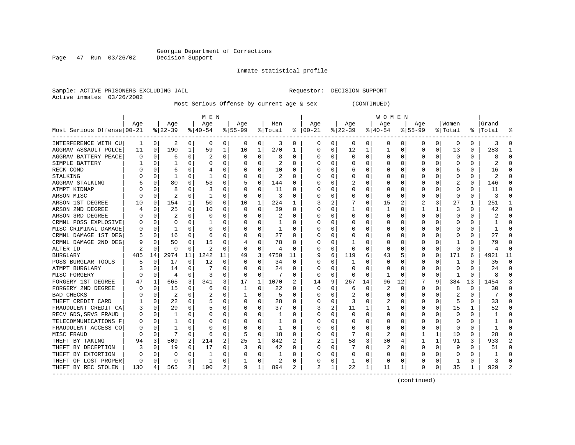Inmate statistical profile

Sample: ACTIVE PRISONERS EXCLUDING JAIL Requestor: DECISION SUPPORT Active inmates 03/26/2002

Most Serious Offense by current age & sex (CONTINUED)

|                                         |     |          |          |          | M E N        |    |           |          |         |    |                |          |              |          | W O M E N |             |             |          |                         |          |           |          |
|-----------------------------------------|-----|----------|----------|----------|--------------|----|-----------|----------|---------|----|----------------|----------|--------------|----------|-----------|-------------|-------------|----------|-------------------------|----------|-----------|----------|
|                                         | Age |          | Age      |          | Age          |    | Aqe       |          | Men     |    | Age            |          | Age          |          | Age       |             | Aqe         |          | Women                   |          | Grand     |          |
| Most Serious Offense 00-21              |     |          | $ 22-39$ |          | $ 40-54 $    |    | $8 55-99$ |          | % Total | ႜ  | $ 00-21$       |          | $ 22-39$     |          | $ 40-54$  |             | $8155 - 99$ |          | % Total                 |          | %   Total |          |
| INTERFERENCE WITH CU                    | 1   | 0        | 2        | 0        | 0            | 0  | 0         | 0        | 3       | 0  | 0              | 0        | 0            | 0        | 0         | 0           | 0           | 0        | 0                       | 0        | 3         | n        |
| AGGRAV ASSAULT POLCE                    | 11  | 0        | 190      | 1        | 59           | 1  | 10        | 1        | 270     | 1  | 0              | 0        | 12           | 1        |           | 0           | 0           | $\Omega$ | 13                      | 0        | 283       |          |
| AGGRAV BATTERY PEACE                    | U   | $\Omega$ | 6        | O        | 2            | O  | O         | $\Omega$ | 8       | U  | O              | 0        | $\Omega$     | $\Omega$ | 0         | $\mathbf 0$ | O           | $\Omega$ | $\mathbf 0$             | 0        |           |          |
| SIMPLE BATTERY                          |     | $\Omega$ |          | 0        | 0            | 0  |           | 0        | 2       | U  |                | $\Omega$ | $\Omega$     | $\Omega$ |           | $\mathbf 0$ | O           | $\Omega$ | 0                       | 0        | 2         |          |
| RECK COND                               |     | $\Omega$ |          |          |              | 0  |           | 0        | 10      | 0  |                | 0        | 6            | 0        |           | 0           | 0           | O        | 6                       | 0        | 16        |          |
| STALKING                                |     | $\Omega$ |          | O        |              | 0  |           | 0        | 2       | U  |                | $\Omega$ |              | 0        |           | 0           | O           | U        | C                       | 0        |           |          |
| AGGRAV STALKING                         |     | 0        | 80       | O        | 53           | 0  |           | 0        | 144     | U  |                | 0        |              | 0        | 0         | 0           | 0           | 0        |                         | 0        | 146       | $\cap$   |
| ATMPT KIDNAP                            |     | $\Omega$ | 8        | O        | 3            | 0  |           | 0        | 11      | 0  |                | $\Omega$ | 0            | 0        | 0         | $\Omega$    | 0           | 0        | 0                       | 0        | 11        |          |
| ARSON MISC                              |     | 0        |          | 0        |              | 0  | O         | 0        | 3       | 0  |                | 0        | 0            | 0        | $\Omega$  | 0           | 0           | 0        | $\Omega$                | 0        | 3         |          |
| ARSON 1ST DEGREE                        | 10  | 0        | 154      |          | 50           | 0  | 10        | 1        | 224     |    |                | 2        |              | 0        | 15        | 2           |             |          | 27                      |          | 251       |          |
| ARSON 2ND DEGREE                        |     | $\Omega$ | 25       | 0        | 10           | 0  | $\Omega$  | $\Omega$ | 39      | U  |                | 0        | 1            | $\Omega$ |           | C           |             | 1        | 3                       | $\Omega$ | 42        |          |
| ARSON 3RD DEGREE                        |     | $\Omega$ |          | O        | <sup>0</sup> | 0  |           | O        | 2       | U  |                | $\Omega$ | O            | 0        | O         | 0           | 0           | O        | <sup>0</sup>            | 0        |           |          |
| CRMNL POSS EXPLOSIVE                    |     | $\Omega$ | O        | 0        |              | 0  |           | 0        |         | U  |                | $\Omega$ | O            | $\Omega$ | $\left($  | 0           | O           | 0        | 0                       | 0        |           |          |
| MISC CRIMINAL DAMAGE                    |     | 0        |          | O        | C            | 0  |           | 0        |         | 0  |                | 0        |              | 0        |           | 0           |             | O        | 0                       | 0        |           |          |
| CRMNL DAMAGE 1ST DEG                    |     | 0        | 16       | O        | 6            | 0  |           | 0        | 27      | 0  |                | 0        |              | 0        |           | 0           | O           | O        | C                       | 0        | 27        |          |
| CRMNL DAMAGE 2ND DEG                    |     | $\Omega$ | 50       | 0        | 15           | 0  |           | 0        | 78      | 0  |                | $\Omega$ | -1           | 0        | $\Omega$  | $\Omega$    | 0           | O        |                         | 0        | 79        |          |
| ALTER ID                                |     | $\Omega$ | O        | 0        | 2            | 0  | $\Omega$  | 0        | 4       | 0  | C              | 0        | $\Omega$     | $\Omega$ | $\Omega$  | 0           | 0           | $\Omega$ | $\Omega$                | 0        |           | ∩        |
| <b>BURGLARY</b>                         | 485 | 14       | 2974     | 11       | 1242         | 11 | 49        | 3        | 4750    | 11 |                | 6        | 119          | 6        | 43        | 5           | 0           | $\Omega$ | 171                     | 6        | 4921      | 11       |
| POSS BURGLAR TOOLS                      | 5   | 0        | 17       | 0        | 12           | 0  |           | $\Omega$ | 34      | 0  |                | 0        |              | 0        |           | C           | 0           | O        |                         | U        | 35        | $\Omega$ |
| ATMPT BURGLARY                          |     | $\Omega$ | 14       | O        |              | U  | O         | O        | 24      | 0  | C              | $\Omega$ | $\Omega$     | O        | O         | C           | 0           | O        | $\cap$                  | O        | 2.4       |          |
| MISC FORGERY                            |     | $\Omega$ | 4        | 0        | 3            | 0  | O         | $\Omega$ | 7       | 0  | 0              | 0        | $\Omega$     | 0        |           | 0           | 0           | 0        | -1                      | $\Omega$ |           |          |
| FORGERY 1ST DEGREE                      | 47  | 1        | 665      | 3        | 341          | 3  | 17        | 1        | 1070    | 2  | 14             | 9        | 267          | 14       | 96        | 12          |             | 9        | 384                     | 13       | 1454      |          |
| FORGERY 2ND DEGREE                      |     | $\Omega$ | 15       | 0        | 6            | 0  |           | $\Omega$ | 22      | 0  | 0              | $\Omega$ | 6            | 0        | 2         | $\Omega$    | 0           | 0        | 8                       | 0        | 30        |          |
| <b>BAD CHECKS</b>                       |     | $\Omega$ | 2        | O        | 2            | 0  |           | 0        | 5       | 0  |                | 0        | 2            | 0        |           | 0           | 0           | 0        | $\overline{\mathbf{c}}$ | 0        |           |          |
| THEFT CREDIT CARD                       |     | 0        | 22       | 0        | 5            | 0  |           | 0        | 28      | 0  |                | $\Omega$ | 3            | 0        |           | 0           | 0           | O        |                         | 0        | 33        | ∩        |
| FRAUDULENT CREDIT CA                    |     | $\Omega$ | 29       | 0        |              | 0  |           | $\Omega$ | 37      | U  |                | 2        | 11           | 1        |           | 0           | 0           | $\Omega$ | 15                      | 1        | 52        | ∩        |
| RECV GDS, SRVS FRAUD                    | O   | 0        |          | O        | 0            | 0  |           | 0        |         | 0  | C              | 0        | $\Omega$     | $\Omega$ | 0         | 0           | 0           | O        | 0                       | 0        |           |          |
| TELECOMMUNICATIONS F                    | 0   | 0        |          |          | $\left($     | 0  |           | 0        |         | U  |                | 0        |              | 0        | 0         | 0           | 0           | O        | O                       | Ω        |           |          |
| FRAUDULENT ACCESS CO                    |     | $\Omega$ |          |          | C            | O  |           | 0        |         | U  |                | 0        |              | 0        | 0         | C           | 0           | O        | $\cap$                  | U        |           |          |
| MISC FRAUD                              | U   | $\Omega$ | 7        | O        | 6            | 0  | .5        | 0        | 18      | U  |                | 0        |              | O        | 2         | 0           |             | 1        | 10                      | 0        | 28        |          |
| THEFT BY TAKING                         | 94  | 3        | 509      | 2        | 214          | 2  | 25        | 1        | 842     | 2  |                | 1        | 58           | 3        | 30        | 4           |             | 1        | 91                      | 3        | 933       | 2        |
| THEFT BY DECEPTION                      | 3   | 0        | 19       | $\Omega$ | 17           | 0  | 3         | $\Omega$ | 42      | 0  |                | $\Omega$ |              | $\Omega$ | 2         | 0           | 0           | $\Omega$ | g                       | $\Omega$ | 51        |          |
| THEFT BY EXTORTION                      |     | $\Omega$ | 0        | 0        |              | 0  |           | 0        |         | U  |                | 0        | 0            | 0        | 0         | 0           | O           | 0        | 0                       | 0        |           |          |
| THEFT OF LOST PROPER                    | U   | 0        | $\Omega$ | $\Omega$ |              | 0  |           | 0        | 2       | 0  |                | 0        | $\mathbf{1}$ | 0        | $\Omega$  | 0           | O           | 0        |                         | 0        |           |          |
| THEFT BY REC STOLEN<br>---------------- | 130 | 4        | 565      | 2        | 190          | 2  | 9         | 1        | 894     | 2  | $\mathfrak{D}$ | 1        | 22           | 1        | 11        | 1           | O           | 0        | 35                      | 1        | 929       |          |

(continued)

Page 47 Run 03/26/02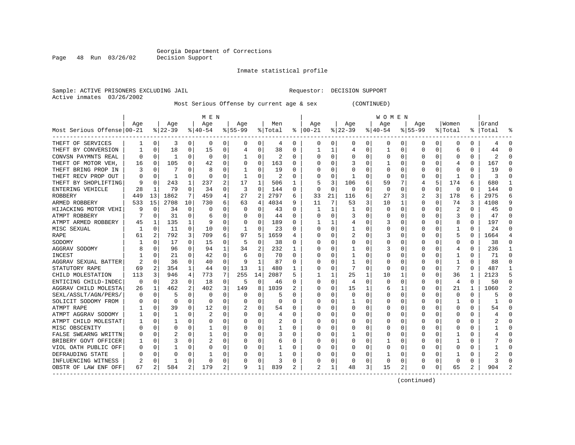Inmate statistical profile

Sample: ACTIVE PRISONERS EXCLUDING JAIL Requestor: DECISION SUPPORT Active inmates 03/26/2002

Page 48 Run 03/26/02

Most Serious Offense by current age & sex (CONTINUED)

|                            |          |              |              |              | M E N     |   |           |          |         |                  |                |          |                |          | W O M E N |          |          |          |          |          |       |          |
|----------------------------|----------|--------------|--------------|--------------|-----------|---|-----------|----------|---------|------------------|----------------|----------|----------------|----------|-----------|----------|----------|----------|----------|----------|-------|----------|
|                            | Age      |              | Age          |              | Age       |   | Age       |          | Men     |                  | Age            |          | Age            |          | Age       |          | Aqe      |          | Women    |          | Grand |          |
| Most Serious Offense 00-21 |          |              | $ 22-39$     |              | $8 40-54$ |   | $8 55-99$ |          | % Total | ະ                | $ 00-21$       |          | $8$   22-39    |          | $ 40-54$  |          | $ 55-99$ |          | % Total  | %        | Total |          |
| THEFT OF SERVICES          |          | 0            | 3            | 0            | 0         | 0 | 0         | $\Omega$ | 4       | 0                | $\Omega$       | 0        | 0              | 0        | 0         | 0        | $\Omega$ | $\Omega$ | O        | 0        | 4     | C        |
| THEFT BY CONVERSION        |          | $\Omega$     | 18           | 0            | 15        | 0 | 4         | $\Omega$ | 38      | O                |                | 1        | 4              | 0        |           | $\Omega$ | $\Omega$ | $\Omega$ | 6        | 0        | 44    |          |
| CONVSN PAYMNTS REAL        | U        | $\Omega$     |              | 0            | $\Omega$  | 0 |           | $\Omega$ | 2       | O                | $\Omega$       | 0        | U              | O        | U         | $\Omega$ | O        | $\Omega$ | O        | 0        | 2     |          |
| THEFT OF MOTOR VEH,        | 16       | $\Omega$     | 105          | <sup>0</sup> | 42        | 0 | O         | 0        | 163     | 0                |                | O        |                | O        |           | O        |          | $\Omega$ |          | 0        | 167   |          |
| THEFT BRING PROP IN        | 3        | $\Omega$     |              | O            | 8         | 0 |           | 0        | 19      | 0                |                | O        |                | O        | Ω         | 0        |          | $\Omega$ | O        | U        | 19    |          |
| THEFT RECV PROP OUT        | O        | $\Omega$     | $\mathbf{1}$ | 0            | 0         | 0 |           | $\Omega$ | 2       | O                |                | $\Omega$ |                | O        | Ω         | 0        | O        | $\Omega$ |          | U        | 3     | n        |
| THEFT BY SHOPLIFTING       | 9        | $\Omega$     | 243          | 1            | 237       | 2 | 17        | 1        | 506     | 1                |                | 3        | 106            | 6        | 59        | 7        |          | 5        | 174      | 6        | 680   | -1       |
| ENTERING VEHICLE           | 28       | 1            | 79           | 0            | 34        | 0 | 3         | $\Omega$ | 144     | 0                | $\Omega$       | 0        | 0              | O        | 0         | 0        | 0        | 0        | O        | 0        | 144   | $\Omega$ |
| ROBBERY                    | 449      | 13           | 1862         | 7            | 459       | 4 | 27        | 2        | 2797    | 6                | 33             | 21       | 116            | 6        | 27        | 3        | 2        | 3        | 178      | 6        | 2975  | 6        |
| ARMED ROBBERY              | 533      | 15           | 2708         | 10           | 730       | 6 | 63        | 4        | 4034    | 9                | 11             |          | 53             | 3        | 10        |          | $\Omega$ | $\Omega$ | 74       | 3        | 4108  | q        |
| HIJACKING MOTOR VEHI       | 9        | $\Omega$     | 34           | 0            | 0         | 0 |           | $\Omega$ | 43      | O                |                |          |                | 0        | 0         | O        | $\Omega$ |          |          | 0        | 45    | C        |
| ATMPT ROBBERY              |          | $\Omega$     | 31           | 0            | 6         | 0 |           | $\Omega$ | 44      | 0                | C              | 0        |                | O        | 0         | O        | $\Omega$ | $\Omega$ | 3        | 0        | 47    |          |
| ATMPT ARMED ROBBERY        | 45       | -1           | 135          | 1            | q         | 0 | $\left($  | $\Omega$ | 189     | 0                |                |          |                | O        | 3         | O        | O        | $\Omega$ | 8        | 0        | 197   | n        |
| MISC SEXUAL                |          | $\mathbf 0$  | 11           | 0            | 10        | 0 |           | 0        | 23      | 0                |                | $\Omega$ |                | O        |           | 0        | O        | $\Omega$ |          | 0        | 24    |          |
| <b>RAPE</b>                | 61       | 2            | 792          | 3            | 709       | 6 | 97        | 5        | 1659    |                  |                | O        |                | O        | 3         | 0        | $\Omega$ | $\Omega$ | 5        | 0        | 1664  |          |
| SODOMY                     |          | $\Omega$     | 17           | 0            | 15        | 0 | 5         | 0        | 38      | O                |                | U        | O              | O        | Ω         | 0        | $\Omega$ | $\Omega$ | C        | 0        | 38    | n        |
| AGGRAV SODOMY              |          | $\Omega$     | 96           | 0            | 94        | 1 | 34        | 2        | 232     | 1                | C              | 0        |                | O        | 3         | O        | O        | 0        |          | 0        | 236   | -1       |
| INCEST                     |          | $\Omega$     | 21           | 0            | 42        | 0 | 6         | 0        | 70      | O                | 0              | U        |                | O        | 0         | 0        | O        | 0        |          | 0        | 71    | $\Omega$ |
| AGGRAV SEXUAL BATTER       |          | $\Omega$     | 36           |              | 40        | 0 | 9         | 1        | 87      | 0                |                | 0        |                | 0        | 0         | 0        | O        |          |          | U        | 88    |          |
| STATUTORY RAPE             | 69       |              | 354          | 1            | 44        | 0 | 13        | 1        | 480     |                  |                | U        |                | O        | 0         | 0        | O        | ∩        |          | 0        | 487   |          |
| CHILD MOLESTATION          | 113      | 3            | 946          | 4            | 773       | 7 | 255       | 14       | 2087    | 5                |                |          | 25             | 1        | 10        |          | O        | $\Omega$ | 36       | 1        | 2123  | Б        |
| ENTICING CHILD-INDEC       | $\Omega$ | $\Omega$     | 23           | $\Omega$     | 18        | 0 | 5         | 0        | 46      | O                | O              | O        | $\overline{4}$ | O        | O         | O        | O        | $\Omega$ | 4        | $\Omega$ | 50    | C        |
| AGGRAV CHILD MOLESTA       | 26       | $\mathbf{1}$ | 462          | 2            | 402       | 3 | 149       | 8        | 1039    | 2                | C              | $\Omega$ | 15             | 1        | 6         | 1        | O        | $\Omega$ | 21       | 1        | 1060  | 2        |
| SEXL/ASSLT/AGN/PERS/       | O        | $\Omega$     | 5            | O            | $\Omega$  | 0 |           | $\Omega$ | 5       | O                |                | U        | 0              | $\Omega$ |           | 0        |          | $\Omega$ | O        | O        |       | $\cap$   |
| SOLICIT SODOMY FROM        | O        | $\Omega$     | $\Omega$     | 0            | $\Omega$  | 0 |           | $\Omega$ | 0       | U                |                | U        |                | O        | Ω         | 0        | $\Omega$ | ∩        |          | 0        |       | $\cap$   |
| ATMPT RAPE                 |          | $\Omega$     | 39           | 0            | 12        | 0 |           | 0        | 54      | O                | C              | 0        | 0              | O        | Ω         | 0        | O        | O        | C        | 0        | 54    | $\cap$   |
| ATMPT AGGRAV SODOMY        |          | $\Omega$     |              | O            | 2         | 0 |           | 0        | 4       | $\left( \right)$ | $\left($       | 0        | O              | O        | 0         | 0        | O        | 0        | $\left($ | 0        |       | $\cap$   |
| ATMPT CHILD MOLESTAT       |          | 0            |              |              | 0         | 0 |           | 0        | 2       | O                | C              | O        | 0              | 0        | 0         | 0        | O        | O        | C        | 0        |       | -C       |
| MISC OBSCENITY             |          | O            | $\Omega$     |              |           | 0 |           | $\Omega$ |         |                  |                | U        | O              | O        | Ω         | 0        |          |          |          | 0        |       |          |
| FALSE SWEARNG WRITTN       | O        | $\Omega$     |              |              |           | 0 |           | $\Omega$ | 3       | O                |                | U        |                | O        | Ω         | O        | O        |          |          | U        |       |          |
| BRIBERY GOVT OFFICER       |          | O            | 3            | <sup>0</sup> |           | 0 |           | $\Omega$ | 6       | 0                |                | U        | U              | O        |           | O        |          | $\Omega$ |          | 0        |       |          |
| VIOL OATH PUBLIC OFF       | Ω        | O            |              | <sup>0</sup> | n         | 0 |           | $\Omega$ |         | O                |                | 0        | O              | O        | Ω         | 0        | O        | $\Omega$ | O        | U        |       |          |
| DEFRAUDING STATE           |          | $\Omega$     | n            | O            |           | 0 |           | 0        |         | O                |                | $\Omega$ |                | 0        |           | 0        |          | $\Omega$ |          | U        |       |          |
| INFLUENCING WITNESS        |          | $\Omega$     |              | O            | $\Omega$  | 0 |           | 0        | 3       | O                |                | 0        | O              | $\Omega$ | Ω         | 0        |          | $\Omega$ |          | 0        |       |          |
| OBSTR OF LAW ENF OFF       | 67       | 2            | 584          | 2            | 179       | 2 | 9         | 1        | 839     | 2                | $\mathfrak{D}$ | 1        | 48             | 3        | 15        | 2        | $\Omega$ | 0        | 65       | 2        | 904   |          |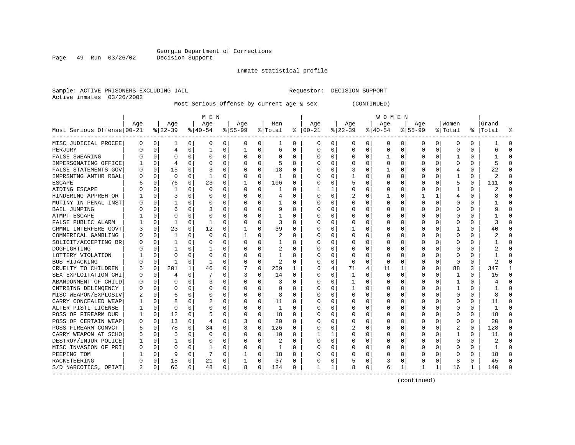Inmate statistical profile

Sample: ACTIVE PRISONERS EXCLUDING JAIL Requestor: DECISION SUPPORT Active inmates 03/26/2002

Most Serious Offense by current age & sex (CONTINUED)

|                            |                |             |             |              | M E N        |   |           |             |          |          |          |          |             |          | <b>WOMEN</b> |          |              |              |              |          |       |           |
|----------------------------|----------------|-------------|-------------|--------------|--------------|---|-----------|-------------|----------|----------|----------|----------|-------------|----------|--------------|----------|--------------|--------------|--------------|----------|-------|-----------|
|                            | Aqe            |             | Age         |              | Age          |   | Aqe       |             | Men      |          | Age      |          | Aqe         |          | Age          |          | Aqe          |              | Women        |          | Grand |           |
| Most Serious Offense 00-21 |                |             | $ 22-39$    |              | $ 40-54$     |   | $8 55-99$ |             | % Total  | ႜ        | $ 00-21$ |          | $8$   22-39 |          | $ 40-54$     |          | $8155 - 99$  |              | % Total      | ိ        | Total | 욲         |
| MISC JUDICIAL PROCEE       | 0              | 0           | 1           | 0            | 0            | 0 | 0         | 0           | 1        | 0        | 0        | 0        | 0           | 0        | 0            | 0        | 0            | 0            | O            | 0        |       | -0        |
| PERJURY                    | U              | $\Omega$    | 4           | $\Omega$     | -1           | 0 |           | $\Omega$    | 6        | 0        | $\Omega$ | $\Omega$ | $\Omega$    | $\Omega$ | 0            | $\Omega$ | $\Omega$     | $\Omega$     | O            | 0        | 6     | $\Omega$  |
| <b>FALSE SWEARING</b>      |                | $\Omega$    | $\Omega$    | $\Omega$     | $\Omega$     | 0 |           | $\Omega$    | $\Omega$ | 0        | $\Omega$ | 0        | U           | $\Omega$ |              | $\Omega$ | $\Omega$     | $\Omega$     |              | O        |       | $\bigcap$ |
| IMPERSONATING OFFICE       |                | $\mathbf 0$ | 4           | $\Omega$     | 0            | 0 |           | $\Omega$    | 5        | $\Omega$ | 0        | $\Omega$ | 0           | 0        | Ω            | $\Omega$ | $\Omega$     | $\Omega$     | C            | 0        |       | $\cap$    |
| FALSE STATEMENTS GOV       |                | $\Omega$    | 15          | 0            | 3            | 0 |           | $\mathbf 0$ | 18       | 0        |          | 0        |             | 0        |              | 0        |              | $\Omega$     | 4            | 0        | 22    |           |
| IMPRSNTNG ANTHR RBAL       | Ω              | $\Omega$    | $\mathbf 0$ | $\Omega$     | $\mathbf{1}$ | 0 |           | 0           | 1        | $\Omega$ | O        | $\Omega$ |             | 0        | 0            | $\Omega$ | $\Omega$     | $\Omega$     | $\mathbf{1}$ | 0        | 2     | $\Omega$  |
| <b>ESCAPE</b>              |                | $\Omega$    | 76          | 0            | 23           | 0 |           | 0           | 106      | 0        | $\Omega$ | 0        |             | 0        | 0            | 0        | O            | 0            | 5            | 0        | 111   | $\Omega$  |
| AIDING ESCAPE              |                | $\Omega$    | 1           | 0            | $\Omega$     | 0 | $\Omega$  | $\Omega$    | -1       | 0        |          | 1        | 0           | 0        | 0            | $\Omega$ | $\Omega$     | $\Omega$     |              | 0        |       | $\Omega$  |
| HINDERING APPREH OR        |                | 0           | 3           | 0            | 0            | 0 |           | $\Omega$    | 4        | 0        | $\Omega$ | 0        | 2           | 0        |              | 0        |              |              | 4            | 0        | 8     | $\Omega$  |
| MUTINY IN PENAL INST       | Ω              | $\Omega$    |             |              | n            | U |           | $\Omega$    |          | O        | $\cap$   | U        | U           | O        | Ω            | O        | $\Omega$     | $\Omega$     | C            | U        |       | $\cap$    |
| <b>BAIL JUMPING</b>        |                | $\Omega$    |             |              | 3            | O |           | $\Omega$    | 9        | O        | $\Omega$ | $\Omega$ | U           | O        | Ω            | $\Omega$ | $\Omega$     | $\Omega$     | C            | U        |       | $\cap$    |
| ATMPT ESCAPE               |                | $\Omega$    | O           | 0            | n            | U |           | $\Omega$    | 1        | 0        | O        | O        | O           | O        | Ω            | O        | O            | $\Omega$     | O            | 0        |       | $\cap$    |
| FALSE PUBLIC ALARM         |                | $\mathbf 0$ | 1           | $\Omega$     |              | 0 |           | $\Omega$    | 3        | 0        | 0        | $\Omega$ | 0           | 0        | 0            | 0        | O            | $\Omega$     | O            | 0        | 3     | n         |
| CRMNL INTERFERE GOVT       |                | $\Omega$    | 23          | 0            | 12           | 0 |           | 0           | 39       | 0        |          | 0        |             | 0        |              | 0        |              | $\Omega$     |              | 0        | 40    | $\cap$    |
| COMMERICAL GAMBLING        | Ω              | $\Omega$    | 1           | 0            | $\Omega$     | 0 |           | 0           | 2        | O        | O        | $\Omega$ | U           | 0        | 0            | $\Omega$ | $\Omega$     | $\Omega$     | C            | 0        |       | $\cap$    |
| SOLICIT/ACCEPTING BR       | U              | $\Omega$    | 1           | 0            | 0            | 0 |           | $\Omega$    | 1        | O        | O        | 0        | 0           | 0        | 0            | $\Omega$ | $\Omega$     | $\Omega$     | C            | $\Omega$ |       | $\Omega$  |
| DOGFIGHTING                |                | $\Omega$    | 1           | 0            |              | 0 |           | $\Omega$    | 2        | 0        | $\Omega$ | 0        | 0           | 0        | 0            | $\Omega$ | $\Omega$     | $\Omega$     | C            | 0        |       | $\Omega$  |
| LOTTERY VIOLATION          |                | $\Omega$    | $\Omega$    | O            | n            | 0 |           | $\Omega$    |          | O        | $\Omega$ | $\Omega$ | $\Omega$    | $\Omega$ | Ω            | $\Omega$ | $\Omega$     | $\Omega$     | O            | U        |       | $\Omega$  |
| <b>BUS HIJACKING</b>       |                | $\Omega$    | 1           | O            |              | 0 |           | $\Omega$    | 2        | O        |          | 0        | $\Omega$    | $\Omega$ | <sup>0</sup> | $\Omega$ | $\Omega$     | $\Omega$     | $\cap$       | O        |       |           |
| CRUELTY TO CHILDREN        | 5              | $\Omega$    | 201         |              | 46           | 0 |           | $\Omega$    | 259      | 1        | 6        | 4        | 71          | 4        | 11           |          | $\Omega$     | $\Omega$     | 88           | 3        | 347   | -1        |
| SEX EXPLOITATION CHI       | O              | $\Omega$    |             | <sup>0</sup> |              | 0 | 3         | 0           | 14       | 0        | $\Omega$ | 0        |             | O        | <sup>0</sup> | O        | O            | $\Omega$     | -1           | 0        | 15    | $\Omega$  |
| ABANDONMENT OF CHILD       | O              | $\Omega$    | O           | <sup>n</sup> | 3            | 0 |           | $\Omega$    | 3        | 0        | 0        | $\Omega$ | -1          | 0        | Ω            | O        | O            | $\Omega$     |              | 0        |       | $\cap$    |
| CNTRBTNG DELINOENCY        | Ω              | $\Omega$    |             | 0            | 0            | 0 |           | $\Omega$    | 0        | 0        | 0        | $\Omega$ |             | 0        |              | 0        | 0            | $\Omega$     |              | 0        |       | C         |
| MISC WEAPON/EXPLOSIV       |                | $\Omega$    |             | O            | 0            | 0 |           | $\Omega$    | 8        | 0        |          | U        | 0           | 0        |              | 0        | <sup>0</sup> | $\Omega$     | C            | 0        | 8     | $\bigcap$ |
| CARRY CONCEALED WEAP       |                | $\Omega$    | 8           | 0            | 2            | 0 |           | $\Omega$    | 11       | $\Omega$ | O        | 0        | 0           | 0        | 0            | $\Omega$ | $\Omega$     | $\Omega$     | C            | 0        | 11    | $\Omega$  |
| ALTER PISTL LICENSE        |                | $\Omega$    | $\Omega$    | <sup>0</sup> | 0            | 0 |           | 0           | 1        | 0        | $\Omega$ | 0        | 0           | O        | Ω            | 0        | O            | $\Omega$     | C            | 0        | 1     | $\Omega$  |
| POSS OF FIREARM DUR        |                | 0           | 12          | 0            | 5            | 0 |           | 0           | 18       | 0        | $\Omega$ | 0        | 0           | 0        | 0            | 0        | $\Omega$     | $\Omega$     | O            | 0        | 18    | $\Omega$  |
| POSS OF CERTAIN WEAP       | U              | $\Omega$    | 13          | 0            | 4            | 0 | 3         | $\Omega$    | 20       | 0        | O        | 0        | 0           | 0        | 0            | 0        | 0            | $\Omega$     | O            | 0        | 20    | $\Omega$  |
| POSS FIREARM CONVCT        | 6              | $\Omega$    | 78          | 0            | 34           | 0 |           | $\Omega$    | 126      | O        | O        | $\Omega$ |             | O        | 0            | 0        | O            | <sup>0</sup> |              | 0        | 128   | $\Omega$  |
| CARRY WEAPON AT SCHO       | 5              | $\Omega$    |             | 0            | $\Omega$     | 0 |           | $\Omega$    | 10       | O        |          | 1        | U           | 0        | Ω            | $\Omega$ | O            | 0            | -1           | 0        | 11    | $\Omega$  |
| DESTROY/INJUR POLICE       |                | $\Omega$    |             | 0            | 0            | 0 |           | $\Omega$    | 2        | 0        | $\Omega$ | $\Omega$ | 0           | 0        | 0            | 0        | O            | $\Omega$     | O            | 0        | 2     | $\cap$    |
| MISC INVASION OF PRI       | 0              | $\Omega$    | $\Omega$    | 0            |              | 0 |           | $\Omega$    | 1        | 0        | 0        | $\Omega$ | 0           | 0        | 0            | 0        | $\Omega$     | $\Omega$     | O            | 0        |       | C         |
| PEEPING TOM                |                | 0           | 9           | 0            |              | 0 |           | 0           | 18       | 0        | 0        | 0        |             | 0        | Ω            | 0        | O            | $\Omega$     | O            | 0        | 18    | $\bigcap$ |
| RACKETEERING               | Λ              | $\Omega$    | 15          | 0            | 21           | 0 |           | $\mathbf 0$ | 37       | $\Omega$ | C        | 0        |             | $\Omega$ | 3            | 0        | $\Omega$     | 0            | 8            | 0        | 45    | $\cap$    |
| S/D NARCOTICS, OPIAT       | $\mathfrak{D}$ | 0           | 66          | 0            | 48           | 0 | R         | 0           | 124      | 0        | 1        | 1        | 8           | 0        | 6            | 1        | 1            | 1            | 16           | 1        | 140   | $\cap$    |

(continued)

Page 49 Run 03/26/02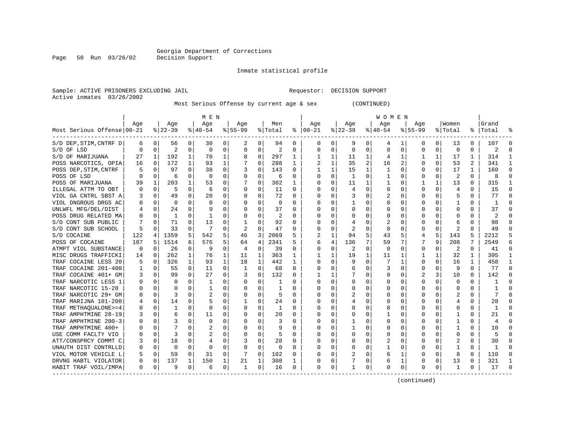Inmate statistical profile

Sample: ACTIVE PRISONERS EXCLUDING JAIL Requestor: DECISION SUPPORT Active inmates 03/26/2002

Page 50 Run 03/26/02

Most Serious Offense by current age & sex (CONTINUED)

|                            |          |             |           |          | M E N          |   |           |          |                |          |               |              |                |                | W O M E N |          |              |              |                |                |           |              |
|----------------------------|----------|-------------|-----------|----------|----------------|---|-----------|----------|----------------|----------|---------------|--------------|----------------|----------------|-----------|----------|--------------|--------------|----------------|----------------|-----------|--------------|
|                            | Age      |             | Age       |          | Age            |   | Age       |          | Men            |          | Age           |              | Age            |                | Age       |          | Aqe          |              | Women          |                | Grand     |              |
| Most Serious Offense 00-21 |          |             | $8 22-39$ |          | $8 40-54$      |   | $8 55-99$ |          | % Total        | ៖        | $ 00-21$      |              | $ 22-39$       |                | $ 40-54$  |          | $8155 - 99$  |              | % Total        |                | %   Total |              |
| S/D DEP, STIM, CNTRF D     | 6        | 0           | 56        | 0        | 30             | 0 | 2         | 0        | 94             | 0        | 0             | 0            | 9              | 0              | 4         |          | 0            | 0            | 13             | 0              | 107       | O            |
| S/D OF LSD                 | $\Omega$ | $\Omega$    | 2         | 0        | 0              | 0 | $\Omega$  | 0        | $\overline{2}$ | O        | 0             | 0            | $\mathbf 0$    | 0              | 0         | $\Omega$ | <sup>0</sup> | 0            | $\mathbf 0$    | $\Omega$       | 2         | C            |
| S/D OF MARIJUANA           | 27       | 1           | 192       | 1        | 70             | 1 | 8         | 0        | 297            | 1        |               | 1            | 11             | 1              | 4         | 1        |              | 1            | 17             | 1              | 314       |              |
| POSS NARCOTICS, OPIA       | 16       | 0           | 172       | 1        | 93             | 1 |           | $\Omega$ | 288            | 1        | 2             | $\mathbf{1}$ | 35             | $\overline{a}$ | 16        | 2        | O            | $\Omega$     | 53             | $\overline{2}$ | 341       |              |
| POSS DEP, STIM, CNTRF      |          | 0           | 97        | $\Omega$ | 38             | 0 | 3         | 0        | 143            | 0        | 1             | 1            | 15             | 1              | 1         | 0        | 0            | $\Omega$     | 17             | $\mathbf{1}$   | 160       | ∩            |
| POSS OF LSD                |          | $\mathbf 0$ | 6         | $\Omega$ | $\overline{0}$ | O | $\Omega$  | 0        | 6              | $\Omega$ | $\Omega$      | $\Omega$     | $\mathbf{1}$   | 0              | 1         | 0        | <sup>0</sup> | $\Omega$     | $\overline{2}$ | $\Omega$       | 8         | ſ            |
| POSS OF MARIJUANA          | 39       | 1           | 203       | 1        | 53             | 0 |           | $\Omega$ | 302            | 1        | $\Omega$      | $\Omega$     | 11             | 1              | 1         | 0        |              | 1            | 13             | 0              | 315       | -1           |
| ILLEGAL ATTM TO OBT        | 0        | 0           | 5         | 0        | 6              | 0 | O         | 0        | 11             | 0        | n             | 0            | 4              | $\Omega$       | 0         | 0        | <sup>0</sup> | $\Omega$     | 4              | 0              | 15        | $\Omega$     |
| VIOL GA CNTRL SBST A       | 3        | 0           | 49        | 0        | 20             | 0 | O         | 0        | 72             | 0        | 0             | 0            | 3              | 0              | 2         | 0        | O            | 0            | 5              | 0              | 77        | $\Omega$     |
| VIOL DNGROUS DRGS AC       |          | 0           | 0         |          | 0              | 0 |           | $\Omega$ | 0              | O        | 0             | 0            |                | 0              | 0         | C        |              |              |                | 0              |           |              |
| UNLWFL MFG/DEL/DIST        |          | 0           | 24        | 0        |                | 0 |           | $\Omega$ | 37             | U        | $\Omega$      | 0            | $\Omega$       | $\Omega$       | 0         | C        |              |              | O              | 0              | 37        |              |
| POSS DRUG RELATED MA       |          | $\Omega$    | 1         | 0        |                | 0 |           | $\Omega$ | 2              | 0        | O             | 0            | O              | O              | 0         | C        |              | <sup>n</sup> | n              | U              | 2         |              |
| S/D CONT SUB PUBLIC        |          | 0           | 71        | $\Omega$ | 13             | 0 |           | $\Omega$ | 92             | 0        | 0             | 0            | 4              | $\Omega$       | 2         | O        |              | 0            | 6              | U              | 98        | n            |
| S/D CONT SUB SCHOOL        | 5        | 0           | 33        | $\Omega$ |                | O |           | $\Omega$ | 47             | O        |               | O            | $\overline{2}$ | $\Omega$       | 0         | $\Omega$ |              | $\Omega$     | 2              | O              | 49        |              |
| S/D COCAINE                | 122      | 4           | 1359      | 5        | 542            | 5 | 46        | 3        | 2069           | 5        | $\mathcal{D}$ | 1            | 94             | 5              | 43        | 5        | 4            | 5            | 143            | 5              | 2212      |              |
| POSS OF COCAINE            | 187      | 5           | 1514      | 6        | 576            | 5 | 64        | 4        | 2341           | 5        | 6             | 4            | 136            | 7              | 59        | 7        |              | 9            | 208            | 7              | 2549      | б            |
| ATMPT VIOL SUBSTANCE       | 0        | 0           | 26        | 0        | 9              | 0 | 4         | 0        | 39             | 0        | $\Omega$      | 0            | 2              | $\Omega$       | 0         | $\Omega$ | 0            | $\Omega$     | 2              | 0              | 41        | $\Omega$     |
| MISC DRUGS TRAFFICKI       | 14       | 0           | 262       | 1        | 76             | 1 | 11        | 1        | 363            |          |               |              | 19             | 1              | 11        |          |              |              | 32             | 1              | 395       |              |
| TRAF COCAINE LESS 20       | 5        | 0           | 326       | 1        | 93             | 1 | 18        | 1        | 442            | 1        | $\Omega$      | 0            | 9              | $\Omega$       |           | -1       | <sup>0</sup> | $\Omega$     | 16             | 1              | 458       |              |
| COCAINE 201-400<br>TRAF    |          | 0           | 55        | $\Omega$ | 11             | 0 | 1         | $\Omega$ | 68             | 0        | $\Omega$      | $\Omega$     | 6              | $\Omega$       | 3         | $\Omega$ | <sup>0</sup> | $\Omega$     | 9              | $\Omega$       | 77        | ∩            |
| TRAF COCAINE 401+ GM       | 3        | $\Omega$    | 99        | $\Omega$ | 27             | 0 | 3         | $\Omega$ | 132            | 0        | 1             | 1            |                | $\Omega$       | 0         | $\Omega$ | 2            | 3            | 10             | 0              | 142       | ∩            |
| TRAF NARCOTIC LESS 1       | O        | 0           | O         | $\Omega$ | 1              | 0 | O         | 0        | 1              | O        | 0             | 0            | $\Omega$       | $\Omega$       | 0         | $\Omega$ |              | $\Omega$     | $\Omega$       | $\Omega$       |           | ſ            |
| TRAF NARCOTIC 15-28        |          | $\mathbf 0$ | $\Omega$  | $\Omega$ | $\mathbf{1}$   | U |           | $\Omega$ | -1             | O        |               | O            | 0              | $\Omega$       | Ω         | C        |              | $\Omega$     | 0              | 0              |           |              |
| TRAF NARCOTIC 29+ GM       | O        | $\mathbf 0$ | 3         | $\Omega$ | 2              | 0 |           | $\Omega$ | 5              | $\Omega$ | $\Omega$      | 0            |                | $\Omega$       | U         | C        |              | 0            | 2              | $\Omega$       |           | ſ            |
| TRAF MARIJNA 101-200       | 4        | 0           | 14        | 0        | 5              | 0 |           | $\Omega$ | 24             | 0        | $\Omega$      | 0            | 4              | $\Omega$       | 0         | C        |              | 0            | 4              | 0              | 28        | O            |
| TRAF METHAQUALONE>=4       | 0        | 0           |           | 0        | $\Omega$       | 0 | 0         | $\Omega$ | 1              | O        | 0             | 0            | $\Omega$       | $\Omega$       | 0         | 0        |              |              | 0              | 0              |           | <sup>0</sup> |
| TRAF AMPHTMINE 28-19       | 3        | 0           | 6         | 0        | 11             | 0 |           | $\Omega$ | 20             | O        | O             | 0            | $\Omega$       | $\Omega$       |           | C        |              |              |                | 0              | 21        | ſ            |
| TRAF AMPHTMINE 200-3       | O        | $\Omega$    |           | U        | $\Omega$       | O |           | $\Omega$ | ζ              | O        | $\Omega$      | 0            |                | $\Omega$       | U         | C        |              |              | -1             | O              | 4         |              |
| TRAF AMPHTMINE 400+        | 0        | $\Omega$    | 7         | 0        | 2              | 0 | $\Omega$  | $\Omega$ | 9              | 0        | 0             | 0            |                | $\Omega$       | 0         | $\Omega$ |              | 0            | -1             | 0              | 10        |              |
| USE COMM FACLTY VIO        | 0        | $\Omega$    | 3         | 0        | 2              | 0 |           | $\Omega$ | 5              | 0        | 0             | 0            | $\Omega$       | $\Omega$       | 0         | $\Omega$ |              | 0            | O              | 0              | 5         |              |
| ATT/CONSPRCY COMMT C       | 3        | 0           | 18        | 0        | 4              | 0 | 3         | $\Omega$ | 28             | 0        | 0             | 0            | 0              | $\Omega$       | 2         | $\Omega$ |              | $\Omega$     | 2              | 0              | 30        | ſ            |
| UNAUTH DIST CONTRLLD       | 0        | 0           | $\Omega$  | $\Omega$ | $\Omega$       | 0 | $\Omega$  | $\Omega$ | 0              | 0        | $\Omega$      | $\Omega$     | $\Omega$       | $\Omega$       |           | 0        |              | $\Omega$     | -1             | 0              |           | ſ            |
| VIOL MOTOR VEHICLE L       | 5        | $\Omega$    | 59        | $\Omega$ | 31             | 0 | 7         | $\Omega$ | 102            | 0        | $\Omega$      | 0            |                | $\Omega$       | 6         | 1        | <sup>0</sup> | $\Omega$     | 8              | 0              | 110       | <sup>0</sup> |
| DRVNG HABTL VIOLATOR       | $\Omega$ | 0           | 137       | 1        | 150            | 1 | 21        | 1        | 308            | 1        | $\Omega$      | 0            |                | 0              | 6         | 1        | 0            | 0            | 13             | 0              | 321       |              |
| HABIT TRAF VOIL/IMPA       | $\Omega$ | 0           | 9         | 0        | 6              | 0 | 1         | 0        | 16             | 0        | $\Omega$      | 0            |                | 0              | 0         | 0        | 0            | 0            | 1              | 0              | 17        | ſ            |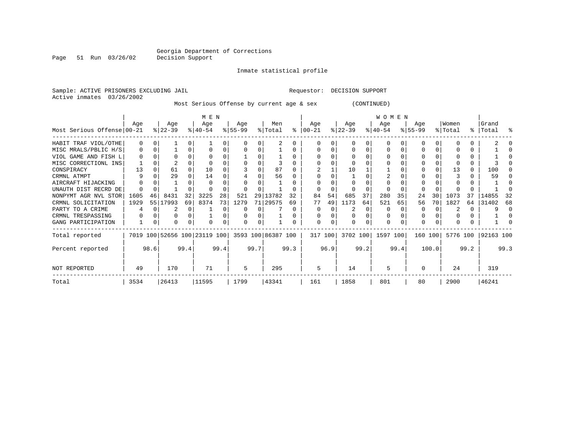#### Inmate statistical profile

Active inmates 03/26/2002

Page 51 Run 03/26/02

Sample: ACTIVE PRISONERS EXCLUDING JAIL Requestor: DECISION SUPPORT

Most Serious Offense by current age & sex (CONTINUED)

|                            |          |          |                  |      | M E N                        |      |                  |      |                    |              |                  |         |                  |          | <b>WOMEN</b>     |      |                  |       |                  |      |                    |      |
|----------------------------|----------|----------|------------------|------|------------------------------|------|------------------|------|--------------------|--------------|------------------|---------|------------------|----------|------------------|------|------------------|-------|------------------|------|--------------------|------|
| Most Serious Offense 00-21 | Aqe      |          | Age<br>$ 22-39 $ |      | Aqe<br>$ 40-54 $             |      | Aqe<br>$ 55-99 $ |      | Men<br>% Total     | ႜ            | Aqe<br>$ 00-21 $ |         | Aqe<br>$ 22-39 $ |          | Aqe<br>$ 40-54 $ |      | Aqe<br>$ 55-99 $ |       | Women<br>% Total |      | Grand<br>%   Total | ႜ    |
| HABIT TRAF VIOL/OTHE       | $\Omega$ | $\Omega$ |                  |      |                              | 0    |                  |      |                    |              |                  |         |                  |          | O                |      |                  |       |                  |      |                    |      |
| MISC MRALS/PBLIC H/S       | 0        | $\Omega$ |                  | 0    |                              | 0    |                  |      |                    |              |                  |         |                  |          | 0                |      |                  |       |                  |      |                    |      |
| VIOL GAME AND FISH L       |          |          |                  |      |                              |      |                  |      |                    |              |                  |         |                  |          |                  |      |                  |       |                  |      |                    |      |
| MISC CORRECTIONL INS       |          |          |                  |      |                              |      |                  |      |                    |              |                  |         |                  |          |                  |      |                  |       |                  |      |                    |      |
| CONSPIRACY                 | 13       |          | 61               |      | 10                           |      |                  |      | 87                 |              |                  |         | 10               |          |                  |      |                  |       | 13               |      | 100                |      |
| CRMNL ATMPT                |          |          | 29               |      | 14                           |      |                  |      | 56                 |              |                  |         |                  |          |                  |      |                  |       |                  |      | 59                 |      |
| AIRCRAFT HIJACKING         |          |          |                  |      |                              |      |                  |      |                    |              |                  |         |                  |          |                  |      |                  |       |                  |      |                    |      |
| UNAUTH DIST RECRD DE       |          |          |                  |      |                              |      |                  |      |                    |              |                  |         |                  |          |                  |      |                  |       |                  |      |                    |      |
| NONPYMT AGR NVL STOR       | 1605     | 46       | 8431             | 32   | 3225                         | 28   | 521              | 29   | 13782              | 32           | 84               | 54      | 685              | 37       | 280              | 35   | 24               | 30    | 1073             | 37   | 14855              | 32   |
| CRMNL SOLICITATION         | 1929     | 55       | 17993            | 69   | 8374                         | 73   | 1279             | 71   | 29575              | 69           | 77               | 49      | 1173             | 64       | 521              | 65   | 56               | 70    | 1827             | 64   | 31402              | 68   |
| PARTY TO A CRIME           |          |          |                  | 0    |                              | U    |                  |      |                    | <sup>0</sup> | 0                |         |                  | $\Omega$ | $\Omega$         |      | 0                |       |                  | 0    |                    | n    |
| CRMNL TRESPASSING          |          |          | O                |      |                              |      |                  |      |                    |              |                  |         |                  |          | 0                |      | <sup>0</sup>     |       |                  |      |                    |      |
| GANG PARTICIPATION         |          |          | O                |      |                              |      |                  |      |                    |              | $\Omega$         |         |                  |          | 0                |      | $\Omega$         |       |                  |      |                    |      |
| Total reported             |          |          |                  |      | 7019 100 52656 100 23119 100 |      |                  |      | 3593 100 86387 100 |              |                  | 317 100 | 3702 100         |          | 1597 100         |      | 160 100          |       | 5776 100         |      | 92163 100          |      |
| Percent reported           |          | 98.6     |                  | 99.4 |                              | 99.4 |                  | 99.7 |                    | 99.3         |                  | 96.9    |                  | 99.2     |                  | 99.4 |                  | 100.0 |                  | 99.2 |                    | 99.3 |
| <b>NOT REPORTED</b>        | 49       |          | 170              |      | 71                           |      | 5                |      | 295                |              | 5                |         | 14               |          | 5                |      |                  |       | 24               |      | 319                |      |
| Total                      | 3534     |          | 26413            |      | 11595                        |      | 1799             |      | 43341              |              | 161              |         | 1858             |          | 801              |      | 80               |       | 2900             |      | 46241              |      |